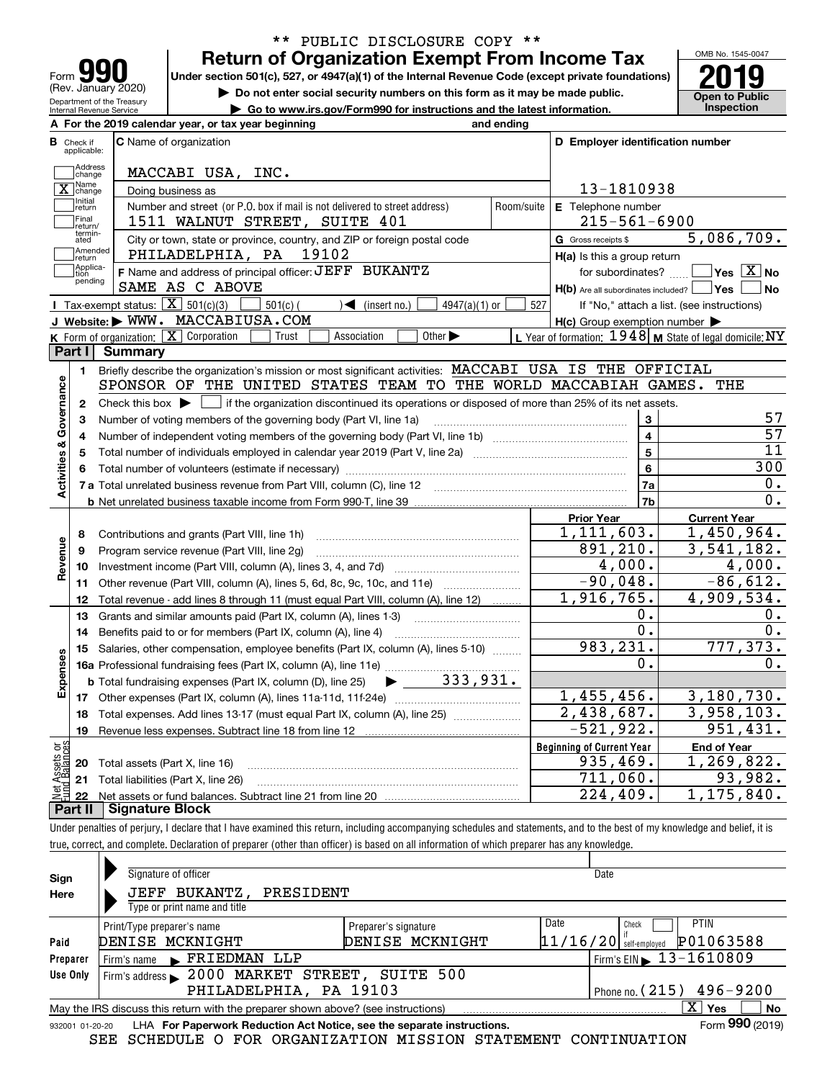| <u> 191</u><br>Form                                    |
|--------------------------------------------------------|
| (Rev. January 2020)                                    |
| Department of the Treasury<br>Internal Revenue Service |

## **Return of Organization Exempt From Income Tax** \*\* PUBLIC DISCLOSURE COPY \*\*

Under section 501(c), 527, or 4947(a)(1) of the Internal Revenue Code (except private foundations) **2019** 

**| Do not enter social security numbers on this form as it may be made public.**

**| Go to www.irs.gov/Form990 for instructions and the latest information. Inspection**



| <b>C</b> Name of organization<br>Check if<br>applicable:<br>Address<br>MACCABI USA, INC.<br>change<br>] Name<br>Doing business as<br>change<br>Initial<br>Number and street (or P.O. box if mail is not delivered to street address)<br>Room/suite<br>return<br>Final<br>1511 WALNUT STREET, SUITE 401<br>return/<br>termin-<br>City or town, state or province, country, and ZIP or foreign postal code<br>ated<br>Amended<br>PHILADELPHIA, PA 19102<br>return<br>Applica-<br>F Name and address of principal officer: JEFF BUKANTZ<br>tion<br>pending<br>SAME AS C ABOVE<br><b>I</b> Tax-exempt status: $\overline{X}$ 501(c)(3)<br>$501(c)$ (<br>$\sqrt{\phantom{a}}$ (insert no.)<br>$4947(a)(1)$ or<br>527<br>J Website: WWW. MACCABIUSA.COM<br>K Form of organization: $X$ Corporation<br>Other $\blacktriangleright$<br>Trust<br>Association<br>Part I<br><b>Summary</b><br>Briefly describe the organization's mission or most significant activities: MACCABI USA IS THE OFFICIAL<br>1.<br>SPONSOR OF THE UNITED STATES TEAM TO THE WORLD MACCABIAH GAMES.<br>Check this box $\blacktriangleright$ $\blacksquare$ if the organization discontinued its operations or disposed of more than 25% of its net assets.<br>$\mathbf{2}$<br>Number of voting members of the governing body (Part VI, line 1a)<br>3<br>4<br>5<br>6 | D Employer identification number<br>13-1810938<br>E Telephone number<br>$215 - 561 - 6900$<br>G Gross receipts \$<br>$H(a)$ is this a group return<br>for subordinates?<br>$H(b)$ Are all subordinates included? $\Box$ Yes<br>$H(c)$ Group exemption number $\blacktriangleright$<br>L Year of formation: $1948$ M State of legal domicile: NY<br>3<br>$\overline{\mathbf{4}}$<br>$\overline{5}$ | 5,086,709.<br>$\sqrt{}$ Yes $\sqrt{}$ X $\sqrt{}$ No<br>No<br>If "No," attach a list. (see instructions)<br>THE<br>57<br>57<br>11 |
|-------------------------------------------------------------------------------------------------------------------------------------------------------------------------------------------------------------------------------------------------------------------------------------------------------------------------------------------------------------------------------------------------------------------------------------------------------------------------------------------------------------------------------------------------------------------------------------------------------------------------------------------------------------------------------------------------------------------------------------------------------------------------------------------------------------------------------------------------------------------------------------------------------------------------------------------------------------------------------------------------------------------------------------------------------------------------------------------------------------------------------------------------------------------------------------------------------------------------------------------------------------------------------------------------------------------------------------|---------------------------------------------------------------------------------------------------------------------------------------------------------------------------------------------------------------------------------------------------------------------------------------------------------------------------------------------------------------------------------------------------|-----------------------------------------------------------------------------------------------------------------------------------|
|                                                                                                                                                                                                                                                                                                                                                                                                                                                                                                                                                                                                                                                                                                                                                                                                                                                                                                                                                                                                                                                                                                                                                                                                                                                                                                                                     |                                                                                                                                                                                                                                                                                                                                                                                                   |                                                                                                                                   |
|                                                                                                                                                                                                                                                                                                                                                                                                                                                                                                                                                                                                                                                                                                                                                                                                                                                                                                                                                                                                                                                                                                                                                                                                                                                                                                                                     |                                                                                                                                                                                                                                                                                                                                                                                                   |                                                                                                                                   |
|                                                                                                                                                                                                                                                                                                                                                                                                                                                                                                                                                                                                                                                                                                                                                                                                                                                                                                                                                                                                                                                                                                                                                                                                                                                                                                                                     |                                                                                                                                                                                                                                                                                                                                                                                                   |                                                                                                                                   |
|                                                                                                                                                                                                                                                                                                                                                                                                                                                                                                                                                                                                                                                                                                                                                                                                                                                                                                                                                                                                                                                                                                                                                                                                                                                                                                                                     |                                                                                                                                                                                                                                                                                                                                                                                                   |                                                                                                                                   |
|                                                                                                                                                                                                                                                                                                                                                                                                                                                                                                                                                                                                                                                                                                                                                                                                                                                                                                                                                                                                                                                                                                                                                                                                                                                                                                                                     |                                                                                                                                                                                                                                                                                                                                                                                                   |                                                                                                                                   |
|                                                                                                                                                                                                                                                                                                                                                                                                                                                                                                                                                                                                                                                                                                                                                                                                                                                                                                                                                                                                                                                                                                                                                                                                                                                                                                                                     |                                                                                                                                                                                                                                                                                                                                                                                                   |                                                                                                                                   |
|                                                                                                                                                                                                                                                                                                                                                                                                                                                                                                                                                                                                                                                                                                                                                                                                                                                                                                                                                                                                                                                                                                                                                                                                                                                                                                                                     |                                                                                                                                                                                                                                                                                                                                                                                                   |                                                                                                                                   |
|                                                                                                                                                                                                                                                                                                                                                                                                                                                                                                                                                                                                                                                                                                                                                                                                                                                                                                                                                                                                                                                                                                                                                                                                                                                                                                                                     |                                                                                                                                                                                                                                                                                                                                                                                                   |                                                                                                                                   |
|                                                                                                                                                                                                                                                                                                                                                                                                                                                                                                                                                                                                                                                                                                                                                                                                                                                                                                                                                                                                                                                                                                                                                                                                                                                                                                                                     |                                                                                                                                                                                                                                                                                                                                                                                                   |                                                                                                                                   |
|                                                                                                                                                                                                                                                                                                                                                                                                                                                                                                                                                                                                                                                                                                                                                                                                                                                                                                                                                                                                                                                                                                                                                                                                                                                                                                                                     |                                                                                                                                                                                                                                                                                                                                                                                                   |                                                                                                                                   |
|                                                                                                                                                                                                                                                                                                                                                                                                                                                                                                                                                                                                                                                                                                                                                                                                                                                                                                                                                                                                                                                                                                                                                                                                                                                                                                                                     |                                                                                                                                                                                                                                                                                                                                                                                                   |                                                                                                                                   |
|                                                                                                                                                                                                                                                                                                                                                                                                                                                                                                                                                                                                                                                                                                                                                                                                                                                                                                                                                                                                                                                                                                                                                                                                                                                                                                                                     |                                                                                                                                                                                                                                                                                                                                                                                                   |                                                                                                                                   |
|                                                                                                                                                                                                                                                                                                                                                                                                                                                                                                                                                                                                                                                                                                                                                                                                                                                                                                                                                                                                                                                                                                                                                                                                                                                                                                                                     |                                                                                                                                                                                                                                                                                                                                                                                                   |                                                                                                                                   |
|                                                                                                                                                                                                                                                                                                                                                                                                                                                                                                                                                                                                                                                                                                                                                                                                                                                                                                                                                                                                                                                                                                                                                                                                                                                                                                                                     |                                                                                                                                                                                                                                                                                                                                                                                                   |                                                                                                                                   |
|                                                                                                                                                                                                                                                                                                                                                                                                                                                                                                                                                                                                                                                                                                                                                                                                                                                                                                                                                                                                                                                                                                                                                                                                                                                                                                                                     |                                                                                                                                                                                                                                                                                                                                                                                                   |                                                                                                                                   |
|                                                                                                                                                                                                                                                                                                                                                                                                                                                                                                                                                                                                                                                                                                                                                                                                                                                                                                                                                                                                                                                                                                                                                                                                                                                                                                                                     |                                                                                                                                                                                                                                                                                                                                                                                                   |                                                                                                                                   |
|                                                                                                                                                                                                                                                                                                                                                                                                                                                                                                                                                                                                                                                                                                                                                                                                                                                                                                                                                                                                                                                                                                                                                                                                                                                                                                                                     |                                                                                                                                                                                                                                                                                                                                                                                                   |                                                                                                                                   |
|                                                                                                                                                                                                                                                                                                                                                                                                                                                                                                                                                                                                                                                                                                                                                                                                                                                                                                                                                                                                                                                                                                                                                                                                                                                                                                                                     |                                                                                                                                                                                                                                                                                                                                                                                                   |                                                                                                                                   |
|                                                                                                                                                                                                                                                                                                                                                                                                                                                                                                                                                                                                                                                                                                                                                                                                                                                                                                                                                                                                                                                                                                                                                                                                                                                                                                                                     |                                                                                                                                                                                                                                                                                                                                                                                                   |                                                                                                                                   |
|                                                                                                                                                                                                                                                                                                                                                                                                                                                                                                                                                                                                                                                                                                                                                                                                                                                                                                                                                                                                                                                                                                                                                                                                                                                                                                                                     | $6\overline{6}$                                                                                                                                                                                                                                                                                                                                                                                   | 300                                                                                                                               |
|                                                                                                                                                                                                                                                                                                                                                                                                                                                                                                                                                                                                                                                                                                                                                                                                                                                                                                                                                                                                                                                                                                                                                                                                                                                                                                                                     | 7a                                                                                                                                                                                                                                                                                                                                                                                                | 0.                                                                                                                                |
|                                                                                                                                                                                                                                                                                                                                                                                                                                                                                                                                                                                                                                                                                                                                                                                                                                                                                                                                                                                                                                                                                                                                                                                                                                                                                                                                     | 7b                                                                                                                                                                                                                                                                                                                                                                                                | 0.                                                                                                                                |
|                                                                                                                                                                                                                                                                                                                                                                                                                                                                                                                                                                                                                                                                                                                                                                                                                                                                                                                                                                                                                                                                                                                                                                                                                                                                                                                                     | <b>Prior Year</b>                                                                                                                                                                                                                                                                                                                                                                                 | <b>Current Year</b>                                                                                                               |
| Contributions and grants (Part VIII, line 1h)<br>8                                                                                                                                                                                                                                                                                                                                                                                                                                                                                                                                                                                                                                                                                                                                                                                                                                                                                                                                                                                                                                                                                                                                                                                                                                                                                  | 1, 111, 603.                                                                                                                                                                                                                                                                                                                                                                                      | 1,450,964.                                                                                                                        |
| Program service revenue (Part VIII, line 2g)<br>9                                                                                                                                                                                                                                                                                                                                                                                                                                                                                                                                                                                                                                                                                                                                                                                                                                                                                                                                                                                                                                                                                                                                                                                                                                                                                   | 891,210.                                                                                                                                                                                                                                                                                                                                                                                          | 3,541,182.                                                                                                                        |
| 10                                                                                                                                                                                                                                                                                                                                                                                                                                                                                                                                                                                                                                                                                                                                                                                                                                                                                                                                                                                                                                                                                                                                                                                                                                                                                                                                  | 4,000.                                                                                                                                                                                                                                                                                                                                                                                            | 4,000.                                                                                                                            |
| Other revenue (Part VIII, column (A), lines 5, 6d, 8c, 9c, 10c, and 11e)<br>11                                                                                                                                                                                                                                                                                                                                                                                                                                                                                                                                                                                                                                                                                                                                                                                                                                                                                                                                                                                                                                                                                                                                                                                                                                                      | $-90,048.$                                                                                                                                                                                                                                                                                                                                                                                        | $-86,612.$                                                                                                                        |
| Total revenue - add lines 8 through 11 (must equal Part VIII, column (A), line 12)<br>12                                                                                                                                                                                                                                                                                                                                                                                                                                                                                                                                                                                                                                                                                                                                                                                                                                                                                                                                                                                                                                                                                                                                                                                                                                            | 1,916,765.                                                                                                                                                                                                                                                                                                                                                                                        | 4,909,534.                                                                                                                        |
| 13<br>Grants and similar amounts paid (Part IX, column (A), lines 1-3)                                                                                                                                                                                                                                                                                                                                                                                                                                                                                                                                                                                                                                                                                                                                                                                                                                                                                                                                                                                                                                                                                                                                                                                                                                                              | 0.                                                                                                                                                                                                                                                                                                                                                                                                | 0.                                                                                                                                |
| 14                                                                                                                                                                                                                                                                                                                                                                                                                                                                                                                                                                                                                                                                                                                                                                                                                                                                                                                                                                                                                                                                                                                                                                                                                                                                                                                                  | $0$ .                                                                                                                                                                                                                                                                                                                                                                                             | $\overline{0}$ .                                                                                                                  |
| Salaries, other compensation, employee benefits (Part IX, column (A), lines 5-10)<br>15                                                                                                                                                                                                                                                                                                                                                                                                                                                                                                                                                                                                                                                                                                                                                                                                                                                                                                                                                                                                                                                                                                                                                                                                                                             | 983, 231.                                                                                                                                                                                                                                                                                                                                                                                         | 777, 373.                                                                                                                         |
| Expenses                                                                                                                                                                                                                                                                                                                                                                                                                                                                                                                                                                                                                                                                                                                                                                                                                                                                                                                                                                                                                                                                                                                                                                                                                                                                                                                            | 0.                                                                                                                                                                                                                                                                                                                                                                                                | 0.                                                                                                                                |
| <b>b</b> Total fundraising expenses (Part IX, column (D), line 25)                                                                                                                                                                                                                                                                                                                                                                                                                                                                                                                                                                                                                                                                                                                                                                                                                                                                                                                                                                                                                                                                                                                                                                                                                                                                  |                                                                                                                                                                                                                                                                                                                                                                                                   |                                                                                                                                   |
|                                                                                                                                                                                                                                                                                                                                                                                                                                                                                                                                                                                                                                                                                                                                                                                                                                                                                                                                                                                                                                                                                                                                                                                                                                                                                                                                     | 1,455,456.                                                                                                                                                                                                                                                                                                                                                                                        | 3,180,730.                                                                                                                        |
| Total expenses. Add lines 13-17 (must equal Part IX, column (A), line 25)<br>18                                                                                                                                                                                                                                                                                                                                                                                                                                                                                                                                                                                                                                                                                                                                                                                                                                                                                                                                                                                                                                                                                                                                                                                                                                                     | $\overline{2,438,687}$ .                                                                                                                                                                                                                                                                                                                                                                          | 3,958,103.                                                                                                                        |
| 19                                                                                                                                                                                                                                                                                                                                                                                                                                                                                                                                                                                                                                                                                                                                                                                                                                                                                                                                                                                                                                                                                                                                                                                                                                                                                                                                  | $-521,922.$                                                                                                                                                                                                                                                                                                                                                                                       | 951,431.                                                                                                                          |
|                                                                                                                                                                                                                                                                                                                                                                                                                                                                                                                                                                                                                                                                                                                                                                                                                                                                                                                                                                                                                                                                                                                                                                                                                                                                                                                                     | <b>Beginning of Current Year</b>                                                                                                                                                                                                                                                                                                                                                                  | <b>End of Year</b>                                                                                                                |
| Total assets (Part X, line 16)<br>20                                                                                                                                                                                                                                                                                                                                                                                                                                                                                                                                                                                                                                                                                                                                                                                                                                                                                                                                                                                                                                                                                                                                                                                                                                                                                                | 935,469.                                                                                                                                                                                                                                                                                                                                                                                          | 1, 269, 822.                                                                                                                      |
| 21<br>Total liabilities (Part X, line 26)                                                                                                                                                                                                                                                                                                                                                                                                                                                                                                                                                                                                                                                                                                                                                                                                                                                                                                                                                                                                                                                                                                                                                                                                                                                                                           | 711,060.                                                                                                                                                                                                                                                                                                                                                                                          | 93,982.                                                                                                                           |
| 22<br><b>Signature Block</b><br>Part II                                                                                                                                                                                                                                                                                                                                                                                                                                                                                                                                                                                                                                                                                                                                                                                                                                                                                                                                                                                                                                                                                                                                                                                                                                                                                             | 224, 409.                                                                                                                                                                                                                                                                                                                                                                                         | 1,175,840.                                                                                                                        |

Under penalties of perjury, I declare that I have examined this return, including accompanying schedules and statements, and to the best of my knowledge and belief, it is true, correct, and complete. Declaration of preparer (other than officer) is based on all information of which preparer has any knowledge.

| Sign                                                 | Signature of officer                                                                                         |                      | Date                     |                                            |  |  |  |  |  |  |
|------------------------------------------------------|--------------------------------------------------------------------------------------------------------------|----------------------|--------------------------|--------------------------------------------|--|--|--|--|--|--|
| Here                                                 | JEFF BUKANTZ, PRESIDENT                                                                                      |                      |                          |                                            |  |  |  |  |  |  |
|                                                      | Type or print name and title                                                                                 |                      |                          |                                            |  |  |  |  |  |  |
|                                                      | Print/Type preparer's name                                                                                   | Preparer's signature | Date                     | <b>PTIN</b><br>Check                       |  |  |  |  |  |  |
| Paid                                                 | DENISE MCKNIGHT                                                                                              | DENISE MCKNIGHT      | $11/16/20$ self-employed | P01063588                                  |  |  |  |  |  |  |
| Preparer                                             | Firm's name FRIEDMAN LLP                                                                                     |                      |                          | $I$ Firm's EIN $\triangleright$ 13-1610809 |  |  |  |  |  |  |
| Use Only                                             | Firm's address > 2000 MARKET STREET, SUITE 500                                                               |                      |                          |                                            |  |  |  |  |  |  |
| PHILADELPHIA, PA 19103<br>Phone no. $(215)$ 496-9200 |                                                                                                              |                      |                          |                                            |  |  |  |  |  |  |
|                                                      | X  <br>No<br>May the IRS discuss this return with the preparer shown above? (see instructions)<br><b>Yes</b> |                      |                          |                                            |  |  |  |  |  |  |
|                                                      | Form 990 (2019)<br>LHA For Paperwork Reduction Act Notice, see the separate instructions.<br>932001 01-20-20 |                      |                          |                                            |  |  |  |  |  |  |

SEE SCHEDULE O FOR ORGANIZATION MISSION STATEMENT CONTINUATION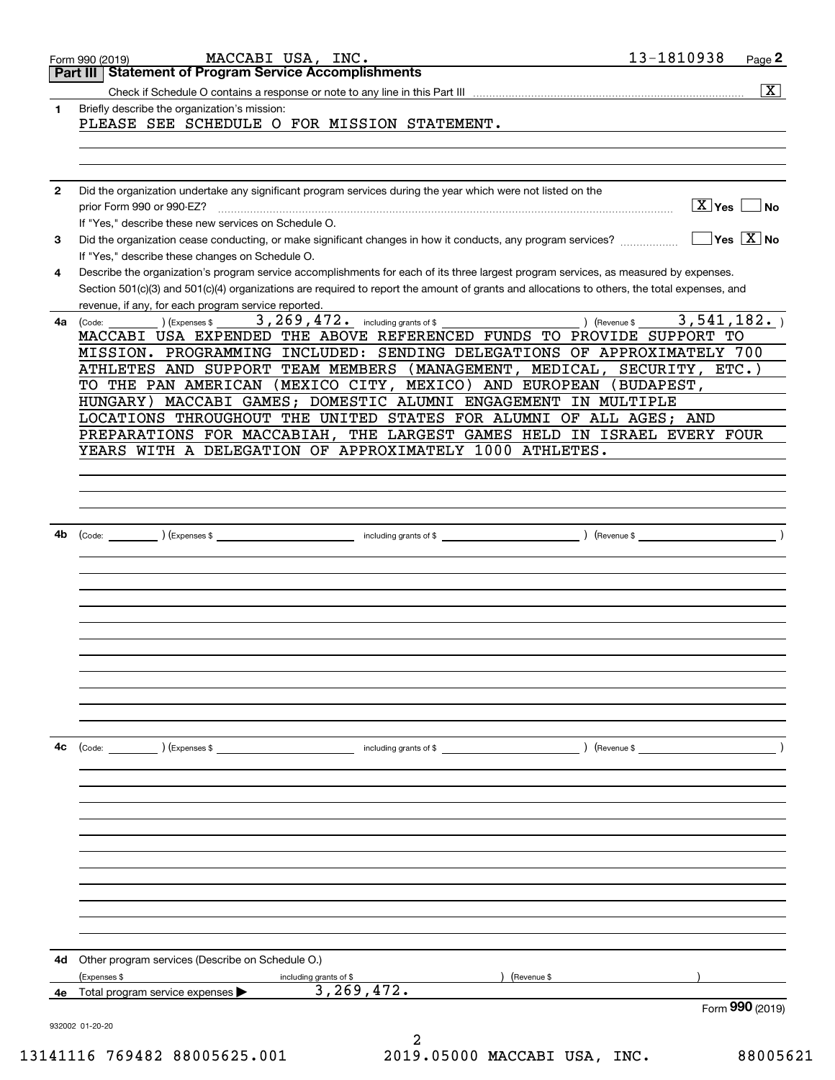|              | MACCABI USA, INC.<br>Form 990 (2019)                                                                                                                                                                                                                                                                                                                                                                                                                                                                                                                                                                                                              | 13-1810938<br>Page 2                    |
|--------------|---------------------------------------------------------------------------------------------------------------------------------------------------------------------------------------------------------------------------------------------------------------------------------------------------------------------------------------------------------------------------------------------------------------------------------------------------------------------------------------------------------------------------------------------------------------------------------------------------------------------------------------------------|-----------------------------------------|
|              | <b>Part III Statement of Program Service Accomplishments</b>                                                                                                                                                                                                                                                                                                                                                                                                                                                                                                                                                                                      |                                         |
|              |                                                                                                                                                                                                                                                                                                                                                                                                                                                                                                                                                                                                                                                   | $\overline{\mathbf{x}}$                 |
| 1.           | Briefly describe the organization's mission:<br>PLEASE SEE SCHEDULE O FOR MISSION STATEMENT.                                                                                                                                                                                                                                                                                                                                                                                                                                                                                                                                                      |                                         |
|              |                                                                                                                                                                                                                                                                                                                                                                                                                                                                                                                                                                                                                                                   |                                         |
| $\mathbf{2}$ | Did the organization undertake any significant program services during the year which were not listed on the<br>prior Form 990 or 990-EZ?<br>If "Yes," describe these new services on Schedule O.                                                                                                                                                                                                                                                                                                                                                                                                                                                 | $X$ Yes $\Box$ No                       |
| 3            | Did the organization cease conducting, or make significant changes in how it conducts, any program services?<br>If "Yes," describe these changes on Schedule O.                                                                                                                                                                                                                                                                                                                                                                                                                                                                                   | $\Box$ Yes $ \overline{\mathrm{X}} $ No |
| 4            | Describe the organization's program service accomplishments for each of its three largest program services, as measured by expenses.<br>Section 501(c)(3) and 501(c)(4) organizations are required to report the amount of grants and allocations to others, the total expenses, and<br>revenue, if any, for each program service reported.<br>the control of the control of the control of the                                                                                                                                                                                                                                                   |                                         |
| 4a l         | 3, 269, 472. including grants of \$<br>) (Expenses \$<br>(Code:<br>MACCABI USA EXPENDED THE ABOVE REFERENCED FUNDS TO PROVIDE SUPPORT TO<br>MISSION. PROGRAMMING INCLUDED: SENDING DELEGATIONS OF APPROXIMATELY 700<br>ATHLETES AND SUPPORT TEAM MEMBERS (MANAGEMENT, MEDICAL, SECURITY, ETC.)<br>TO THE PAN AMERICAN (MEXICO CITY, MEXICO) AND EUROPEAN (BUDAPEST,<br>HUNGARY) MACCABI GAMES; DOMESTIC ALUMNI ENGAGEMENT IN MULTIPLE<br>LOCATIONS THROUGHOUT THE UNITED STATES FOR ALUMNI OF ALL AGES; AND<br>PREPARATIONS FOR MACCABIAH, THE LARGEST GAMES HELD IN ISRAEL EVERY FOUR<br>YEARS WITH A DELEGATION OF APPROXIMATELY 1000 ATHLETES. | 3,541,182.<br>) (Revenue \$             |
| 4b           | (Code: $\qquad \qquad$ ) (Expenses \$                                                                                                                                                                                                                                                                                                                                                                                                                                                                                                                                                                                                             | $($ Revenue \$                          |
|              |                                                                                                                                                                                                                                                                                                                                                                                                                                                                                                                                                                                                                                                   |                                         |
|              |                                                                                                                                                                                                                                                                                                                                                                                                                                                                                                                                                                                                                                                   |                                         |
| 4с           | $\left(\text{Code:}\right)$ $\left(\text{Expenses $}\right)$<br>including grants of \$                                                                                                                                                                                                                                                                                                                                                                                                                                                                                                                                                            | (Revenue \$                             |
| 4d           | Other program services (Describe on Schedule O.)                                                                                                                                                                                                                                                                                                                                                                                                                                                                                                                                                                                                  |                                         |
|              | (Expenses \$<br>(Revenue \$<br>including grants of \$                                                                                                                                                                                                                                                                                                                                                                                                                                                                                                                                                                                             |                                         |
| 4е           | 3, 269, 472.<br>Total program service expenses<br>932002 01-20-20<br>2                                                                                                                                                                                                                                                                                                                                                                                                                                                                                                                                                                            | Form 990 (2019)                         |

13141116 769482 88005625.001 2019.05000 MACCABI USA, INC. 88005621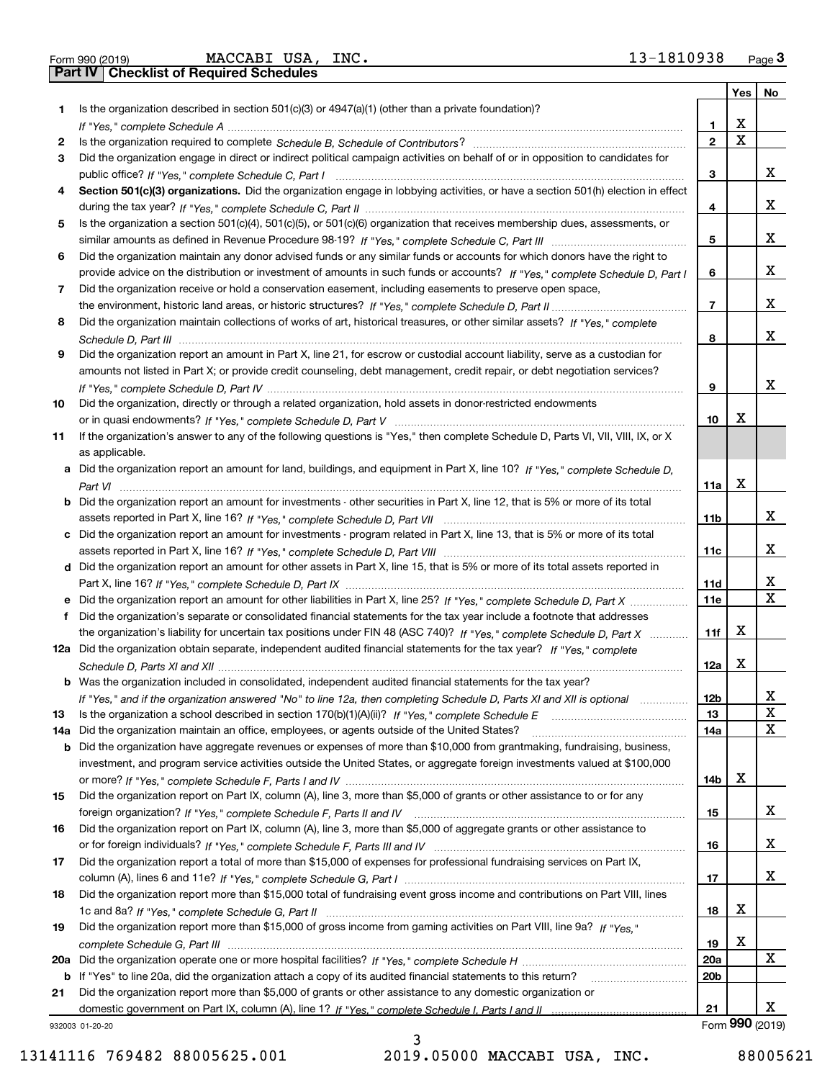| Form 990 (2019) |  |  |
|-----------------|--|--|

Form 990 (2019) MACCABI USA, INC. 13-1810938 <sub>Page</sub> 3<br>**Part IV | Checklist of Required Schedules** 

|     |                                                                                                                                               |                 | Yes | No              |
|-----|-----------------------------------------------------------------------------------------------------------------------------------------------|-----------------|-----|-----------------|
| 1   | Is the organization described in section 501(c)(3) or 4947(a)(1) (other than a private foundation)?                                           |                 |     |                 |
|     |                                                                                                                                               | 1               | х   |                 |
| 2   |                                                                                                                                               | $\mathbf{2}$    | X   |                 |
| 3   | Did the organization engage in direct or indirect political campaign activities on behalf of or in opposition to candidates for               |                 |     |                 |
|     |                                                                                                                                               | 3               |     | х               |
| 4   | Section 501(c)(3) organizations. Did the organization engage in lobbying activities, or have a section 501(h) election in effect              |                 |     |                 |
|     |                                                                                                                                               | 4               |     | x               |
| 5   | Is the organization a section 501(c)(4), 501(c)(5), or 501(c)(6) organization that receives membership dues, assessments, or                  |                 |     |                 |
|     |                                                                                                                                               | 5               |     | х               |
| 6   | Did the organization maintain any donor advised funds or any similar funds or accounts for which donors have the right to                     |                 |     |                 |
|     | provide advice on the distribution or investment of amounts in such funds or accounts? If "Yes," complete Schedule D, Part I                  | 6               |     | x               |
| 7   | Did the organization receive or hold a conservation easement, including easements to preserve open space,                                     |                 |     | х               |
|     |                                                                                                                                               | 7               |     |                 |
| 8   | Did the organization maintain collections of works of art, historical treasures, or other similar assets? If "Yes," complete                  |                 |     | x               |
|     |                                                                                                                                               | 8               |     |                 |
| 9   | Did the organization report an amount in Part X, line 21, for escrow or custodial account liability, serve as a custodian for                 |                 |     |                 |
|     | amounts not listed in Part X; or provide credit counseling, debt management, credit repair, or debt negotiation services?                     |                 |     | x               |
|     |                                                                                                                                               | 9               |     |                 |
| 10  | Did the organization, directly or through a related organization, hold assets in donor-restricted endowments                                  | 10              | х   |                 |
|     |                                                                                                                                               |                 |     |                 |
| 11  | If the organization's answer to any of the following questions is "Yes," then complete Schedule D, Parts VI, VII, VIII, IX, or X              |                 |     |                 |
| a   | as applicable.<br>Did the organization report an amount for land, buildings, and equipment in Part X, line 10? If "Yes," complete Schedule D, |                 |     |                 |
|     |                                                                                                                                               | 11a             | X   |                 |
|     | <b>b</b> Did the organization report an amount for investments - other securities in Part X, line 12, that is 5% or more of its total         |                 |     |                 |
|     |                                                                                                                                               | 11b             |     | х               |
|     | c Did the organization report an amount for investments - program related in Part X, line 13, that is 5% or more of its total                 |                 |     |                 |
|     |                                                                                                                                               | 11c             |     | х               |
|     | d Did the organization report an amount for other assets in Part X, line 15, that is 5% or more of its total assets reported in               |                 |     |                 |
|     |                                                                                                                                               | 11d             |     | X               |
| е   | Did the organization report an amount for other liabilities in Part X, line 25? If "Yes," complete Schedule D, Part X                         | 11e             |     | X               |
| f   | Did the organization's separate or consolidated financial statements for the tax year include a footnote that addresses                       |                 |     |                 |
|     | the organization's liability for uncertain tax positions under FIN 48 (ASC 740)? If "Yes," complete Schedule D, Part X                        | 11f             | x   |                 |
|     | 12a Did the organization obtain separate, independent audited financial statements for the tax year? If "Yes," complete                       |                 |     |                 |
|     |                                                                                                                                               | 12a             | X   |                 |
|     | <b>b</b> Was the organization included in consolidated, independent audited financial statements for the tax year?                            |                 |     |                 |
|     | If "Yes," and if the organization answered "No" to line 12a, then completing Schedule D, Parts XI and XII is optional                         | 12 <sub>b</sub> |     | X               |
| 13  | Is the organization a school described in section 170(b)(1)(A)(ii)? If "Yes," complete Schedule E                                             | 13              |     | X               |
| 14a | Did the organization maintain an office, employees, or agents outside of the United States?                                                   | 14a             |     | x               |
|     | <b>b</b> Did the organization have aggregate revenues or expenses of more than \$10,000 from grantmaking, fundraising, business,              |                 |     |                 |
|     | investment, and program service activities outside the United States, or aggregate foreign investments valued at \$100,000                    |                 |     |                 |
|     |                                                                                                                                               | 14b             | x   |                 |
| 15  | Did the organization report on Part IX, column (A), line 3, more than \$5,000 of grants or other assistance to or for any                     |                 |     |                 |
|     |                                                                                                                                               | 15              |     | X.              |
| 16  | Did the organization report on Part IX, column (A), line 3, more than \$5,000 of aggregate grants or other assistance to                      |                 |     |                 |
|     |                                                                                                                                               | 16              |     | x               |
| 17  | Did the organization report a total of more than \$15,000 of expenses for professional fundraising services on Part IX,                       |                 |     |                 |
|     |                                                                                                                                               | 17              |     | x               |
| 18  | Did the organization report more than \$15,000 total of fundraising event gross income and contributions on Part VIII, lines                  |                 |     |                 |
|     |                                                                                                                                               | 18              | x   |                 |
| 19  | Did the organization report more than \$15,000 of gross income from gaming activities on Part VIII, line 9a? If "Yes."                        |                 |     |                 |
|     |                                                                                                                                               | 19              | x   |                 |
|     |                                                                                                                                               | 20a             |     | X               |
|     | <b>b</b> If "Yes" to line 20a, did the organization attach a copy of its audited financial statements to this return?                         | 20 <sub>b</sub> |     |                 |
| 21  | Did the organization report more than \$5,000 of grants or other assistance to any domestic organization or                                   |                 |     |                 |
|     |                                                                                                                                               | 21              |     | х               |
|     | 932003 01-20-20                                                                                                                               |                 |     | Form 990 (2019) |

932003 01-20-20

13141116 769482 88005625.001 2019.05000 MACCABI USA, INC. 88005621

3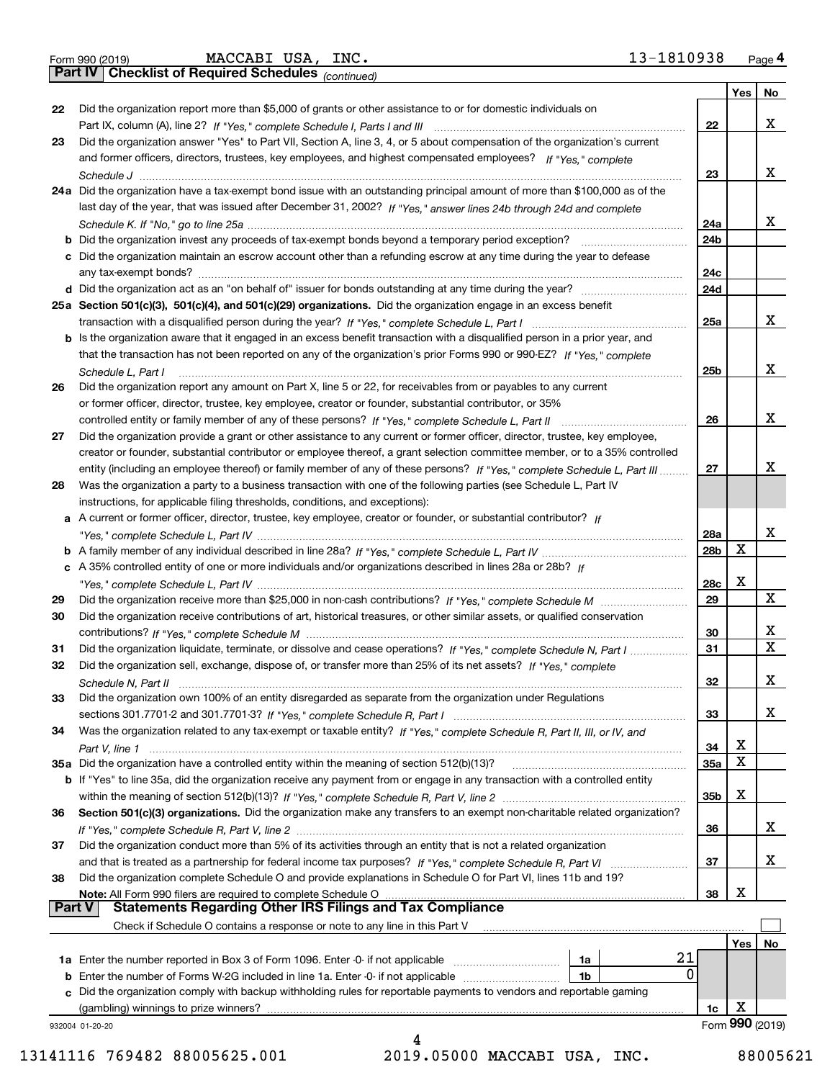| Form 990 (2019) |  |  |
|-----------------|--|--|
|                 |  |  |

*(continued)*

|          |                                                                                                                              |                        | Yes | No                      |
|----------|------------------------------------------------------------------------------------------------------------------------------|------------------------|-----|-------------------------|
| 22       | Did the organization report more than \$5,000 of grants or other assistance to or for domestic individuals on                | 22                     |     | x                       |
| 23       | Did the organization answer "Yes" to Part VII, Section A, line 3, 4, or 5 about compensation of the organization's current   |                        |     |                         |
|          | and former officers, directors, trustees, key employees, and highest compensated employees? If "Yes," complete               |                        |     |                         |
|          |                                                                                                                              | 23                     |     | x                       |
|          | 24a Did the organization have a tax-exempt bond issue with an outstanding principal amount of more than \$100,000 as of the  |                        |     |                         |
|          |                                                                                                                              |                        |     |                         |
|          | last day of the year, that was issued after December 31, 2002? If "Yes," answer lines 24b through 24d and complete           |                        |     | x                       |
|          |                                                                                                                              | 24a                    |     |                         |
|          | <b>b</b> Did the organization invest any proceeds of tax-exempt bonds beyond a temporary period exception?                   | 24b                    |     |                         |
|          | c Did the organization maintain an escrow account other than a refunding escrow at any time during the year to defease       |                        |     |                         |
|          | any tax-exempt bonds?                                                                                                        | 24c                    |     |                         |
|          | d Did the organization act as an "on behalf of" issuer for bonds outstanding at any time during the year?                    | 24d                    |     |                         |
|          | 25a Section 501(c)(3), 501(c)(4), and 501(c)(29) organizations. Did the organization engage in an excess benefit             |                        |     | x                       |
|          |                                                                                                                              | 25a                    |     |                         |
|          | b Is the organization aware that it engaged in an excess benefit transaction with a disqualified person in a prior year, and |                        |     |                         |
|          | that the transaction has not been reported on any of the organization's prior Forms 990 or 990-EZ? If "Yes," complete        |                        |     | X                       |
|          | Schedule L, Part I                                                                                                           | 25b                    |     |                         |
| 26       | Did the organization report any amount on Part X, line 5 or 22, for receivables from or payables to any current              |                        |     |                         |
|          | or former officer, director, trustee, key employee, creator or founder, substantial contributor, or 35%                      |                        |     | x                       |
|          | controlled entity or family member of any of these persons? If "Yes," complete Schedule L, Part II                           | 26                     |     |                         |
| 27       | Did the organization provide a grant or other assistance to any current or former officer, director, trustee, key employee,  |                        |     |                         |
|          | creator or founder, substantial contributor or employee thereof, a grant selection committee member, or to a 35% controlled  |                        |     | х                       |
|          | entity (including an employee thereof) or family member of any of these persons? If "Yes," complete Schedule L. Part III     | 27                     |     |                         |
| 28       | Was the organization a party to a business transaction with one of the following parties (see Schedule L, Part IV            |                        |     |                         |
|          | instructions, for applicable filing thresholds, conditions, and exceptions):                                                 |                        |     |                         |
|          | a A current or former officer, director, trustee, key employee, creator or founder, or substantial contributor? If           |                        |     | X                       |
|          |                                                                                                                              | 28a<br>28 <sub>b</sub> | X   |                         |
|          | c A 35% controlled entity of one or more individuals and/or organizations described in lines 28a or 28b? If                  |                        |     |                         |
|          |                                                                                                                              | 28c                    | х   |                         |
| 29       |                                                                                                                              | 29                     |     | X                       |
| 30       | Did the organization receive contributions of art, historical treasures, or other similar assets, or qualified conservation  |                        |     |                         |
|          |                                                                                                                              | 30                     |     | x                       |
| 31       | Did the organization liquidate, terminate, or dissolve and cease operations? If "Yes," complete Schedule N, Part I           | 31                     |     | $\overline{\mathbf{x}}$ |
| 32       | Did the organization sell, exchange, dispose of, or transfer more than 25% of its net assets? If "Yes," complete             |                        |     |                         |
|          | Schedule N, Part II                                                                                                          | 32                     |     | X                       |
| 33       | Did the organization own 100% of an entity disregarded as separate from the organization under Regulations                   |                        |     |                         |
|          |                                                                                                                              | 33                     |     | X                       |
| 34       | Was the organization related to any tax-exempt or taxable entity? If "Yes," complete Schedule R, Part II, III, or IV, and    |                        |     |                         |
|          |                                                                                                                              | 34                     | X   |                         |
|          | 35a Did the organization have a controlled entity within the meaning of section 512(b)(13)?                                  | <b>35a</b>             | X   |                         |
|          | b If "Yes" to line 35a, did the organization receive any payment from or engage in any transaction with a controlled entity  |                        |     |                         |
|          |                                                                                                                              | 35b                    | х   |                         |
| 36       | Section 501(c)(3) organizations. Did the organization make any transfers to an exempt non-charitable related organization?   |                        |     |                         |
|          |                                                                                                                              | 36                     |     | x                       |
| 37       | Did the organization conduct more than 5% of its activities through an entity that is not a related organization             |                        |     |                         |
|          | and that is treated as a partnership for federal income tax purposes? If "Yes," complete Schedule R, Part VI                 | 37                     |     | X                       |
| 38       | Did the organization complete Schedule O and provide explanations in Schedule O for Part VI, lines 11b and 19?               |                        |     |                         |
|          | Note: All Form 990 filers are required to complete Schedule O                                                                | 38                     | х   |                         |
| ∣ Part V | <b>Statements Regarding Other IRS Filings and Tax Compliance</b>                                                             |                        |     |                         |
|          | Check if Schedule O contains a response or note to any line in this Part V                                                   |                        |     |                         |
|          |                                                                                                                              |                        | Yes | No                      |
|          | 21<br>1a Enter the number reported in Box 3 of Form 1096. Enter -0- if not applicable<br>1a                                  |                        |     |                         |
|          | 0<br>1b                                                                                                                      |                        |     |                         |
| c        | Did the organization comply with backup withholding rules for reportable payments to vendors and reportable gaming           |                        |     |                         |
|          | (gambling) winnings to prize winners?                                                                                        | 1c                     | X   |                         |
|          | 932004 01-20-20                                                                                                              |                        |     | Form 990 (2019)         |
|          |                                                                                                                              |                        |     |                         |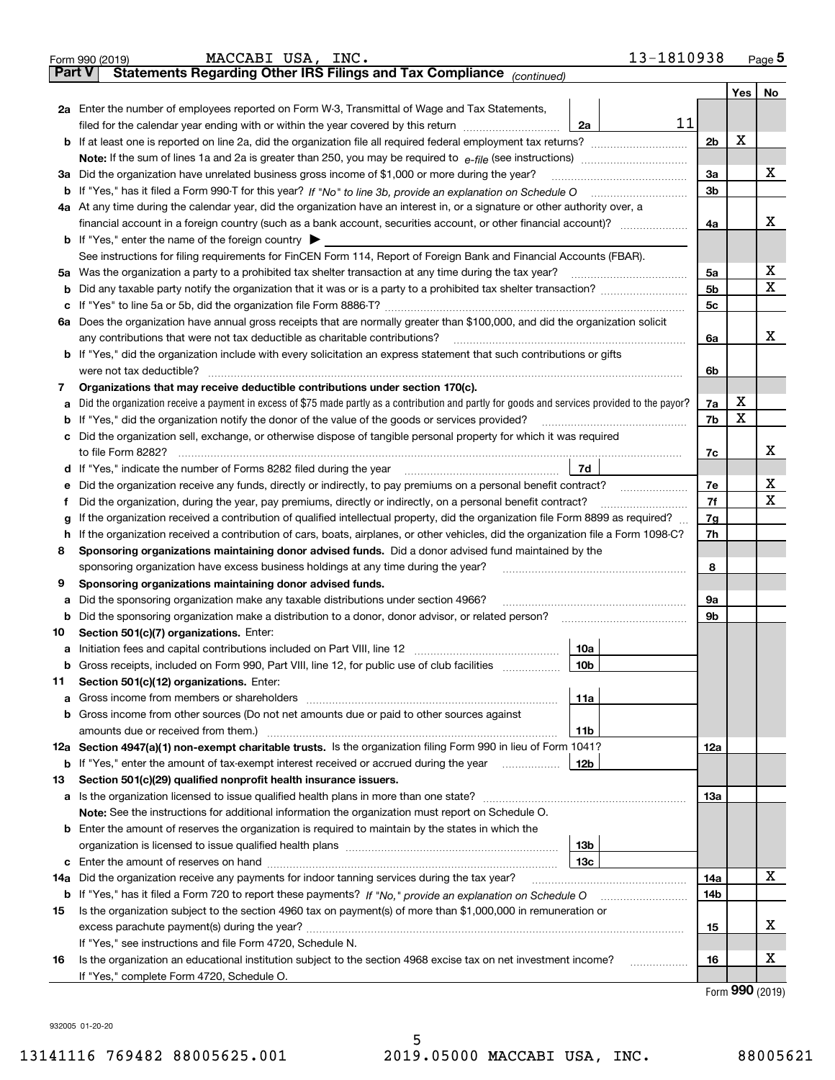|               | 13-1810938<br>MACCABI USA, INC.<br>Form 990 (2019)                                                                                                                              |                |         | Page $5$            |
|---------------|---------------------------------------------------------------------------------------------------------------------------------------------------------------------------------|----------------|---------|---------------------|
| <b>Part V</b> | Statements Regarding Other IRS Filings and Tax Compliance (continued)                                                                                                           |                |         |                     |
|               |                                                                                                                                                                                 |                | Yes $ $ | No                  |
|               | 2a Enter the number of employees reported on Form W-3, Transmittal of Wage and Tax Statements,                                                                                  |                |         |                     |
|               | 11<br>filed for the calendar year ending with or within the year covered by this return [11] [11] the calendar year ending with or within the year covered by this return<br>2a |                |         |                     |
|               |                                                                                                                                                                                 | 2 <sub>b</sub> | X       |                     |
|               |                                                                                                                                                                                 |                |         |                     |
|               | 3a Did the organization have unrelated business gross income of \$1,000 or more during the year?                                                                                | За             |         | x                   |
|               |                                                                                                                                                                                 | 3 <sub>b</sub> |         |                     |
|               | 4a At any time during the calendar year, did the organization have an interest in, or a signature or other authority over, a                                                    |                |         |                     |
|               |                                                                                                                                                                                 | 4a             |         | x                   |
|               | <b>b</b> If "Yes," enter the name of the foreign country $\blacktriangleright$                                                                                                  |                |         |                     |
|               | See instructions for filing requirements for FinCEN Form 114, Report of Foreign Bank and Financial Accounts (FBAR).                                                             |                |         |                     |
|               | 5a Was the organization a party to a prohibited tax shelter transaction at any time during the tax year?                                                                        | 5a             |         | х                   |
|               |                                                                                                                                                                                 | 5 <sub>b</sub> |         | Х                   |
|               |                                                                                                                                                                                 | 5c             |         |                     |
|               | 6a Does the organization have annual gross receipts that are normally greater than \$100,000, and did the organization solicit                                                  |                |         |                     |
|               | any contributions that were not tax deductible as charitable contributions?                                                                                                     | 6a             |         | x                   |
|               | <b>b</b> If "Yes," did the organization include with every solicitation an express statement that such contributions or gifts                                                   |                |         |                     |
|               | were not tax deductible?                                                                                                                                                        | 6b             |         |                     |
| 7             | Organizations that may receive deductible contributions under section 170(c).                                                                                                   |                |         |                     |
| а             | Did the organization receive a payment in excess of \$75 made partly as a contribution and partly for goods and services provided to the payor?                                 | 7a             | х       |                     |
|               | <b>b</b> If "Yes," did the organization notify the donor of the value of the goods or services provided?                                                                        | 7b             | X       |                     |
|               | c Did the organization sell, exchange, or otherwise dispose of tangible personal property for which it was required                                                             |                |         |                     |
|               |                                                                                                                                                                                 | 7c             |         | x                   |
|               | 7d<br>d If "Yes," indicate the number of Forms 8282 filed during the year manufactured in the second of the New York                                                            |                |         |                     |
|               | e Did the organization receive any funds, directly or indirectly, to pay premiums on a personal benefit contract?                                                               | 7e             |         | х                   |
|               | Did the organization, during the year, pay premiums, directly or indirectly, on a personal benefit contract?                                                                    | 7f             |         | х                   |
| g             | If the organization received a contribution of qualified intellectual property, did the organization file Form 8899 as required?                                                | 7g             |         |                     |
|               | h If the organization received a contribution of cars, boats, airplanes, or other vehicles, did the organization file a Form 1098-C?                                            | 7h             |         |                     |
| 8             | Sponsoring organizations maintaining donor advised funds. Did a donor advised fund maintained by the                                                                            |                |         |                     |
|               | sponsoring organization have excess business holdings at any time during the year?                                                                                              | 8              |         |                     |
| 9             | Sponsoring organizations maintaining donor advised funds.                                                                                                                       |                |         |                     |
| а             | Did the sponsoring organization make any taxable distributions under section 4966?                                                                                              | 9а             |         |                     |
|               | <b>b</b> Did the sponsoring organization make a distribution to a donor, donor advisor, or related person?                                                                      | 9b             |         |                     |
| 10            | Section 501(c)(7) organizations. Enter:                                                                                                                                         |                |         |                     |
|               | 10a                                                                                                                                                                             |                |         |                     |
|               | <b>b</b> Gross receipts, included on Form 990, Part VIII, line 12, for public use of club facilities <i>manument</i><br>10b                                                     |                |         |                     |
| 11            | Section 501(c)(12) organizations. Enter:                                                                                                                                        |                |         |                     |
|               | 11a                                                                                                                                                                             |                |         |                     |
|               | <b>b</b> Gross income from other sources (Do not net amounts due or paid to other sources against                                                                               |                |         |                     |
|               | amounts due or received from them.)<br>11b                                                                                                                                      |                |         |                     |
|               | 12a Section 4947(a)(1) non-exempt charitable trusts. Is the organization filing Form 990 in lieu of Form 1041?                                                                  | 12a            |         |                     |
|               | <b>b</b> If "Yes," enter the amount of tax-exempt interest received or accrued during the year<br>12b                                                                           |                |         |                     |
| 13            | Section 501(c)(29) qualified nonprofit health insurance issuers.                                                                                                                |                |         |                     |
|               | a Is the organization licensed to issue qualified health plans in more than one state?                                                                                          | 13а            |         |                     |
|               | Note: See the instructions for additional information the organization must report on Schedule O.                                                                               |                |         |                     |
|               | <b>b</b> Enter the amount of reserves the organization is required to maintain by the states in which the                                                                       |                |         |                     |
|               | 13 <sub>b</sub>                                                                                                                                                                 |                |         |                     |
|               | 13с                                                                                                                                                                             |                |         |                     |
| 14a           | Did the organization receive any payments for indoor tanning services during the tax year?                                                                                      | 14a            |         | х                   |
|               |                                                                                                                                                                                 | 14b            |         |                     |
| 15            | Is the organization subject to the section 4960 tax on payment(s) of more than \$1,000,000 in remuneration or                                                                   |                |         |                     |
|               |                                                                                                                                                                                 | 15             |         | х                   |
|               | If "Yes," see instructions and file Form 4720, Schedule N.                                                                                                                      |                |         |                     |
| 16            | Is the organization an educational institution subject to the section 4968 excise tax on net investment income?<br>.                                                            | 16             |         | х                   |
|               | If "Yes," complete Form 4720, Schedule O.                                                                                                                                       |                |         | $000 \text{ hours}$ |
|               |                                                                                                                                                                                 |                |         |                     |

Form (2019) **990**

932005 01-20-20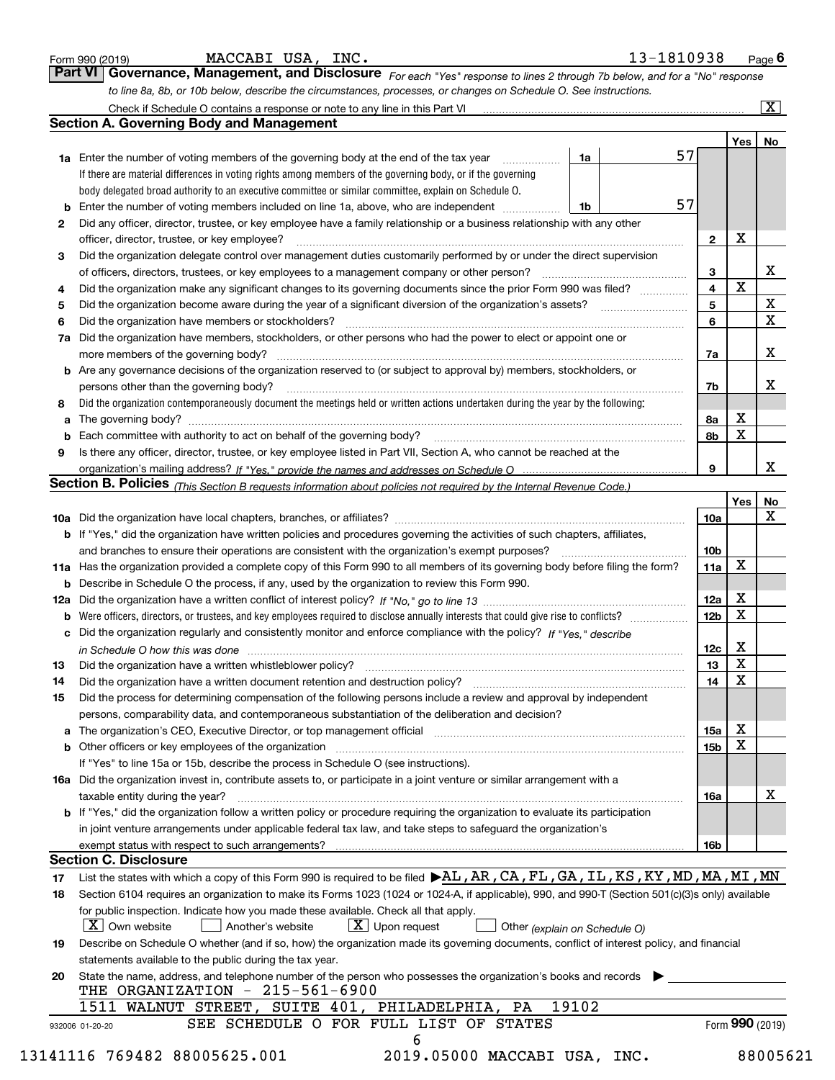|    | MACCABI USA, INC.<br>13-1810938<br>Form 990 (2019)                                                                                                                                                                             |                 |                         | Page $6$                |
|----|--------------------------------------------------------------------------------------------------------------------------------------------------------------------------------------------------------------------------------|-----------------|-------------------------|-------------------------|
|    | Part VI   Governance, Management, and Disclosure For each "Yes" response to lines 2 through 7b below, and for a "No" response                                                                                                  |                 |                         |                         |
|    | to line 8a, 8b, or 10b below, describe the circumstances, processes, or changes on Schedule O. See instructions.                                                                                                               |                 |                         |                         |
|    |                                                                                                                                                                                                                                |                 |                         | $\overline{\mathbf{x}}$ |
|    | <b>Section A. Governing Body and Management</b>                                                                                                                                                                                |                 |                         |                         |
|    |                                                                                                                                                                                                                                |                 | Yes                     | No                      |
|    | 57<br>1a Enter the number of voting members of the governing body at the end of the tax year<br>1a<br>.                                                                                                                        |                 |                         |                         |
|    | If there are material differences in voting rights among members of the governing body, or if the governing                                                                                                                    |                 |                         |                         |
|    | body delegated broad authority to an executive committee or similar committee, explain on Schedule O.                                                                                                                          |                 |                         |                         |
| b  | 57<br>Enter the number of voting members included on line 1a, above, who are independent <i>manumum</i><br>1b                                                                                                                  |                 |                         |                         |
| 2  | Did any officer, director, trustee, or key employee have a family relationship or a business relationship with any other                                                                                                       |                 |                         |                         |
|    | officer, director, trustee, or key employee?                                                                                                                                                                                   | 2               | х                       |                         |
| 3  | Did the organization delegate control over management duties customarily performed by or under the direct supervision                                                                                                          |                 |                         |                         |
|    | of officers, directors, trustees, or key employees to a management company or other person?                                                                                                                                    | 3               | $\mathbf X$             | x                       |
| 4  | Did the organization make any significant changes to its governing documents since the prior Form 990 was filed?                                                                                                               | 4               |                         |                         |
| 5  |                                                                                                                                                                                                                                | 5               |                         | Х<br>$\mathbf X$        |
| 6  | Did the organization have members or stockholders?                                                                                                                                                                             | 6               |                         |                         |
| 7a | Did the organization have members, stockholders, or other persons who had the power to elect or appoint one or                                                                                                                 |                 |                         |                         |
|    | more members of the governing body?                                                                                                                                                                                            | 7a              |                         | х                       |
|    | <b>b</b> Are any governance decisions of the organization reserved to (or subject to approval by) members, stockholders, or                                                                                                    |                 |                         |                         |
|    | persons other than the governing body?                                                                                                                                                                                         | 7b              |                         | х                       |
| 8  | Did the organization contemporaneously document the meetings held or written actions undertaken during the year by the following:                                                                                              |                 |                         |                         |
| а  |                                                                                                                                                                                                                                | 8а              | х                       |                         |
| b  |                                                                                                                                                                                                                                | 8b              | X                       |                         |
| 9  | Is there any officer, director, trustee, or key employee listed in Part VII, Section A, who cannot be reached at the                                                                                                           |                 |                         | х                       |
|    |                                                                                                                                                                                                                                | 9               |                         |                         |
|    | Section B. Policies (This Section B requests information about policies not required by the Internal Revenue Code.)                                                                                                            |                 |                         |                         |
|    |                                                                                                                                                                                                                                |                 | Yes                     | No<br>х                 |
|    | b If "Yes," did the organization have written policies and procedures governing the activities of such chapters, affiliates,                                                                                                   | 10a             |                         |                         |
|    | and branches to ensure their operations are consistent with the organization's exempt purposes?                                                                                                                                | 10 <sub>b</sub> |                         |                         |
|    | 11a Has the organization provided a complete copy of this Form 990 to all members of its governing body before filing the form?                                                                                                | 11a             | Х                       |                         |
|    | <b>b</b> Describe in Schedule O the process, if any, used by the organization to review this Form 990.                                                                                                                         |                 |                         |                         |
|    |                                                                                                                                                                                                                                | 12a             | х                       |                         |
| b  |                                                                                                                                                                                                                                | 12 <sub>b</sub> | X                       |                         |
| c  | Did the organization regularly and consistently monitor and enforce compliance with the policy? If "Yes," describe                                                                                                             |                 |                         |                         |
|    |                                                                                                                                                                                                                                | 12c             | х                       |                         |
|    | in Schedule O how this was done manufactured and continuum control of the state of the state of the state of t                                                                                                                 | 13              | $\overline{\textbf{X}}$ |                         |
| 14 | Did the organization have a written document retention and destruction policy?                                                                                                                                                 | 14              | х                       |                         |
| 15 | Did the process for determining compensation of the following persons include a review and approval by independent                                                                                                             |                 |                         |                         |
|    | persons, comparability data, and contemporaneous substantiation of the deliberation and decision?                                                                                                                              |                 |                         |                         |
|    | a The organization's CEO, Executive Director, or top management official [11] [12] The organization's CEO, Executive Director, or top management official [12] [12] [12] [12] The organization's CEO, Executive Director, or t | 15a             | х                       |                         |
|    | <b>b</b> Other officers or key employees of the organization                                                                                                                                                                   | 15 <sub>b</sub> | х                       |                         |
|    | If "Yes" to line 15a or 15b, describe the process in Schedule O (see instructions).                                                                                                                                            |                 |                         |                         |
|    | 16a Did the organization invest in, contribute assets to, or participate in a joint venture or similar arrangement with a                                                                                                      |                 |                         |                         |
|    | taxable entity during the year?                                                                                                                                                                                                | 16a             |                         | х                       |
|    | b If "Yes," did the organization follow a written policy or procedure requiring the organization to evaluate its participation                                                                                                 |                 |                         |                         |
|    | in joint venture arrangements under applicable federal tax law, and take steps to safeguard the organization's                                                                                                                 |                 |                         |                         |
|    | exempt status with respect to such arrangements?                                                                                                                                                                               | 16b             |                         |                         |
|    | <b>Section C. Disclosure</b>                                                                                                                                                                                                   |                 |                         |                         |
| 17 | List the states with which a copy of this Form 990 is required to be filed $\blacktriangleright$ AL, AR, CA, FL, GA, IL, KS, KY, MD, MA, MI, MN                                                                                |                 |                         |                         |
| 18 | Section 6104 requires an organization to make its Forms 1023 (1024 or 1024-A, if applicable), 990, and 990-T (Section 501(c)(3)s only) available                                                                               |                 |                         |                         |
|    | for public inspection. Indicate how you made these available. Check all that apply.                                                                                                                                            |                 |                         |                         |
|    | X   Own website<br>$X$ Upon request<br>Another's website<br>Other (explain on Schedule O)                                                                                                                                      |                 |                         |                         |
| 19 | Describe on Schedule O whether (and if so, how) the organization made its governing documents, conflict of interest policy, and financial                                                                                      |                 |                         |                         |
|    | statements available to the public during the tax year.                                                                                                                                                                        |                 |                         |                         |
| 20 | State the name, address, and telephone number of the person who possesses the organization's books and records                                                                                                                 |                 |                         |                         |
|    | THE ORGANIZATION - 215-561-6900                                                                                                                                                                                                |                 |                         |                         |
|    | 1511 WALNUT STREET, SUITE 401, PHILADELPHIA, PA<br>19102                                                                                                                                                                       |                 |                         |                         |
|    | SEE SCHEDULE O FOR FULL LIST OF STATES<br>932006 01-20-20                                                                                                                                                                      |                 | Form 990 (2019)         |                         |
|    | 6                                                                                                                                                                                                                              |                 |                         |                         |
|    | 13141116 769482 88005625.001<br>2019.05000 MACCABI USA, INC.                                                                                                                                                                   |                 |                         | 88005                   |
|    |                                                                                                                                                                                                                                |                 |                         |                         |

MACCABI USA, INC.

|  |  | 88005621 |  |  |
|--|--|----------|--|--|
|  |  |          |  |  |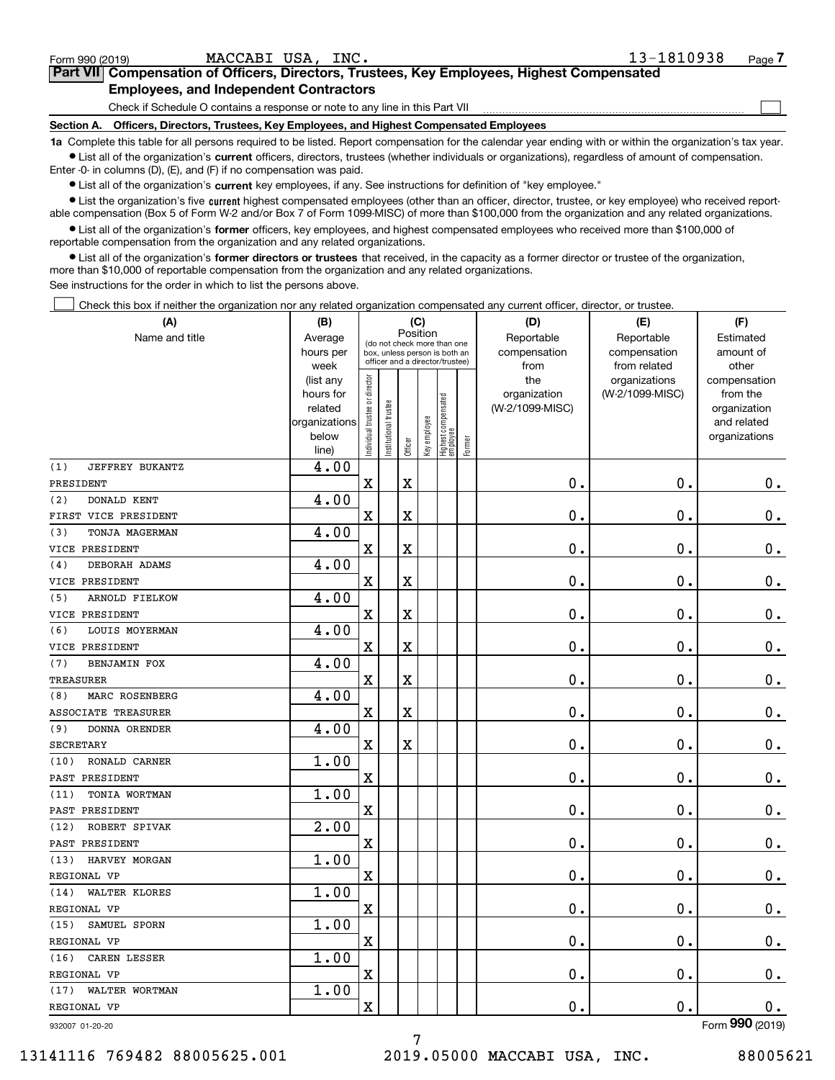| .8<br>MARC ROSENBERG            | $\mathbf{\hat{a}}$ |         |                          |  |         |
|---------------------------------|--------------------|---------|--------------------------|--|---------|
| ASSOCIATE<br>TREASURER          |                    | 77<br>▵ | --<br>-43                |  | ∼<br>ւ. |
| ' 9)<br>ORENDER<br><b>DONNA</b> |                    |         |                          |  |         |
| CRODEMADY                       |                    | v       | $\overline{\phantom{a}}$ |  | ◚       |

| Check if Schedule O contains a response or note to any line in this Part VII                                              |  |
|---------------------------------------------------------------------------------------------------------------------------|--|
| Section A. Officers, Directors, Trustees, Key Employees, and Highest Compensated Employees                                |  |
| 1a. Complete this table for all persons required to be listed. Report compensation for the calendar year ending with or y |  |

**1a •** List all of the organization's current officers, directors, trustees (whether individuals or organizations), regardless of amount of compensation. red to be listed. Report compensation for the calendar year ending with or within the organization's tax year. Enter -0- in columns (D), (E), and (F) if no compensation was paid.

 $\bullet$  List all of the organization's  $\,$ current key employees, if any. See instructions for definition of "key employee."

**•** List the organization's five current highest compensated employees (other than an officer, director, trustee, or key employee) who received reportable compensation (Box 5 of Form W-2 and/or Box 7 of Form 1099-MISC) of more than \$100,000 from the organization and any related organizations.

Position

**(B) (C) (D) (E) (F)**

Reportablecompensation

**•** List all of the organization's former officers, key employees, and highest compensated employees who received more than \$100,000 of reportable compensation from the organization and any related organizations.

**former directors or trustees**  ¥ List all of the organization's that received, in the capacity as a former director or trustee of the organization, more than \$10,000 of reportable compensation from the organization and any related organizations.

See instructions for the order in which to list the persons above.

Name and title **Average** 

**Employees, and Independent Contractors**

**(A)**

Check this box if neither the organization nor any related organization compensated any current officer, director, or trustee.  $\mathcal{L}^{\text{max}}$ 

| יישוויט שווש נונוט         | Avulayu<br>hours per                                                         |                                | (do not check more than one<br>box, unless person is both an<br>officer and a director/trustee) |                         |              |                                   |        | i iupui labiu<br>compensation                  | <b>TICPOLIQUIC</b><br>compensation<br>from related | ∟งเกาαเงน<br>amount of<br>other                                          |  |
|----------------------------|------------------------------------------------------------------------------|--------------------------------|-------------------------------------------------------------------------------------------------|-------------------------|--------------|-----------------------------------|--------|------------------------------------------------|----------------------------------------------------|--------------------------------------------------------------------------|--|
| JEFFREY BUKANTZ<br>(1)     | week<br>(list any<br>hours for<br>related<br>organizations<br>below<br>line) | Individual trustee or director | nstitutional trustee                                                                            | Officer                 | Key employee | Highest compensated<br>  employee | Former | from<br>the<br>organization<br>(W-2/1099-MISC) | organizations<br>(W-2/1099-MISC)                   | compensation<br>from the<br>organization<br>and related<br>organizations |  |
|                            | 4.00                                                                         |                                |                                                                                                 |                         |              |                                   |        |                                                |                                                    |                                                                          |  |
| PRESIDENT                  |                                                                              | $\mathbf X$                    |                                                                                                 | $\overline{\textbf{X}}$ |              |                                   |        | $0$ .                                          | $\mathbf 0$ .                                      | 0.                                                                       |  |
| DONALD KENT<br>(2)         | 4.00                                                                         |                                |                                                                                                 |                         |              |                                   |        |                                                |                                                    |                                                                          |  |
| FIRST VICE PRESIDENT       |                                                                              | $\mathbf X$                    |                                                                                                 | $\overline{\textbf{X}}$ |              |                                   |        | 0.                                             | $\mathbf 0$ .                                      | 0.                                                                       |  |
| (3)<br>TONJA MAGERMAN      | 4.00                                                                         |                                |                                                                                                 |                         |              |                                   |        |                                                |                                                    |                                                                          |  |
| VICE PRESIDENT             |                                                                              | X                              |                                                                                                 | X                       |              |                                   |        | $0$ .                                          | $\mathbf 0$ .                                      | 0.                                                                       |  |
| DEBORAH ADAMS<br>(4)       | 4.00                                                                         |                                |                                                                                                 |                         |              |                                   |        |                                                |                                                    |                                                                          |  |
| VICE PRESIDENT             |                                                                              | X                              |                                                                                                 | X                       |              |                                   |        | $\mathbf 0$ .                                  | $\mathbf 0$ .                                      | $\mathbf 0$ .                                                            |  |
| ARNOLD FIELKOW<br>(5)      | 4.00                                                                         |                                |                                                                                                 |                         |              |                                   |        |                                                |                                                    |                                                                          |  |
| VICE PRESIDENT             |                                                                              | $\mathbf x$                    |                                                                                                 | X                       |              |                                   |        | 0.                                             | 0.                                                 | 0.                                                                       |  |
| LOUIS MOYERMAN<br>(6)      | 4.00                                                                         |                                |                                                                                                 |                         |              |                                   |        |                                                |                                                    |                                                                          |  |
| VICE PRESIDENT             |                                                                              | $\overline{\mathbf{X}}$        |                                                                                                 | $\overline{\textbf{X}}$ |              |                                   |        | 0.                                             | $\mathbf 0$ .                                      | 0.                                                                       |  |
| (7)<br>BENJAMIN FOX        | 4.00                                                                         |                                |                                                                                                 |                         |              |                                   |        |                                                |                                                    |                                                                          |  |
| TREASURER                  |                                                                              | X                              |                                                                                                 | $\rm X$                 |              |                                   |        | 0.                                             | $\mathbf 0$ .                                      | 0.                                                                       |  |
| MARC ROSENBERG<br>(8)      | 4.00                                                                         |                                |                                                                                                 |                         |              |                                   |        |                                                |                                                    |                                                                          |  |
| <b>ASSOCIATE TREASURER</b> |                                                                              | X                              |                                                                                                 | X                       |              |                                   |        | $0$ .                                          | $\mathbf 0$ .                                      | 0.                                                                       |  |
| DONNA ORENDER<br>(9)       | 4.00                                                                         |                                |                                                                                                 |                         |              |                                   |        |                                                |                                                    |                                                                          |  |
| <b>SECRETARY</b>           |                                                                              | X                              |                                                                                                 | $\mathbf x$             |              |                                   |        | 0.                                             | 0.                                                 | $\mathbf 0$ .                                                            |  |
| (10)<br>RONALD CARNER      | 1.00                                                                         |                                |                                                                                                 |                         |              |                                   |        |                                                |                                                    |                                                                          |  |
| PAST PRESIDENT             |                                                                              | X                              |                                                                                                 |                         |              |                                   |        | 0.                                             | $\mathbf 0$ .                                      | 0.                                                                       |  |
| TONIA WORTMAN<br>(11)      | 1.00                                                                         |                                |                                                                                                 |                         |              |                                   |        |                                                |                                                    |                                                                          |  |
| PAST PRESIDENT             |                                                                              | $\overline{\text{X}}$          |                                                                                                 |                         |              |                                   |        | 0.                                             | 0.                                                 | $0$ .                                                                    |  |
| (12)<br>ROBERT SPIVAK      | 2.00                                                                         |                                |                                                                                                 |                         |              |                                   |        |                                                |                                                    |                                                                          |  |
| PAST PRESIDENT             |                                                                              | X                              |                                                                                                 |                         |              |                                   |        | 0.                                             | 0.                                                 | 0.                                                                       |  |
| HARVEY MORGAN<br>(13)      | 1.00                                                                         |                                |                                                                                                 |                         |              |                                   |        |                                                |                                                    |                                                                          |  |
| REGIONAL VP                |                                                                              | X                              |                                                                                                 |                         |              |                                   |        | 0.                                             | 0.                                                 | $\mathbf 0$ .                                                            |  |
| WALTER KLORES<br>(14)      | 1.00                                                                         |                                |                                                                                                 |                         |              |                                   |        |                                                |                                                    |                                                                          |  |
| REGIONAL VP                |                                                                              | X                              |                                                                                                 |                         |              |                                   |        | 0.                                             | $\mathbf 0$ .                                      | $\mathbf 0$ .                                                            |  |
| (15)<br>SAMUEL SPORN       | 1.00                                                                         |                                |                                                                                                 |                         |              |                                   |        |                                                |                                                    |                                                                          |  |
| REGIONAL VP                |                                                                              | X                              |                                                                                                 |                         |              |                                   |        | 0.                                             | $\mathbf 0$ .                                      | 0.                                                                       |  |
| (16) CAREN LESSER          | 1.00                                                                         |                                |                                                                                                 |                         |              |                                   |        |                                                |                                                    |                                                                          |  |
| REGIONAL VP                |                                                                              | $\overline{\textbf{X}}$        |                                                                                                 |                         |              |                                   |        | 0.                                             | $\mathbf 0$ .                                      | 0.                                                                       |  |
| (17) WALTER WORTMAN        | 1.00                                                                         |                                |                                                                                                 |                         |              |                                   |        |                                                |                                                    |                                                                          |  |
| REGIONAL VP                |                                                                              | $\mathbf x$                    |                                                                                                 |                         |              |                                   |        | 0.                                             | 0.                                                 | 0.                                                                       |  |
| 932007 01-20-20            |                                                                              |                                |                                                                                                 |                         |              |                                   |        |                                                |                                                    | Form 990 (2019)                                                          |  |
|                            |                                                                              |                                |                                                                                                 |                         |              |                                   |        |                                                |                                                    |                                                                          |  |

7

932007 01-20-20

Reportablecompensation

Estimatedamount of

 $\mathcal{L}^{\text{max}}$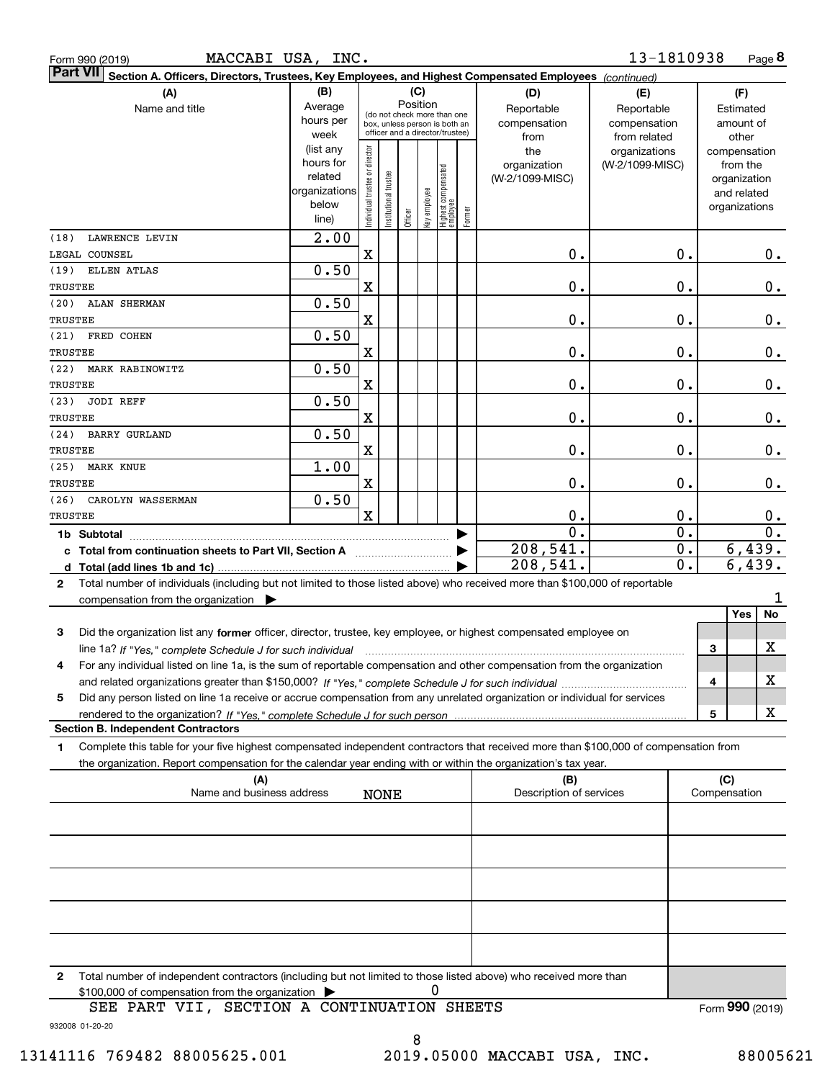| Form 990 (2019 |  |
|----------------|--|
| <b>B.T.MIL</b> |  |

Form 990 (2019) **MACCABI USA, INC.** 1 $3$ - $1810938$  Page

**8** 13-1810938

| <b>Part VII</b><br>Section A. Officers, Directors, Trustees, Key Employees, and Highest Compensated Employees (continued)                       |                   |                                |                 |         |              |                                                                  |        |                         |                               |               |                       |                  |
|-------------------------------------------------------------------------------------------------------------------------------------------------|-------------------|--------------------------------|-----------------|---------|--------------|------------------------------------------------------------------|--------|-------------------------|-------------------------------|---------------|-----------------------|------------------|
| (A)                                                                                                                                             | (B)               |                                |                 |         | (C)          |                                                                  |        | (D)                     | (E)                           |               | (F)                   |                  |
| Name and title                                                                                                                                  | Average           |                                |                 |         | Position     | (do not check more than one                                      |        | Reportable              | Reportable                    |               |                       | Estimated        |
|                                                                                                                                                 | hours per<br>week |                                |                 |         |              | box, unless person is both an<br>officer and a director/trustee) |        | compensation            | compensation                  |               | amount of             |                  |
|                                                                                                                                                 | (list any         |                                |                 |         |              |                                                                  |        | from<br>the             | from related<br>organizations |               | other<br>compensation |                  |
|                                                                                                                                                 | hours for         |                                |                 |         |              |                                                                  |        | organization            | (W-2/1099-MISC)               |               | from the              |                  |
|                                                                                                                                                 | related           |                                | trustee         |         |              |                                                                  |        | (W-2/1099-MISC)         |                               |               | organization          |                  |
|                                                                                                                                                 | organizations     |                                |                 |         |              |                                                                  |        |                         |                               |               | and related           |                  |
|                                                                                                                                                 | below             | Individual trustee or director | Institutional 1 |         | key employee | Highest compensated<br>  employee                                | Former |                         |                               |               | organizations         |                  |
|                                                                                                                                                 | line)             |                                |                 | Officer |              |                                                                  |        |                         |                               |               |                       |                  |
| LAWRENCE LEVIN<br>(18)                                                                                                                          | $\overline{2.00}$ |                                |                 |         |              |                                                                  |        |                         |                               |               |                       |                  |
| LEGAL COUNSEL                                                                                                                                   |                   | $\overline{\mathbf{X}}$        |                 |         |              |                                                                  |        | $\mathbf 0$ .           |                               | $\mathbf 0$ . |                       | 0.               |
| ELLEN ATLAS<br>(19)                                                                                                                             | 0.50              |                                |                 |         |              |                                                                  |        |                         |                               |               |                       |                  |
| TRUSTEE                                                                                                                                         |                   | X                              |                 |         |              |                                                                  |        | $\mathbf 0$ .           |                               | $\mathbf 0$ . |                       | $\mathbf 0$ .    |
| ALAN SHERMAN<br>(20)                                                                                                                            | 0.50              |                                |                 |         |              |                                                                  |        |                         |                               |               |                       |                  |
| TRUSTEE                                                                                                                                         |                   | X                              |                 |         |              |                                                                  |        | $\mathbf 0$ .           |                               | $\mathbf 0$ . |                       | $\mathbf 0$ .    |
| FRED COHEN<br>(21)                                                                                                                              | 0.50              |                                |                 |         |              |                                                                  |        |                         |                               |               |                       |                  |
| TRUSTEE                                                                                                                                         |                   | X                              |                 |         |              |                                                                  |        | $\mathbf 0$ .           |                               | $\mathbf 0$ . |                       | 0.               |
| MARK RABINOWITZ<br>(22)                                                                                                                         | 0.50              |                                |                 |         |              |                                                                  |        |                         |                               |               |                       |                  |
| TRUSTEE                                                                                                                                         |                   | X                              |                 |         |              |                                                                  |        | $\mathbf 0$ .           |                               | $\mathbf 0$ . |                       | $\mathbf 0$ .    |
| (23)<br><b>JODI REFF</b>                                                                                                                        | 0.50              |                                |                 |         |              |                                                                  |        |                         |                               |               |                       |                  |
| TRUSTEE                                                                                                                                         |                   | X                              |                 |         |              |                                                                  |        | $\mathbf 0$ .           |                               | $\mathbf 0$ . |                       | $\mathbf 0$ .    |
| (24)<br><b>BARRY GURLAND</b>                                                                                                                    | 0.50              |                                |                 |         |              |                                                                  |        |                         |                               |               |                       |                  |
| TRUSTEE                                                                                                                                         |                   | X                              |                 |         |              |                                                                  |        | $\mathbf 0$ .           |                               | $\mathbf 0$ . |                       | 0.               |
| <b>MARK KNUE</b><br>(25)                                                                                                                        | 1.00              |                                |                 |         |              |                                                                  |        |                         |                               |               |                       |                  |
| TRUSTEE                                                                                                                                         |                   | X                              |                 |         |              |                                                                  |        | $\mathbf 0$ .           |                               | $\mathbf 0$ . |                       | $\mathbf 0$ .    |
| CAROLYN WASSERMAN<br>(26)                                                                                                                       | 0.50              |                                |                 |         |              |                                                                  |        |                         |                               |               |                       |                  |
| TRUSTEE                                                                                                                                         |                   | $\mathbf x$                    |                 |         |              |                                                                  |        | 0.                      |                               | $\mathbf 0$ . |                       | 0.               |
|                                                                                                                                                 |                   |                                |                 |         |              |                                                                  |        | $\mathbf{0}$ .          |                               | 0.            |                       | $\overline{0}$ . |
| c Total from continuation sheets to Part VII, Section A <b>manual</b> Total Total D                                                             |                   |                                |                 |         |              |                                                                  |        | 208,541.                |                               | $0$ .         |                       | 6,439.           |
|                                                                                                                                                 |                   |                                |                 |         |              |                                                                  |        | 208,541.                |                               | 0.            |                       | 6,439.           |
| Total number of individuals (including but not limited to those listed above) who received more than \$100,000 of reportable<br>$\mathbf{2}$    |                   |                                |                 |         |              |                                                                  |        |                         |                               |               |                       |                  |
| compensation from the organization $\blacktriangleright$                                                                                        |                   |                                |                 |         |              |                                                                  |        |                         |                               |               |                       | ı                |
|                                                                                                                                                 |                   |                                |                 |         |              |                                                                  |        |                         |                               |               | Yes                   | No               |
| 3<br>Did the organization list any former officer, director, trustee, key employee, or highest compensated employee on                          |                   |                                |                 |         |              |                                                                  |        |                         |                               |               |                       |                  |
| line 1a? If "Yes," complete Schedule J for such individual manufactured contained and the 1a? If "Yes," complete Schedule J for such individual |                   |                                |                 |         |              |                                                                  |        |                         |                               |               | 3                     | х                |
| For any individual listed on line 1a, is the sum of reportable compensation and other compensation from the organization<br>4                   |                   |                                |                 |         |              |                                                                  |        |                         |                               |               |                       |                  |
|                                                                                                                                                 |                   |                                |                 |         |              |                                                                  |        |                         |                               |               | 4                     | X                |
| Did any person listed on line 1a receive or accrue compensation from any unrelated organization or individual for services<br>5                 |                   |                                |                 |         |              |                                                                  |        |                         |                               |               |                       |                  |
|                                                                                                                                                 |                   |                                |                 |         |              |                                                                  |        |                         |                               |               | 5                     | х                |
| <b>Section B. Independent Contractors</b>                                                                                                       |                   |                                |                 |         |              |                                                                  |        |                         |                               |               |                       |                  |
| Complete this table for your five highest compensated independent contractors that received more than \$100,000 of compensation from<br>1.      |                   |                                |                 |         |              |                                                                  |        |                         |                               |               |                       |                  |
| the organization. Report compensation for the calendar year ending with or within the organization's tax year.                                  |                   |                                |                 |         |              |                                                                  |        |                         |                               |               |                       |                  |
| (A)                                                                                                                                             |                   |                                |                 |         |              |                                                                  |        | (B)                     |                               |               | (C)                   |                  |
| Name and business address                                                                                                                       |                   |                                | <b>NONE</b>     |         |              |                                                                  |        | Description of services |                               |               | Compensation          |                  |
|                                                                                                                                                 |                   |                                |                 |         |              |                                                                  |        |                         |                               |               |                       |                  |
|                                                                                                                                                 |                   |                                |                 |         |              |                                                                  |        |                         |                               |               |                       |                  |
|                                                                                                                                                 |                   |                                |                 |         |              |                                                                  |        |                         |                               |               |                       |                  |
|                                                                                                                                                 |                   |                                |                 |         |              |                                                                  |        |                         |                               |               |                       |                  |
|                                                                                                                                                 |                   |                                |                 |         |              |                                                                  |        |                         |                               |               |                       |                  |
|                                                                                                                                                 |                   |                                |                 |         |              |                                                                  |        |                         |                               |               |                       |                  |
|                                                                                                                                                 |                   |                                |                 |         |              |                                                                  |        |                         |                               |               |                       |                  |
|                                                                                                                                                 |                   |                                |                 |         |              |                                                                  |        |                         |                               |               |                       |                  |
|                                                                                                                                                 |                   |                                |                 |         |              |                                                                  |        |                         |                               |               |                       |                  |
|                                                                                                                                                 |                   |                                |                 |         |              |                                                                  |        |                         |                               |               |                       |                  |
|                                                                                                                                                 |                   |                                |                 |         |              |                                                                  |        |                         |                               |               |                       |                  |
| Total number of independent contractors (including but not limited to those listed above) who received more than<br>$\mathbf{2}$                |                   |                                |                 |         |              |                                                                  |        |                         |                               |               |                       |                  |
| \$100,000 of compensation from the organization<br>SEE PART VII, SECTION A CONTINUATION SHEETS                                                  |                   |                                |                 |         |              |                                                                  |        |                         |                               |               |                       |                  |
|                                                                                                                                                 |                   |                                |                 |         |              |                                                                  |        |                         |                               |               | Form 990 (2019)       |                  |
| 932008 01-20-20                                                                                                                                 |                   |                                |                 |         |              |                                                                  |        |                         |                               |               |                       |                  |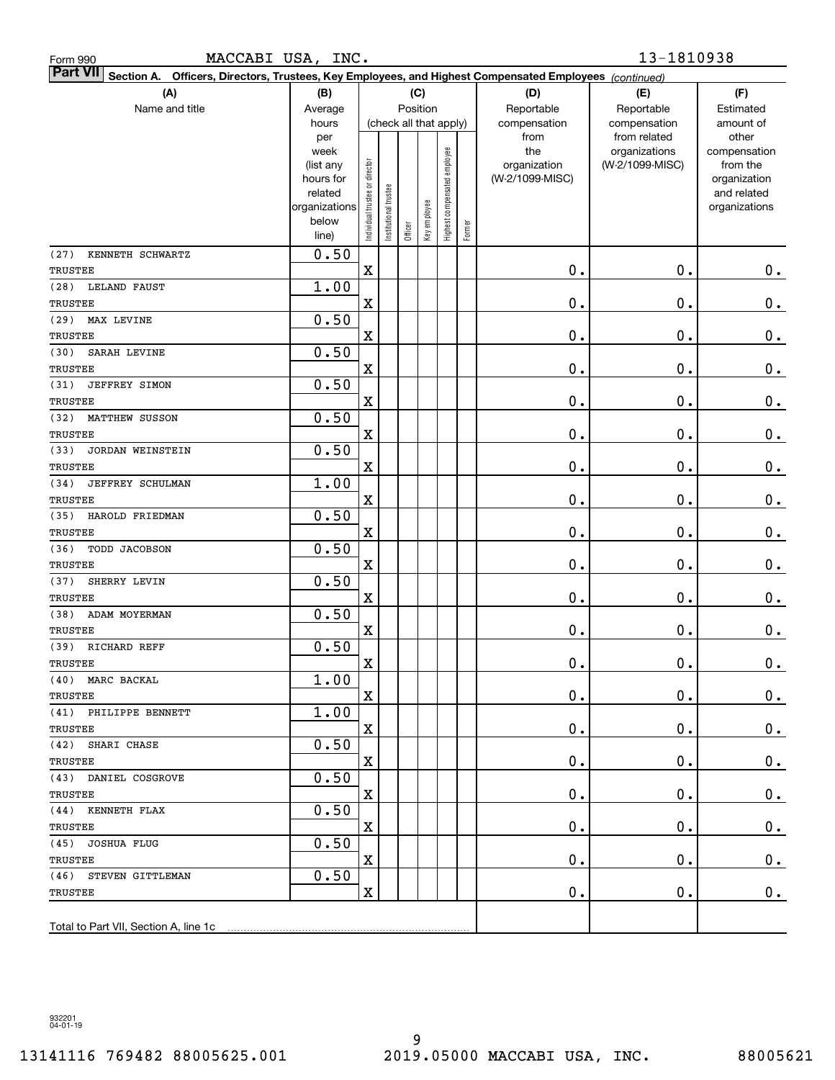| Form 990 |  |
|----------|--|
|          |  |

| <b>Part VII</b> Section A. Officers, Directors, Trustees, Key Employees, and Highest Compensated Employees (continued) |                   |                                |                      |         |                        |                              |        |                     |                                  |                          |
|------------------------------------------------------------------------------------------------------------------------|-------------------|--------------------------------|----------------------|---------|------------------------|------------------------------|--------|---------------------|----------------------------------|--------------------------|
| (A)                                                                                                                    | (B)               |                                |                      |         | (C)                    |                              |        | (D)                 | (E)                              | (F)                      |
| Name and title                                                                                                         | Average           |                                |                      |         | Position               |                              |        | Reportable          | Reportable                       | Estimated                |
|                                                                                                                        | hours             |                                |                      |         | (check all that apply) |                              |        | compensation        | compensation                     | amount of                |
|                                                                                                                        | per               |                                |                      |         |                        |                              |        | from                | from related                     | other                    |
|                                                                                                                        | week<br>(list any |                                |                      |         |                        |                              |        | the<br>organization | organizations<br>(W-2/1099-MISC) | compensation<br>from the |
|                                                                                                                        | hours for         |                                |                      |         |                        |                              |        | (W-2/1099-MISC)     |                                  | organization             |
|                                                                                                                        | related           |                                |                      |         |                        |                              |        |                     |                                  | and related              |
|                                                                                                                        | organizations     |                                |                      |         |                        |                              |        |                     |                                  | organizations            |
|                                                                                                                        | below             | Individual trustee or director | nstitutional trustee | Officer | Key employee           | Highest compensated employee | Former |                     |                                  |                          |
|                                                                                                                        | line)             |                                |                      |         |                        |                              |        |                     |                                  |                          |
| KENNETH SCHWARTZ<br>(27)                                                                                               | 0.50              |                                |                      |         |                        |                              |        |                     |                                  |                          |
| TRUSTEE                                                                                                                |                   | X                              |                      |         |                        |                              |        | 0.                  | $0$ .                            | $0$ .                    |
| (28)<br>LELAND FAUST                                                                                                   | 1.00              |                                |                      |         |                        |                              |        |                     |                                  |                          |
| TRUSTEE                                                                                                                |                   | X                              |                      |         |                        |                              |        | 0.                  | $0$ .                            | $\mathbf 0$ .            |
| (29)<br>MAX LEVINE                                                                                                     | 0.50              |                                |                      |         |                        |                              |        |                     |                                  |                          |
| TRUSTEE                                                                                                                |                   | $\mathbf X$                    |                      |         |                        |                              |        | 0.                  | $0$ .                            | $\mathbf 0$ .            |
| (30)<br>SARAH LEVINE                                                                                                   | 0.50              |                                |                      |         |                        |                              |        |                     |                                  |                          |
| TRUSTEE                                                                                                                |                   | $\mathbf X$                    |                      |         |                        |                              |        | 0.                  | $0$ .                            | $\mathbf 0$ .            |
| JEFFREY SIMON<br>(31)                                                                                                  | 0.50              |                                |                      |         |                        |                              |        |                     |                                  |                          |
| TRUSTEE                                                                                                                |                   | $\mathbf X$                    |                      |         |                        |                              |        | 0.                  | $0$ .                            | $\mathbf 0$ .            |
| (32)<br><b>MATTHEW SUSSON</b>                                                                                          | 0.50              |                                |                      |         |                        |                              |        |                     |                                  |                          |
| TRUSTEE                                                                                                                |                   | $\mathbf X$                    |                      |         |                        |                              |        | 0.                  | $0$ .                            | $\mathbf 0$ .            |
| (33)<br>JORDAN WEINSTEIN                                                                                               | 0.50              |                                |                      |         |                        |                              |        |                     |                                  |                          |
| TRUSTEE                                                                                                                |                   | $\mathbf X$                    |                      |         |                        |                              |        | 0.                  | $0$ .                            | $\mathbf 0$ .            |
| (34)<br>JEFFREY SCHULMAN                                                                                               | 1.00              |                                |                      |         |                        |                              |        |                     |                                  |                          |
| TRUSTEE                                                                                                                |                   | $\mathbf X$                    |                      |         |                        |                              |        | 0.                  | $0$ .                            | $\mathbf 0$ .            |
| (35)<br>HAROLD FRIEDMAN                                                                                                | 0.50              |                                |                      |         |                        |                              |        |                     |                                  |                          |
| TRUSTEE                                                                                                                |                   | $\mathbf X$                    |                      |         |                        |                              |        | 0.                  | $0$ .                            | $\mathbf 0$ .            |
| (36)<br>TODD JACOBSON                                                                                                  | 0.50              |                                |                      |         |                        |                              |        |                     |                                  |                          |
| TRUSTEE                                                                                                                |                   | X                              |                      |         |                        |                              |        | 0.                  | $0$ .                            | $\mathbf 0$ .            |
| (37)<br>SHERRY LEVIN                                                                                                   | 0.50              |                                |                      |         |                        |                              |        |                     |                                  |                          |
| TRUSTEE                                                                                                                |                   | X                              |                      |         |                        |                              |        | 0.                  | $0$ .                            | $\mathbf 0$ .            |
| (38)<br>ADAM MOYERMAN                                                                                                  | 0.50              |                                |                      |         |                        |                              |        |                     |                                  |                          |
| TRUSTEE                                                                                                                |                   | X                              |                      |         |                        |                              |        | 0.                  | $0$ .                            | $\mathbf 0$ .            |
| (39) RICHARD REFF                                                                                                      | 0.50              |                                |                      |         |                        |                              |        |                     |                                  |                          |
| TRUSTEE                                                                                                                |                   | X                              |                      |         |                        |                              |        | 0.                  | $0$ .                            | $\mathbf 0$ .            |
| (40) MARC BACKAL                                                                                                       | 1.00              |                                |                      |         |                        |                              |        |                     |                                  |                          |
| TRUSTEE                                                                                                                |                   | $\mathbf X$                    |                      |         |                        |                              |        | $0$ .               | $\mathbf 0$ .                    | $0_{.}$                  |
| (41) PHILIPPE BENNETT                                                                                                  | 1.00              |                                |                      |         |                        |                              |        |                     |                                  |                          |
| TRUSTEE                                                                                                                |                   | $\mathbf X$                    |                      |         |                        |                              |        | $\mathbf 0$ .       | 0.                               | $0$ .                    |
| (42) SHARI CHASE                                                                                                       | 0.50              |                                |                      |         |                        |                              |        |                     |                                  |                          |
| TRUSTEE                                                                                                                |                   | $\mathbf X$                    |                      |         |                        |                              |        | 0.                  | $\mathbf 0$ .                    | $0$ .                    |
| (43) DANIEL COSGROVE                                                                                                   | 0.50              |                                |                      |         |                        |                              |        |                     |                                  |                          |
| TRUSTEE                                                                                                                |                   | $\mathbf X$                    |                      |         |                        |                              |        | 0.                  | $\mathbf 0$ .                    | $0$ .                    |
| (44) KENNETH FLAX                                                                                                      | 0.50              |                                |                      |         |                        |                              |        |                     |                                  |                          |
| TRUSTEE                                                                                                                |                   | $\mathbf X$                    |                      |         |                        |                              |        | 0.                  | 0.                               | $0$ .                    |
| (45) JOSHUA FLUG                                                                                                       | 0.50              |                                |                      |         |                        |                              |        |                     |                                  |                          |
| TRUSTEE<br>(46) STEVEN GITTLEMAN                                                                                       | 0.50              | $\mathbf X$                    |                      |         |                        |                              |        | 0.                  | 0.                               | $0$ .                    |
|                                                                                                                        |                   | $\mathbf X$                    |                      |         |                        |                              |        |                     |                                  |                          |
| TRUSTEE                                                                                                                |                   |                                |                      |         |                        |                              |        | $\mathbf 0$ .       | $\mathbf 0$ .                    | 0.                       |
|                                                                                                                        |                   |                                |                      |         |                        |                              |        |                     |                                  |                          |
|                                                                                                                        |                   |                                |                      |         |                        |                              |        |                     |                                  |                          |

932201 04-01-19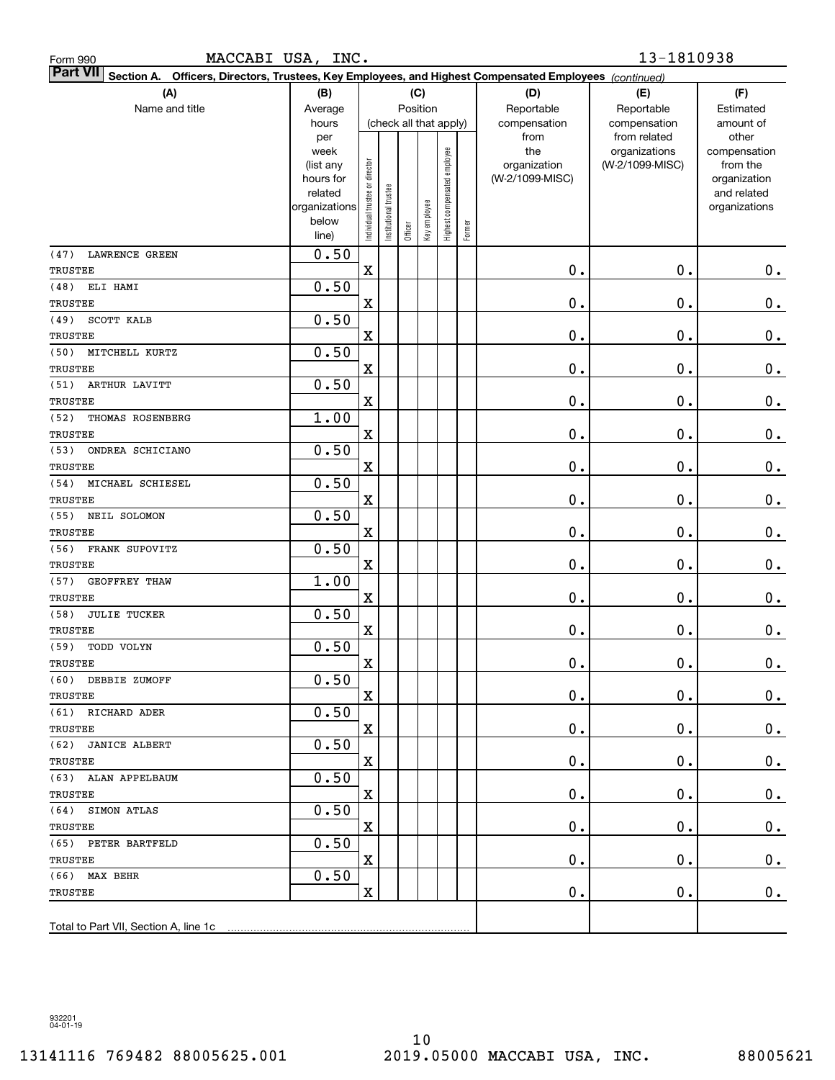| Form 990 |  |
|----------|--|
|          |  |

| <b>Part VII</b> Section A. Officers, Directors, Trustees, Key Employees, and Highest Compensated Employees (continued) |                   |                                |                      |         |                        |                              |        |                     |                                  |                          |
|------------------------------------------------------------------------------------------------------------------------|-------------------|--------------------------------|----------------------|---------|------------------------|------------------------------|--------|---------------------|----------------------------------|--------------------------|
| (A)                                                                                                                    | (B)               |                                |                      |         | (C)                    |                              |        | (D)                 | (E)                              | (F)                      |
| Name and title                                                                                                         | Average           |                                |                      |         | Position               |                              |        | Reportable          | Reportable                       | Estimated                |
|                                                                                                                        | hours             |                                |                      |         | (check all that apply) |                              |        | compensation        | compensation                     | amount of                |
|                                                                                                                        | per               |                                |                      |         |                        |                              |        | from                | from related                     | other                    |
|                                                                                                                        | week<br>(list any |                                |                      |         |                        |                              |        | the<br>organization | organizations<br>(W-2/1099-MISC) | compensation<br>from the |
|                                                                                                                        | hours for         |                                |                      |         |                        |                              |        | (W-2/1099-MISC)     |                                  | organization             |
|                                                                                                                        | related           |                                |                      |         |                        |                              |        |                     |                                  | and related              |
|                                                                                                                        | organizations     |                                |                      |         |                        |                              |        |                     |                                  | organizations            |
|                                                                                                                        | below             | Individual trustee or director | nstitutional trustee | Officer | Key employee           | Highest compensated employee | Former |                     |                                  |                          |
|                                                                                                                        | line)             |                                |                      |         |                        |                              |        |                     |                                  |                          |
| <b>LAWRENCE GREEN</b><br>(47)                                                                                          | 0.50              |                                |                      |         |                        |                              |        |                     |                                  |                          |
| TRUSTEE                                                                                                                |                   | X                              |                      |         |                        |                              |        | 0.                  | $0$ .                            | 0.                       |
| (48)<br>ELI HAMI                                                                                                       | 0.50              |                                |                      |         |                        |                              |        |                     |                                  |                          |
| TRUSTEE                                                                                                                |                   | X                              |                      |         |                        |                              |        | 0.                  | $0$ .                            | $\mathbf 0$ .            |
| SCOTT KALB<br>(49)                                                                                                     | 0.50              |                                |                      |         |                        |                              |        |                     |                                  |                          |
| TRUSTEE                                                                                                                |                   | $\mathbf X$                    |                      |         |                        |                              |        | 0.                  | $0$ .                            | $\mathbf 0$ .            |
| (50)<br>MITCHELL KURTZ                                                                                                 | 0.50              |                                |                      |         |                        |                              |        |                     |                                  |                          |
| TRUSTEE                                                                                                                |                   | $\mathbf X$                    |                      |         |                        |                              |        | 0.                  | $0$ .                            | $\mathbf 0$ .            |
| (51)<br>ARTHUR LAVITT                                                                                                  | 0.50              |                                |                      |         |                        |                              |        |                     |                                  |                          |
| TRUSTEE                                                                                                                |                   | $\mathbf X$                    |                      |         |                        |                              |        | 0.                  | $0$ .                            | $\mathbf 0$ .            |
| (52)<br>THOMAS ROSENBERG                                                                                               | 1.00              |                                |                      |         |                        |                              |        |                     |                                  |                          |
| TRUSTEE                                                                                                                |                   | $\mathbf X$                    |                      |         |                        |                              |        | 0.                  | $0$ .                            | $\mathbf 0$ .            |
| (53)<br>ONDREA SCHICIANO                                                                                               | 0.50              |                                |                      |         |                        |                              |        |                     |                                  |                          |
| TRUSTEE                                                                                                                |                   | $\mathbf X$                    |                      |         |                        |                              |        | 0.                  | $0$ .                            | $\mathbf 0$ .            |
| MICHAEL SCHIESEL<br>(54)                                                                                               | 0.50              |                                |                      |         |                        |                              |        |                     |                                  |                          |
| TRUSTEE                                                                                                                |                   | $\mathbf X$                    |                      |         |                        |                              |        | 0.                  | $0$ .                            | $\mathbf 0$ .            |
| (55)<br>NEIL SOLOMON                                                                                                   | 0.50              |                                |                      |         |                        |                              |        |                     |                                  |                          |
| TRUSTEE                                                                                                                |                   | $\mathbf X$                    |                      |         |                        |                              |        | 0.                  | $0$ .                            | $\mathbf 0$ .            |
| (56)<br>FRANK SUPOVITZ                                                                                                 | 0.50              |                                |                      |         |                        |                              |        |                     |                                  |                          |
| TRUSTEE                                                                                                                |                   | X                              |                      |         |                        |                              |        | 0.                  | $0$ .                            | $\mathbf 0$ .            |
| (57)<br>GEOFFREY THAW                                                                                                  | 1.00              |                                |                      |         |                        |                              |        |                     |                                  |                          |
| TRUSTEE                                                                                                                |                   | X                              |                      |         |                        |                              |        | 0.                  | $0$ .                            | $\mathbf 0$ .            |
| <b>JULIE TUCKER</b><br>(58)                                                                                            | 0.50              |                                |                      |         |                        |                              |        |                     |                                  |                          |
| TRUSTEE                                                                                                                |                   | X                              |                      |         |                        |                              |        | 0.                  | $0$ .                            | $\mathbf 0$ .            |
| TODD VOLYN<br>(59)                                                                                                     | 0.50              |                                |                      |         |                        |                              |        |                     |                                  |                          |
| TRUSTEE                                                                                                                |                   | X                              |                      |         |                        |                              |        | $\mathbf 0$ .       | $0$ .                            | $\mathbf 0$ .            |
| (60) DEBBIE ZUMOFF                                                                                                     | 0.50              |                                |                      |         |                        |                              |        |                     |                                  |                          |
| TRUSTEE                                                                                                                |                   | $\mathbf X$                    |                      |         |                        |                              |        | $0$ .               | $\mathbf 0$ .                    | 0.                       |
| (61) RICHARD ADER                                                                                                      | 0.50              |                                |                      |         |                        |                              |        |                     |                                  |                          |
| TRUSTEE                                                                                                                |                   | $\mathbf X$                    |                      |         |                        |                              |        | $\mathbf 0$ .       | 0.                               | $0$ .                    |
| (62) JANICE ALBERT                                                                                                     | 0.50              |                                |                      |         |                        |                              |        |                     |                                  |                          |
| TRUSTEE                                                                                                                |                   | $\mathbf X$                    |                      |         |                        |                              |        | $\mathbf 0$ .       | $\mathbf 0$ .                    | $0$ .                    |
| (63) ALAN APPELBAUM                                                                                                    | 0.50              |                                |                      |         |                        |                              |        |                     |                                  |                          |
| TRUSTEE                                                                                                                |                   | $\mathbf X$                    |                      |         |                        |                              |        | 0.                  | $\mathbf 0$ .                    | $0$ .                    |
| (64) SIMON ATLAS                                                                                                       | 0.50              |                                |                      |         |                        |                              |        |                     |                                  |                          |
| TRUSTEE                                                                                                                |                   | $\mathbf X$                    |                      |         |                        |                              |        | 0.                  | $\mathbf 0$ .                    | $0$ .                    |
| (65) PETER BARTFELD                                                                                                    | 0.50              |                                |                      |         |                        |                              |        |                     |                                  |                          |
| TRUSTEE<br>(66) MAX BEHR                                                                                               | 0.50              | $\mathbf X$                    |                      |         |                        |                              |        | 0.                  | 0.                               | $0$ .                    |
| TRUSTEE                                                                                                                |                   | $\mathbf X$                    |                      |         |                        |                              |        |                     |                                  |                          |
|                                                                                                                        |                   |                                |                      |         |                        |                              |        | $\mathbf 0$ .       | 0.                               | 0.                       |
|                                                                                                                        |                   |                                |                      |         |                        |                              |        |                     |                                  |                          |
|                                                                                                                        |                   |                                |                      |         |                        |                              |        |                     |                                  |                          |

932201 04-01-19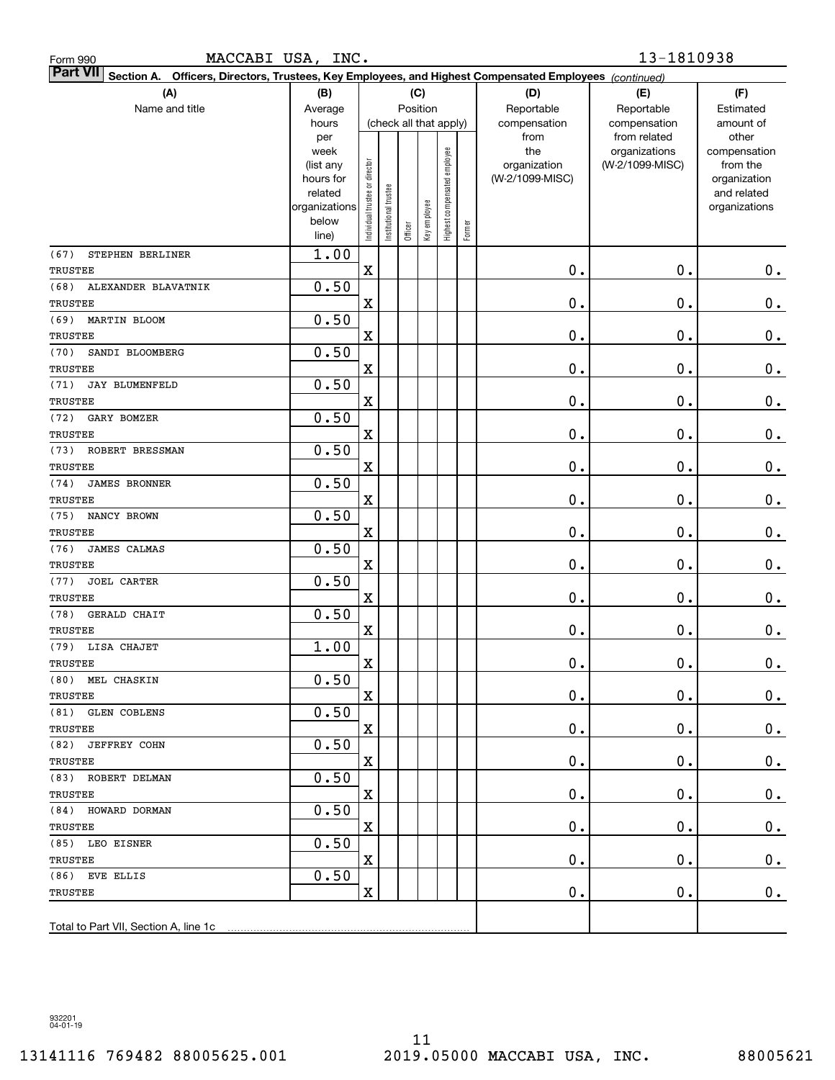| Form 990 |  |
|----------|--|
|          |  |

| <b>Part VII</b> Section A. Officers, Directors, Trustees, Key Employees, and Highest Compensated Employees (continued) |                   |                                |                      |         |                        |                              |        |                     |                                  |                          |
|------------------------------------------------------------------------------------------------------------------------|-------------------|--------------------------------|----------------------|---------|------------------------|------------------------------|--------|---------------------|----------------------------------|--------------------------|
| (A)                                                                                                                    | (B)               |                                |                      |         | (C)                    |                              |        | (D)                 | (E)                              | (F)                      |
| Name and title                                                                                                         | Average           |                                |                      |         | Position               |                              |        | Reportable          | Reportable                       | Estimated                |
|                                                                                                                        | hours             |                                |                      |         | (check all that apply) |                              |        | compensation        | compensation                     | amount of                |
|                                                                                                                        | per               |                                |                      |         |                        |                              |        | from                | from related                     | other                    |
|                                                                                                                        | week<br>(list any |                                |                      |         |                        |                              |        | the<br>organization | organizations<br>(W-2/1099-MISC) | compensation<br>from the |
|                                                                                                                        | hours for         |                                |                      |         |                        |                              |        | (W-2/1099-MISC)     |                                  | organization             |
|                                                                                                                        | related           |                                |                      |         |                        |                              |        |                     |                                  | and related              |
|                                                                                                                        | organizations     |                                |                      |         |                        |                              |        |                     |                                  | organizations            |
|                                                                                                                        | below             | Individual trustee or director | nstitutional trustee | Officer | Key employee           | Highest compensated employee | Former |                     |                                  |                          |
|                                                                                                                        | line)             |                                |                      |         |                        |                              |        |                     |                                  |                          |
| STEPHEN BERLINER<br>(67)                                                                                               | 1.00              |                                |                      |         |                        |                              |        |                     |                                  |                          |
| <b>TRUSTEE</b>                                                                                                         |                   | X                              |                      |         |                        |                              |        | 0.                  | $0$ .                            | $0$ .                    |
| (68)<br>ALEXANDER BLAVATNIK                                                                                            | 0.50              |                                |                      |         |                        |                              |        |                     |                                  |                          |
| TRUSTEE                                                                                                                |                   | X                              |                      |         |                        |                              |        | 0.                  | $0$ .                            | $\mathbf 0$ .            |
| (69)<br>MARTIN BLOOM                                                                                                   | 0.50              |                                |                      |         |                        |                              |        |                     |                                  |                          |
| TRUSTEE                                                                                                                |                   | $\mathbf X$                    |                      |         |                        |                              |        | 0.                  | $0$ .                            | $\mathbf 0$ .            |
| SANDI BLOOMBERG<br>(70)                                                                                                | 0.50              |                                |                      |         |                        |                              |        |                     |                                  |                          |
| TRUSTEE                                                                                                                |                   | $\mathbf X$                    |                      |         |                        |                              |        | 0.                  | $0$ .                            | $\mathbf 0$ .            |
| (71)<br><b>JAY BLUMENFELD</b>                                                                                          | 0.50              |                                |                      |         |                        |                              |        |                     |                                  |                          |
| TRUSTEE                                                                                                                |                   | $\mathbf X$                    |                      |         |                        |                              |        | 0.                  | $0$ .                            | $\mathbf 0$ .            |
| (72)<br>GARY BOMZER                                                                                                    | 0.50              |                                |                      |         |                        |                              |        |                     |                                  |                          |
| TRUSTEE                                                                                                                |                   | $\mathbf X$                    |                      |         |                        |                              |        | 0.                  | $0$ .                            | $\mathbf 0$ .            |
| (73)<br>ROBERT BRESSMAN                                                                                                | 0.50              |                                |                      |         |                        |                              |        |                     |                                  |                          |
| TRUSTEE                                                                                                                |                   | $\mathbf X$                    |                      |         |                        |                              |        | 0.                  | $0$ .                            | $\mathbf 0$ .            |
| (74)<br><b>JAMES BRONNER</b>                                                                                           | 0.50              |                                |                      |         |                        |                              |        |                     |                                  |                          |
| TRUSTEE                                                                                                                |                   | $\mathbf X$                    |                      |         |                        |                              |        | 0.                  | $0$ .                            | $\mathbf 0$ .            |
| (75)<br>NANCY BROWN                                                                                                    | 0.50              |                                |                      |         |                        |                              |        |                     |                                  |                          |
| TRUSTEE                                                                                                                |                   | $\mathbf X$                    |                      |         |                        |                              |        | 0.                  | $0$ .                            | $\mathbf 0$ .            |
| (76)<br>JAMES CALMAS                                                                                                   | 0.50              |                                |                      |         |                        |                              |        |                     |                                  |                          |
| TRUSTEE                                                                                                                | 0.50              | X                              |                      |         |                        |                              |        | 0.                  | $0$ .                            | $\mathbf 0$ .            |
| <b>JOEL CARTER</b><br>(77)<br>TRUSTEE                                                                                  |                   |                                |                      |         |                        |                              |        | 0.                  | $0$ .                            |                          |
|                                                                                                                        | 0.50              | X                              |                      |         |                        |                              |        |                     |                                  | $\mathbf 0$ .            |
| (78)<br>GERALD CHAIT<br>TRUSTEE                                                                                        |                   | X                              |                      |         |                        |                              |        | 0.                  | $0$ .                            | $\mathbf 0$ .            |
| (79) LISA CHAJET                                                                                                       | 1.00              |                                |                      |         |                        |                              |        |                     |                                  |                          |
| TRUSTEE                                                                                                                |                   | X                              |                      |         |                        |                              |        | 0.                  | $0$ .                            | $\mathbf 0$ .            |
| (80) MEL CHASKIN                                                                                                       | 0.50              |                                |                      |         |                        |                              |        |                     |                                  |                          |
| TRUSTEE                                                                                                                |                   | $\mathbf X$                    |                      |         |                        |                              |        | $0$ .               | $\mathbf 0$ .                    | $0_{.}$                  |
| (81) GLEN COBLENS                                                                                                      | 0.50              |                                |                      |         |                        |                              |        |                     |                                  |                          |
| TRUSTEE                                                                                                                |                   | $\mathbf X$                    |                      |         |                        |                              |        | $\mathbf 0$ .       | 0.                               | $0$ .                    |
| (82) JEFFREY COHN                                                                                                      | 0.50              |                                |                      |         |                        |                              |        |                     |                                  |                          |
| TRUSTEE                                                                                                                |                   | $\mathbf X$                    |                      |         |                        |                              |        | $\mathbf 0$ .       | $\mathbf 0$ .                    | $0$ .                    |
| (83) ROBERT DELMAN                                                                                                     | 0.50              |                                |                      |         |                        |                              |        |                     |                                  |                          |
| TRUSTEE                                                                                                                |                   | $\mathbf X$                    |                      |         |                        |                              |        | $\mathbf 0$ .       | $\mathbf 0$ .                    | $0$ .                    |
| (84) HOWARD DORMAN                                                                                                     | 0.50              |                                |                      |         |                        |                              |        |                     |                                  |                          |
| TRUSTEE                                                                                                                |                   | $\mathbf X$                    |                      |         |                        |                              |        | 0.                  | $\mathbf 0$ .                    | $0$ .                    |
| (85) LEO EISNER                                                                                                        | 0.50              |                                |                      |         |                        |                              |        |                     |                                  |                          |
| TRUSTEE                                                                                                                |                   | $\mathbf X$                    |                      |         |                        |                              |        | 0.                  | $\mathbf 0$ .                    | $0$ .                    |
| (86) EVE ELLIS                                                                                                         | 0.50              |                                |                      |         |                        |                              |        |                     |                                  |                          |
| TRUSTEE                                                                                                                |                   | $\mathbf X$                    |                      |         |                        |                              |        | $\mathbf 0$ .       | $\mathbf 0$ .                    | 0.                       |
|                                                                                                                        |                   |                                |                      |         |                        |                              |        |                     |                                  |                          |
|                                                                                                                        |                   |                                |                      |         |                        |                              |        |                     |                                  |                          |

932201 04-01-19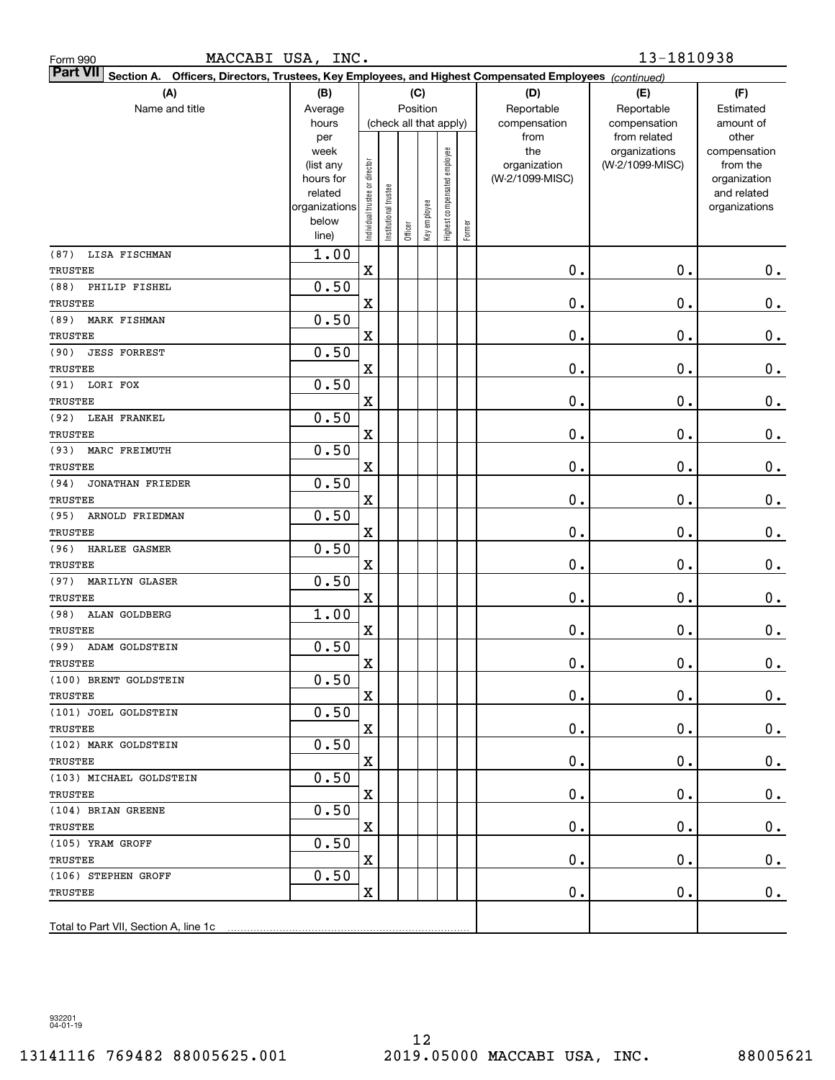| <b>Part VII</b> Section A. Officers, Directors, Trustees, Key Employees, and Highest Compensated Employees (continued) |                |                                |                      |         |                        |                              |        |                      |                              |                    |
|------------------------------------------------------------------------------------------------------------------------|----------------|--------------------------------|----------------------|---------|------------------------|------------------------------|--------|----------------------|------------------------------|--------------------|
| (A)                                                                                                                    | (B)            |                                |                      |         | (C)                    |                              |        | (D)                  | (E)                          | (F)                |
| Name and title                                                                                                         | Average        |                                |                      |         | Position               |                              |        | Reportable           | Reportable                   | Estimated          |
|                                                                                                                        | hours<br>per   |                                |                      |         | (check all that apply) |                              |        | compensation<br>from | compensation<br>from related | amount of<br>other |
|                                                                                                                        | week           |                                |                      |         |                        |                              |        | the                  | organizations                | compensation       |
|                                                                                                                        | (list any      |                                |                      |         |                        |                              |        | organization         | (W-2/1099-MISC)              | from the           |
|                                                                                                                        | hours for      |                                |                      |         |                        |                              |        | (W-2/1099-MISC)      |                              | organization       |
|                                                                                                                        | related        |                                |                      |         |                        |                              |        |                      |                              | and related        |
|                                                                                                                        | organizations  |                                |                      |         |                        |                              |        |                      |                              | organizations      |
|                                                                                                                        | below<br>line) | Individual trustee or director | nstitutional trustee | Officer | Key employee           | Highest compensated employee | Former |                      |                              |                    |
| LISA FISCHMAN<br>(87)                                                                                                  | 1.00           |                                |                      |         |                        |                              |        |                      |                              |                    |
| TRUSTEE                                                                                                                |                | $\mathbf x$                    |                      |         |                        |                              |        | 0.                   | $\mathbf 0$ .                | $0_{.}$            |
| (88)<br>PHILIP FISHEL                                                                                                  | 0.50           |                                |                      |         |                        |                              |        |                      |                              |                    |
| TRUSTEE                                                                                                                |                | $\mathbf X$                    |                      |         |                        |                              |        | 0.                   | $\mathbf 0$ .                | $\mathbf 0$ .      |
| (89)<br>MARK FISHMAN                                                                                                   | 0.50           |                                |                      |         |                        |                              |        |                      |                              |                    |
| <b>TRUSTEE</b>                                                                                                         |                | $\mathbf X$                    |                      |         |                        |                              |        | 0.                   | $\mathbf 0$ .                | $\mathbf 0$ .      |
| (90)<br><b>JESS FORREST</b>                                                                                            | 0.50           |                                |                      |         |                        |                              |        |                      |                              |                    |
| <b>TRUSTEE</b>                                                                                                         |                | $\mathbf X$                    |                      |         |                        |                              |        | $\mathbf 0$ .        | $\mathbf 0$ .                | $\mathbf 0$ .      |
| LORI FOX<br>(91)                                                                                                       | 0.50           |                                |                      |         |                        |                              |        |                      |                              |                    |
| TRUSTEE                                                                                                                |                | $\mathbf X$                    |                      |         |                        |                              |        | 0.                   | $\mathbf 0$ .                | $\mathbf 0$ .      |
| (92)<br>LEAH FRANKEL                                                                                                   | 0.50           |                                |                      |         |                        |                              |        |                      |                              |                    |
| TRUSTEE                                                                                                                |                | $\mathbf X$                    |                      |         |                        |                              |        | 0.                   | $\mathbf 0$ .                | $\mathbf 0$ .      |
| (93)<br>MARC FREIMUTH                                                                                                  | 0.50           |                                |                      |         |                        |                              |        |                      |                              |                    |
| TRUSTEE                                                                                                                |                | $\mathbf X$                    |                      |         |                        |                              |        | 0.                   | $\mathbf 0$ .                | $\mathbf 0$ .      |
| (94)<br><b>JONATHAN FRIEDER</b>                                                                                        | 0.50           |                                |                      |         |                        |                              |        |                      |                              |                    |
| TRUSTEE                                                                                                                |                | $\mathbf X$                    |                      |         |                        |                              |        | 0.                   | $\mathbf 0$ .                | $\mathbf 0$ .      |
| (95)<br>ARNOLD FRIEDMAN                                                                                                | 0.50           |                                |                      |         |                        |                              |        |                      |                              |                    |
| TRUSTEE                                                                                                                |                | $\mathbf X$                    |                      |         |                        |                              |        | 0.                   | $\mathbf 0$ .                | $\mathbf 0$ .      |
| (96)<br>HARLEE GASMER                                                                                                  | 0.50           |                                |                      |         |                        |                              |        |                      |                              |                    |
| TRUSTEE                                                                                                                |                | $\mathbf X$                    |                      |         |                        |                              |        | 0.                   | $\mathbf 0$ .                | $\mathbf 0$ .      |
| (97)<br>MARILYN GLASER                                                                                                 | 0.50           |                                |                      |         |                        |                              |        |                      |                              |                    |
| TRUSTEE                                                                                                                |                | $\mathbf X$                    |                      |         |                        |                              |        | $\mathbf 0$ .        | 0.                           | $\mathbf 0$ .      |
| (98)<br>ALAN GOLDBERG                                                                                                  | 1.00           |                                |                      |         |                        |                              |        |                      |                              |                    |
| TRUSTEE                                                                                                                |                | $\mathbf X$                    |                      |         |                        |                              |        | $\mathbf 0$ .        | 0.                           | $\mathbf 0$ .      |
| (99)<br>ADAM GOLDSTEIN                                                                                                 | 0.50           |                                |                      |         |                        |                              |        |                      |                              |                    |
| <b>TRUSTEE</b>                                                                                                         |                | $\mathbf X$                    |                      |         |                        |                              |        | $\mathbf 0$ .        | 0.                           | $\mathbf 0$ .      |
| (100) BRENT GOLDSTEIN                                                                                                  | 0.50           |                                |                      |         |                        |                              |        |                      |                              |                    |
| TRUSTEE                                                                                                                |                | $\mathbf X$                    |                      |         |                        |                              |        | 0.                   | $\mathbf 0$ .                | $0$ .              |
| (101) JOEL GOLDSTEIN<br>TRUSTEE                                                                                        | 0.50           | X                              |                      |         |                        |                              |        | 0.                   | $\mathbf 0$ .                | $0_{.}$            |
| (102) MARK GOLDSTEIN                                                                                                   | 0.50           |                                |                      |         |                        |                              |        |                      |                              |                    |
| TRUSTEE                                                                                                                |                | X                              |                      |         |                        |                              |        | 0.                   | $\mathbf 0$ .                | $0_{.}$            |
| (103) MICHAEL GOLDSTEIN                                                                                                | 0.50           |                                |                      |         |                        |                              |        |                      |                              |                    |
| TRUSTEE                                                                                                                |                | X                              |                      |         |                        |                              |        | $\mathbf 0$ .        | $\mathbf 0$ .                | $0_{.}$            |
| (104) BRIAN GREENE                                                                                                     | 0.50           |                                |                      |         |                        |                              |        |                      |                              |                    |
| TRUSTEE                                                                                                                |                | X                              |                      |         |                        |                              |        | $\mathbf 0$ .        | $\mathbf 0$ .                | $0_{.}$            |
| (105) YRAM GROFF                                                                                                       | 0.50           |                                |                      |         |                        |                              |        |                      |                              |                    |
| TRUSTEE                                                                                                                |                | $\mathbf X$                    |                      |         |                        |                              |        | $\mathbf 0$ .        | $\mathbf 0$ .                | $0_{.}$            |
| (106) STEPHEN GROFF                                                                                                    | 0.50           |                                |                      |         |                        |                              |        |                      |                              |                    |
| TRUSTEE                                                                                                                |                | $\mathbf X$                    |                      |         |                        |                              |        | $\mathbf 0$ .        | $\mathbf 0$ .                | 0.                 |
|                                                                                                                        |                |                                |                      |         |                        |                              |        |                      |                              |                    |
| Total to Part VII, Section A, line 1c                                                                                  |                |                                |                      |         |                        |                              |        |                      |                              |                    |

Form 990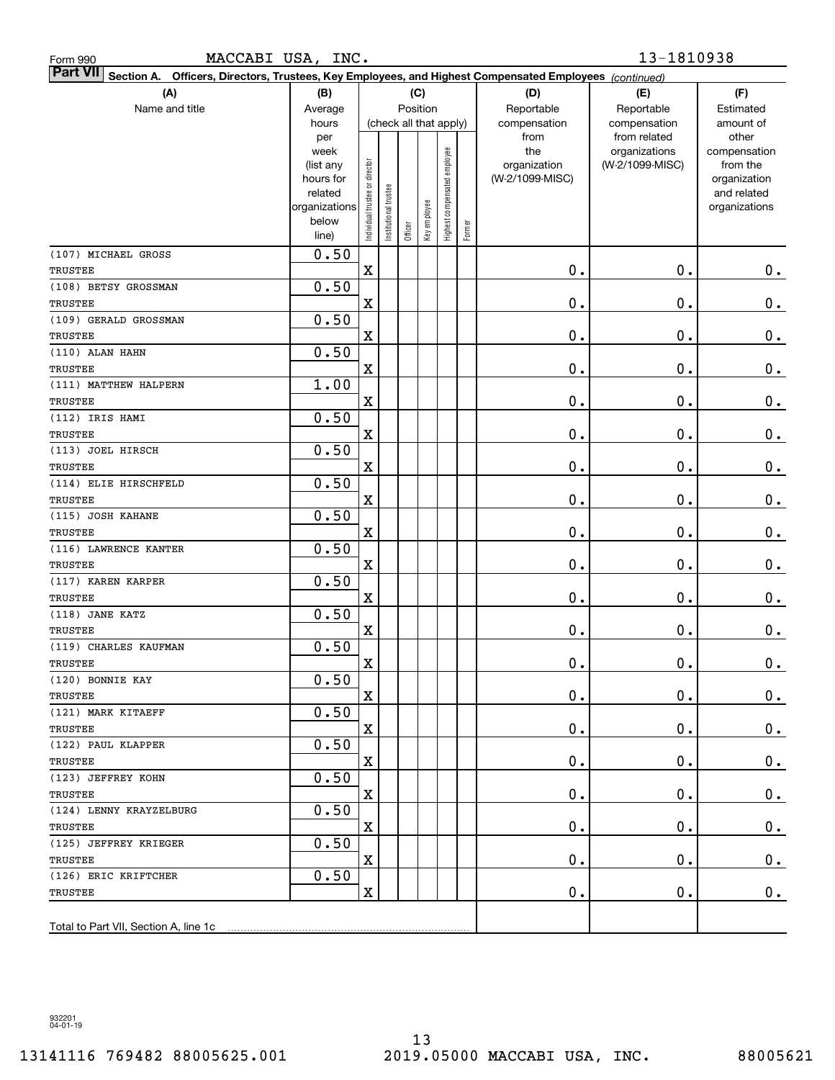| MACCABI USA, INC.<br>Form 990                                                                                                |                                                                                              |                                |                       |                                   |              |                              |        |                                                                | 13-1810938                                                       |                                                                                                |
|------------------------------------------------------------------------------------------------------------------------------|----------------------------------------------------------------------------------------------|--------------------------------|-----------------------|-----------------------------------|--------------|------------------------------|--------|----------------------------------------------------------------|------------------------------------------------------------------|------------------------------------------------------------------------------------------------|
| <b>Part VII</b><br>Officers, Directors, Trustees, Key Employees, and Highest Compensated Employees (continued)<br>Section A. |                                                                                              |                                |                       |                                   |              |                              |        |                                                                |                                                                  |                                                                                                |
| (A)                                                                                                                          | (B)                                                                                          |                                |                       |                                   | (C)          |                              |        | (D)                                                            | (E)                                                              | (F)                                                                                            |
| Name and title                                                                                                               | Average                                                                                      |                                |                       | Position                          |              |                              |        | Reportable                                                     | Reportable                                                       | Estimated                                                                                      |
|                                                                                                                              | hours<br>per<br>week<br>(list any<br>hours for<br>related<br>organizations<br>below<br>line) | Individual trustee or director | Institutional trustee | (check all that apply)<br>Officer | Key employee | Highest compensated employee | Former | compensation<br>from<br>the<br>organization<br>(W-2/1099-MISC) | compensation<br>from related<br>organizations<br>(W-2/1099-MISC) | amount of<br>other<br>compensation<br>from the<br>organization<br>and related<br>organizations |
| (107) MICHAEL GROSS                                                                                                          | 0.50                                                                                         |                                |                       |                                   |              |                              |        |                                                                |                                                                  |                                                                                                |
| TRUSTEE                                                                                                                      |                                                                                              | $\mathbf X$                    |                       |                                   |              |                              |        | 0.                                                             | 0.                                                               | 0.                                                                                             |
| (108) BETSY GROSSMAN                                                                                                         | 0.50                                                                                         |                                |                       |                                   |              |                              |        |                                                                |                                                                  |                                                                                                |
| TRUSTEE                                                                                                                      |                                                                                              | X                              |                       |                                   |              |                              |        | 0.                                                             | $\mathbf 0$ .                                                    | $\mathbf 0$ .                                                                                  |
| (109) GERALD GROSSMAN                                                                                                        | 0.50                                                                                         |                                |                       |                                   |              |                              |        |                                                                |                                                                  |                                                                                                |
| TRUSTEE                                                                                                                      |                                                                                              | X                              |                       |                                   |              |                              |        | 0.                                                             | $\mathbf 0$ .                                                    | $\mathbf 0$ .                                                                                  |
| (110) ALAN HAHN                                                                                                              | 0.50                                                                                         |                                |                       |                                   |              |                              |        |                                                                |                                                                  |                                                                                                |
| TRUSTEE                                                                                                                      |                                                                                              | X                              |                       |                                   |              |                              |        | 0.                                                             | $\mathbf 0$ .                                                    | $\mathbf 0$ .                                                                                  |
| (111) MATTHEW HALPERN                                                                                                        | 1.00                                                                                         |                                |                       |                                   |              |                              |        |                                                                |                                                                  |                                                                                                |
| TRUSTEE                                                                                                                      |                                                                                              | X                              |                       |                                   |              |                              |        | 0.                                                             | $\mathbf 0$ .                                                    | $\mathbf 0$ .                                                                                  |
| (112) IRIS HAMI                                                                                                              | 0.50                                                                                         |                                |                       |                                   |              |                              |        |                                                                |                                                                  |                                                                                                |
| <b>TRUSTEE</b>                                                                                                               |                                                                                              | X                              |                       |                                   |              |                              |        | 0.                                                             | $\mathbf 0$ .                                                    | $\mathbf 0$ .                                                                                  |
| (113) JOEL HIRSCH                                                                                                            | 0.50                                                                                         |                                |                       |                                   |              |                              |        |                                                                |                                                                  |                                                                                                |
| TRUSTEE                                                                                                                      |                                                                                              | X                              |                       |                                   |              |                              |        | 0.                                                             | $\mathbf 0$ .                                                    | $\mathbf 0$ .                                                                                  |
| (114) ELIE HIRSCHFELD                                                                                                        | 0.50                                                                                         |                                |                       |                                   |              |                              |        |                                                                |                                                                  |                                                                                                |
| TRUSTEE                                                                                                                      |                                                                                              | X                              |                       |                                   |              |                              |        | 0.                                                             | $\mathbf 0$ .                                                    | $\mathbf 0$ .                                                                                  |
| (115) JOSH KAHANE                                                                                                            | 0.50                                                                                         |                                |                       |                                   |              |                              |        |                                                                |                                                                  |                                                                                                |
| TRUSTEE                                                                                                                      |                                                                                              | X                              |                       |                                   |              |                              |        | 0.                                                             | $\mathbf 0$ .                                                    | $\mathbf 0$ .                                                                                  |
| (116) LAWRENCE KANTER                                                                                                        | 0.50                                                                                         |                                |                       |                                   |              |                              |        |                                                                |                                                                  |                                                                                                |
| TRUSTEE                                                                                                                      |                                                                                              | X                              |                       |                                   |              |                              |        | 0.                                                             | $\mathbf 0$ .                                                    | $\mathbf 0$ .                                                                                  |
| (117) KAREN KARPER                                                                                                           | 0.50                                                                                         |                                |                       |                                   |              |                              |        |                                                                |                                                                  |                                                                                                |
| TRUSTEE                                                                                                                      |                                                                                              | X                              |                       |                                   |              |                              |        | 0.                                                             | $\mathbf 0$ .                                                    | 0.                                                                                             |
| (118) JANE KATZ<br>TRUSTEE                                                                                                   | 0.50                                                                                         |                                |                       |                                   |              |                              |        | $\mathbf 0$ .                                                  | 0.                                                               |                                                                                                |
| (119) CHARLES KAUFMAN                                                                                                        | 0.50                                                                                         | $\mathbf X$                    |                       |                                   |              |                              |        |                                                                |                                                                  | 0.                                                                                             |
| TRUSTEE                                                                                                                      |                                                                                              | $\mathbf X$                    |                       |                                   |              |                              |        | $\mathbf 0$ .                                                  | $\mathbf 0$ .                                                    | $0$ .                                                                                          |
| (120) BONNIE KAY                                                                                                             | 0.50                                                                                         |                                |                       |                                   |              |                              |        |                                                                |                                                                  |                                                                                                |
| TRUSTEE                                                                                                                      |                                                                                              | X                              |                       |                                   |              |                              |        | 0.                                                             | $\mathbf 0$ .                                                    | 0.                                                                                             |
| (121) MARK KITAEFF                                                                                                           | 0.50                                                                                         |                                |                       |                                   |              |                              |        |                                                                |                                                                  |                                                                                                |
| TRUSTEE                                                                                                                      |                                                                                              | X                              |                       |                                   |              |                              |        | $\mathbf 0$ .                                                  | $\mathbf 0$ .                                                    | 0.                                                                                             |
| (122) PAUL KLAPPER                                                                                                           | 0.50                                                                                         |                                |                       |                                   |              |                              |        |                                                                |                                                                  |                                                                                                |
| TRUSTEE                                                                                                                      |                                                                                              | X                              |                       |                                   |              |                              |        | 0.                                                             | $\mathbf 0$ .                                                    | 0.                                                                                             |
| (123) JEFFREY KOHN                                                                                                           | 0.50                                                                                         |                                |                       |                                   |              |                              |        |                                                                |                                                                  |                                                                                                |
| TRUSTEE                                                                                                                      |                                                                                              | X                              |                       |                                   |              |                              |        | 0.                                                             | $\mathbf 0$ .                                                    | 0.                                                                                             |
| (124) LENNY KRAYZELBURG                                                                                                      | 0.50                                                                                         |                                |                       |                                   |              |                              |        |                                                                |                                                                  |                                                                                                |
| TRUSTEE                                                                                                                      |                                                                                              | X                              |                       |                                   |              |                              |        | 0.                                                             | $\mathbf 0$ .                                                    | 0.                                                                                             |
| (125) JEFFREY KRIEGER                                                                                                        | 0.50                                                                                         |                                |                       |                                   |              |                              |        |                                                                |                                                                  |                                                                                                |
| TRUSTEE                                                                                                                      |                                                                                              | X                              |                       |                                   |              |                              |        | 0.                                                             | $\mathbf 0$ .                                                    | 0.                                                                                             |
| (126) ERIC KRIFTCHER                                                                                                         | 0.50                                                                                         |                                |                       |                                   |              |                              |        |                                                                |                                                                  |                                                                                                |
| TRUSTEE                                                                                                                      |                                                                                              | $\mathbf X$                    |                       |                                   |              |                              |        | 0.                                                             | $\mathbf 0$ .                                                    | 0.                                                                                             |
|                                                                                                                              |                                                                                              |                                |                       |                                   |              |                              |        |                                                                |                                                                  |                                                                                                |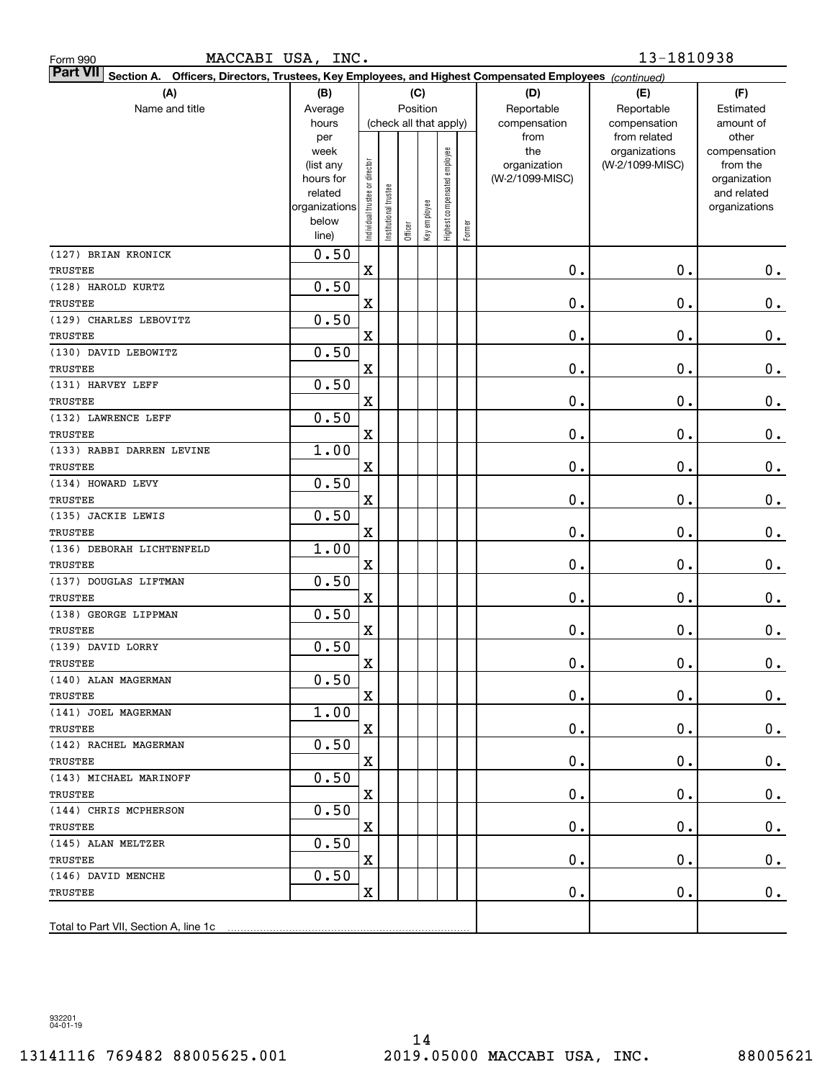| MACCABI USA, INC.<br>Form 990                                                                                             |                                                |                                |                      |                        |              |                              |        |                                                                | 13-1810938                                                       |                                                                |
|---------------------------------------------------------------------------------------------------------------------------|------------------------------------------------|--------------------------------|----------------------|------------------------|--------------|------------------------------|--------|----------------------------------------------------------------|------------------------------------------------------------------|----------------------------------------------------------------|
| <b>Part VII</b><br>Section A. Officers, Directors, Trustees, Key Employees, and Highest Compensated Employees (continued) |                                                |                                |                      |                        |              |                              |        |                                                                |                                                                  |                                                                |
| (A)                                                                                                                       | (B)                                            |                                |                      |                        | (C)          |                              |        | (D)                                                            | (E)                                                              | (F)                                                            |
| Name and title                                                                                                            | Average                                        |                                |                      | Position               |              |                              |        | Reportable                                                     | Reportable                                                       | Estimated                                                      |
|                                                                                                                           | hours<br>per<br>week<br>(list any<br>hours for |                                |                      | (check all that apply) |              |                              |        | compensation<br>from<br>the<br>organization<br>(W-2/1099-MISC) | compensation<br>from related<br>organizations<br>(W-2/1099-MISC) | amount of<br>other<br>compensation<br>from the<br>organization |
|                                                                                                                           | related<br>organizations<br>below<br>line)     | Individual trustee or director | nstitutional trustee | Officer                | Key employee | Highest compensated employee | Former |                                                                |                                                                  | and related<br>organizations                                   |
| (127) BRIAN KRONICK<br><b>TRUSTEE</b>                                                                                     | 0.50                                           | $\mathbf X$                    |                      |                        |              |                              |        | $\mathbf 0$ .                                                  | 0.                                                               | 0.                                                             |
| (128) HAROLD KURTZ                                                                                                        | 0.50                                           |                                |                      |                        |              |                              |        |                                                                |                                                                  |                                                                |
| <b>TRUSTEE</b>                                                                                                            |                                                | X                              |                      |                        |              |                              |        | $\mathbf 0$ .                                                  | 0.                                                               | $\mathbf 0$ .                                                  |
| (129) CHARLES LEBOVITZ                                                                                                    | 0.50                                           |                                |                      |                        |              |                              |        |                                                                |                                                                  |                                                                |
| <b>TRUSTEE</b>                                                                                                            |                                                | X                              |                      |                        |              |                              |        | $\mathbf 0$ .                                                  | 0.                                                               | $\mathbf 0$ .                                                  |
| (130) DAVID LEBOWITZ                                                                                                      | 0.50                                           |                                |                      |                        |              |                              |        |                                                                |                                                                  |                                                                |
| <b>TRUSTEE</b>                                                                                                            |                                                | X                              |                      |                        |              |                              |        | $\mathbf 0$ .                                                  | 0.                                                               | $\mathbf 0$ .                                                  |
| (131) HARVEY LEFF                                                                                                         | 0.50                                           |                                |                      |                        |              |                              |        |                                                                |                                                                  |                                                                |
| <b>TRUSTEE</b>                                                                                                            |                                                | X                              |                      |                        |              |                              |        | $\mathbf 0$ .                                                  | 0.                                                               | $\mathbf 0$ .                                                  |
| (132) LAWRENCE LEFF                                                                                                       | 0.50                                           |                                |                      |                        |              |                              |        |                                                                |                                                                  |                                                                |
| <b>TRUSTEE</b>                                                                                                            |                                                | X                              |                      |                        |              |                              |        | $\mathbf 0$ .                                                  | 0.                                                               | $\mathbf 0$ .                                                  |
| (133) RABBI DARREN LEVINE                                                                                                 | 1.00                                           |                                |                      |                        |              |                              |        |                                                                |                                                                  |                                                                |
| <b>TRUSTEE</b>                                                                                                            |                                                | X                              |                      |                        |              |                              |        | $\mathbf 0$ .                                                  | 0.                                                               | $\mathbf 0$ .                                                  |
| (134) HOWARD LEVY                                                                                                         | 0.50                                           |                                |                      |                        |              |                              |        |                                                                |                                                                  |                                                                |
| <b>TRUSTEE</b>                                                                                                            |                                                | X                              |                      |                        |              |                              |        | $\mathbf 0$ .                                                  | 0.                                                               | $\mathbf 0$ .                                                  |
| (135) JACKIE LEWIS                                                                                                        | 0.50                                           |                                |                      |                        |              |                              |        |                                                                |                                                                  |                                                                |
| <b>TRUSTEE</b>                                                                                                            | 1.00                                           | $\mathbf X$                    |                      |                        |              |                              |        | $\mathbf 0$ .                                                  | 0.                                                               | $\mathbf 0$ .                                                  |
| (136) DEBORAH LICHTENFELD<br><b>TRUSTEE</b>                                                                               |                                                | X                              |                      |                        |              |                              |        | $\mathbf 0$ .                                                  | 0.                                                               | 0.                                                             |
| (137) DOUGLAS LIFTMAN                                                                                                     | 0.50                                           |                                |                      |                        |              |                              |        |                                                                |                                                                  |                                                                |
| <b>TRUSTEE</b>                                                                                                            |                                                | X                              |                      |                        |              |                              |        | $\mathbf 0$ .                                                  | 0.                                                               | 0.                                                             |
| (138) GEORGE LIPPMAN                                                                                                      | 0.50                                           |                                |                      |                        |              |                              |        |                                                                |                                                                  |                                                                |
| <b>TRUSTEE</b>                                                                                                            |                                                | X                              |                      |                        |              |                              |        | $\mathbf 0$ .                                                  | 0.                                                               | 0.                                                             |
| (139) DAVID LORRY                                                                                                         | 0.50                                           |                                |                      |                        |              |                              |        |                                                                |                                                                  |                                                                |
| TRUSTEE                                                                                                                   |                                                | $\mathbf X$                    |                      |                        |              |                              |        | $\mathbf 0$ .                                                  | $\mathbf 0$ .                                                    | $\mathbf 0$ .                                                  |
| (140) ALAN MAGERMAN                                                                                                       | 0.50                                           |                                |                      |                        |              |                              |        |                                                                |                                                                  |                                                                |
| TRUSTEE                                                                                                                   |                                                | X                              |                      |                        |              |                              |        | 0.                                                             | 0.                                                               | 0.                                                             |
| (141) JOEL MAGERMAN                                                                                                       | 1.00                                           |                                |                      |                        |              |                              |        |                                                                |                                                                  |                                                                |
| TRUSTEE                                                                                                                   | 0.50                                           | $\mathbf X$                    |                      |                        |              |                              |        | 0.                                                             | 0.                                                               | 0.                                                             |
| (142) RACHEL MAGERMAN<br><b>TRUSTEE</b>                                                                                   |                                                | $\mathbf X$                    |                      |                        |              |                              |        | 0.                                                             | 0.                                                               | 0.                                                             |
| (143) MICHAEL MARINOFF                                                                                                    | 0.50                                           |                                |                      |                        |              |                              |        |                                                                |                                                                  |                                                                |
| TRUSTEE                                                                                                                   |                                                | $\mathbf X$                    |                      |                        |              |                              |        | 0.                                                             | 0.                                                               | 0.                                                             |
| (144) CHRIS MCPHERSON                                                                                                     | 0.50                                           |                                |                      |                        |              |                              |        |                                                                |                                                                  |                                                                |
| TRUSTEE                                                                                                                   |                                                | $\mathbf X$                    |                      |                        |              |                              |        | 0.                                                             | $\mathbf 0$ .                                                    | 0.                                                             |
| (145) ALAN MELTZER                                                                                                        | 0.50                                           |                                |                      |                        |              |                              |        |                                                                |                                                                  |                                                                |
| TRUSTEE                                                                                                                   |                                                | $\mathbf X$                    |                      |                        |              |                              |        | $\mathbf 0$ .                                                  | $\mathbf 0$ .                                                    | 0.                                                             |
| (146) DAVID MENCHE                                                                                                        | 0.50                                           |                                |                      |                        |              |                              |        |                                                                |                                                                  |                                                                |
| TRUSTEE                                                                                                                   |                                                | $\mathbf X$                    |                      |                        |              |                              |        | $\mathbf 0$ .                                                  | 0.                                                               | 0.                                                             |
| Total to Part VII, Section A, line 1c                                                                                     |                                                |                                |                      |                        |              |                              |        |                                                                |                                                                  |                                                                |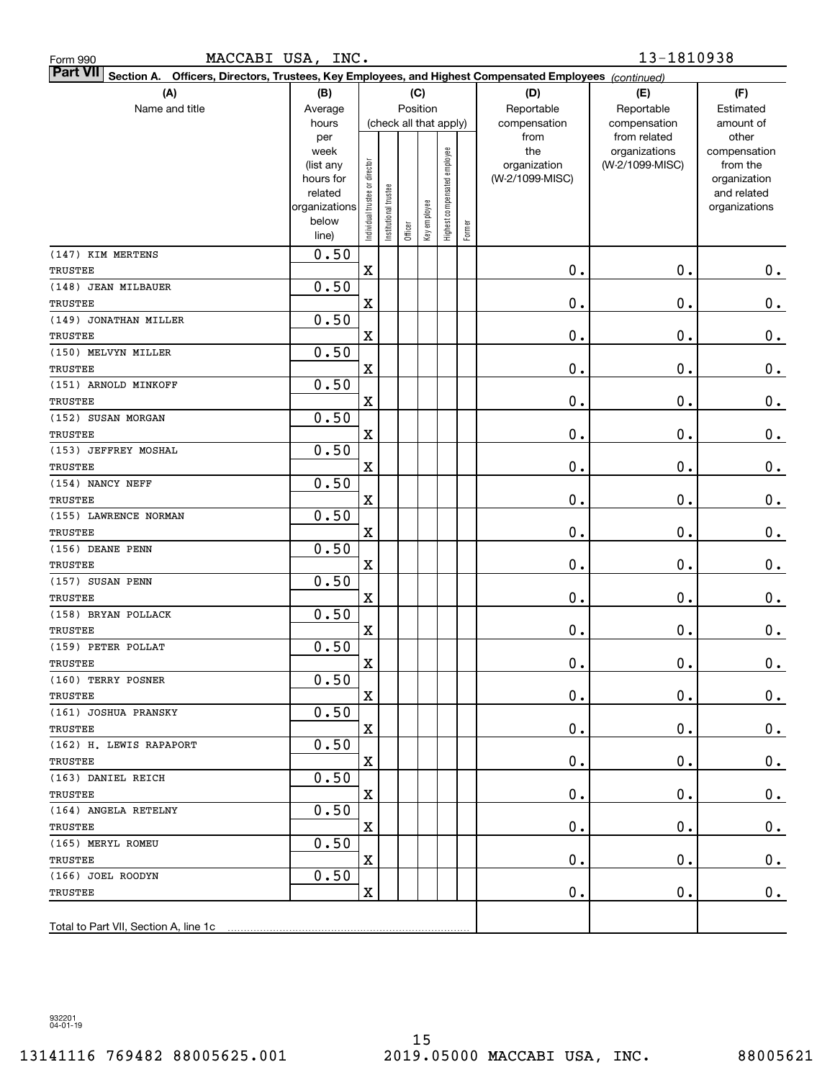| MACCABI USA, INC.<br>Form 990                                                                                             |                                                                                     |                                |                      |                                   |              |                              |        |                                                                | 13-1810938                                                       |                                                                                                |
|---------------------------------------------------------------------------------------------------------------------------|-------------------------------------------------------------------------------------|--------------------------------|----------------------|-----------------------------------|--------------|------------------------------|--------|----------------------------------------------------------------|------------------------------------------------------------------|------------------------------------------------------------------------------------------------|
| <b>Part VII</b><br>Section A. Officers, Directors, Trustees, Key Employees, and Highest Compensated Employees (continued) |                                                                                     |                                |                      |                                   |              |                              |        |                                                                |                                                                  |                                                                                                |
| (A)                                                                                                                       | (B)                                                                                 |                                |                      |                                   | (C)          |                              |        | (D)                                                            | (E)                                                              | (F)                                                                                            |
| Name and title                                                                                                            | Average                                                                             |                                |                      | Position                          |              |                              |        | Reportable                                                     | Reportable                                                       | Estimated                                                                                      |
|                                                                                                                           | hours<br>per<br>week<br>(list any<br>hours for<br>related<br>organizations<br>below | Individual trustee or director | nstitutional trustee | (check all that apply)<br>Officer | Key employee | Highest compensated employee | Former | compensation<br>from<br>the<br>organization<br>(W-2/1099-MISC) | compensation<br>from related<br>organizations<br>(W-2/1099-MISC) | amount of<br>other<br>compensation<br>from the<br>organization<br>and related<br>organizations |
|                                                                                                                           | line)                                                                               |                                |                      |                                   |              |                              |        |                                                                |                                                                  |                                                                                                |
| (147) KIM MERTENS<br>TRUSTEE                                                                                              | 0.50                                                                                | $\mathbf X$                    |                      |                                   |              |                              |        | $\mathbf 0$ .                                                  | 0.                                                               | 0.                                                                                             |
| (148) JEAN MILBAUER                                                                                                       | 0.50                                                                                |                                |                      |                                   |              |                              |        |                                                                |                                                                  |                                                                                                |
| <b>TRUSTEE</b>                                                                                                            |                                                                                     | X                              |                      |                                   |              |                              |        | $\mathbf 0$ .                                                  | 0.                                                               | $\mathbf 0$ .                                                                                  |
| (149) JONATHAN MILLER                                                                                                     | 0.50                                                                                |                                |                      |                                   |              |                              |        |                                                                |                                                                  |                                                                                                |
| <b>TRUSTEE</b>                                                                                                            |                                                                                     | X                              |                      |                                   |              |                              |        | $\mathbf 0$ .                                                  | 0.                                                               | $\mathbf 0$ .                                                                                  |
| (150) MELVYN MILLER                                                                                                       | 0.50                                                                                |                                |                      |                                   |              |                              |        |                                                                |                                                                  |                                                                                                |
| <b>TRUSTEE</b>                                                                                                            |                                                                                     | X                              |                      |                                   |              |                              |        | $\mathbf 0$ .                                                  | 0.                                                               | $\mathbf 0$ .                                                                                  |
| (151) ARNOLD MINKOFF                                                                                                      | 0.50                                                                                |                                |                      |                                   |              |                              |        |                                                                |                                                                  |                                                                                                |
| <b>TRUSTEE</b>                                                                                                            |                                                                                     | X                              |                      |                                   |              |                              |        | $\mathbf 0$ .                                                  | 0.                                                               | $\mathbf 0$ .                                                                                  |
| (152) SUSAN MORGAN                                                                                                        | 0.50                                                                                |                                |                      |                                   |              |                              |        |                                                                |                                                                  |                                                                                                |
| <b>TRUSTEE</b>                                                                                                            |                                                                                     | X                              |                      |                                   |              |                              |        | $\mathbf 0$ .                                                  | 0.                                                               | $\mathbf 0$ .                                                                                  |
| (153) JEFFREY MOSHAL                                                                                                      | 0.50                                                                                |                                |                      |                                   |              |                              |        |                                                                |                                                                  |                                                                                                |
| <b>TRUSTEE</b>                                                                                                            |                                                                                     | X                              |                      |                                   |              |                              |        | $\mathbf 0$ .                                                  | 0.                                                               | $\mathbf 0$ .                                                                                  |
| (154) NANCY NEFF                                                                                                          | 0.50                                                                                |                                |                      |                                   |              |                              |        |                                                                |                                                                  |                                                                                                |
| <b>TRUSTEE</b>                                                                                                            |                                                                                     | X                              |                      |                                   |              |                              |        | $\mathbf 0$ .                                                  | 0.                                                               | $\mathbf 0$ .                                                                                  |
| (155) LAWRENCE NORMAN                                                                                                     | 0.50                                                                                |                                |                      |                                   |              |                              |        |                                                                |                                                                  |                                                                                                |
| <b>TRUSTEE</b>                                                                                                            |                                                                                     | X                              |                      |                                   |              |                              |        | $\mathbf 0$ .                                                  | 0.                                                               | $\mathbf 0$ .                                                                                  |
| (156) DEANE PENN                                                                                                          | 0.50                                                                                |                                |                      |                                   |              |                              |        |                                                                |                                                                  |                                                                                                |
| <b>TRUSTEE</b>                                                                                                            |                                                                                     | X                              |                      |                                   |              |                              |        | $\mathbf 0$ .                                                  | 0.                                                               | 0.                                                                                             |
| (157) SUSAN PENN                                                                                                          | 0.50                                                                                |                                |                      |                                   |              |                              |        |                                                                |                                                                  |                                                                                                |
| <b>TRUSTEE</b>                                                                                                            |                                                                                     | X                              |                      |                                   |              |                              |        | $\mathbf 0$ .                                                  | 0.                                                               | 0.                                                                                             |
| (158) BRYAN POLLACK<br><b>TRUSTEE</b>                                                                                     | 0.50                                                                                |                                |                      |                                   |              |                              |        | $\mathbf 0$ .                                                  | 0.                                                               |                                                                                                |
| (159) PETER POLLAT                                                                                                        | 0.50                                                                                | X                              |                      |                                   |              |                              |        |                                                                |                                                                  | 0.                                                                                             |
| TRUSTEE                                                                                                                   |                                                                                     | $\mathbf X$                    |                      |                                   |              |                              |        | $\mathbf 0$ .                                                  | $\mathbf 0$ .                                                    | $0$ .                                                                                          |
| (160) TERRY POSNER                                                                                                        | 0.50                                                                                |                                |                      |                                   |              |                              |        |                                                                |                                                                  |                                                                                                |
| TRUSTEE                                                                                                                   |                                                                                     | X                              |                      |                                   |              |                              |        | 0.                                                             | 0.                                                               | 0.                                                                                             |
| (161) JOSHUA PRANSKY                                                                                                      | 0.50                                                                                |                                |                      |                                   |              |                              |        |                                                                |                                                                  |                                                                                                |
| TRUSTEE                                                                                                                   |                                                                                     | $\mathbf X$                    |                      |                                   |              |                              |        | 0.                                                             | 0.                                                               | 0.                                                                                             |
| (162) H. LEWIS RAPAPORT                                                                                                   | 0.50                                                                                |                                |                      |                                   |              |                              |        |                                                                |                                                                  |                                                                                                |
| TRUSTEE                                                                                                                   |                                                                                     | $\mathbf X$                    |                      |                                   |              |                              |        | 0.                                                             | 0.                                                               | 0.                                                                                             |
| (163) DANIEL REICH                                                                                                        | 0.50                                                                                |                                |                      |                                   |              |                              |        |                                                                |                                                                  |                                                                                                |
| TRUSTEE                                                                                                                   |                                                                                     | $\mathbf X$                    |                      |                                   |              |                              |        | 0.                                                             | 0.                                                               | 0.                                                                                             |
| (164) ANGELA RETELNY                                                                                                      | 0.50                                                                                |                                |                      |                                   |              |                              |        |                                                                |                                                                  |                                                                                                |
| TRUSTEE                                                                                                                   |                                                                                     | $\mathbf X$                    |                      |                                   |              |                              |        | 0.                                                             | $\mathbf 0$ .                                                    | 0.                                                                                             |
| (165) MERYL ROMEU                                                                                                         | 0.50                                                                                |                                |                      |                                   |              |                              |        |                                                                |                                                                  |                                                                                                |
| TRUSTEE                                                                                                                   |                                                                                     | $\mathbf X$                    |                      |                                   |              |                              |        | 0.                                                             | $\mathbf 0$ .                                                    | 0.                                                                                             |
| (166) JOEL ROODYN                                                                                                         | 0.50                                                                                |                                |                      |                                   |              |                              |        |                                                                |                                                                  |                                                                                                |
| TRUSTEE                                                                                                                   |                                                                                     | $\mathbf X$                    |                      |                                   |              |                              |        | $\mathbf 0$ .                                                  | 0.                                                               | 0.                                                                                             |
| Total to Part VII, Section A, line 1c                                                                                     |                                                                                     |                                |                      |                                   |              |                              |        |                                                                |                                                                  |                                                                                                |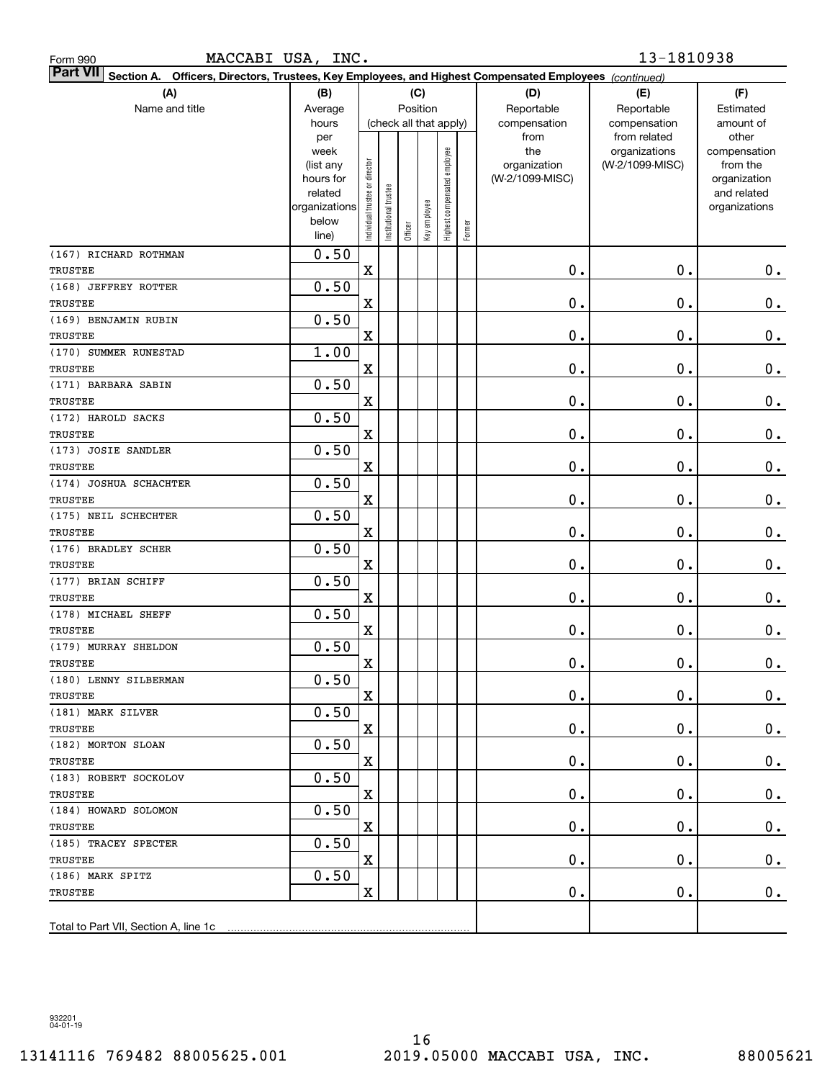| MACCABI USA, INC.<br>Form 990                                                                                             |                                                |                                |                      |                        |              |                              |        |                                                                | 13-1810938                                                       |                                                                |
|---------------------------------------------------------------------------------------------------------------------------|------------------------------------------------|--------------------------------|----------------------|------------------------|--------------|------------------------------|--------|----------------------------------------------------------------|------------------------------------------------------------------|----------------------------------------------------------------|
| <b>Part VII</b><br>Section A. Officers, Directors, Trustees, Key Employees, and Highest Compensated Employees (continued) |                                                |                                |                      |                        |              |                              |        |                                                                |                                                                  |                                                                |
| (A)                                                                                                                       | (B)                                            |                                |                      |                        | (C)          |                              |        | (D)                                                            | (E)                                                              | (F)                                                            |
| Name and title                                                                                                            | Average                                        |                                |                      | Position               |              |                              |        | Reportable                                                     | Reportable                                                       | Estimated                                                      |
|                                                                                                                           | hours<br>per<br>week<br>(list any<br>hours for |                                |                      | (check all that apply) |              |                              |        | compensation<br>from<br>the<br>organization<br>(W-2/1099-MISC) | compensation<br>from related<br>organizations<br>(W-2/1099-MISC) | amount of<br>other<br>compensation<br>from the<br>organization |
|                                                                                                                           | related<br>organizations<br>below<br>line)     | Individual trustee or director | nstitutional trustee | Officer                | Key employee | Highest compensated employee | Former |                                                                |                                                                  | and related<br>organizations                                   |
| (167) RICHARD ROTHMAN                                                                                                     | 0.50                                           |                                |                      |                        |              |                              |        |                                                                |                                                                  |                                                                |
| <b>TRUSTEE</b>                                                                                                            |                                                | $\mathbf X$                    |                      |                        |              |                              |        | $\mathbf 0$ .                                                  | 0.                                                               | 0.                                                             |
| (168) JEFFREY ROTTER                                                                                                      | 0.50                                           |                                |                      |                        |              |                              |        |                                                                |                                                                  |                                                                |
| <b>TRUSTEE</b>                                                                                                            |                                                | X                              |                      |                        |              |                              |        | $\mathbf 0$ .                                                  | 0.                                                               | $\mathbf 0$ .                                                  |
| (169) BENJAMIN RUBIN                                                                                                      | 0.50                                           |                                |                      |                        |              |                              |        |                                                                |                                                                  |                                                                |
| <b>TRUSTEE</b>                                                                                                            |                                                | X                              |                      |                        |              |                              |        | $\mathbf 0$ .                                                  | 0.                                                               | $\mathbf 0$ .                                                  |
| (170) SUMMER RUNESTAD                                                                                                     | 1.00                                           |                                |                      |                        |              |                              |        | $\mathbf 0$ .                                                  |                                                                  |                                                                |
| <b>TRUSTEE</b>                                                                                                            | 0.50                                           | X                              |                      |                        |              |                              |        |                                                                | 0.                                                               | $\mathbf 0$ .                                                  |
| (171) BARBARA SABIN<br><b>TRUSTEE</b>                                                                                     |                                                | X                              |                      |                        |              |                              |        | $\mathbf 0$ .                                                  | 0.                                                               | $\mathbf 0$ .                                                  |
| (172) HAROLD SACKS                                                                                                        | 0.50                                           |                                |                      |                        |              |                              |        |                                                                |                                                                  |                                                                |
| <b>TRUSTEE</b>                                                                                                            |                                                | X                              |                      |                        |              |                              |        | $\mathbf 0$ .                                                  | 0.                                                               | $\mathbf 0$ .                                                  |
| (173) JOSIE SANDLER                                                                                                       | 0.50                                           |                                |                      |                        |              |                              |        |                                                                |                                                                  |                                                                |
| <b>TRUSTEE</b>                                                                                                            |                                                | X                              |                      |                        |              |                              |        | $\mathbf 0$ .                                                  | 0.                                                               | $\mathbf 0$ .                                                  |
| (174) JOSHUA SCHACHTER                                                                                                    | 0.50                                           |                                |                      |                        |              |                              |        |                                                                |                                                                  |                                                                |
| <b>TRUSTEE</b>                                                                                                            |                                                | X                              |                      |                        |              |                              |        | $\mathbf 0$ .                                                  | 0.                                                               | $\mathbf 0$ .                                                  |
| (175) NEIL SCHECHTER                                                                                                      | 0.50                                           |                                |                      |                        |              |                              |        |                                                                |                                                                  |                                                                |
| <b>TRUSTEE</b>                                                                                                            |                                                | X                              |                      |                        |              |                              |        | $\mathbf 0$ .                                                  | 0.                                                               | $\mathbf 0$ .                                                  |
| (176) BRADLEY SCHER                                                                                                       | 0.50                                           |                                |                      |                        |              |                              |        |                                                                |                                                                  |                                                                |
| <b>TRUSTEE</b>                                                                                                            |                                                | X                              |                      |                        |              |                              |        | $\mathbf 0$ .                                                  | 0.                                                               | 0.                                                             |
| (177) BRIAN SCHIFF                                                                                                        | 0.50                                           |                                |                      |                        |              |                              |        |                                                                |                                                                  |                                                                |
| <b>TRUSTEE</b>                                                                                                            |                                                | X                              |                      |                        |              |                              |        | $\mathbf 0$ .                                                  | 0.                                                               | 0.                                                             |
| (178) MICHAEL SHEFF                                                                                                       | 0.50                                           |                                |                      |                        |              |                              |        |                                                                |                                                                  |                                                                |
| <b>TRUSTEE</b>                                                                                                            |                                                | X                              |                      |                        |              |                              |        | $\mathbf 0$ .                                                  | 0.                                                               | 0.                                                             |
| (179) MURRAY SHELDON                                                                                                      | 0.50                                           |                                |                      |                        |              |                              |        |                                                                |                                                                  |                                                                |
| TRUSTEE                                                                                                                   |                                                | $\mathbf X$                    |                      |                        |              |                              |        | $\mathbf 0$ .                                                  | $\mathbf 0$ .                                                    | $0$ .                                                          |
| (180) LENNY SILBERMAN                                                                                                     | 0.50                                           |                                |                      |                        |              |                              |        |                                                                |                                                                  |                                                                |
| TRUSTEE                                                                                                                   |                                                | X                              |                      |                        |              |                              |        | 0.                                                             | 0.                                                               | 0.                                                             |
| (181) MARK SILVER                                                                                                         | 0.50                                           |                                |                      |                        |              |                              |        |                                                                |                                                                  |                                                                |
| TRUSTEE                                                                                                                   |                                                | $\mathbf X$                    |                      |                        |              |                              |        | $\mathbf 0$ .                                                  | 0.                                                               | 0.                                                             |
| (182) MORTON SLOAN                                                                                                        | 0.50                                           |                                |                      |                        |              |                              |        |                                                                |                                                                  |                                                                |
| <b>TRUSTEE</b>                                                                                                            |                                                | $\mathbf X$                    |                      |                        |              |                              |        | $\mathbf 0$ .                                                  | 0.                                                               | 0.                                                             |
| (183) ROBERT SOCKOLOV                                                                                                     | 0.50                                           |                                |                      |                        |              |                              |        |                                                                |                                                                  |                                                                |
| TRUSTEE                                                                                                                   | 0.50                                           | $\mathbf X$                    |                      |                        |              |                              |        | 0.                                                             | 0.                                                               | 0.                                                             |
| (184) HOWARD SOLOMON<br>TRUSTEE                                                                                           |                                                | $\mathbf X$                    |                      |                        |              |                              |        | 0.                                                             | 0.                                                               | 0.                                                             |
| (185) TRACEY SPECTER                                                                                                      | 0.50                                           |                                |                      |                        |              |                              |        |                                                                |                                                                  |                                                                |
| TRUSTEE                                                                                                                   |                                                | $\mathbf X$                    |                      |                        |              |                              |        | $\mathbf 0$ .                                                  | $\mathbf 0$ .                                                    | 0.                                                             |
| (186) MARK SPITZ                                                                                                          | 0.50                                           |                                |                      |                        |              |                              |        |                                                                |                                                                  |                                                                |
| TRUSTEE                                                                                                                   |                                                | $\mathbf X$                    |                      |                        |              |                              |        | $\mathbf 0$ .                                                  | 0.                                                               | 0.                                                             |
|                                                                                                                           |                                                |                                |                      |                        |              |                              |        |                                                                |                                                                  |                                                                |
| Total to Part VII, Section A, line 1c                                                                                     |                                                |                                |                      |                        |              |                              |        |                                                                |                                                                  |                                                                |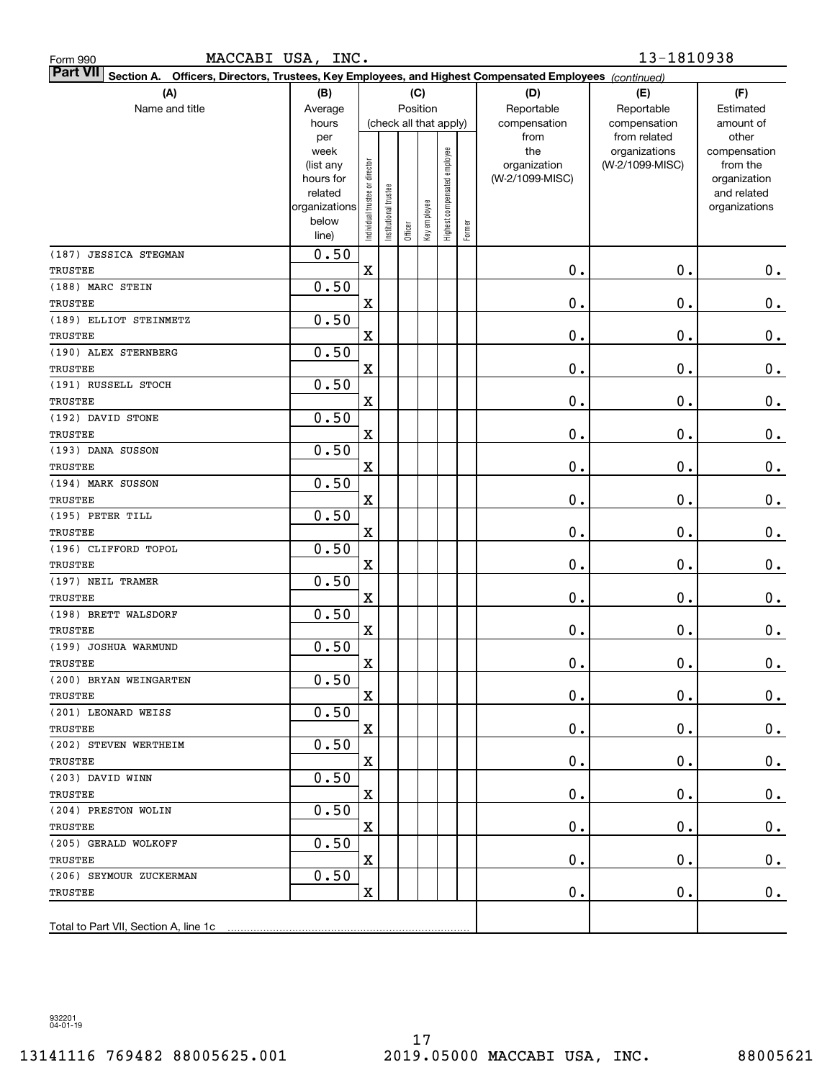| MACCABI USA, INC.<br>Form 990                                                                                             |                        |                                |                       |         |                        |                              |        |                      | 13-1810938                   |                    |
|---------------------------------------------------------------------------------------------------------------------------|------------------------|--------------------------------|-----------------------|---------|------------------------|------------------------------|--------|----------------------|------------------------------|--------------------|
| <b>Part VII</b><br>Section A. Officers, Directors, Trustees, Key Employees, and Highest Compensated Employees (continued) |                        |                                |                       |         |                        |                              |        |                      |                              |                    |
| (A)                                                                                                                       | (B)                    |                                |                       |         | (C)                    |                              |        | (D)                  | (E)                          | (F)                |
| Name and title                                                                                                            | Average                |                                |                       |         | Position               |                              |        | Reportable           | Reportable                   | Estimated          |
|                                                                                                                           | hours                  |                                |                       |         | (check all that apply) |                              |        | compensation<br>from | compensation<br>from related | amount of<br>other |
|                                                                                                                           | per<br>week            |                                |                       |         |                        |                              |        | the                  | organizations                | compensation       |
|                                                                                                                           | (list any              |                                |                       |         |                        |                              |        | organization         | (W-2/1099-MISC)              | from the           |
|                                                                                                                           | hours for              |                                |                       |         |                        |                              |        | (W-2/1099-MISC)      |                              | organization       |
|                                                                                                                           | related                |                                |                       |         |                        |                              |        |                      |                              | and related        |
|                                                                                                                           | organizations<br>below |                                |                       |         |                        |                              |        |                      |                              | organizations      |
|                                                                                                                           | line)                  | Individual trustee or director | Institutional trustee | Officer | Key employee           | Highest compensated employee | Former |                      |                              |                    |
| (187) JESSICA STEGMAN                                                                                                     | 0.50                   |                                |                       |         |                        |                              |        |                      |                              |                    |
| TRUSTEE                                                                                                                   |                        | $\mathbf X$                    |                       |         |                        |                              |        | 0.                   | 0.                           | 0.                 |
| (188) MARC STEIN                                                                                                          | 0.50                   |                                |                       |         |                        |                              |        |                      |                              |                    |
| TRUSTEE                                                                                                                   |                        | $\mathbf X$                    |                       |         |                        |                              |        | 0.                   | 0.                           | $0$ .              |
| (189) ELLIOT STEINMETZ                                                                                                    | 0.50                   |                                |                       |         |                        |                              |        |                      |                              |                    |
| TRUSTEE                                                                                                                   |                        | $\mathbf X$                    |                       |         |                        |                              |        | 0.                   | 0.                           | $0$ .              |
| (190) ALEX STERNBERG                                                                                                      | 0.50                   |                                |                       |         |                        |                              |        |                      |                              |                    |
| TRUSTEE                                                                                                                   |                        | $\mathbf X$                    |                       |         |                        |                              |        | 0.                   | 0.                           | $0$ .              |
| (191) RUSSELL STOCH                                                                                                       | 0.50                   |                                |                       |         |                        |                              |        |                      |                              |                    |
| <b>TRUSTEE</b>                                                                                                            |                        | $\mathbf X$                    |                       |         |                        |                              |        | 0.                   | 0.                           | 0.                 |
| (192) DAVID STONE                                                                                                         | 0.50                   |                                |                       |         |                        |                              |        |                      |                              |                    |
| <b>TRUSTEE</b>                                                                                                            |                        | $\mathbf X$                    |                       |         |                        |                              |        | 0.                   | 0.                           | 0.                 |
| (193) DANA SUSSON                                                                                                         | 0.50                   |                                |                       |         |                        |                              |        |                      |                              |                    |
| <b>TRUSTEE</b>                                                                                                            |                        | $\mathbf X$                    |                       |         |                        |                              |        | 0.                   | 0.                           | $0$ .              |
| (194) MARK SUSSON                                                                                                         | 0.50                   |                                |                       |         |                        |                              |        |                      |                              |                    |
| <b>TRUSTEE</b>                                                                                                            | 0.50                   | $\mathbf X$                    |                       |         |                        |                              |        | 0.                   | 0.                           | $0$ .              |
| (195) PETER TILL<br><b>TRUSTEE</b>                                                                                        |                        | $\mathbf X$                    |                       |         |                        |                              |        | 0.                   | 0.                           | $0$ .              |
| (196) CLIFFORD TOPOL                                                                                                      | 0.50                   |                                |                       |         |                        |                              |        |                      |                              |                    |
| TRUSTEE                                                                                                                   |                        | $\mathbf X$                    |                       |         |                        |                              |        | 0.                   | 0.                           | $0$ .              |
| (197) NEIL TRAMER                                                                                                         | 0.50                   |                                |                       |         |                        |                              |        |                      |                              |                    |
| TRUSTEE                                                                                                                   |                        | $\mathbf X$                    |                       |         |                        |                              |        | 0.                   | 0.                           | 0.                 |
| (198) BRETT WALSDORF                                                                                                      | 0.50                   |                                |                       |         |                        |                              |        |                      |                              |                    |
| TRUSTEE                                                                                                                   |                        | $\mathbf X$                    |                       |         |                        |                              |        | 0.                   | 0.                           | 0.                 |
| (199) JOSHUA WARMUND                                                                                                      | 0.50                   |                                |                       |         |                        |                              |        |                      |                              |                    |
| TRUSTEE                                                                                                                   |                        | $\mathbf X$                    |                       |         |                        |                              |        | $\mathbf 0$ .        | $\mathbf 0$ .                | 0.                 |
| (200) BRYAN WEINGARTEN                                                                                                    | 0.50                   |                                |                       |         |                        |                              |        |                      |                              |                    |
| TRUSTEE                                                                                                                   |                        | X                              |                       |         |                        |                              |        | 0.                   | 0.                           | 0.                 |
| (201) LEONARD WEISS                                                                                                       | 0.50                   |                                |                       |         |                        |                              |        |                      |                              |                    |
| TRUSTEE                                                                                                                   |                        | $\mathbf X$                    |                       |         |                        |                              |        | 0.                   | О.                           | $0$ .              |
| (202) STEVEN WERTHEIM                                                                                                     | 0.50                   |                                |                       |         |                        |                              |        |                      |                              |                    |
| TRUSTEE                                                                                                                   |                        | $\mathbf X$                    |                       |         |                        |                              |        | 0.                   | О.                           | $0$ .              |
| (203) DAVID WINN                                                                                                          | 0.50                   |                                |                       |         |                        |                              |        |                      |                              |                    |
| TRUSTEE                                                                                                                   |                        | $\mathbf X$                    |                       |         |                        |                              |        | 0.                   | О.                           | $0$ .              |
| (204) PRESTON WOLIN                                                                                                       | 0.50                   |                                |                       |         |                        |                              |        |                      |                              |                    |
| TRUSTEE                                                                                                                   |                        | $\mathbf X$                    |                       |         |                        |                              |        | 0.                   | О.                           | $0$ .              |
| (205) GERALD WOLKOFF                                                                                                      | 0.50                   |                                |                       |         |                        |                              |        |                      |                              |                    |
| TRUSTEE                                                                                                                   |                        | $\mathbf X$                    |                       |         |                        |                              |        | 0.                   | О.                           | $0$ .              |
| (206) SEYMOUR ZUCKERMAN                                                                                                   | 0.50                   |                                |                       |         |                        |                              |        |                      |                              |                    |
| TRUSTEE                                                                                                                   |                        | $\mathbf X$                    |                       |         |                        |                              |        | 0.                   | 0.                           | 0.                 |
| Total to Part VII, Section A, line 1c                                                                                     |                        |                                |                       |         |                        |                              |        |                      |                              |                    |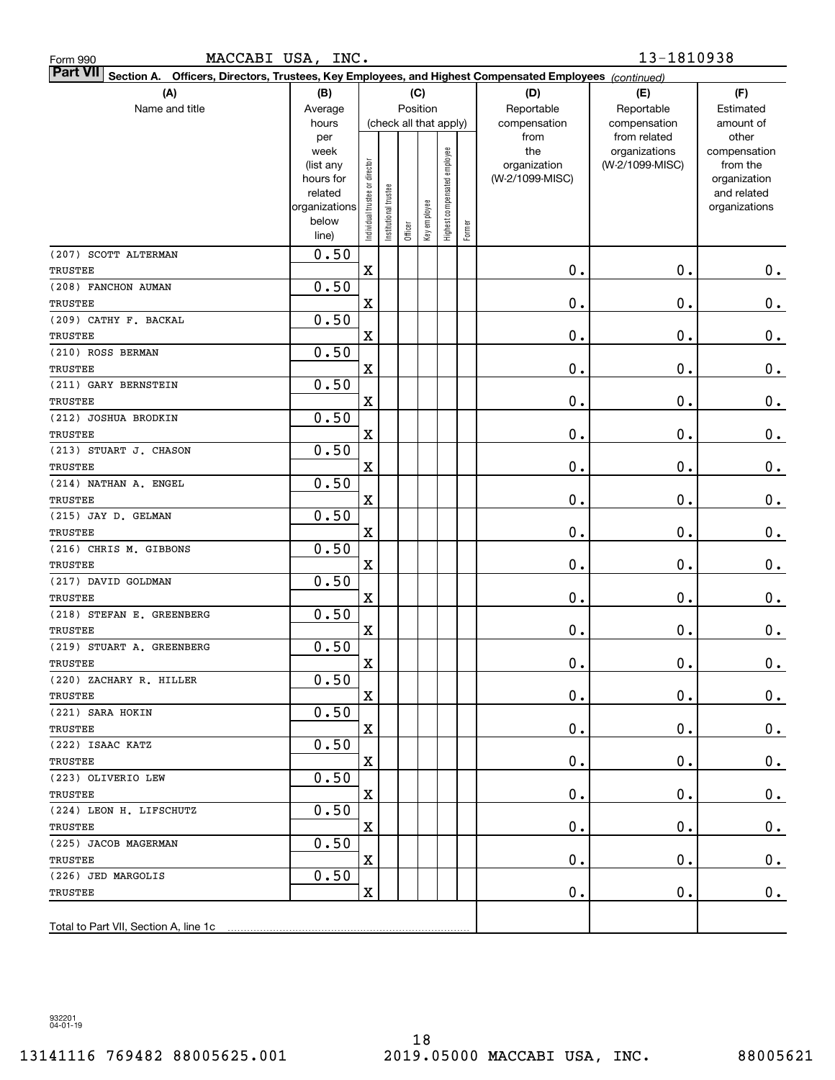| MACCABI USA, INC.<br>Form 990                                                                                                |                                                                                              |                                |                       |         |                                        |                              |        |                                                                | 13-1810938                                                       |                                                                                                |
|------------------------------------------------------------------------------------------------------------------------------|----------------------------------------------------------------------------------------------|--------------------------------|-----------------------|---------|----------------------------------------|------------------------------|--------|----------------------------------------------------------------|------------------------------------------------------------------|------------------------------------------------------------------------------------------------|
| <b>Part VII</b><br>Officers, Directors, Trustees, Key Employees, and Highest Compensated Employees (continued)<br>Section A. |                                                                                              |                                |                       |         |                                        |                              |        |                                                                |                                                                  |                                                                                                |
| (A)                                                                                                                          | (B)                                                                                          |                                |                       |         | (C)                                    |                              |        | (D)                                                            | (E)                                                              | (F)                                                                                            |
| Name and title                                                                                                               | Average                                                                                      |                                |                       |         | Position                               |                              |        | Reportable                                                     | Reportable                                                       | Estimated                                                                                      |
|                                                                                                                              | hours<br>per<br>week<br>(list any<br>hours for<br>related<br>organizations<br>below<br>line) | Individual trustee or director | Institutional trustee | Officer | (check all that apply)<br>Key employee | Highest compensated employee | Former | compensation<br>from<br>the<br>organization<br>(W-2/1099-MISC) | compensation<br>from related<br>organizations<br>(W-2/1099-MISC) | amount of<br>other<br>compensation<br>from the<br>organization<br>and related<br>organizations |
| (207) SCOTT ALTERMAN                                                                                                         | 0.50                                                                                         |                                |                       |         |                                        |                              |        |                                                                |                                                                  |                                                                                                |
| TRUSTEE                                                                                                                      |                                                                                              | $\mathbf X$                    |                       |         |                                        |                              |        | 0.                                                             | 0.                                                               | $0$ .                                                                                          |
| (208) FANCHON AUMAN                                                                                                          | 0.50                                                                                         |                                |                       |         |                                        |                              |        |                                                                |                                                                  |                                                                                                |
| TRUSTEE                                                                                                                      |                                                                                              | X                              |                       |         |                                        |                              |        | 0.                                                             | $\mathbf 0$ .                                                    | $\mathbf 0$ .                                                                                  |
| (209) CATHY F. BACKAL                                                                                                        | 0.50                                                                                         |                                |                       |         |                                        |                              |        |                                                                |                                                                  |                                                                                                |
| TRUSTEE                                                                                                                      |                                                                                              | X                              |                       |         |                                        |                              |        | 0.                                                             | $\mathbf 0$ .                                                    | $\mathbf 0$ .                                                                                  |
| (210) ROSS BERMAN                                                                                                            | 0.50                                                                                         |                                |                       |         |                                        |                              |        |                                                                |                                                                  |                                                                                                |
| TRUSTEE                                                                                                                      |                                                                                              | X                              |                       |         |                                        |                              |        | 0.                                                             | $\mathbf 0$ .                                                    | $\mathbf 0$ .                                                                                  |
| (211) GARY BERNSTEIN                                                                                                         | 0.50                                                                                         |                                |                       |         |                                        |                              |        |                                                                |                                                                  |                                                                                                |
| TRUSTEE                                                                                                                      |                                                                                              | X                              |                       |         |                                        |                              |        | 0.                                                             | $\mathbf 0$ .                                                    | $\mathbf 0$ .                                                                                  |
| (212) JOSHUA BRODKIN                                                                                                         | 0.50                                                                                         |                                |                       |         |                                        |                              |        |                                                                |                                                                  |                                                                                                |
| <b>TRUSTEE</b>                                                                                                               |                                                                                              | X                              |                       |         |                                        |                              |        | 0.                                                             | $\mathbf 0$ .                                                    | $\mathbf 0$ .                                                                                  |
| (213) STUART J. CHASON                                                                                                       | 0.50                                                                                         |                                |                       |         |                                        |                              |        |                                                                |                                                                  |                                                                                                |
| TRUSTEE                                                                                                                      |                                                                                              | X                              |                       |         |                                        |                              |        | 0.                                                             | $\mathbf 0$ .                                                    | $0$ .                                                                                          |
| (214) NATHAN A. ENGEL                                                                                                        | 0.50                                                                                         |                                |                       |         |                                        |                              |        |                                                                |                                                                  |                                                                                                |
| TRUSTEE                                                                                                                      |                                                                                              | X                              |                       |         |                                        |                              |        | 0.                                                             | $\mathbf 0$ .                                                    | $0$ .                                                                                          |
| (215) JAY D. GELMAN                                                                                                          | 0.50                                                                                         |                                |                       |         |                                        |                              |        |                                                                |                                                                  |                                                                                                |
| TRUSTEE                                                                                                                      |                                                                                              | X                              |                       |         |                                        |                              |        | 0.                                                             | $\mathbf 0$ .                                                    | $\mathbf 0$ .                                                                                  |
| (216) CHRIS M. GIBBONS                                                                                                       | 0.50                                                                                         |                                |                       |         |                                        |                              |        |                                                                |                                                                  |                                                                                                |
| TRUSTEE                                                                                                                      |                                                                                              | X                              |                       |         |                                        |                              |        | 0.                                                             | $\mathbf 0$ .                                                    | 0.                                                                                             |
| (217) DAVID GOLDMAN<br>TRUSTEE                                                                                               | 0.50                                                                                         | X                              |                       |         |                                        |                              |        | 0.                                                             | 0.                                                               | 0.                                                                                             |
| (218) STEFAN E. GREENBERG                                                                                                    | 0.50                                                                                         |                                |                       |         |                                        |                              |        |                                                                |                                                                  |                                                                                                |
| TRUSTEE                                                                                                                      |                                                                                              | $\mathbf X$                    |                       |         |                                        |                              |        | $\mathbf 0$ .                                                  | 0.                                                               | 0.                                                                                             |
| (219) STUART A. GREENBERG                                                                                                    | 0.50                                                                                         |                                |                       |         |                                        |                              |        |                                                                |                                                                  |                                                                                                |
| TRUSTEE                                                                                                                      |                                                                                              | $\mathbf X$                    |                       |         |                                        |                              |        | $\mathbf 0$ .                                                  | $\mathbf 0$ .                                                    | $\mathbf 0$ .                                                                                  |
| (220) ZACHARY R. HILLER                                                                                                      | 0.50                                                                                         |                                |                       |         |                                        |                              |        |                                                                |                                                                  |                                                                                                |
| TRUSTEE                                                                                                                      |                                                                                              | X                              |                       |         |                                        |                              |        | 0.                                                             | $\mathbf 0$ .                                                    | 0.                                                                                             |
| (221) SARA HOKIN                                                                                                             | 0.50                                                                                         |                                |                       |         |                                        |                              |        |                                                                |                                                                  |                                                                                                |
| TRUSTEE                                                                                                                      |                                                                                              | X                              |                       |         |                                        |                              |        | 0.                                                             | $\mathbf 0$ .                                                    | 0.                                                                                             |
| (222) ISAAC KATZ                                                                                                             | 0.50                                                                                         |                                |                       |         |                                        |                              |        |                                                                |                                                                  |                                                                                                |
| TRUSTEE                                                                                                                      |                                                                                              | X                              |                       |         |                                        |                              |        | 0.                                                             | $\mathbf 0$ .                                                    | 0.                                                                                             |
| (223) OLIVERIO LEW                                                                                                           | 0.50                                                                                         |                                |                       |         |                                        |                              |        |                                                                |                                                                  |                                                                                                |
| TRUSTEE                                                                                                                      |                                                                                              | X                              |                       |         |                                        |                              |        | 0.                                                             | $\mathbf 0$ .                                                    | 0.                                                                                             |
| (224) LEON H. LIFSCHUTZ                                                                                                      | 0.50                                                                                         |                                |                       |         |                                        |                              |        |                                                                |                                                                  |                                                                                                |
| TRUSTEE                                                                                                                      |                                                                                              | X                              |                       |         |                                        |                              |        | 0.                                                             | $\mathbf 0$ .                                                    | 0.                                                                                             |
| (225) JACOB MAGERMAN                                                                                                         | 0.50                                                                                         |                                |                       |         |                                        |                              |        |                                                                |                                                                  |                                                                                                |
| TRUSTEE                                                                                                                      |                                                                                              | X                              |                       |         |                                        |                              |        | 0.                                                             | $\mathbf 0$ .                                                    | 0.                                                                                             |
| (226) JED MARGOLIS                                                                                                           | 0.50                                                                                         |                                |                       |         |                                        |                              |        |                                                                |                                                                  |                                                                                                |
| TRUSTEE                                                                                                                      |                                                                                              | X                              |                       |         |                                        |                              |        | 0.                                                             | 0.                                                               | 0.                                                                                             |
| Total to Part VII, Section A, line 1c                                                                                        |                                                                                              |                                |                       |         |                                        |                              |        |                                                                |                                                                  |                                                                                                |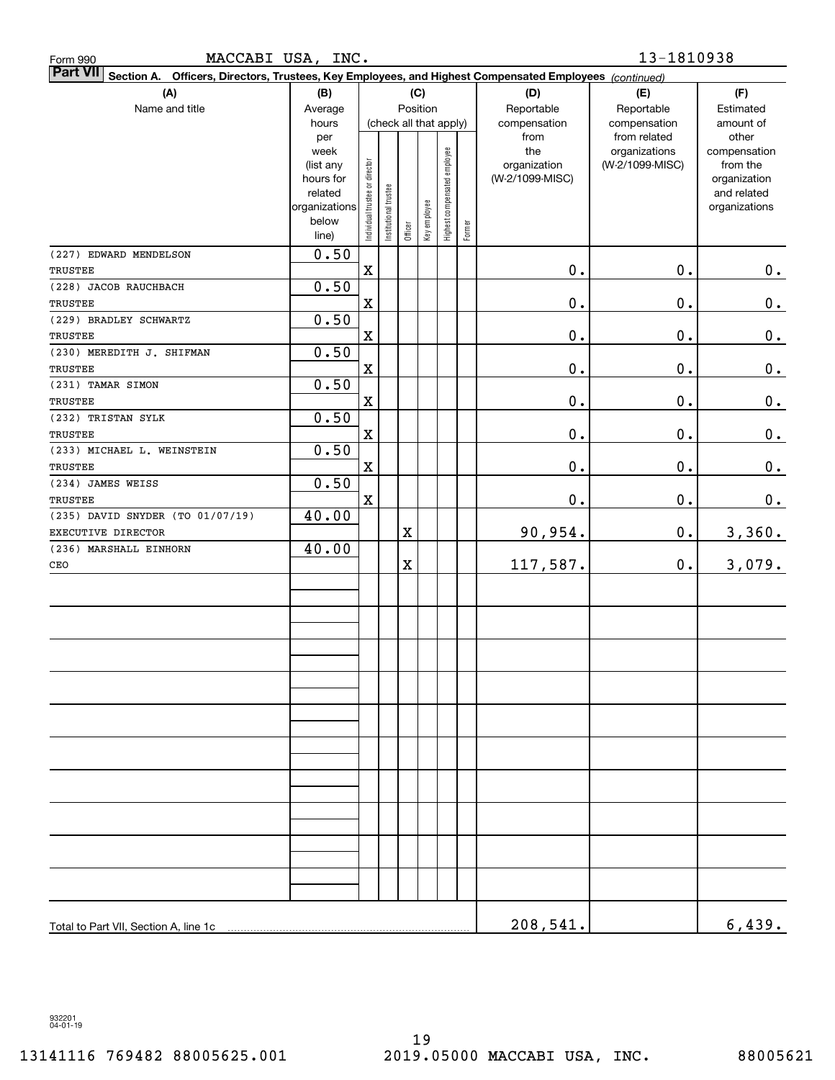| Form 990                                 | MACCABI USA, INC.                                                                   |                                |                       |                                   |              |                              |        |                                                                                             | 13-1810938                                                       |                                                                                                |
|------------------------------------------|-------------------------------------------------------------------------------------|--------------------------------|-----------------------|-----------------------------------|--------------|------------------------------|--------|---------------------------------------------------------------------------------------------|------------------------------------------------------------------|------------------------------------------------------------------------------------------------|
| <b>Part VII</b><br>Section A.            |                                                                                     |                                |                       |                                   |              |                              |        | Officers, Directors, Trustees, Key Employees, and Highest Compensated Employees (continued) |                                                                  |                                                                                                |
| (A)                                      | (B)                                                                                 |                                |                       |                                   | (C)          |                              |        | (D)                                                                                         | (E)                                                              | (F)                                                                                            |
| Name and title                           | Average                                                                             |                                |                       |                                   | Position     |                              |        | Reportable                                                                                  | Reportable                                                       | Estimated                                                                                      |
|                                          | hours<br>per<br>week<br>(list any<br>hours for<br>related<br>organizations<br>below | Individual trustee or director | Institutional trustee | (check all that apply)<br>Officer | Key employee | Highest compensated employee | Former | compensation<br>from<br>the<br>organization<br>(W-2/1099-MISC)                              | compensation<br>from related<br>organizations<br>(W-2/1099-MISC) | amount of<br>other<br>compensation<br>from the<br>organization<br>and related<br>organizations |
|                                          | line)                                                                               |                                |                       |                                   |              |                              |        |                                                                                             |                                                                  |                                                                                                |
| (227) EDWARD MENDELSON                   | 0.50                                                                                |                                |                       |                                   |              |                              |        |                                                                                             |                                                                  |                                                                                                |
| <b>TRUSTEE</b>                           |                                                                                     | $\mathbf X$                    |                       |                                   |              |                              |        | 0.                                                                                          | 0.                                                               | 0.                                                                                             |
| (228) JACOB RAUCHBACH                    | 0.50                                                                                |                                |                       |                                   |              |                              |        |                                                                                             |                                                                  |                                                                                                |
| <b>TRUSTEE</b>                           |                                                                                     | $\mathbf X$                    |                       |                                   |              |                              |        | 0.                                                                                          | 0.                                                               | 0.                                                                                             |
| (229) BRADLEY SCHWARTZ<br><b>TRUSTEE</b> | 0.50                                                                                | $\mathbf X$                    |                       |                                   |              |                              |        | 0.                                                                                          | 0.                                                               |                                                                                                |
| (230) MEREDITH J. SHIFMAN                | 0.50                                                                                |                                |                       |                                   |              |                              |        |                                                                                             |                                                                  | $\pmb{0}$ .                                                                                    |
| <b>TRUSTEE</b>                           |                                                                                     | $\mathbf X$                    |                       |                                   |              |                              |        | 0.                                                                                          | 0.                                                               | 0.                                                                                             |
| (231) TAMAR SIMON                        | 0.50                                                                                |                                |                       |                                   |              |                              |        |                                                                                             |                                                                  |                                                                                                |
| <b>TRUSTEE</b>                           |                                                                                     | $\mathbf X$                    |                       |                                   |              |                              |        | 0.                                                                                          | 0.                                                               | 0.                                                                                             |
| (232) TRISTAN SYLK                       | 0.50                                                                                |                                |                       |                                   |              |                              |        |                                                                                             |                                                                  |                                                                                                |
| <b>TRUSTEE</b>                           |                                                                                     | $\mathbf X$                    |                       |                                   |              |                              |        | 0.                                                                                          | 0.                                                               | 0.                                                                                             |
| (233) MICHAEL L. WEINSTEIN               | 0.50                                                                                |                                |                       |                                   |              |                              |        |                                                                                             |                                                                  |                                                                                                |
| <b>TRUSTEE</b>                           |                                                                                     | $\mathbf X$                    |                       |                                   |              |                              |        | 0.                                                                                          | 0.                                                               | 0.                                                                                             |
| (234) JAMES WEISS                        | 0.50                                                                                |                                |                       |                                   |              |                              |        |                                                                                             |                                                                  |                                                                                                |
| TRUSTEE                                  |                                                                                     | $\mathbf X$                    |                       |                                   |              |                              |        | 0.                                                                                          | 0.                                                               | 0.                                                                                             |
| (235) DAVID SNYDER (TO 01/07/19)         | 40.00                                                                               |                                |                       |                                   |              |                              |        |                                                                                             |                                                                  |                                                                                                |
| EXECUTIVE DIRECTOR                       |                                                                                     |                                |                       | X                                 |              |                              |        | 90,954.                                                                                     | 0.                                                               | 3,360.                                                                                         |
| (236) MARSHALL EINHORN<br>CEO            | 40.00                                                                               |                                |                       | $\mathbf X$                       |              |                              |        | 117,587.                                                                                    | 0.                                                               |                                                                                                |
|                                          |                                                                                     |                                |                       |                                   |              |                              |        |                                                                                             |                                                                  | 3,079.                                                                                         |
|                                          |                                                                                     |                                |                       |                                   |              |                              |        |                                                                                             |                                                                  |                                                                                                |
|                                          |                                                                                     |                                |                       |                                   |              |                              |        |                                                                                             |                                                                  |                                                                                                |
|                                          |                                                                                     |                                |                       |                                   |              |                              |        |                                                                                             |                                                                  |                                                                                                |
|                                          |                                                                                     |                                |                       |                                   |              |                              |        |                                                                                             |                                                                  |                                                                                                |
|                                          |                                                                                     |                                |                       |                                   |              |                              |        |                                                                                             |                                                                  |                                                                                                |
|                                          |                                                                                     |                                |                       |                                   |              |                              |        |                                                                                             |                                                                  |                                                                                                |
|                                          |                                                                                     |                                |                       |                                   |              |                              |        |                                                                                             |                                                                  |                                                                                                |
|                                          |                                                                                     |                                |                       |                                   |              |                              |        |                                                                                             |                                                                  |                                                                                                |
| Total to Part VII, Section A, line 1c    |                                                                                     |                                |                       |                                   |              |                              |        | 208,541.                                                                                    |                                                                  | 6,439.                                                                                         |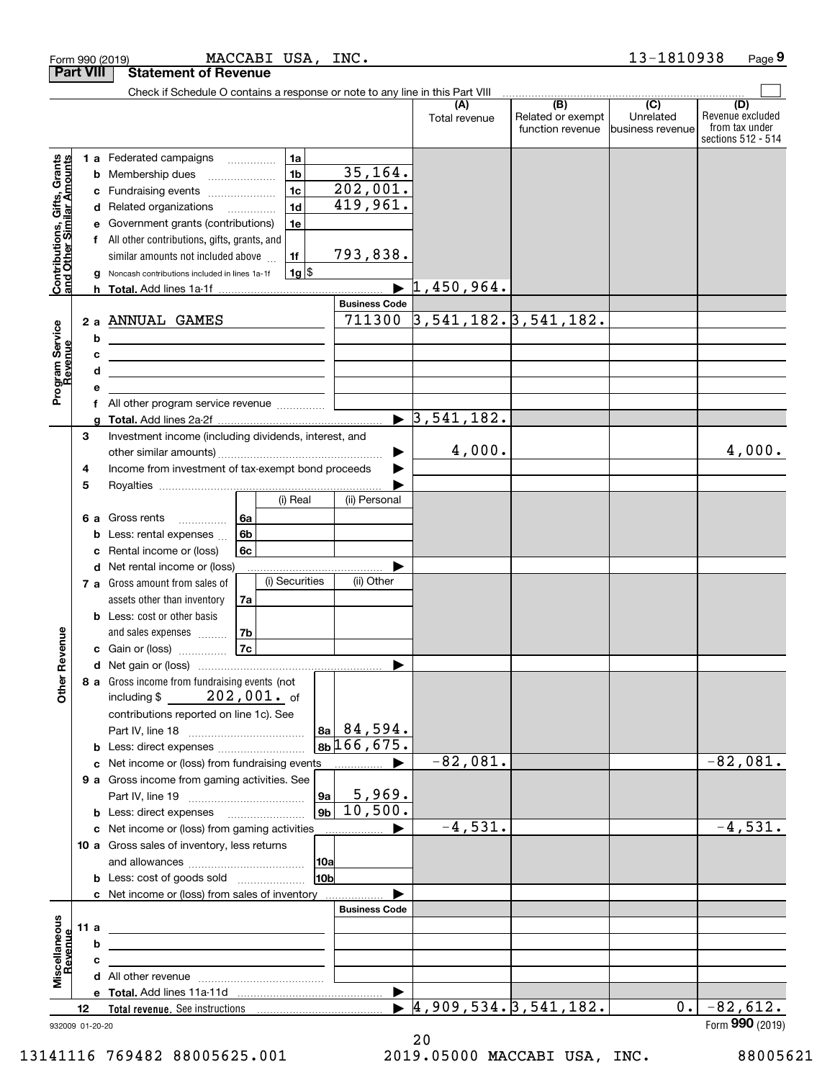|                                                           | <b>Part VIII</b> | <b>Statement of Revenue</b>                                                                                                                                                                                                                                                                                                                                            |                                              |                                  |                                              |                                      |                                                                 |
|-----------------------------------------------------------|------------------|------------------------------------------------------------------------------------------------------------------------------------------------------------------------------------------------------------------------------------------------------------------------------------------------------------------------------------------------------------------------|----------------------------------------------|----------------------------------|----------------------------------------------|--------------------------------------|-----------------------------------------------------------------|
|                                                           |                  | Check if Schedule O contains a response or note to any line in this Part VIII                                                                                                                                                                                                                                                                                          |                                              |                                  |                                              |                                      |                                                                 |
|                                                           |                  |                                                                                                                                                                                                                                                                                                                                                                        |                                              | (A)<br>Total revenue             | (B)<br>Related or exempt<br>function revenue | (C)<br>Unrelated<br>business revenue | (D)<br>Revenue excluded<br>from tax under<br>sections 512 - 514 |
| Contributions, Gifts, Grants<br>and Other Similar Amounts | е                | 1a<br>1 a Federated campaigns<br>1 <sub>b</sub><br><b>b</b> Membership dues<br>1 <sub>c</sub><br>c Fundraising events<br>1 <sub>d</sub><br>d Related organizations<br>Government grants (contributions)<br>1e<br>f All other contributions, gifts, grants, and<br>similar amounts not included above<br>1f<br>$1g$ \$<br>Noncash contributions included in lines 1a-1f | 35, 164.<br>202,001.<br>419,961.<br>793,838. | $\blacktriangleright$ 1,450,964. |                                              |                                      |                                                                 |
|                                                           |                  |                                                                                                                                                                                                                                                                                                                                                                        | <b>Business Code</b>                         |                                  |                                              |                                      |                                                                 |
|                                                           |                  | 2 a ANNUAL GAMES                                                                                                                                                                                                                                                                                                                                                       | 711300                                       | $3,541,182.$ $3,541,182.$        |                                              |                                      |                                                                 |
| Program Service<br>Revenue<br>evenue                      | b<br>c<br>d<br>е | <u>and the state of the state of the state of the state of the state of the state of the state of the state of the state of the state of the state of the state of the state of the state of the state of the state of the state</u><br><u> 1989 - Johann Stoff, amerikansk politiker (</u>                                                                            |                                              |                                  |                                              |                                      |                                                                 |
|                                                           |                  |                                                                                                                                                                                                                                                                                                                                                                        |                                              |                                  |                                              |                                      |                                                                 |
|                                                           | g                |                                                                                                                                                                                                                                                                                                                                                                        |                                              | $\blacktriangleright$ 3,541,182. |                                              |                                      |                                                                 |
|                                                           | 3<br>4           | Investment income (including dividends, interest, and<br>Income from investment of tax-exempt bond proceeds                                                                                                                                                                                                                                                            | ▶                                            | 4,000.                           |                                              |                                      | 4,000.                                                          |
|                                                           | 5                |                                                                                                                                                                                                                                                                                                                                                                        |                                              |                                  |                                              |                                      |                                                                 |
|                                                           | 6а<br>b<br>c     | (i) Real<br>6a<br>Gross rents<br>6 <sub>b</sub><br>Less: rental expenses<br>6c<br>Rental income or (loss)                                                                                                                                                                                                                                                              | (ii) Personal                                |                                  |                                              |                                      |                                                                 |
|                                                           | d                | Net rental income or (loss)<br>(i) Securities<br>7 a Gross amount from sales of<br>assets other than inventory<br>7a                                                                                                                                                                                                                                                   | (ii) Other                                   |                                  |                                              |                                      |                                                                 |
|                                                           |                  | <b>b</b> Less: cost or other basis<br>7b<br>and sales expenses                                                                                                                                                                                                                                                                                                         |                                              |                                  |                                              |                                      |                                                                 |
| Revenue                                                   |                  | 7c<br>c Gain or (loss)                                                                                                                                                                                                                                                                                                                                                 |                                              |                                  |                                              |                                      |                                                                 |
| Other                                                     |                  | 8 a Gross income from fundraising events (not<br>$202$ , $001$ . of<br>including $$$<br>contributions reported on line 1c). See                                                                                                                                                                                                                                        | 8a  84, 594.                                 |                                  |                                              |                                      |                                                                 |
|                                                           |                  |                                                                                                                                                                                                                                                                                                                                                                        | 8b <sup>166,675.</sup>                       |                                  |                                              |                                      |                                                                 |
|                                                           |                  | c Net income or (loss) from fundraising events<br>9 a Gross income from gaming activities. See<br><b>9a</b>                                                                                                                                                                                                                                                            | 5,969.                                       | $-82,081.$                       |                                              |                                      | $-82,081.$                                                      |
|                                                           |                  | 9 <sub>b</sub><br><b>b</b> Less: direct expenses <b>manually</b>                                                                                                                                                                                                                                                                                                       | 10,500.                                      |                                  |                                              |                                      |                                                                 |
|                                                           |                  | c Net income or (loss) from gaming activities<br>10 a Gross sales of inventory, less returns                                                                                                                                                                                                                                                                           |                                              | $-4,531.$                        |                                              |                                      | $-4,531.$                                                       |
|                                                           |                  | 10a<br>10 <sub>b</sub><br><b>b</b> Less: cost of goods sold                                                                                                                                                                                                                                                                                                            |                                              |                                  |                                              |                                      |                                                                 |
|                                                           |                  | c Net income or (loss) from sales of inventory                                                                                                                                                                                                                                                                                                                         |                                              |                                  |                                              |                                      |                                                                 |
|                                                           |                  |                                                                                                                                                                                                                                                                                                                                                                        | <b>Business Code</b>                         |                                  |                                              |                                      |                                                                 |
|                                                           | 11 a<br>b        | <u> 1989 - Johann Barbara, martxa alemaniar a</u>                                                                                                                                                                                                                                                                                                                      |                                              |                                  |                                              |                                      |                                                                 |
| evenue                                                    | c                | <u> 1989 - Johann Barbara, martxa alemaniar a</u><br>the control of the control of the control of the control of the control of                                                                                                                                                                                                                                        |                                              |                                  |                                              |                                      |                                                                 |
| Miscellaneous                                             |                  |                                                                                                                                                                                                                                                                                                                                                                        |                                              |                                  |                                              |                                      |                                                                 |
|                                                           |                  |                                                                                                                                                                                                                                                                                                                                                                        |                                              |                                  |                                              |                                      |                                                                 |
|                                                           | 12               | Total revenue. See instructions                                                                                                                                                                                                                                                                                                                                        |                                              | 4,909,534.3,541,182.             |                                              | 0.1                                  | $-82,612.$                                                      |
|                                                           | 932009 01-20-20  |                                                                                                                                                                                                                                                                                                                                                                        |                                              |                                  |                                              |                                      | Form 990 (2019)                                                 |

Form 990 (2019) Page MACCABI USA, INC. 13-1810938

13141116 769482 88005625.001 2019.05000 MACCABI USA, INC. 88005621

**9**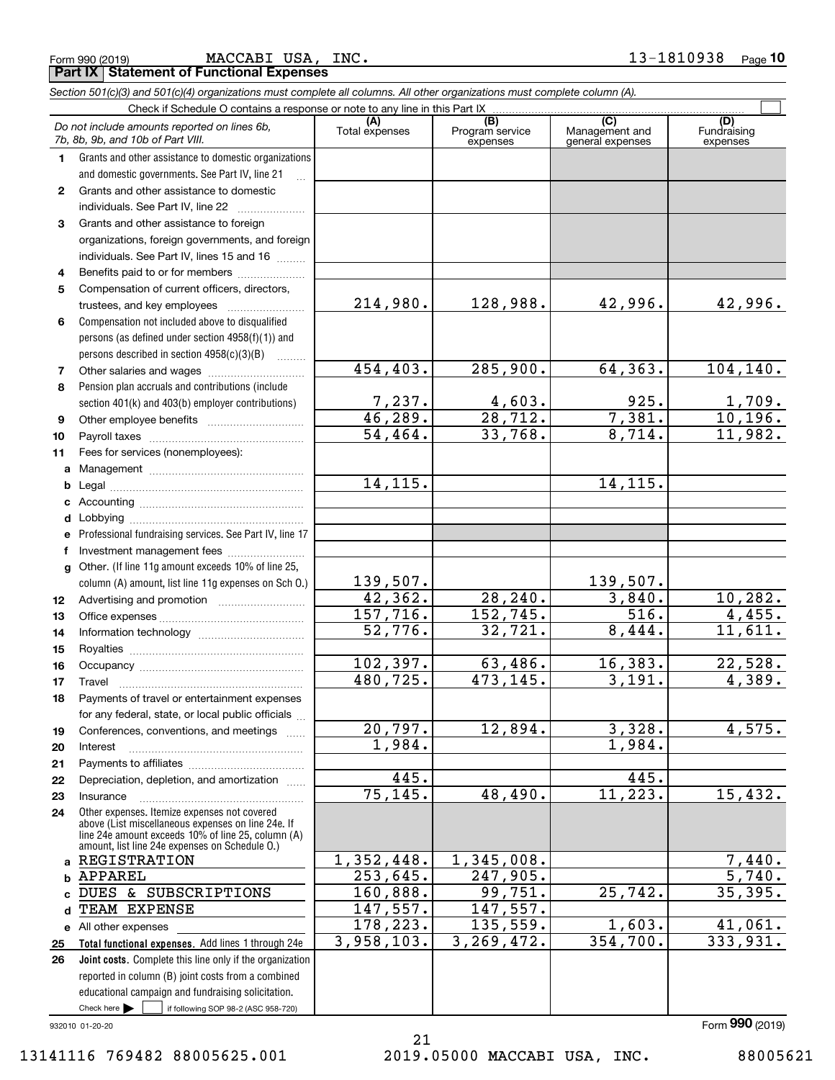|  | Form 990 (2019) |  |
|--|-----------------|--|
|  |                 |  |

**Part IX Statement of Functional Expenses**

|              | Section 501(c)(3) and 501(c)(4) organizations must complete all columns. All other organizations must complete column (A).                                 |                          |                                    |                                           |                                       |
|--------------|------------------------------------------------------------------------------------------------------------------------------------------------------------|--------------------------|------------------------------------|-------------------------------------------|---------------------------------------|
|              | Check if Schedule O contains a response or note to any line in this Part IX                                                                                |                          |                                    |                                           |                                       |
|              | Do not include amounts reported on lines 6b,<br>7b, 8b, 9b, and 10b of Part VIII.                                                                          | (A)<br>Total expenses    | (B)<br>Program service<br>expenses | (C)<br>Management and<br>general expenses | (D)<br><b>Fundraising</b><br>expenses |
| 1.           | Grants and other assistance to domestic organizations                                                                                                      |                          |                                    |                                           |                                       |
|              | and domestic governments. See Part IV, line 21                                                                                                             |                          |                                    |                                           |                                       |
| $\mathbf{2}$ | Grants and other assistance to domestic                                                                                                                    |                          |                                    |                                           |                                       |
|              | individuals. See Part IV, line 22                                                                                                                          |                          |                                    |                                           |                                       |
| 3            | Grants and other assistance to foreign                                                                                                                     |                          |                                    |                                           |                                       |
|              | organizations, foreign governments, and foreign                                                                                                            |                          |                                    |                                           |                                       |
|              | individuals. See Part IV, lines 15 and 16                                                                                                                  |                          |                                    |                                           |                                       |
| 4            | Benefits paid to or for members                                                                                                                            |                          |                                    |                                           |                                       |
| 5            | Compensation of current officers, directors,                                                                                                               |                          |                                    |                                           |                                       |
|              | trustees, and key employees                                                                                                                                | 214,980.                 | 128,988.                           | 42,996.                                   | 42,996.                               |
| 6            | Compensation not included above to disqualified                                                                                                            |                          |                                    |                                           |                                       |
|              | persons (as defined under section 4958(f)(1)) and                                                                                                          |                          |                                    |                                           |                                       |
|              | persons described in section 4958(c)(3)(B)                                                                                                                 |                          |                                    |                                           |                                       |
| 7            |                                                                                                                                                            | 454, 403.                | 285,900.                           | 64, 363.                                  | 104, 140.                             |
| 8            | Pension plan accruals and contributions (include                                                                                                           |                          |                                    |                                           |                                       |
|              | section 401(k) and 403(b) employer contributions)                                                                                                          | $\frac{7,237}{46,289}$ . | $\frac{4,603}{28,712}$             | 925.                                      | $\frac{1,709.}{10,196.}$              |
| 9            |                                                                                                                                                            |                          |                                    | 7,381.                                    |                                       |
| 10           |                                                                                                                                                            | $\overline{54, 464}$ .   | 33,768.                            | 8,714.                                    | 11,982.                               |
| 11           | Fees for services (nonemployees):                                                                                                                          |                          |                                    |                                           |                                       |
| a            |                                                                                                                                                            |                          |                                    |                                           |                                       |
| b            |                                                                                                                                                            | 14, 115.                 |                                    | 14, 115.                                  |                                       |
| c            |                                                                                                                                                            |                          |                                    |                                           |                                       |
| d            |                                                                                                                                                            |                          |                                    |                                           |                                       |
| е            | Professional fundraising services. See Part IV, line 17                                                                                                    |                          |                                    |                                           |                                       |
| f            | Investment management fees                                                                                                                                 |                          |                                    |                                           |                                       |
| g            | Other. (If line 11g amount exceeds 10% of line 25,                                                                                                         |                          |                                    |                                           |                                       |
|              | column (A) amount, list line 11g expenses on Sch O.)                                                                                                       | 139,507.                 |                                    | 139,507.                                  |                                       |
| 12           |                                                                                                                                                            | 42,362.                  | 28, 240.                           | 3,840.                                    | 10, 282.                              |
| 13           |                                                                                                                                                            | 157,716.                 | 152, 745.                          | $\overline{516}$ .                        | 4,455.                                |
| 14           |                                                                                                                                                            | 52,776.                  | 32, 721.                           | 8,444.                                    | 11,611.                               |
| 15           |                                                                                                                                                            |                          |                                    |                                           |                                       |
| 16           |                                                                                                                                                            | 102,397.                 | 63,486.                            | 16, 383.                                  | 22,528.                               |
| 17           |                                                                                                                                                            | 480,725.                 | 473, 145.                          | 3,191.                                    | 4,389.                                |
| 18           | Payments of travel or entertainment expenses                                                                                                               |                          |                                    |                                           |                                       |
|              | for any federal, state, or local public officials                                                                                                          |                          |                                    |                                           |                                       |
| 19           | Conferences, conventions, and meetings                                                                                                                     | 20,797.<br>1,984.        | 12,894.                            | 3,328.<br>1,984.                          | 4,575.                                |
| 20           | Interest                                                                                                                                                   |                          |                                    |                                           |                                       |
| 21           |                                                                                                                                                            | 445.                     |                                    | 445.                                      |                                       |
| 22           | Depreciation, depletion, and amortization                                                                                                                  | 75, 145.                 | 48,490.                            | 11,223.                                   | 15,432.                               |
| 23           | Insurance<br>Other expenses. Itemize expenses not covered                                                                                                  |                          |                                    |                                           |                                       |
| 24           | above (List miscellaneous expenses on line 24e. If<br>line 24e amount exceeds 10% of line 25, column (A)<br>amount, list line 24e expenses on Schedule O.) |                          |                                    |                                           |                                       |
|              | a REGISTRATION                                                                                                                                             | 1,352,448.               | 1,345,008.                         |                                           | 7,440.                                |
| b            | <b>APPAREL</b>                                                                                                                                             | $\overline{253,645}$ .   | 247,905.                           |                                           | $\overline{5,740}$ .                  |
| C.           | DUES & SUBSCRIPTIONS                                                                                                                                       | 160,888.                 | 99,751.                            | 25,742.                                   | 35,395.                               |
| d            | TEAM EXPENSE                                                                                                                                               | 147, 557.                | 147, 557.                          |                                           |                                       |
|              | e All other expenses                                                                                                                                       | 178, 223.                | 135,559.                           | 1,603.                                    | 41,061.                               |
| 25           | Total functional expenses. Add lines 1 through 24e                                                                                                         | 3,958,103.               | 3, 269, 472.                       | 354,700.                                  | 333,931.                              |
| 26           | Joint costs. Complete this line only if the organization                                                                                                   |                          |                                    |                                           |                                       |
|              | reported in column (B) joint costs from a combined                                                                                                         |                          |                                    |                                           |                                       |
|              | educational campaign and fundraising solicitation.                                                                                                         |                          |                                    |                                           |                                       |
|              | Check here $\blacktriangleright$  <br>if following SOP 98-2 (ASC 958-720)                                                                                  |                          |                                    |                                           |                                       |

932010 01-20-20

21 13141116 769482 88005625.001 2019.05000 MACCABI USA, INC. 88005621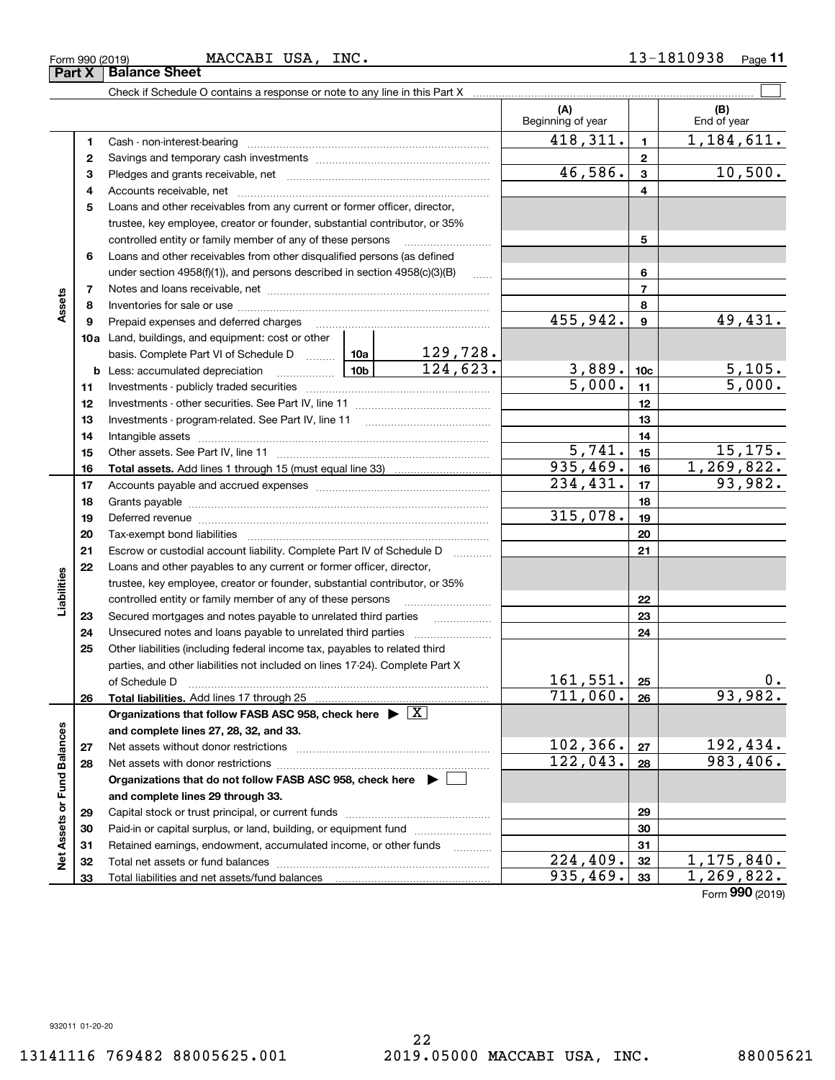Form 990 (2019) Page MACCABI USA, INC. 13-1810938 **Part X Balance Sheet**<br>**Part X Balance Sheet** 

**11**

|                             |              | Check if Schedule O contains a response or note to any line in this Part X                                                                                                                                                     |          |                          |                 |                    |
|-----------------------------|--------------|--------------------------------------------------------------------------------------------------------------------------------------------------------------------------------------------------------------------------------|----------|--------------------------|-----------------|--------------------|
|                             |              |                                                                                                                                                                                                                                |          | (A)<br>Beginning of year |                 | (B)<br>End of year |
|                             | 1            |                                                                                                                                                                                                                                |          | 418,311.                 | $\mathbf{1}$    | 1,184,611.         |
|                             | $\mathbf{2}$ |                                                                                                                                                                                                                                |          |                          | $\mathbf{2}$    |                    |
|                             | 3            |                                                                                                                                                                                                                                |          | 46,586.                  | 3               | 10,500.            |
|                             | 4            |                                                                                                                                                                                                                                |          |                          | 4               |                    |
|                             | 5            | Loans and other receivables from any current or former officer, director,                                                                                                                                                      |          |                          |                 |                    |
|                             |              | trustee, key employee, creator or founder, substantial contributor, or 35%                                                                                                                                                     |          |                          |                 |                    |
|                             |              | controlled entity or family member of any of these persons                                                                                                                                                                     |          |                          | 5               |                    |
|                             | 6            | Loans and other receivables from other disqualified persons (as defined                                                                                                                                                        |          |                          |                 |                    |
|                             |              | under section $4958(f)(1)$ , and persons described in section $4958(c)(3)(B)$                                                                                                                                                  |          |                          | 6               |                    |
|                             | 7            |                                                                                                                                                                                                                                |          |                          | 7               |                    |
| Assets                      | 8            |                                                                                                                                                                                                                                |          |                          | 8               |                    |
|                             | 9            | Prepaid expenses and deferred charges                                                                                                                                                                                          |          | 455,942.                 | 9               | 49,431.            |
|                             |              | 10a Land, buildings, and equipment: cost or other                                                                                                                                                                              |          |                          |                 |                    |
|                             |              | basis. Complete Part VI of Schedule D  10a                                                                                                                                                                                     | 129,728. |                          |                 |                    |
|                             |              |                                                                                                                                                                                                                                | 124,623. | 3,889.                   | 10 <sub>c</sub> | 5,105.             |
|                             | 11           |                                                                                                                                                                                                                                |          | $\overline{5,000}$ .     | 11              | 5,000.             |
|                             | 12           |                                                                                                                                                                                                                                |          |                          | 12              |                    |
|                             | 13           |                                                                                                                                                                                                                                |          |                          | 13              |                    |
|                             | 14           |                                                                                                                                                                                                                                |          |                          | 14              |                    |
|                             | 15           |                                                                                                                                                                                                                                |          | 5,741.                   | 15              | 15,175.            |
|                             | 16           |                                                                                                                                                                                                                                |          | 935,469.                 | 16              | 1,269,822.         |
|                             | 17           |                                                                                                                                                                                                                                |          | 234,431.                 | 17              | 93,982.            |
|                             | 18           |                                                                                                                                                                                                                                |          |                          | 18              |                    |
|                             | 19           | Deferred revenue information and contact the contract of the contract of the contract of the contract of the contract of the contract of the contract of the contract of the contract of the contract of the contract of the c |          | 315,078.                 | 19              |                    |
|                             | 20           |                                                                                                                                                                                                                                |          |                          | 20              |                    |
|                             | 21           | Escrow or custodial account liability. Complete Part IV of Schedule D                                                                                                                                                          |          |                          | 21              |                    |
|                             | 22           | Loans and other payables to any current or former officer, director,                                                                                                                                                           |          |                          |                 |                    |
| Liabilities                 |              | trustee, key employee, creator or founder, substantial contributor, or 35%                                                                                                                                                     |          |                          |                 |                    |
|                             |              | controlled entity or family member of any of these persons                                                                                                                                                                     |          |                          | 22              |                    |
|                             | 23           |                                                                                                                                                                                                                                |          |                          | 23              |                    |
|                             | 24           |                                                                                                                                                                                                                                |          |                          | 24              |                    |
|                             | 25           | Other liabilities (including federal income tax, payables to related third                                                                                                                                                     |          |                          |                 |                    |
|                             |              | parties, and other liabilities not included on lines 17-24). Complete Part X                                                                                                                                                   |          | 161,551.                 |                 | 0.                 |
|                             | 26           | of Schedule D                                                                                                                                                                                                                  |          | 711,060.                 | 25<br>26        | 93,982.            |
|                             |              | Total liabilities. Add lines 17 through 25<br>Organizations that follow FASB ASC 958, check here $\blacktriangleright \lfloor X \rfloor$                                                                                       |          |                          |                 |                    |
|                             |              | and complete lines 27, 28, 32, and 33.                                                                                                                                                                                         |          |                          |                 |                    |
|                             | 27           | Net assets without donor restrictions                                                                                                                                                                                          |          | 102,366.                 | 27              | 192,434.           |
|                             | 28           |                                                                                                                                                                                                                                |          | 122,043.                 | 28              | 983,406.           |
|                             |              | Organizations that do not follow FASB ASC 958, check here ▶ □                                                                                                                                                                  |          |                          |                 |                    |
|                             |              | and complete lines 29 through 33.                                                                                                                                                                                              |          |                          |                 |                    |
|                             | 29           |                                                                                                                                                                                                                                |          |                          | 29              |                    |
|                             | 30           | Paid-in or capital surplus, or land, building, or equipment fund                                                                                                                                                               |          |                          | 30              |                    |
| Net Assets or Fund Balances | 31           | Retained earnings, endowment, accumulated income, or other funds                                                                                                                                                               |          |                          | 31              |                    |
|                             | 32           |                                                                                                                                                                                                                                |          | $\overline{224}$ , 409.  | 32              | 1,175,840.         |
|                             | 33           | Total liabilities and net assets/fund balances                                                                                                                                                                                 |          | 935,469.                 | 33              | 1,269,822.         |
|                             |              |                                                                                                                                                                                                                                |          |                          |                 |                    |

Form (2019) **990**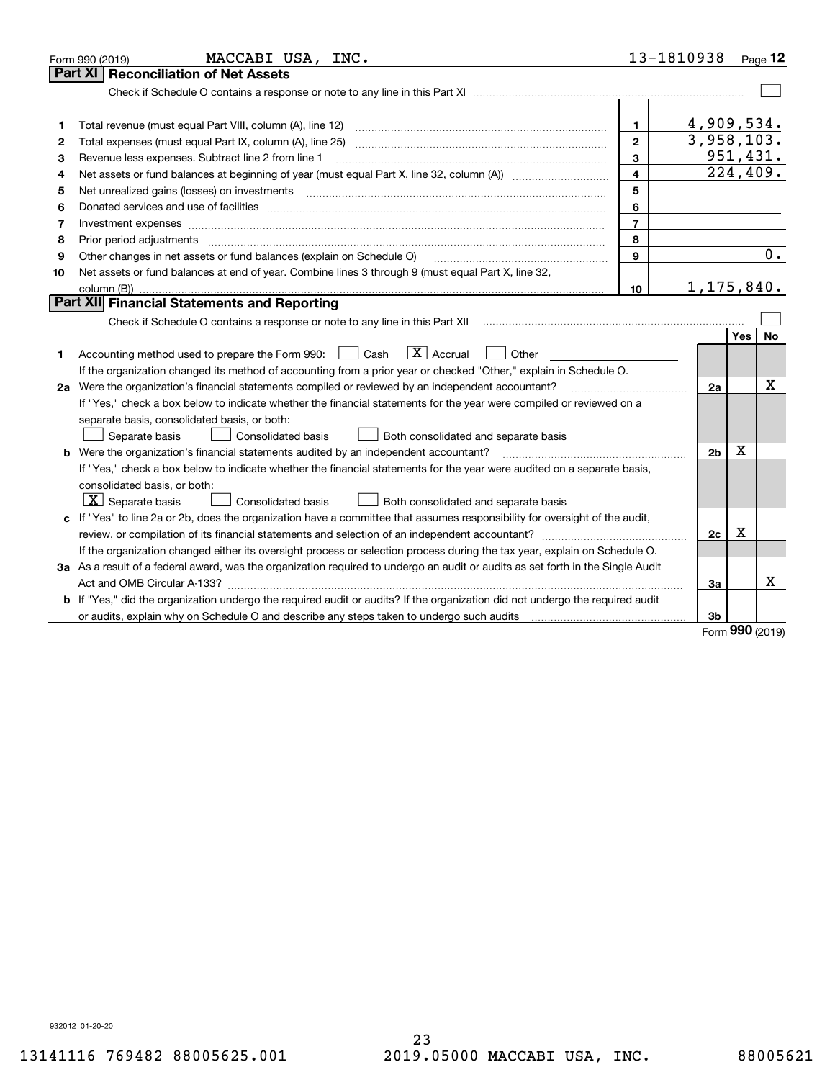|    | MACCABI USA, INC.<br>Form 990 (2019)                                                                                            | 13-1810938              |                | $_{\text{Page}}$ 12 |    |
|----|---------------------------------------------------------------------------------------------------------------------------------|-------------------------|----------------|---------------------|----|
|    | <b>Part XI   Reconciliation of Net Assets</b>                                                                                   |                         |                |                     |    |
|    |                                                                                                                                 |                         |                |                     |    |
|    |                                                                                                                                 |                         |                |                     |    |
| 1  | Total revenue (must equal Part VIII, column (A), line 12)                                                                       | 1                       | 4,909,534.     |                     |    |
| 2  |                                                                                                                                 | $\overline{2}$          | 3,958,103.     |                     |    |
| 3  | Revenue less expenses. Subtract line 2 from line 1                                                                              | 3                       | 951,431.       |                     |    |
| 4  |                                                                                                                                 | $\overline{\mathbf{4}}$ |                | 224,409.            |    |
| 5  | Net unrealized gains (losses) on investments                                                                                    | 5                       |                |                     |    |
| 6  |                                                                                                                                 | 6                       |                |                     |    |
| 7  | Investment expenses www.communication.com/www.communication.com/www.communication.com/www.com                                   | $\overline{7}$          |                |                     |    |
| 8  |                                                                                                                                 | 8                       |                |                     |    |
| 9  | Other changes in net assets or fund balances (explain on Schedule O)                                                            | 9                       |                |                     | 0. |
| 10 | Net assets or fund balances at end of year. Combine lines 3 through 9 (must equal Part X, line 32,                              |                         |                |                     |    |
|    |                                                                                                                                 | 10                      | 1,175,840.     |                     |    |
|    | Part XII Financial Statements and Reporting                                                                                     |                         |                |                     |    |
|    |                                                                                                                                 |                         |                |                     |    |
|    |                                                                                                                                 |                         |                | Yes                 | No |
| 1  | $\boxed{\mathbf{X}}$ Accrual<br>Accounting method used to prepare the Form 990: <u>June</u> Cash<br>Other                       |                         |                |                     |    |
|    | If the organization changed its method of accounting from a prior year or checked "Other," explain in Schedule O.               |                         |                |                     |    |
|    | 2a Were the organization's financial statements compiled or reviewed by an independent accountant?                              |                         | 2a             |                     | Х  |
|    | If "Yes," check a box below to indicate whether the financial statements for the year were compiled or reviewed on a            |                         |                |                     |    |
|    | separate basis, consolidated basis, or both:                                                                                    |                         |                |                     |    |
|    | Separate basis<br><b>Consolidated basis</b><br>Both consolidated and separate basis                                             |                         |                |                     |    |
|    | <b>b</b> Were the organization's financial statements audited by an independent accountant?                                     |                         | 2 <sub>b</sub> | X                   |    |
|    | If "Yes," check a box below to indicate whether the financial statements for the year were audited on a separate basis,         |                         |                |                     |    |
|    | consolidated basis, or both:                                                                                                    |                         |                |                     |    |
|    | $\vert X \vert$ Separate basis<br>Consolidated basis<br>Both consolidated and separate basis                                    |                         |                |                     |    |
|    | c If "Yes" to line 2a or 2b, does the organization have a committee that assumes responsibility for oversight of the audit,     |                         |                |                     |    |
|    |                                                                                                                                 |                         | 2c             | х                   |    |
|    | If the organization changed either its oversight process or selection process during the tax year, explain on Schedule O.       |                         |                |                     |    |
|    | 3a As a result of a federal award, was the organization required to undergo an audit or audits as set forth in the Single Audit |                         |                |                     |    |
|    |                                                                                                                                 |                         | За             |                     | x  |
|    | b If "Yes," did the organization undergo the required audit or audits? If the organization did not undergo the required audit   |                         |                |                     |    |
|    |                                                                                                                                 |                         | 3 <sub>b</sub> | <b></b>             |    |

Form (2019) **990**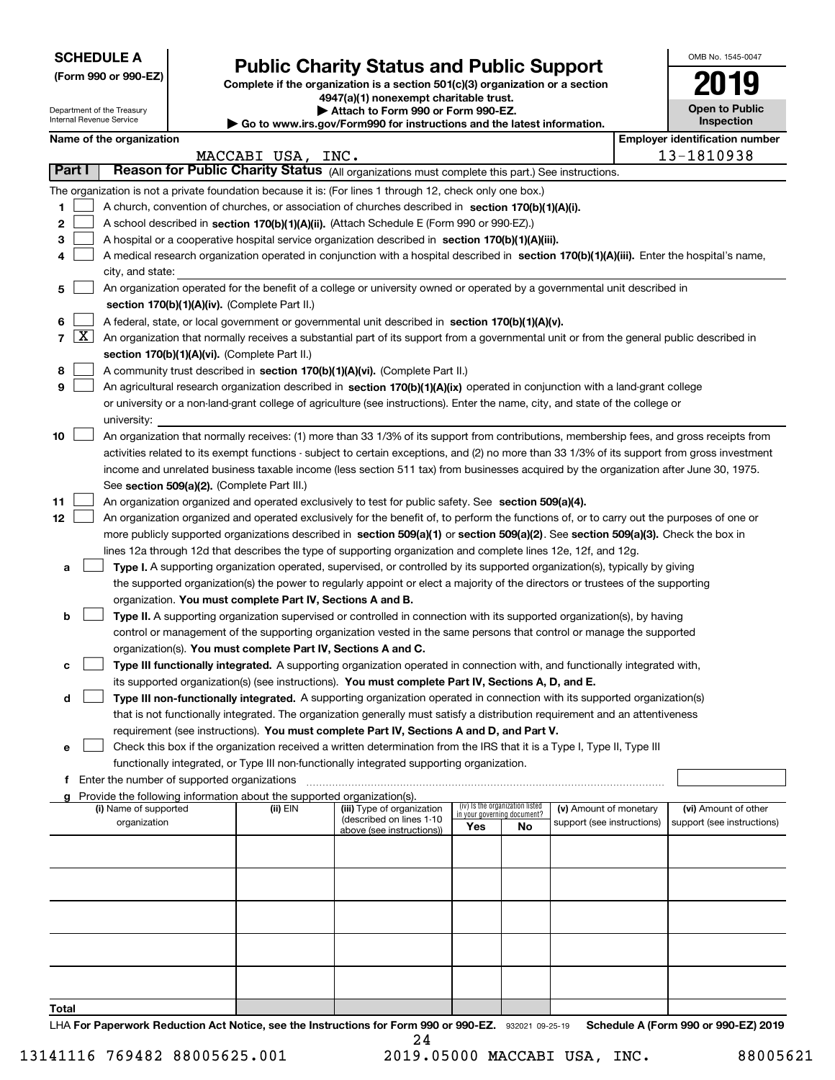| <b>SCHEDULE A</b> |
|-------------------|
|-------------------|

Department of the Treasury

**(Form 990 or 990-EZ)**

# **Public Charity Status and Public Support**

**Complete if the organization is a section 501(c)(3) organization or a section 4947(a)(1) nonexempt charitable trust. | Attach to Form 990 or Form 990-EZ.** 

| OMB No. 1545-0047     |
|-----------------------|
| 2019                  |
|                       |
| <b>Open to Public</b> |

|                          |                     | Internal Revenue Service                                                                                                                                                                                                                        |                                             |                                                                        | Go to www.irs.gov/Form990 for instructions and the latest information.                                                                                                                      |                                       |                                                                |                            |  | Inspection                 |
|--------------------------|---------------------|-------------------------------------------------------------------------------------------------------------------------------------------------------------------------------------------------------------------------------------------------|---------------------------------------------|------------------------------------------------------------------------|---------------------------------------------------------------------------------------------------------------------------------------------------------------------------------------------|---------------------------------------|----------------------------------------------------------------|----------------------------|--|----------------------------|
| Name of the organization |                     |                                                                                                                                                                                                                                                 |                                             |                                                                        |                                                                                                                                                                                             | <b>Employer identification number</b> |                                                                |                            |  |                            |
| <b>Part I</b>            |                     |                                                                                                                                                                                                                                                 |                                             | MACCABI USA, INC.                                                      |                                                                                                                                                                                             |                                       |                                                                |                            |  | 13-1810938                 |
|                          |                     |                                                                                                                                                                                                                                                 |                                             |                                                                        | Reason for Public Charity Status (All organizations must complete this part.) See instructions.                                                                                             |                                       |                                                                |                            |  |                            |
|                          |                     |                                                                                                                                                                                                                                                 |                                             |                                                                        | The organization is not a private foundation because it is: (For lines 1 through 12, check only one box.)                                                                                   |                                       |                                                                |                            |  |                            |
| 1                        |                     |                                                                                                                                                                                                                                                 |                                             |                                                                        | A church, convention of churches, or association of churches described in section 170(b)(1)(A)(i).                                                                                          |                                       |                                                                |                            |  |                            |
| 2                        |                     |                                                                                                                                                                                                                                                 |                                             |                                                                        | A school described in section 170(b)(1)(A)(ii). (Attach Schedule E (Form 990 or 990-EZ).)                                                                                                   |                                       |                                                                |                            |  |                            |
| З                        |                     | A hospital or a cooperative hospital service organization described in section 170(b)(1)(A)(iii).<br>A medical research organization operated in conjunction with a hospital described in section 170(b)(1)(A)(iii). Enter the hospital's name, |                                             |                                                                        |                                                                                                                                                                                             |                                       |                                                                |                            |  |                            |
|                          |                     | city, and state:                                                                                                                                                                                                                                |                                             |                                                                        |                                                                                                                                                                                             |                                       |                                                                |                            |  |                            |
| 5                        |                     |                                                                                                                                                                                                                                                 |                                             |                                                                        | An organization operated for the benefit of a college or university owned or operated by a governmental unit described in                                                                   |                                       |                                                                |                            |  |                            |
|                          |                     |                                                                                                                                                                                                                                                 |                                             | section 170(b)(1)(A)(iv). (Complete Part II.)                          |                                                                                                                                                                                             |                                       |                                                                |                            |  |                            |
| 6                        |                     |                                                                                                                                                                                                                                                 |                                             |                                                                        | A federal, state, or local government or governmental unit described in section 170(b)(1)(A)(v).                                                                                            |                                       |                                                                |                            |  |                            |
| 7                        | $\lfloor x \rfloor$ |                                                                                                                                                                                                                                                 |                                             |                                                                        | An organization that normally receives a substantial part of its support from a governmental unit or from the general public described in                                                   |                                       |                                                                |                            |  |                            |
|                          |                     |                                                                                                                                                                                                                                                 |                                             | section 170(b)(1)(A)(vi). (Complete Part II.)                          |                                                                                                                                                                                             |                                       |                                                                |                            |  |                            |
| 8                        |                     |                                                                                                                                                                                                                                                 |                                             |                                                                        | A community trust described in section 170(b)(1)(A)(vi). (Complete Part II.)                                                                                                                |                                       |                                                                |                            |  |                            |
| 9                        |                     |                                                                                                                                                                                                                                                 |                                             |                                                                        | An agricultural research organization described in section 170(b)(1)(A)(ix) operated in conjunction with a land-grant college                                                               |                                       |                                                                |                            |  |                            |
|                          |                     |                                                                                                                                                                                                                                                 |                                             |                                                                        | or university or a non-land-grant college of agriculture (see instructions). Enter the name, city, and state of the college or                                                              |                                       |                                                                |                            |  |                            |
|                          |                     | university:                                                                                                                                                                                                                                     |                                             |                                                                        |                                                                                                                                                                                             |                                       |                                                                |                            |  |                            |
| 10                       |                     |                                                                                                                                                                                                                                                 |                                             |                                                                        | An organization that normally receives: (1) more than 33 1/3% of its support from contributions, membership fees, and gross receipts from                                                   |                                       |                                                                |                            |  |                            |
|                          |                     |                                                                                                                                                                                                                                                 |                                             |                                                                        | activities related to its exempt functions - subject to certain exceptions, and (2) no more than 33 1/3% of its support from gross investment                                               |                                       |                                                                |                            |  |                            |
|                          |                     |                                                                                                                                                                                                                                                 |                                             |                                                                        | income and unrelated business taxable income (less section 511 tax) from businesses acquired by the organization after June 30, 1975.                                                       |                                       |                                                                |                            |  |                            |
|                          |                     |                                                                                                                                                                                                                                                 |                                             | See section 509(a)(2). (Complete Part III.)                            |                                                                                                                                                                                             |                                       |                                                                |                            |  |                            |
| 11                       |                     |                                                                                                                                                                                                                                                 |                                             |                                                                        | An organization organized and operated exclusively to test for public safety. See section 509(a)(4).                                                                                        |                                       |                                                                |                            |  |                            |
| 12                       |                     |                                                                                                                                                                                                                                                 |                                             |                                                                        | An organization organized and operated exclusively for the benefit of, to perform the functions of, or to carry out the purposes of one or                                                  |                                       |                                                                |                            |  |                            |
|                          |                     |                                                                                                                                                                                                                                                 |                                             |                                                                        | more publicly supported organizations described in section 509(a)(1) or section 509(a)(2). See section 509(a)(3). Check the box in                                                          |                                       |                                                                |                            |  |                            |
|                          |                     |                                                                                                                                                                                                                                                 |                                             |                                                                        | lines 12a through 12d that describes the type of supporting organization and complete lines 12e, 12f, and 12g.                                                                              |                                       |                                                                |                            |  |                            |
| а                        |                     |                                                                                                                                                                                                                                                 |                                             |                                                                        | Type I. A supporting organization operated, supervised, or controlled by its supported organization(s), typically by giving                                                                 |                                       |                                                                |                            |  |                            |
|                          |                     |                                                                                                                                                                                                                                                 |                                             |                                                                        | the supported organization(s) the power to regularly appoint or elect a majority of the directors or trustees of the supporting                                                             |                                       |                                                                |                            |  |                            |
|                          |                     |                                                                                                                                                                                                                                                 |                                             | organization. You must complete Part IV, Sections A and B.             |                                                                                                                                                                                             |                                       |                                                                |                            |  |                            |
| b                        |                     |                                                                                                                                                                                                                                                 |                                             |                                                                        | Type II. A supporting organization supervised or controlled in connection with its supported organization(s), by having                                                                     |                                       |                                                                |                            |  |                            |
|                          |                     |                                                                                                                                                                                                                                                 |                                             |                                                                        | control or management of the supporting organization vested in the same persons that control or manage the supported                                                                        |                                       |                                                                |                            |  |                            |
| c                        |                     |                                                                                                                                                                                                                                                 |                                             |                                                                        | organization(s). You must complete Part IV, Sections A and C.<br>Type III functionally integrated. A supporting organization operated in connection with, and functionally integrated with, |                                       |                                                                |                            |  |                            |
|                          |                     |                                                                                                                                                                                                                                                 |                                             |                                                                        | its supported organization(s) (see instructions). You must complete Part IV, Sections A, D, and E.                                                                                          |                                       |                                                                |                            |  |                            |
| d                        |                     |                                                                                                                                                                                                                                                 |                                             |                                                                        | Type III non-functionally integrated. A supporting organization operated in connection with its supported organization(s)                                                                   |                                       |                                                                |                            |  |                            |
|                          |                     |                                                                                                                                                                                                                                                 |                                             |                                                                        | that is not functionally integrated. The organization generally must satisfy a distribution requirement and an attentiveness                                                                |                                       |                                                                |                            |  |                            |
|                          |                     |                                                                                                                                                                                                                                                 |                                             |                                                                        | requirement (see instructions). You must complete Part IV, Sections A and D, and Part V.                                                                                                    |                                       |                                                                |                            |  |                            |
| е                        |                     |                                                                                                                                                                                                                                                 |                                             |                                                                        | Check this box if the organization received a written determination from the IRS that it is a Type I, Type II, Type III                                                                     |                                       |                                                                |                            |  |                            |
|                          |                     |                                                                                                                                                                                                                                                 |                                             |                                                                        | functionally integrated, or Type III non-functionally integrated supporting organization.                                                                                                   |                                       |                                                                |                            |  |                            |
| f                        |                     |                                                                                                                                                                                                                                                 | Enter the number of supported organizations |                                                                        |                                                                                                                                                                                             |                                       |                                                                |                            |  |                            |
|                          |                     |                                                                                                                                                                                                                                                 |                                             | Provide the following information about the supported organization(s). |                                                                                                                                                                                             |                                       |                                                                |                            |  |                            |
|                          |                     | (i) Name of supported                                                                                                                                                                                                                           |                                             | (ii) EIN                                                               | (iii) Type of organization<br>(described on lines 1-10                                                                                                                                      |                                       | (iv) Is the organization listed<br>in your governing document? | (v) Amount of monetary     |  | (vi) Amount of other       |
|                          |                     | organization                                                                                                                                                                                                                                    |                                             |                                                                        | above (see instructions))                                                                                                                                                                   | Yes                                   | No                                                             | support (see instructions) |  | support (see instructions) |
|                          |                     |                                                                                                                                                                                                                                                 |                                             |                                                                        |                                                                                                                                                                                             |                                       |                                                                |                            |  |                            |
|                          |                     |                                                                                                                                                                                                                                                 |                                             |                                                                        |                                                                                                                                                                                             |                                       |                                                                |                            |  |                            |
|                          |                     |                                                                                                                                                                                                                                                 |                                             |                                                                        |                                                                                                                                                                                             |                                       |                                                                |                            |  |                            |
|                          |                     |                                                                                                                                                                                                                                                 |                                             |                                                                        |                                                                                                                                                                                             |                                       |                                                                |                            |  |                            |
|                          |                     |                                                                                                                                                                                                                                                 |                                             |                                                                        |                                                                                                                                                                                             |                                       |                                                                |                            |  |                            |
|                          |                     |                                                                                                                                                                                                                                                 |                                             |                                                                        |                                                                                                                                                                                             |                                       |                                                                |                            |  |                            |
|                          |                     |                                                                                                                                                                                                                                                 |                                             |                                                                        |                                                                                                                                                                                             |                                       |                                                                |                            |  |                            |
|                          |                     |                                                                                                                                                                                                                                                 |                                             |                                                                        |                                                                                                                                                                                             |                                       |                                                                |                            |  |                            |
|                          |                     |                                                                                                                                                                                                                                                 |                                             |                                                                        |                                                                                                                                                                                             |                                       |                                                                |                            |  |                            |
|                          |                     |                                                                                                                                                                                                                                                 |                                             |                                                                        |                                                                                                                                                                                             |                                       |                                                                |                            |  |                            |

**Total**

LHA For Paperwork Reduction Act Notice, see the Instructions for Form 990 or 990-EZ. 932021 09-25-19 Schedule A (Form 990 or 990-EZ) 2019 24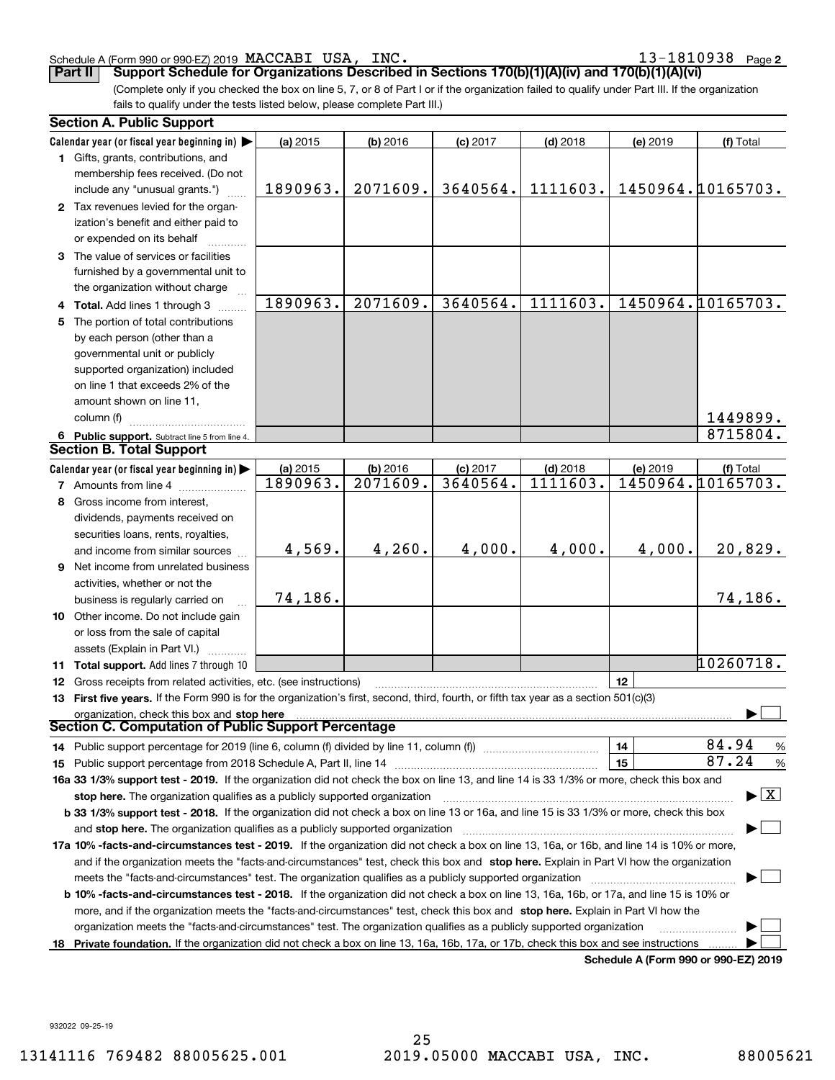### Schedule A (Form 990 or 990-EZ) 2019 Page MACCABI USA, INC. 13-1810938

**2**

**Part II Support Schedule for Organizations Described in Sections 170(b)(1)(A)(iv) and 170(b)(1)(A)(vi)** 

(Complete only if you checked the box on line 5, 7, or 8 of Part I or if the organization failed to qualify under Part III. If the organization fails to qualify under the tests listed below, please complete Part III.)

|    | <b>Section A. Public Support</b>                                                                                                               |          |          |            |            |                                      |                                          |
|----|------------------------------------------------------------------------------------------------------------------------------------------------|----------|----------|------------|------------|--------------------------------------|------------------------------------------|
|    | Calendar year (or fiscal year beginning in)                                                                                                    | (a) 2015 | (b) 2016 | $(c)$ 2017 | $(d)$ 2018 | (e) 2019                             | (f) Total                                |
|    | 1 Gifts, grants, contributions, and                                                                                                            |          |          |            |            |                                      |                                          |
|    | membership fees received. (Do not                                                                                                              |          |          |            |            |                                      |                                          |
|    | include any "unusual grants.")                                                                                                                 | 1890963. | 2071609. | 3640564.   | 1111603.   |                                      | 1450964.10165703.                        |
|    | 2 Tax revenues levied for the organ-                                                                                                           |          |          |            |            |                                      |                                          |
|    | ization's benefit and either paid to                                                                                                           |          |          |            |            |                                      |                                          |
|    | or expended on its behalf                                                                                                                      |          |          |            |            |                                      |                                          |
|    | 3 The value of services or facilities                                                                                                          |          |          |            |            |                                      |                                          |
|    | furnished by a governmental unit to                                                                                                            |          |          |            |            |                                      |                                          |
|    | the organization without charge                                                                                                                |          |          |            |            |                                      |                                          |
|    | 4 Total. Add lines 1 through 3                                                                                                                 | 1890963. | 2071609. | 3640564.   | 1111603.   |                                      | 1450964.10165703.                        |
| 5  | The portion of total contributions                                                                                                             |          |          |            |            |                                      |                                          |
|    | by each person (other than a                                                                                                                   |          |          |            |            |                                      |                                          |
|    | governmental unit or publicly                                                                                                                  |          |          |            |            |                                      |                                          |
|    | supported organization) included                                                                                                               |          |          |            |            |                                      |                                          |
|    | on line 1 that exceeds 2% of the                                                                                                               |          |          |            |            |                                      |                                          |
|    | amount shown on line 11,                                                                                                                       |          |          |            |            |                                      |                                          |
|    | column (f)                                                                                                                                     |          |          |            |            |                                      | 1449899.                                 |
|    | 6 Public support. Subtract line 5 from line 4.                                                                                                 |          |          |            |            |                                      | 8715804.                                 |
|    | <b>Section B. Total Support</b>                                                                                                                |          |          |            |            |                                      |                                          |
|    | Calendar year (or fiscal year beginning in)                                                                                                    | (a) 2015 | (b) 2016 | $(c)$ 2017 | $(d)$ 2018 | (e) 2019                             | (f) Total                                |
|    | <b>7</b> Amounts from line 4                                                                                                                   | 1890963. | 2071609. | 3640564.   | 1111603.   |                                      | 1450964.10165703.                        |
|    | 8 Gross income from interest,                                                                                                                  |          |          |            |            |                                      |                                          |
|    | dividends, payments received on                                                                                                                |          |          |            |            |                                      |                                          |
|    | securities loans, rents, royalties,                                                                                                            |          |          |            |            |                                      |                                          |
|    | and income from similar sources                                                                                                                | 4,569.   | 4,260.   | 4,000.     | 4,000.     | 4,000.                               | 20,829.                                  |
|    | 9 Net income from unrelated business                                                                                                           |          |          |            |            |                                      |                                          |
|    | activities, whether or not the                                                                                                                 |          |          |            |            |                                      |                                          |
|    | business is regularly carried on                                                                                                               | 74,186.  |          |            |            |                                      | 74,186.                                  |
|    | 10 Other income. Do not include gain                                                                                                           |          |          |            |            |                                      |                                          |
|    | or loss from the sale of capital                                                                                                               |          |          |            |            |                                      |                                          |
|    | assets (Explain in Part VI.)                                                                                                                   |          |          |            |            |                                      |                                          |
|    | <b>11 Total support.</b> Add lines 7 through 10                                                                                                |          |          |            |            |                                      | 10260718.                                |
|    | 12 Gross receipts from related activities, etc. (see instructions)                                                                             |          |          |            |            | 12                                   |                                          |
|    | 13 First five years. If the Form 990 is for the organization's first, second, third, fourth, or fifth tax year as a section 501(c)(3)          |          |          |            |            |                                      |                                          |
|    | organization, check this box and stop here                                                                                                     |          |          |            |            |                                      |                                          |
|    | Section C. Computation of Public Support Percentage                                                                                            |          |          |            |            |                                      |                                          |
|    | 14 Public support percentage for 2019 (line 6, column (f) divided by line 11, column (f) <i>manumanomeron</i>                                  |          |          |            |            | 14                                   | 84.94<br>%                               |
|    |                                                                                                                                                |          |          |            |            | 15                                   | 87.24<br>$\%$                            |
|    | 16a 33 1/3% support test - 2019. If the organization did not check the box on line 13, and line 14 is 33 1/3% or more, check this box and      |          |          |            |            |                                      |                                          |
|    | stop here. The organization qualifies as a publicly supported organization                                                                     |          |          |            |            |                                      | $\blacktriangleright$ $\boxed{\text{X}}$ |
|    | b 33 1/3% support test - 2018. If the organization did not check a box on line 13 or 16a, and line 15 is 33 1/3% or more, check this box       |          |          |            |            |                                      |                                          |
|    | and stop here. The organization qualifies as a publicly supported organization                                                                 |          |          |            |            |                                      |                                          |
|    | 17a 10% -facts-and-circumstances test - 2019. If the organization did not check a box on line 13, 16a, or 16b, and line 14 is 10% or more,     |          |          |            |            |                                      |                                          |
|    | and if the organization meets the "facts-and-circumstances" test, check this box and stop here. Explain in Part VI how the organization        |          |          |            |            |                                      |                                          |
|    | meets the "facts-and-circumstances" test. The organization qualifies as a publicly supported organization                                      |          |          |            |            |                                      |                                          |
|    | <b>b 10% -facts-and-circumstances test - 2018.</b> If the organization did not check a box on line 13, 16a, 16b, or 17a, and line 15 is 10% or |          |          |            |            |                                      |                                          |
|    | more, and if the organization meets the "facts-and-circumstances" test, check this box and stop here. Explain in Part VI how the               |          |          |            |            |                                      |                                          |
|    | organization meets the "facts-and-circumstances" test. The organization qualifies as a publicly supported organization                         |          |          |            |            |                                      |                                          |
| 18 | Private foundation. If the organization did not check a box on line 13, 16a, 16b, 17a, or 17b, check this box and see instructions             |          |          |            |            |                                      |                                          |
|    |                                                                                                                                                |          |          |            |            | Schedule A (Form 990 or 990-F7) 2019 |                                          |

**Schedule A (Form 990 or 990-EZ) 2019**

932022 09-25-19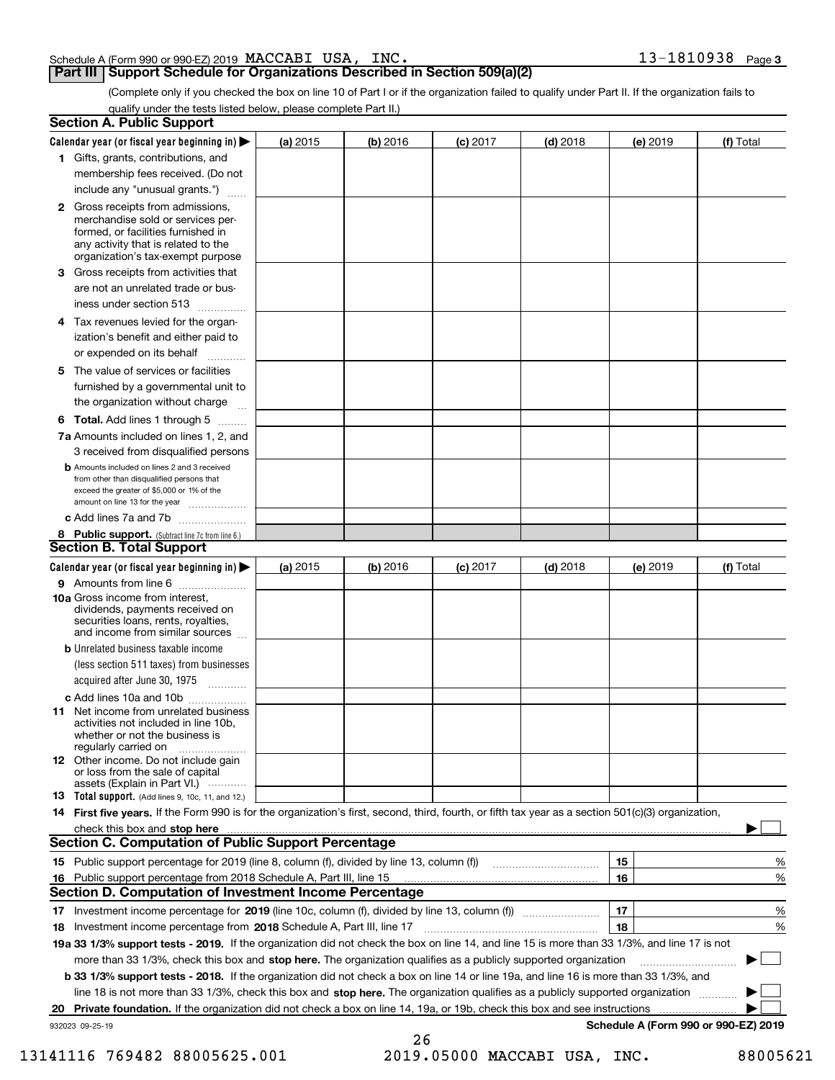|  |  | INC. | $13 - 1810938$ Page 3 |  |
|--|--|------|-----------------------|--|
|  |  |      |                       |  |

### **Part III Support Schedule for Organizations Described in Section 509(a)(2)**

(Complete only if you checked the box on line 10 of Part I or if the organization failed to qualify under Part II. If the organization fails to qualify under the tests listed below, please complete Part II.)

| <b>Section A. Public Support</b>                                                                                                                                                                                               |            |          |            |            |          |                                      |
|--------------------------------------------------------------------------------------------------------------------------------------------------------------------------------------------------------------------------------|------------|----------|------------|------------|----------|--------------------------------------|
| Calendar year (or fiscal year beginning in) $\blacktriangleright$                                                                                                                                                              | (a) 2015   | (b) 2016 | $(c)$ 2017 | $(d)$ 2018 | (e) 2019 | (f) Total                            |
| 1 Gifts, grants, contributions, and                                                                                                                                                                                            |            |          |            |            |          |                                      |
| membership fees received. (Do not                                                                                                                                                                                              |            |          |            |            |          |                                      |
| include any "unusual grants.")                                                                                                                                                                                                 |            |          |            |            |          |                                      |
| 2 Gross receipts from admissions,<br>merchandise sold or services per-<br>formed, or facilities furnished in<br>any activity that is related to the<br>organization's tax-exempt purpose                                       |            |          |            |            |          |                                      |
| 3 Gross receipts from activities that<br>are not an unrelated trade or bus-                                                                                                                                                    |            |          |            |            |          |                                      |
| iness under section 513                                                                                                                                                                                                        |            |          |            |            |          |                                      |
| 4 Tax revenues levied for the organ-<br>ization's benefit and either paid to<br>or expended on its behalf<br>.                                                                                                                 |            |          |            |            |          |                                      |
| 5 The value of services or facilities<br>furnished by a governmental unit to<br>the organization without charge                                                                                                                |            |          |            |            |          |                                      |
| <b>6 Total.</b> Add lines 1 through 5                                                                                                                                                                                          |            |          |            |            |          |                                      |
| 7a Amounts included on lines 1, 2, and<br>3 received from disqualified persons                                                                                                                                                 |            |          |            |            |          |                                      |
| <b>b</b> Amounts included on lines 2 and 3 received<br>from other than disqualified persons that<br>exceed the greater of \$5,000 or 1% of the<br>amount on line 13 for the year                                               |            |          |            |            |          |                                      |
| c Add lines 7a and 7b                                                                                                                                                                                                          |            |          |            |            |          |                                      |
| 8 Public support. (Subtract line 7c from line 6.)                                                                                                                                                                              |            |          |            |            |          |                                      |
| <b>Section B. Total Support</b>                                                                                                                                                                                                |            |          |            |            |          |                                      |
| Calendar year (or fiscal year beginning in) $\blacktriangleright$                                                                                                                                                              | (a) $2015$ | (b) 2016 | $(c)$ 2017 | $(d)$ 2018 | (e) 2019 | (f) Total                            |
| 9 Amounts from line 6                                                                                                                                                                                                          |            |          |            |            |          |                                      |
| 10a Gross income from interest,<br>dividends, payments received on<br>securities loans, rents, royalties,<br>and income from similar sources                                                                                   |            |          |            |            |          |                                      |
| <b>b</b> Unrelated business taxable income<br>(less section 511 taxes) from businesses<br>acquired after June 30, 1975<br>1.1.1.1.1.1.1.1.1.1                                                                                  |            |          |            |            |          |                                      |
| c Add lines 10a and 10b                                                                                                                                                                                                        |            |          |            |            |          |                                      |
| <b>11</b> Net income from unrelated business<br>activities not included in line 10b,<br>whether or not the business is<br>regularly carried on                                                                                 |            |          |            |            |          |                                      |
| <b>12</b> Other income. Do not include gain<br>or loss from the sale of capital<br>assets (Explain in Part VI.)                                                                                                                |            |          |            |            |          |                                      |
| <b>13</b> Total support. (Add lines 9, 10c, 11, and 12.)                                                                                                                                                                       |            |          |            |            |          |                                      |
| 14 First five years. If the Form 990 is for the organization's first, second, third, fourth, or fifth tax year as a section 501(c)(3) organization,                                                                            |            |          |            |            |          |                                      |
| check this box and stop here measurements are all the state of the state of the state of the state of the state of the state of the state of the state of the state of the state of the state of the state of the state of the |            |          |            |            |          |                                      |
| <b>Section C. Computation of Public Support Percentage</b>                                                                                                                                                                     |            |          |            |            |          |                                      |
| 15 Public support percentage for 2019 (line 8, column (f), divided by line 13, column (f))                                                                                                                                     |            |          |            |            | 15       | %                                    |
| 16 Public support percentage from 2018 Schedule A, Part III, line 15                                                                                                                                                           |            |          |            |            | 16       | %                                    |
| <b>Section D. Computation of Investment Income Percentage</b>                                                                                                                                                                  |            |          |            |            |          |                                      |
| 17 Investment income percentage for 2019 (line 10c, column (f), divided by line 13, column (f))                                                                                                                                |            |          |            |            | 17       | %                                    |
| 18 Investment income percentage from 2018 Schedule A, Part III, line 17                                                                                                                                                        |            |          |            |            | 18       | %                                    |
| 19a 33 1/3% support tests - 2019. If the organization did not check the box on line 14, and line 15 is more than 33 1/3%, and line 17 is not                                                                                   |            |          |            |            |          |                                      |
| more than 33 1/3%, check this box and stop here. The organization qualifies as a publicly supported organization                                                                                                               |            |          |            |            |          |                                      |
| b 33 1/3% support tests - 2018. If the organization did not check a box on line 14 or line 19a, and line 16 is more than 33 1/3%, and                                                                                          |            |          |            |            |          |                                      |
| line 18 is not more than 33 1/3%, check this box and stop here. The organization qualifies as a publicly supported organization                                                                                                |            |          |            |            |          |                                      |
| 20 Private foundation. If the organization did not check a box on line 14, 19a, or 19b, check this box and see instructions                                                                                                    |            |          |            |            |          |                                      |
| 932023 09-25-19                                                                                                                                                                                                                |            | 26       |            |            |          | Schedule A (Form 990 or 990-EZ) 2019 |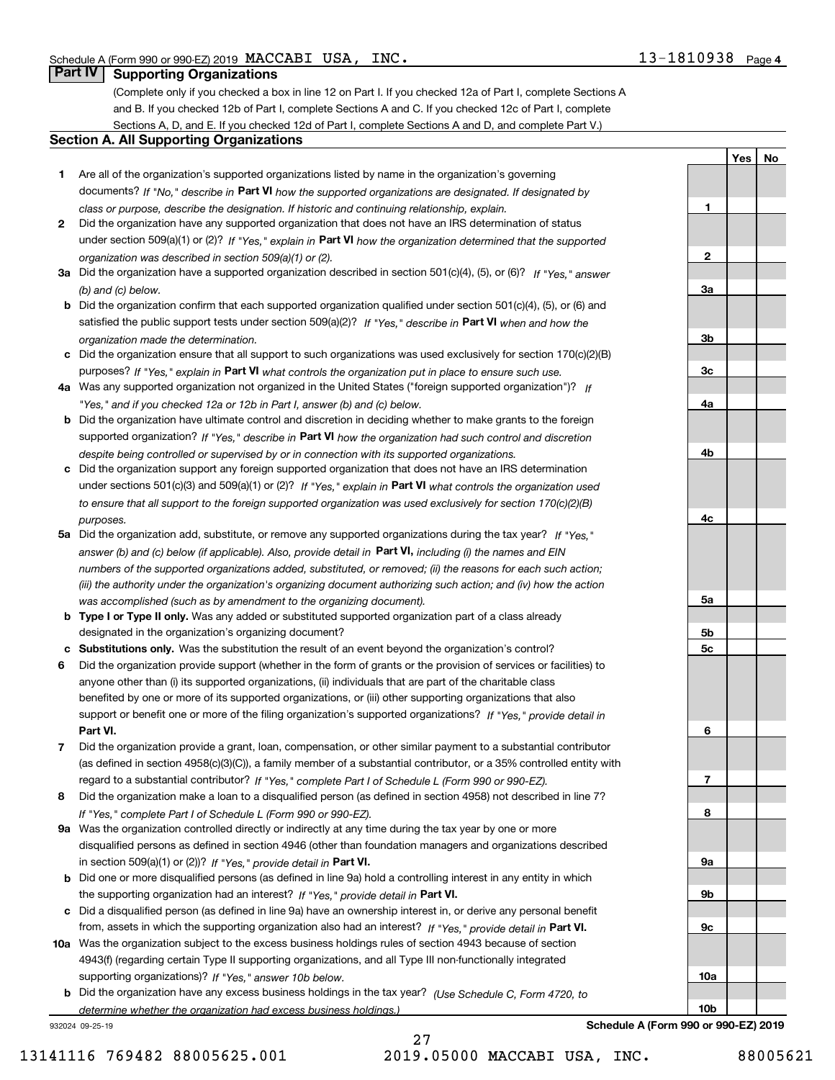**1**

**2**

**3a**

**3b**

**3c**

**4a**

**4b**

**4c**

**5a**

**5b5c**

**6**

**7**

**8**

**9a**

**9b**

**9c**

**10a**

**10b**

**YesNo**

## **Part IV Supporting Organizations**

(Complete only if you checked a box in line 12 on Part I. If you checked 12a of Part I, complete Sections A and B. If you checked 12b of Part I, complete Sections A and C. If you checked 12c of Part I, complete Sections A, D, and E. If you checked 12d of Part I, complete Sections A and D, and complete Part V.)

### **Section A. All Supporting Organizations**

- **1** Are all of the organization's supported organizations listed by name in the organization's governing documents? If "No," describe in **Part VI** how the supported organizations are designated. If designated by *class or purpose, describe the designation. If historic and continuing relationship, explain.*
- **2** Did the organization have any supported organization that does not have an IRS determination of status under section 509(a)(1) or (2)? If "Yes," explain in Part VI how the organization determined that the supported *organization was described in section 509(a)(1) or (2).*
- **3a** Did the organization have a supported organization described in section 501(c)(4), (5), or (6)? If "Yes," answer *(b) and (c) below.*
- **b** Did the organization confirm that each supported organization qualified under section 501(c)(4), (5), or (6) and satisfied the public support tests under section 509(a)(2)? If "Yes," describe in **Part VI** when and how the *organization made the determination.*
- **c**Did the organization ensure that all support to such organizations was used exclusively for section 170(c)(2)(B) purposes? If "Yes," explain in **Part VI** what controls the organization put in place to ensure such use.
- **4a***If* Was any supported organization not organized in the United States ("foreign supported organization")? *"Yes," and if you checked 12a or 12b in Part I, answer (b) and (c) below.*
- **b** Did the organization have ultimate control and discretion in deciding whether to make grants to the foreign supported organization? If "Yes," describe in **Part VI** how the organization had such control and discretion *despite being controlled or supervised by or in connection with its supported organizations.*
- **c** Did the organization support any foreign supported organization that does not have an IRS determination under sections 501(c)(3) and 509(a)(1) or (2)? If "Yes," explain in **Part VI** what controls the organization used *to ensure that all support to the foreign supported organization was used exclusively for section 170(c)(2)(B) purposes.*
- **5a** Did the organization add, substitute, or remove any supported organizations during the tax year? If "Yes," answer (b) and (c) below (if applicable). Also, provide detail in **Part VI,** including (i) the names and EIN *numbers of the supported organizations added, substituted, or removed; (ii) the reasons for each such action; (iii) the authority under the organization's organizing document authorizing such action; and (iv) how the action was accomplished (such as by amendment to the organizing document).*
- **b** Type I or Type II only. Was any added or substituted supported organization part of a class already designated in the organization's organizing document?
- **cSubstitutions only.**  Was the substitution the result of an event beyond the organization's control?
- **6** Did the organization provide support (whether in the form of grants or the provision of services or facilities) to **Part VI.** *If "Yes," provide detail in* support or benefit one or more of the filing organization's supported organizations? anyone other than (i) its supported organizations, (ii) individuals that are part of the charitable class benefited by one or more of its supported organizations, or (iii) other supporting organizations that also
- **7**Did the organization provide a grant, loan, compensation, or other similar payment to a substantial contributor *If "Yes," complete Part I of Schedule L (Form 990 or 990-EZ).* regard to a substantial contributor? (as defined in section 4958(c)(3)(C)), a family member of a substantial contributor, or a 35% controlled entity with
- **8** Did the organization make a loan to a disqualified person (as defined in section 4958) not described in line 7? *If "Yes," complete Part I of Schedule L (Form 990 or 990-EZ).*
- **9a** Was the organization controlled directly or indirectly at any time during the tax year by one or more in section 509(a)(1) or (2))? If "Yes," *provide detail in* <code>Part VI.</code> disqualified persons as defined in section 4946 (other than foundation managers and organizations described
- **b** Did one or more disqualified persons (as defined in line 9a) hold a controlling interest in any entity in which the supporting organization had an interest? If "Yes," provide detail in P**art VI**.
- **c**Did a disqualified person (as defined in line 9a) have an ownership interest in, or derive any personal benefit from, assets in which the supporting organization also had an interest? If "Yes," provide detail in P**art VI.**
- **10a** Was the organization subject to the excess business holdings rules of section 4943 because of section supporting organizations)? If "Yes," answer 10b below. 4943(f) (regarding certain Type II supporting organizations, and all Type III non-functionally integrated
- **b** Did the organization have any excess business holdings in the tax year? (Use Schedule C, Form 4720, to *determine whether the organization had excess business holdings.)*

932024 09-25-19

**Schedule A (Form 990 or 990-EZ) 2019**

27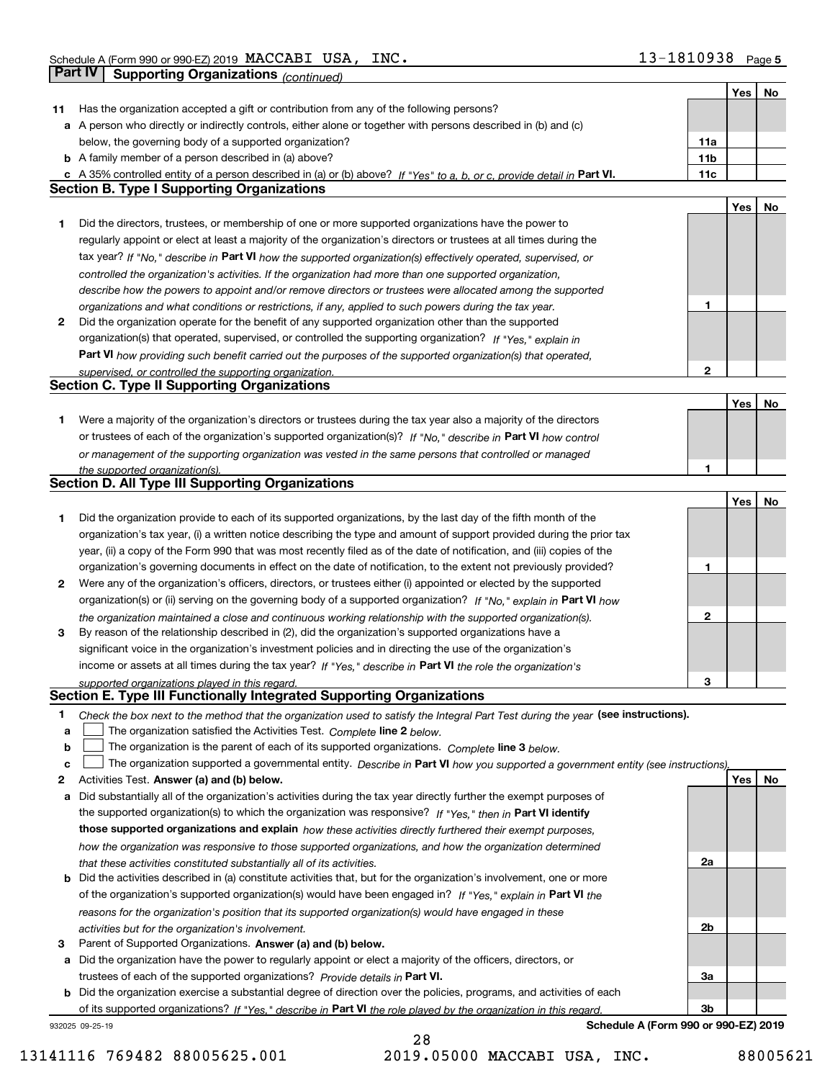| <b>Part IV</b> | <b>Supporting Organizations (continued)</b>                                                                                       |                 |            |    |
|----------------|-----------------------------------------------------------------------------------------------------------------------------------|-----------------|------------|----|
|                |                                                                                                                                   |                 | Yes        | No |
| 11             | Has the organization accepted a gift or contribution from any of the following persons?                                           |                 |            |    |
|                | a A person who directly or indirectly controls, either alone or together with persons described in (b) and (c)                    |                 |            |    |
|                | below, the governing body of a supported organization?                                                                            | 11a             |            |    |
|                | <b>b</b> A family member of a person described in (a) above?                                                                      | 11 <sub>b</sub> |            |    |
|                | c A 35% controlled entity of a person described in (a) or (b) above? If "Yes" to a, b, or c, provide detail in Part VI.           | 11c             |            |    |
|                | <b>Section B. Type I Supporting Organizations</b>                                                                                 |                 |            |    |
|                |                                                                                                                                   |                 | Yes        | No |
| 1              | Did the directors, trustees, or membership of one or more supported organizations have the power to                               |                 |            |    |
|                | regularly appoint or elect at least a majority of the organization's directors or trustees at all times during the                |                 |            |    |
|                | tax year? If "No," describe in Part VI how the supported organization(s) effectively operated, supervised, or                     |                 |            |    |
|                | controlled the organization's activities. If the organization had more than one supported organization,                           |                 |            |    |
|                | describe how the powers to appoint and/or remove directors or trustees were allocated among the supported                         |                 |            |    |
|                | organizations and what conditions or restrictions, if any, applied to such powers during the tax year.                            | 1               |            |    |
| 2              | Did the organization operate for the benefit of any supported organization other than the supported                               |                 |            |    |
|                | organization(s) that operated, supervised, or controlled the supporting organization? If "Yes." explain in                        |                 |            |    |
|                | Part VI how providing such benefit carried out the purposes of the supported organization(s) that operated,                       |                 |            |    |
|                | supervised, or controlled the supporting organization.                                                                            | $\mathbf{2}$    |            |    |
|                | <b>Section C. Type II Supporting Organizations</b>                                                                                |                 |            |    |
|                |                                                                                                                                   |                 | <b>Yes</b> | No |
| 1.             | Were a majority of the organization's directors or trustees during the tax year also a majority of the directors                  |                 |            |    |
|                | or trustees of each of the organization's supported organization(s)? If "No," describe in Part VI how control                     |                 |            |    |
|                | or management of the supporting organization was vested in the same persons that controlled or managed                            |                 |            |    |
|                | the supported organization(s).                                                                                                    | 1               |            |    |
|                | <b>Section D. All Type III Supporting Organizations</b>                                                                           |                 |            |    |
|                |                                                                                                                                   |                 | Yes        | No |
| 1              | Did the organization provide to each of its supported organizations, by the last day of the fifth month of the                    |                 |            |    |
|                | organization's tax year, (i) a written notice describing the type and amount of support provided during the prior tax             |                 |            |    |
|                | year, (ii) a copy of the Form 990 that was most recently filed as of the date of notification, and (iii) copies of the            |                 |            |    |
|                | organization's governing documents in effect on the date of notification, to the extent not previously provided?                  | 1               |            |    |
| 2              | Were any of the organization's officers, directors, or trustees either (i) appointed or elected by the supported                  |                 |            |    |
|                | organization(s) or (ii) serving on the governing body of a supported organization? If "No," explain in Part VI how                |                 |            |    |
|                | the organization maintained a close and continuous working relationship with the supported organization(s).                       | 2               |            |    |
| 3              | By reason of the relationship described in (2), did the organization's supported organizations have a                             |                 |            |    |
|                | significant voice in the organization's investment policies and in directing the use of the organization's                        |                 |            |    |
|                | income or assets at all times during the tax year? If "Yes," describe in Part VI the role the organization's                      | 3               |            |    |
|                | supported organizations played in this regard.<br>Section E. Type III Functionally Integrated Supporting Organizations            |                 |            |    |
| 1              | Check the box next to the method that the organization used to satisfy the Integral Part Test during the year (see instructions). |                 |            |    |
| a              | The organization satisfied the Activities Test. Complete line 2 below.                                                            |                 |            |    |
| b              | The organization is the parent of each of its supported organizations. Complete line 3 below.                                     |                 |            |    |
| c              | The organization supported a governmental entity. Describe in Part VI how you supported a government entity (see instructions),   |                 |            |    |
| 2              | Activities Test. Answer (a) and (b) below.                                                                                        |                 | Yes        | No |
| a              | Did substantially all of the organization's activities during the tax year directly further the exempt purposes of                |                 |            |    |
|                | the supported organization(s) to which the organization was responsive? If "Yes," then in Part VI identify                        |                 |            |    |
|                | those supported organizations and explain how these activities directly furthered their exempt purposes,                          |                 |            |    |
|                | how the organization was responsive to those supported organizations, and how the organization determined                         |                 |            |    |
|                | that these activities constituted substantially all of its activities.                                                            | 2a              |            |    |
|                | <b>b</b> Did the activities described in (a) constitute activities that, but for the organization's involvement, one or more      |                 |            |    |
|                | of the organization's supported organization(s) would have been engaged in? If "Yes," explain in Part VI the                      |                 |            |    |
|                | reasons for the organization's position that its supported organization(s) would have engaged in these                            |                 |            |    |
|                | activities but for the organization's involvement.                                                                                | 2b              |            |    |
| з              | Parent of Supported Organizations. Answer (a) and (b) below.                                                                      |                 |            |    |
|                | a Did the organization have the power to regularly appoint or elect a majority of the officers, directors, or                     |                 |            |    |
|                | trustees of each of the supported organizations? Provide details in Part VI.                                                      | За              |            |    |
|                | <b>b</b> Did the organization exercise a substantial degree of direction over the policies, programs, and activities of each      |                 |            |    |
|                | of its supported organizations? If "Yes." describe in Part VI the role played by the organization in this regard.                 | 3b              |            |    |
|                | Schedule A (Form 990 or 990-EZ) 2019<br>932025 09-25-19                                                                           |                 |            |    |

13141116 769482 88005625.001 2019.05000 MACCABI USA, INC. 88005621

28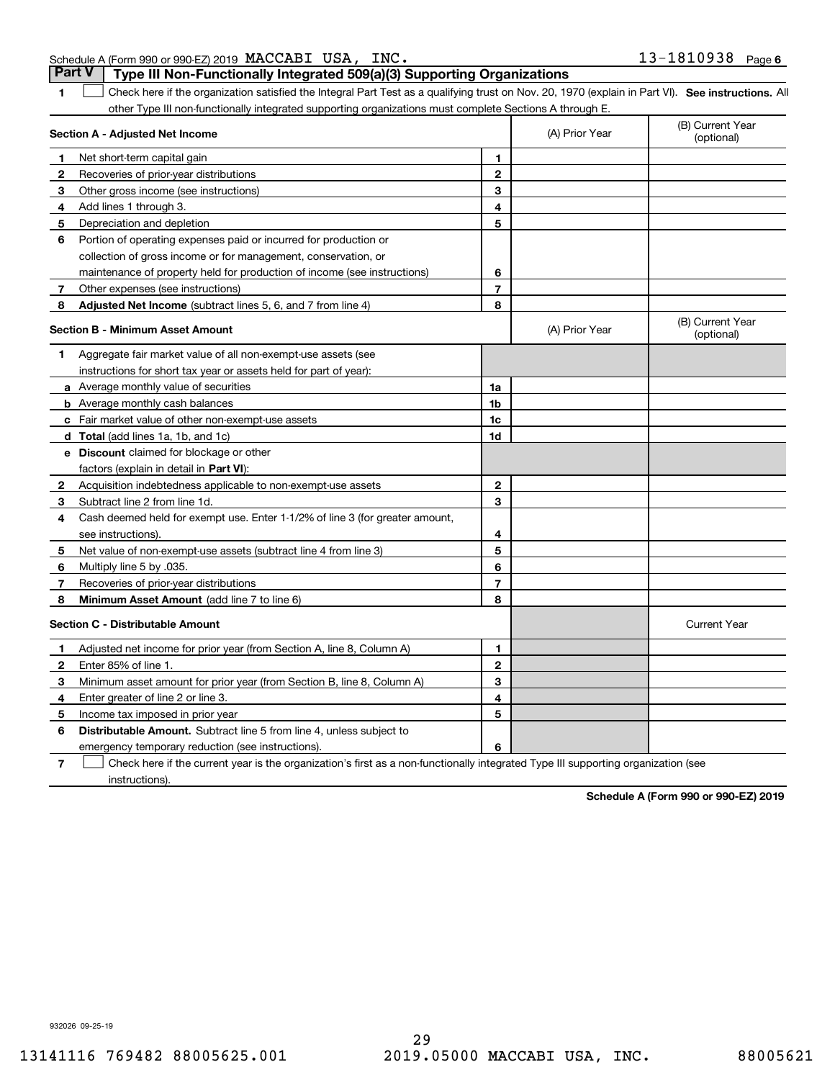| <b>Part V</b>   Type III Non-Functionally Integrated 509(a)(3) Supporting Organizations |                       |  |
|-----------------------------------------------------------------------------------------|-----------------------|--|
| Schedule A (Form 990 or 990-EZ) 2019 MACCABI USA, INC.                                  | $13 - 1810938$ Page 6 |  |

**1**

1 Check here if the organization satisfied the Integral Part Test as a qualifying trust on Nov. 20, 1970 (explain in Part VI). See instructions. All other Type III non-functionally integrated supporting organizations must complete Sections A through E.

|    | Section A - Adjusted Net Income                                              |                | (A) Prior Year | (B) Current Year<br>(optional) |
|----|------------------------------------------------------------------------------|----------------|----------------|--------------------------------|
| 1  | Net short-term capital gain                                                  | 1              |                |                                |
| 2  | Recoveries of prior-year distributions                                       | $\overline{2}$ |                |                                |
| З  | Other gross income (see instructions)                                        | 3              |                |                                |
| 4  | Add lines 1 through 3.                                                       | 4              |                |                                |
| 5  | Depreciation and depletion                                                   | 5              |                |                                |
| 6  | Portion of operating expenses paid or incurred for production or             |                |                |                                |
|    | collection of gross income or for management, conservation, or               |                |                |                                |
|    | maintenance of property held for production of income (see instructions)     | 6              |                |                                |
| 7  | Other expenses (see instructions)                                            | 7              |                |                                |
| 8  | Adjusted Net Income (subtract lines 5, 6, and 7 from line 4)                 | 8              |                |                                |
|    | <b>Section B - Minimum Asset Amount</b>                                      |                | (A) Prior Year | (B) Current Year<br>(optional) |
| 1  | Aggregate fair market value of all non-exempt-use assets (see                |                |                |                                |
|    | instructions for short tax year or assets held for part of year):            |                |                |                                |
|    | a Average monthly value of securities                                        | 1a             |                |                                |
|    | <b>b</b> Average monthly cash balances                                       | 1b             |                |                                |
|    | c Fair market value of other non-exempt-use assets                           | 1c             |                |                                |
|    | d Total (add lines 1a, 1b, and 1c)                                           | 1d             |                |                                |
|    | e Discount claimed for blockage or other                                     |                |                |                                |
|    | factors (explain in detail in Part VI):                                      |                |                |                                |
| 2  | Acquisition indebtedness applicable to non-exempt-use assets                 | $\mathbf{2}$   |                |                                |
| З  | Subtract line 2 from line 1d.                                                | 3              |                |                                |
| 4  | Cash deemed held for exempt use. Enter 1-1/2% of line 3 (for greater amount, |                |                |                                |
|    | see instructions).                                                           | 4              |                |                                |
| 5  | Net value of non-exempt-use assets (subtract line 4 from line 3)             | 5              |                |                                |
| 6  | Multiply line 5 by .035.                                                     | 6              |                |                                |
| 7  | Recoveries of prior-year distributions                                       | $\overline{7}$ |                |                                |
| 8  | Minimum Asset Amount (add line 7 to line 6)                                  | 8              |                |                                |
|    | <b>Section C - Distributable Amount</b>                                      |                |                | <b>Current Year</b>            |
| 1  | Adjusted net income for prior year (from Section A, line 8, Column A)        | 1              |                |                                |
| 2  | Enter 85% of line 1.                                                         | $\overline{2}$ |                |                                |
| 3  | Minimum asset amount for prior year (from Section B, line 8, Column A)       | 3              |                |                                |
| 4  | Enter greater of line 2 or line 3.                                           | 4              |                |                                |
| 5. | Income tax imposed in prior year                                             | 5              |                |                                |
| 6  | <b>Distributable Amount.</b> Subtract line 5 from line 4, unless subject to  |                |                |                                |
|    | emergency temporary reduction (see instructions).                            | 6              |                |                                |
|    |                                                                              |                |                |                                |

**7** Check here if the current year is the organization's first as a non-functionally integrated Type III supporting organization (see instructions).

**Schedule A (Form 990 or 990-EZ) 2019**

932026 09-25-19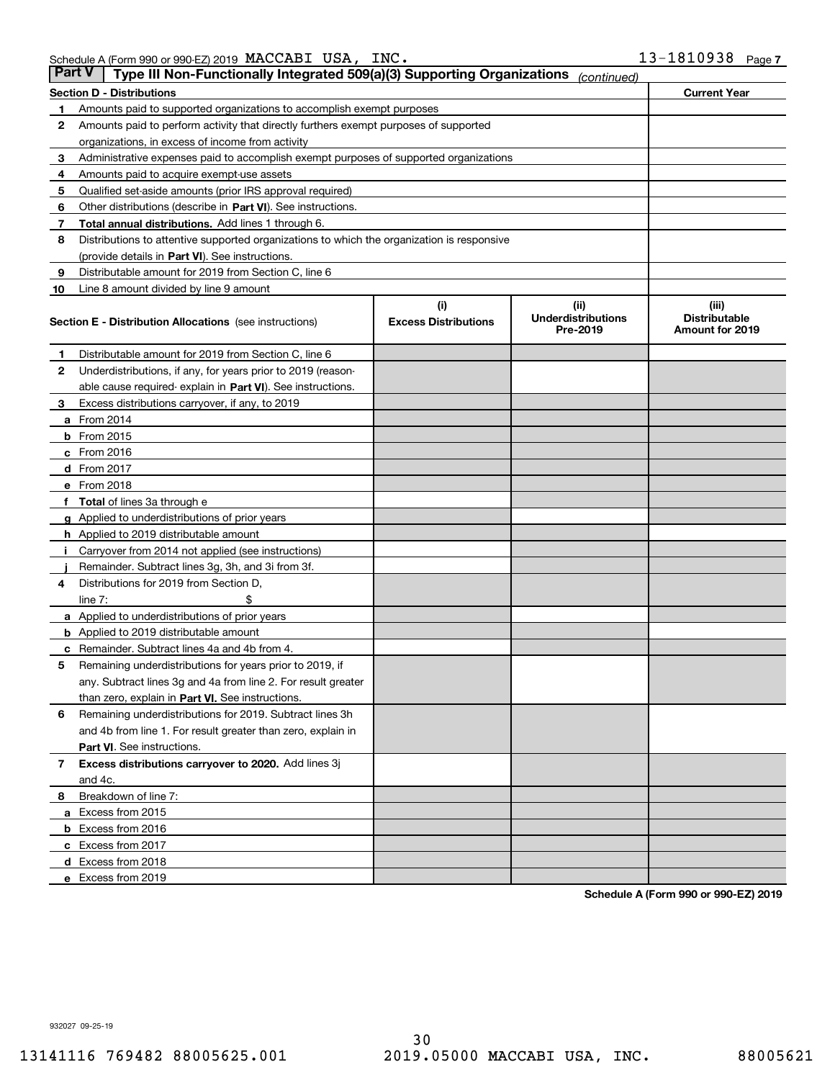| Part V | Type III Non-Functionally Integrated 509(a)(3) Supporting Organizations                    |                             | (continued)                           |                                         |  |  |  |  |  |  |
|--------|--------------------------------------------------------------------------------------------|-----------------------------|---------------------------------------|-----------------------------------------|--|--|--|--|--|--|
|        | <b>Section D - Distributions</b>                                                           |                             |                                       | <b>Current Year</b>                     |  |  |  |  |  |  |
| 1      | Amounts paid to supported organizations to accomplish exempt purposes                      |                             |                                       |                                         |  |  |  |  |  |  |
| 2      | Amounts paid to perform activity that directly furthers exempt purposes of supported       |                             |                                       |                                         |  |  |  |  |  |  |
|        | organizations, in excess of income from activity                                           |                             |                                       |                                         |  |  |  |  |  |  |
| з      | Administrative expenses paid to accomplish exempt purposes of supported organizations      |                             |                                       |                                         |  |  |  |  |  |  |
| 4      | Amounts paid to acquire exempt-use assets                                                  |                             |                                       |                                         |  |  |  |  |  |  |
| 5      | Qualified set-aside amounts (prior IRS approval required)                                  |                             |                                       |                                         |  |  |  |  |  |  |
| 6      | Other distributions (describe in Part VI). See instructions.                               |                             |                                       |                                         |  |  |  |  |  |  |
| 7      | Total annual distributions. Add lines 1 through 6.                                         |                             |                                       |                                         |  |  |  |  |  |  |
| 8      | Distributions to attentive supported organizations to which the organization is responsive |                             |                                       |                                         |  |  |  |  |  |  |
|        | (provide details in Part VI). See instructions.                                            |                             |                                       |                                         |  |  |  |  |  |  |
| 9      | Distributable amount for 2019 from Section C, line 6                                       |                             |                                       |                                         |  |  |  |  |  |  |
| 10     | Line 8 amount divided by line 9 amount                                                     |                             |                                       |                                         |  |  |  |  |  |  |
|        |                                                                                            | (i)                         | (ii)                                  | (iii)                                   |  |  |  |  |  |  |
|        | <b>Section E - Distribution Allocations</b> (see instructions)                             | <b>Excess Distributions</b> | <b>Underdistributions</b><br>Pre-2019 | <b>Distributable</b><br>Amount for 2019 |  |  |  |  |  |  |
| 1      | Distributable amount for 2019 from Section C, line 6                                       |                             |                                       |                                         |  |  |  |  |  |  |
| 2      | Underdistributions, if any, for years prior to 2019 (reason-                               |                             |                                       |                                         |  |  |  |  |  |  |
|        | able cause required- explain in Part VI). See instructions.                                |                             |                                       |                                         |  |  |  |  |  |  |
| 3      | Excess distributions carryover, if any, to 2019                                            |                             |                                       |                                         |  |  |  |  |  |  |
|        | <b>a</b> From 2014                                                                         |                             |                                       |                                         |  |  |  |  |  |  |
|        | <b>b</b> From 2015                                                                         |                             |                                       |                                         |  |  |  |  |  |  |
|        | $c$ From 2016                                                                              |                             |                                       |                                         |  |  |  |  |  |  |
|        | d From 2017                                                                                |                             |                                       |                                         |  |  |  |  |  |  |
|        | e From 2018                                                                                |                             |                                       |                                         |  |  |  |  |  |  |
| f      | Total of lines 3a through e                                                                |                             |                                       |                                         |  |  |  |  |  |  |
|        | <b>g</b> Applied to underdistributions of prior years                                      |                             |                                       |                                         |  |  |  |  |  |  |
|        | <b>h</b> Applied to 2019 distributable amount                                              |                             |                                       |                                         |  |  |  |  |  |  |
|        | Carryover from 2014 not applied (see instructions)                                         |                             |                                       |                                         |  |  |  |  |  |  |
|        | Remainder. Subtract lines 3g, 3h, and 3i from 3f.                                          |                             |                                       |                                         |  |  |  |  |  |  |
| 4      | Distributions for 2019 from Section D,                                                     |                             |                                       |                                         |  |  |  |  |  |  |
|        | line $7:$                                                                                  |                             |                                       |                                         |  |  |  |  |  |  |
|        | <b>a</b> Applied to underdistributions of prior years                                      |                             |                                       |                                         |  |  |  |  |  |  |
|        | <b>b</b> Applied to 2019 distributable amount                                              |                             |                                       |                                         |  |  |  |  |  |  |
| c      | Remainder. Subtract lines 4a and 4b from 4.                                                |                             |                                       |                                         |  |  |  |  |  |  |
| 5      | Remaining underdistributions for years prior to 2019, if                                   |                             |                                       |                                         |  |  |  |  |  |  |
|        | any. Subtract lines 3g and 4a from line 2. For result greater                              |                             |                                       |                                         |  |  |  |  |  |  |
|        | than zero, explain in Part VI. See instructions.                                           |                             |                                       |                                         |  |  |  |  |  |  |
| 6      | Remaining underdistributions for 2019. Subtract lines 3h                                   |                             |                                       |                                         |  |  |  |  |  |  |
|        | and 4b from line 1. For result greater than zero, explain in                               |                             |                                       |                                         |  |  |  |  |  |  |
|        | <b>Part VI.</b> See instructions.                                                          |                             |                                       |                                         |  |  |  |  |  |  |
| 7      | Excess distributions carryover to 2020. Add lines 3j                                       |                             |                                       |                                         |  |  |  |  |  |  |
|        | and 4c.                                                                                    |                             |                                       |                                         |  |  |  |  |  |  |
| 8      | Breakdown of line 7:                                                                       |                             |                                       |                                         |  |  |  |  |  |  |
|        | a Excess from 2015                                                                         |                             |                                       |                                         |  |  |  |  |  |  |
|        | <b>b</b> Excess from 2016                                                                  |                             |                                       |                                         |  |  |  |  |  |  |
|        | c Excess from 2017                                                                         |                             |                                       |                                         |  |  |  |  |  |  |
|        | d Excess from 2018                                                                         |                             |                                       |                                         |  |  |  |  |  |  |
|        | e Excess from 2019                                                                         |                             |                                       |                                         |  |  |  |  |  |  |
|        |                                                                                            |                             |                                       |                                         |  |  |  |  |  |  |

**Schedule A (Form 990 or 990-EZ) 2019**

932027 09-25-19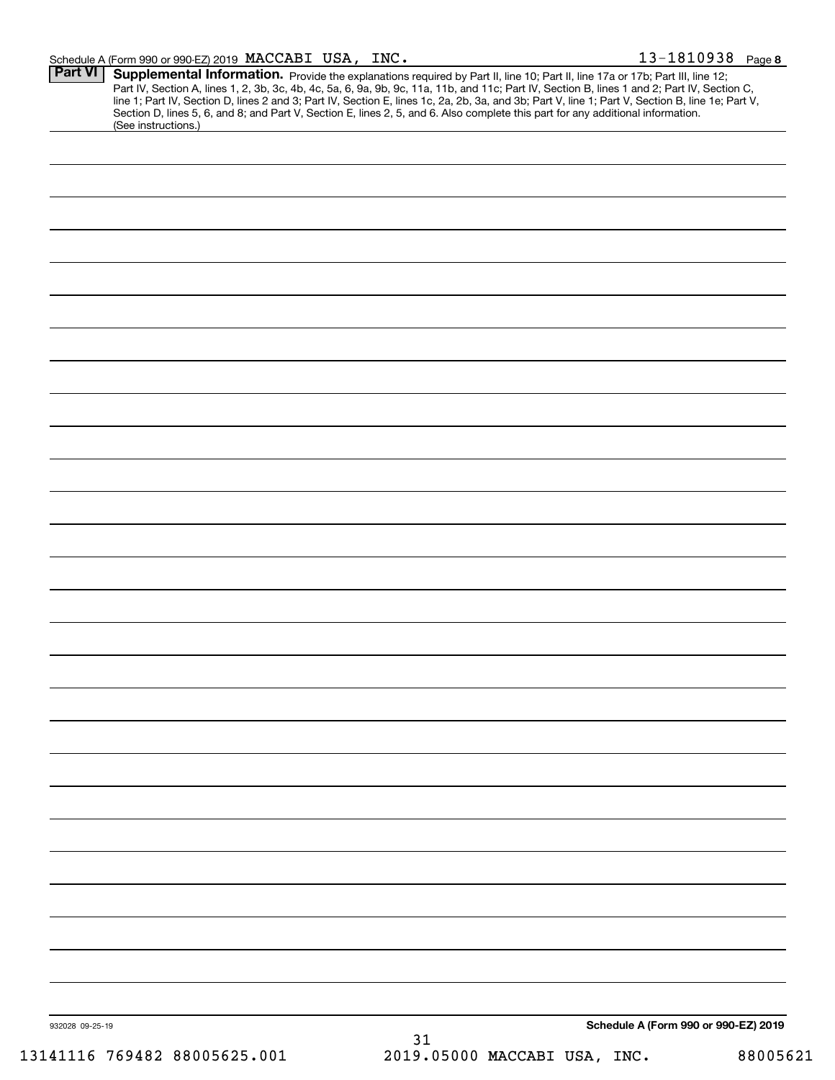| Schedule A (Form 990 or 990-EZ) 2019 $\texttt{MACCABI}$ | T USA, | INC. | 1810938 | Page 8 |
|---------------------------------------------------------|--------|------|---------|--------|
|                                                         |        |      |         |        |

| (See instructions.) |                             | Section D, lines 5, 6, and 8; and Part V, Section E, lines 2, 5, and 6. Also complete this part for any additional information. |
|---------------------|-----------------------------|---------------------------------------------------------------------------------------------------------------------------------|
|                     |                             |                                                                                                                                 |
|                     |                             |                                                                                                                                 |
|                     |                             |                                                                                                                                 |
|                     |                             |                                                                                                                                 |
|                     |                             |                                                                                                                                 |
|                     |                             |                                                                                                                                 |
|                     |                             |                                                                                                                                 |
|                     |                             |                                                                                                                                 |
|                     |                             |                                                                                                                                 |
|                     |                             |                                                                                                                                 |
|                     |                             |                                                                                                                                 |
|                     |                             |                                                                                                                                 |
|                     |                             |                                                                                                                                 |
|                     |                             |                                                                                                                                 |
|                     |                             |                                                                                                                                 |
|                     |                             |                                                                                                                                 |
|                     |                             |                                                                                                                                 |
|                     |                             |                                                                                                                                 |
|                     |                             |                                                                                                                                 |
|                     |                             |                                                                                                                                 |
|                     |                             |                                                                                                                                 |
|                     |                             |                                                                                                                                 |
|                     |                             |                                                                                                                                 |
|                     |                             |                                                                                                                                 |
|                     |                             |                                                                                                                                 |
|                     |                             |                                                                                                                                 |
|                     |                             |                                                                                                                                 |
|                     |                             |                                                                                                                                 |
|                     |                             |                                                                                                                                 |
|                     |                             |                                                                                                                                 |
|                     |                             |                                                                                                                                 |
|                     |                             |                                                                                                                                 |
|                     |                             |                                                                                                                                 |
|                     |                             | Schedule A (Form 990 or 990-EZ) 2019                                                                                            |
|                     | $1111C$ 760100 00005605 001 | 31<br>2010 OEOOO MACCART HCA TMC                                                                                                |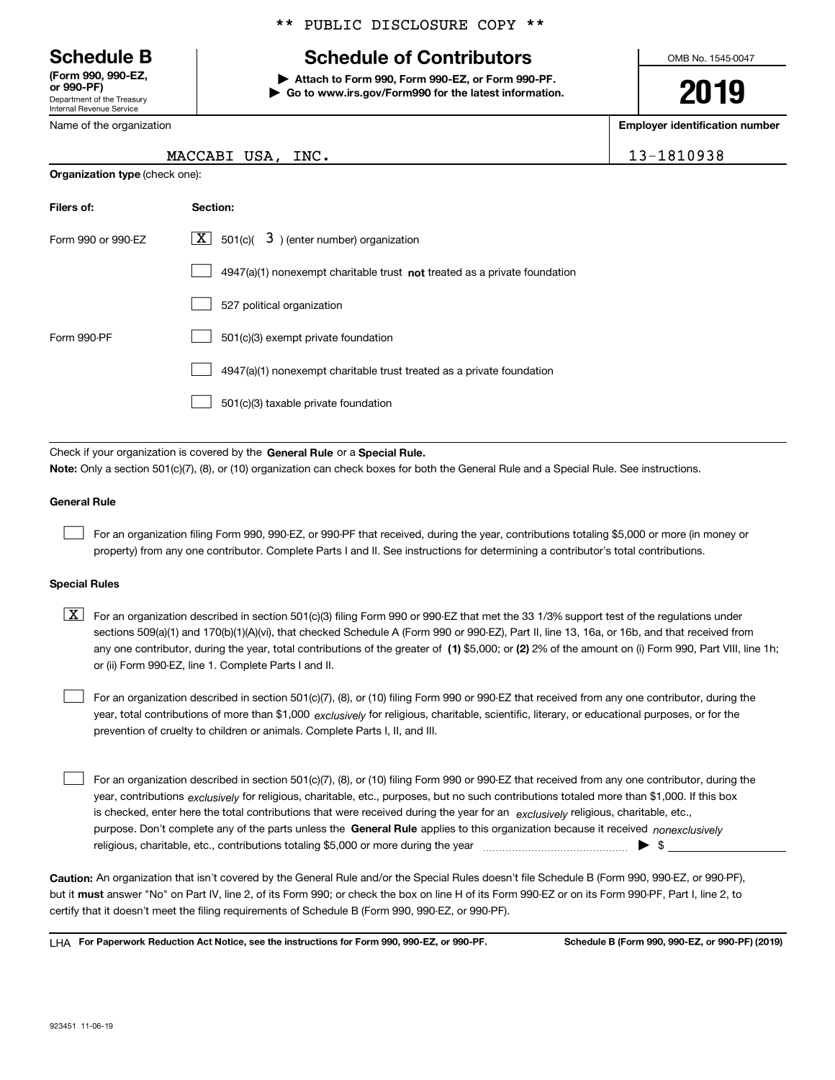Department of the Treasury Internal Revenue Service **(Form 990, 990-EZ, or 990-PF)**

Name of the organization

**Organization type** (check one):

### \*\* PUBLIC DISCLOSURE COPY \*\*

# **Schedule B Schedule of Contributors**

**| Attach to Form 990, Form 990-EZ, or Form 990-PF. | Go to www.irs.gov/Form990 for the latest information.** OMB No. 1545-0047

**2019**

**Employer identification number**

|  | MACCABI USA, |  | INC. | 13-1810938 |
|--|--------------|--|------|------------|
|--|--------------|--|------|------------|

| Filers of:         | Section:                                                                           |
|--------------------|------------------------------------------------------------------------------------|
| Form 990 or 990-EZ | $\lfloor x \rfloor$ 501(c)( 3) (enter number) organization                         |
|                    | $4947(a)(1)$ nonexempt charitable trust <b>not</b> treated as a private foundation |
|                    | 527 political organization                                                         |
| Form 990-PF        | 501(c)(3) exempt private foundation                                                |
|                    | 4947(a)(1) nonexempt charitable trust treated as a private foundation              |
|                    | 501(c)(3) taxable private foundation                                               |

Check if your organization is covered by the **General Rule** or a **Special Rule. Note:**  Only a section 501(c)(7), (8), or (10) organization can check boxes for both the General Rule and a Special Rule. See instructions.

### **General Rule**

 $\mathcal{L}^{\text{max}}$ 

For an organization filing Form 990, 990-EZ, or 990-PF that received, during the year, contributions totaling \$5,000 or more (in money or property) from any one contributor. Complete Parts I and II. See instructions for determining a contributor's total contributions.

### **Special Rules**

any one contributor, during the year, total contributions of the greater of  $\,$  (1) \$5,000; or **(2)** 2% of the amount on (i) Form 990, Part VIII, line 1h;  $\boxed{\textbf{X}}$  For an organization described in section 501(c)(3) filing Form 990 or 990-EZ that met the 33 1/3% support test of the regulations under sections 509(a)(1) and 170(b)(1)(A)(vi), that checked Schedule A (Form 990 or 990-EZ), Part II, line 13, 16a, or 16b, and that received from or (ii) Form 990-EZ, line 1. Complete Parts I and II.

year, total contributions of more than \$1,000 *exclusively* for religious, charitable, scientific, literary, or educational purposes, or for the For an organization described in section 501(c)(7), (8), or (10) filing Form 990 or 990-EZ that received from any one contributor, during the prevention of cruelty to children or animals. Complete Parts I, II, and III.  $\mathcal{L}^{\text{max}}$ 

purpose. Don't complete any of the parts unless the **General Rule** applies to this organization because it received *nonexclusively* year, contributions <sub>exclusively</sub> for religious, charitable, etc., purposes, but no such contributions totaled more than \$1,000. If this box is checked, enter here the total contributions that were received during the year for an  $\;$ exclusively religious, charitable, etc., For an organization described in section 501(c)(7), (8), or (10) filing Form 990 or 990-EZ that received from any one contributor, during the religious, charitable, etc., contributions totaling \$5,000 or more during the year  $\Box$ — $\Box$   $\Box$  $\mathcal{L}^{\text{max}}$ 

**Caution:**  An organization that isn't covered by the General Rule and/or the Special Rules doesn't file Schedule B (Form 990, 990-EZ, or 990-PF),  **must** but it answer "No" on Part IV, line 2, of its Form 990; or check the box on line H of its Form 990-EZ or on its Form 990-PF, Part I, line 2, to certify that it doesn't meet the filing requirements of Schedule B (Form 990, 990-EZ, or 990-PF).

**For Paperwork Reduction Act Notice, see the instructions for Form 990, 990-EZ, or 990-PF. Schedule B (Form 990, 990-EZ, or 990-PF) (2019)** LHA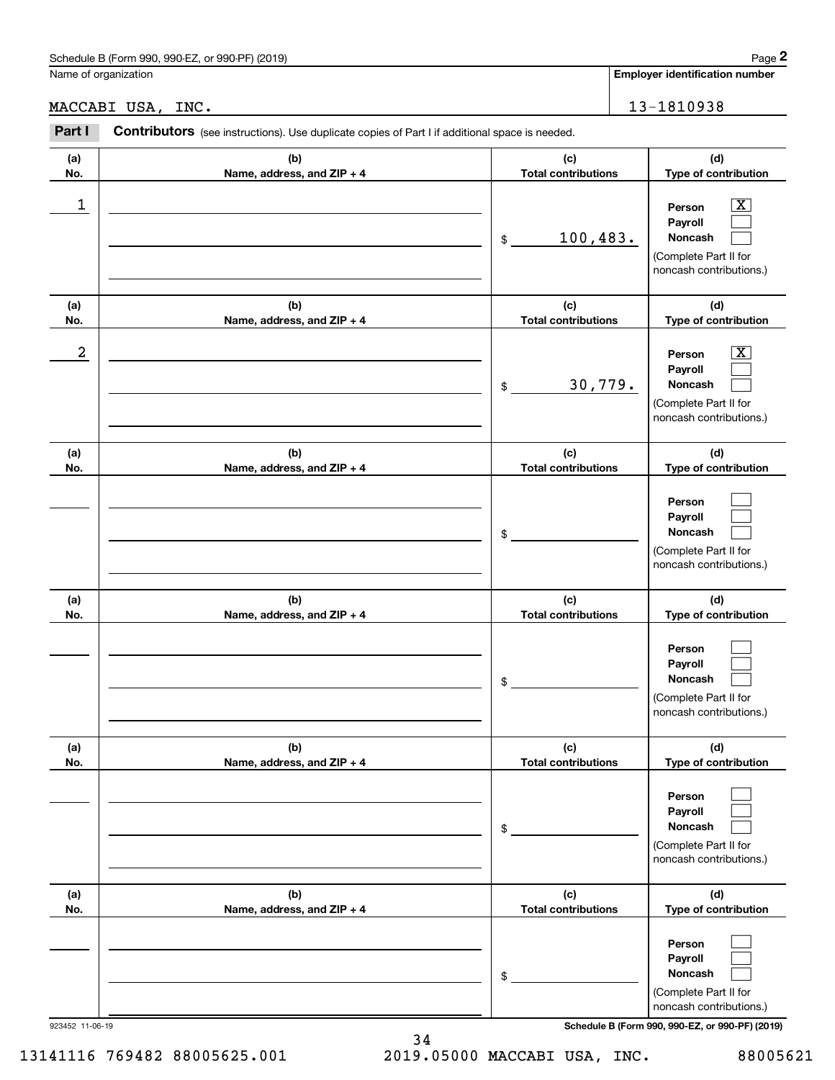# Schedule B (Form 990, 990-EZ, or 990-PF) (2019) Page 2

|                  | Schedule B (Form 990, 990-EZ, or 990-PF) (2019)                                                |                                   | Page 2                                                                                                      |
|------------------|------------------------------------------------------------------------------------------------|-----------------------------------|-------------------------------------------------------------------------------------------------------------|
|                  | Name of organization                                                                           |                                   | <b>Employer identification number</b>                                                                       |
|                  | MACCABI USA, INC.                                                                              |                                   | 13-1810938                                                                                                  |
| Part I           | Contributors (see instructions). Use duplicate copies of Part I if additional space is needed. |                                   |                                                                                                             |
| (a)<br>No.       | (b)<br>Name, address, and ZIP + 4                                                              | (c)<br><b>Total contributions</b> | (d)<br>Type of contribution                                                                                 |
| 1                |                                                                                                | 100, 483.<br>\$                   | $\overline{\mathbf{X}}$<br>Person<br>Payroll<br>Noncash<br>(Complete Part II for<br>noncash contributions.) |
| (a)<br>No.       | (b)<br>Name, address, and ZIP + 4                                                              | (c)<br><b>Total contributions</b> | (d)<br>Type of contribution                                                                                 |
| $\boldsymbol{2}$ |                                                                                                | 30,779.<br>\$                     | $\overline{\mathbf{X}}$<br>Person<br>Payroll<br>Noncash<br>(Complete Part II for<br>noncash contributions.) |
| (a)<br>No.       | (b)<br>Name, address, and ZIP + 4                                                              | (c)<br><b>Total contributions</b> | (d)<br>Type of contribution                                                                                 |
|                  |                                                                                                | \$                                | Person<br>Payroll<br>Noncash<br>(Complete Part II for<br>noncash contributions.)                            |
| (a)<br>No.       | (b)<br>Name, address, and ZIP + 4                                                              | (c)<br><b>Total contributions</b> | (d)<br>Type of contribution                                                                                 |
|                  |                                                                                                | \$                                | Person<br>Payroll<br>Noncash<br>(Complete Part II for<br>noncash contributions.)                            |
| (a)<br>No.       | (b)<br>Name, address, and ZIP + 4                                                              | (c)<br><b>Total contributions</b> | (d)<br>Type of contribution                                                                                 |
|                  |                                                                                                | \$                                | Person<br>Payroll<br>Noncash<br>(Complete Part II for<br>noncash contributions.)                            |
| (a)<br>No.       | (b)<br>Name, address, and ZIP + 4                                                              | (c)<br><b>Total contributions</b> | (d)<br>Type of contribution                                                                                 |
|                  |                                                                                                | \$                                | Person<br>Payroll<br>Noncash<br>(Complete Part II for<br>noncash contributions.)                            |

923452 11-06-19 **Schedule B (Form 990, 990-EZ, or 990-PF) (2019)**

34 13141116 769482 88005625.001 2019.05000 MACCABI USA, INC. 88005621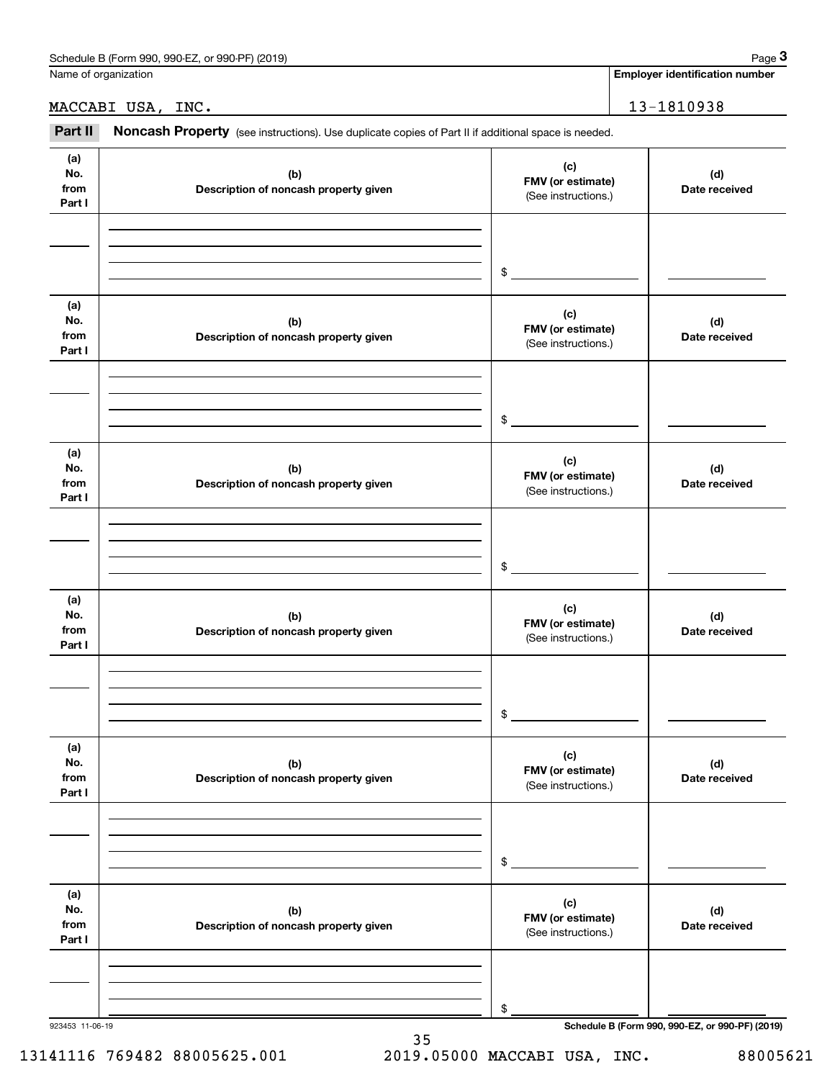| Schedule<br>or 990-PF)<br>(2019)<br>990-EZ<br>. B (Form<br>990. | Page |
|-----------------------------------------------------------------|------|
|                                                                 |      |

Name of organization

**Employer identification number**

MACCABI USA, INC. 13-1810938

Employer identification Page 3<br>
Iame of organization<br> **13-1810938**<br> **28 Part II Noncash Property** (see instructions). Use duplicate copies of Part II if additional space is needed.

| (a)<br>No.<br>from<br>Part I | (b)<br>Description of noncash property given | (c)<br>FMV (or estimate)<br>(See instructions.) | (d)<br>Date received                            |
|------------------------------|----------------------------------------------|-------------------------------------------------|-------------------------------------------------|
|                              |                                              | $\frac{1}{2}$                                   |                                                 |
| (a)<br>No.<br>from<br>Part I | (b)<br>Description of noncash property given | (c)<br>FMV (or estimate)<br>(See instructions.) | (d)<br>Date received                            |
|                              |                                              | $\frac{1}{2}$                                   |                                                 |
| (a)<br>No.<br>from<br>Part I | (b)<br>Description of noncash property given | (c)<br>FMV (or estimate)<br>(See instructions.) | (d)<br>Date received                            |
|                              |                                              | $\frac{1}{2}$                                   |                                                 |
| (a)<br>No.<br>from<br>Part I | (b)<br>Description of noncash property given | (c)<br>FMV (or estimate)<br>(See instructions.) | (d)<br>Date received                            |
|                              |                                              | \$                                              |                                                 |
| (a)<br>No.<br>from<br>Part I | (b)<br>Description of noncash property given | (c)<br>FMV (or estimate)<br>(See instructions.) | (d)<br>Date received                            |
|                              |                                              | \$                                              |                                                 |
| (a)<br>No.<br>from<br>Part I | (b)<br>Description of noncash property given | (c)<br>FMV (or estimate)<br>(See instructions.) | (d)<br>Date received                            |
| 923453 11-06-19              |                                              | \$                                              | Schedule B (Form 990, 990-EZ, or 990-PF) (2019) |

35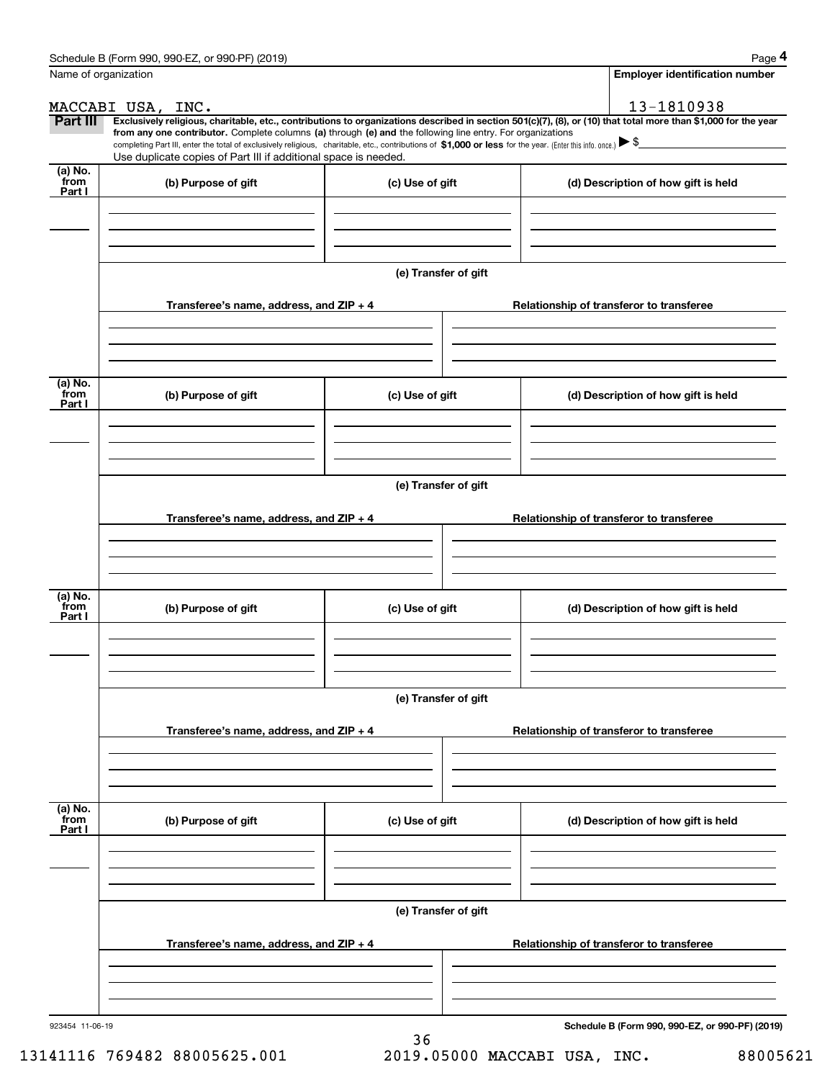|                           | Schedule B (Form 990, 990-EZ, or 990-PF) (2019)                                                                                                                                   |                      | Page 4                                                                                                                                                         |
|---------------------------|-----------------------------------------------------------------------------------------------------------------------------------------------------------------------------------|----------------------|----------------------------------------------------------------------------------------------------------------------------------------------------------------|
|                           | Name of organization                                                                                                                                                              |                      | <b>Employer identification number</b>                                                                                                                          |
|                           | MACCABI USA, INC.                                                                                                                                                                 |                      | 13-1810938                                                                                                                                                     |
| Part III                  | from any one contributor. Complete columns (a) through (e) and the following line entry. For organizations                                                                        |                      | Exclusively religious, charitable, etc., contributions to organizations described in section 501(c)(7), (8), or (10) that total more than \$1,000 for the year |
|                           | completing Part III, enter the total of exclusively religious, charitable, etc., contributions of \$1,000 or less for the year. (Enter this info. once.) $\blacktriangleright$ \$ |                      |                                                                                                                                                                |
| (a) No.                   | Use duplicate copies of Part III if additional space is needed.                                                                                                                   |                      |                                                                                                                                                                |
| from<br>Part I            | (b) Purpose of gift                                                                                                                                                               | (c) Use of gift      | (d) Description of how gift is held                                                                                                                            |
|                           |                                                                                                                                                                                   |                      |                                                                                                                                                                |
|                           |                                                                                                                                                                                   |                      |                                                                                                                                                                |
|                           |                                                                                                                                                                                   |                      |                                                                                                                                                                |
|                           |                                                                                                                                                                                   | (e) Transfer of gift |                                                                                                                                                                |
|                           |                                                                                                                                                                                   |                      |                                                                                                                                                                |
|                           | Transferee's name, address, and ZIP + 4                                                                                                                                           |                      | Relationship of transferor to transferee                                                                                                                       |
|                           |                                                                                                                                                                                   |                      |                                                                                                                                                                |
|                           |                                                                                                                                                                                   |                      |                                                                                                                                                                |
| (a) No.                   |                                                                                                                                                                                   |                      |                                                                                                                                                                |
| from<br>Part I            | (b) Purpose of gift                                                                                                                                                               | (c) Use of gift      | (d) Description of how gift is held                                                                                                                            |
|                           |                                                                                                                                                                                   |                      |                                                                                                                                                                |
|                           |                                                                                                                                                                                   |                      |                                                                                                                                                                |
|                           |                                                                                                                                                                                   |                      |                                                                                                                                                                |
|                           |                                                                                                                                                                                   | (e) Transfer of gift |                                                                                                                                                                |
|                           | Transferee's name, address, and ZIP + 4                                                                                                                                           |                      | Relationship of transferor to transferee                                                                                                                       |
|                           |                                                                                                                                                                                   |                      |                                                                                                                                                                |
|                           |                                                                                                                                                                                   |                      |                                                                                                                                                                |
|                           |                                                                                                                                                                                   |                      |                                                                                                                                                                |
| (a) No.<br>from           | (b) Purpose of gift                                                                                                                                                               | (c) Use of gift      | (d) Description of how gift is held                                                                                                                            |
| Part I                    |                                                                                                                                                                                   |                      |                                                                                                                                                                |
|                           |                                                                                                                                                                                   |                      |                                                                                                                                                                |
|                           |                                                                                                                                                                                   |                      |                                                                                                                                                                |
|                           |                                                                                                                                                                                   | (e) Transfer of gift |                                                                                                                                                                |
|                           |                                                                                                                                                                                   |                      |                                                                                                                                                                |
|                           | Transferee's name, address, and $ZIP + 4$                                                                                                                                         |                      | Relationship of transferor to transferee                                                                                                                       |
|                           |                                                                                                                                                                                   |                      |                                                                                                                                                                |
|                           |                                                                                                                                                                                   |                      |                                                                                                                                                                |
|                           |                                                                                                                                                                                   |                      |                                                                                                                                                                |
| (a) No.<br>from<br>Part I | (b) Purpose of gift                                                                                                                                                               | (c) Use of gift      | (d) Description of how gift is held                                                                                                                            |
|                           |                                                                                                                                                                                   |                      |                                                                                                                                                                |
|                           |                                                                                                                                                                                   |                      |                                                                                                                                                                |
|                           |                                                                                                                                                                                   |                      |                                                                                                                                                                |
|                           |                                                                                                                                                                                   | (e) Transfer of gift |                                                                                                                                                                |
|                           | Transferee's name, address, and $ZIP + 4$                                                                                                                                         |                      | Relationship of transferor to transferee                                                                                                                       |
|                           |                                                                                                                                                                                   |                      |                                                                                                                                                                |
|                           |                                                                                                                                                                                   |                      |                                                                                                                                                                |
|                           |                                                                                                                                                                                   |                      |                                                                                                                                                                |
| 923454 11-06-19           |                                                                                                                                                                                   |                      | Schedule B (Form 990, 990-EZ, or 990-PF) (2019)                                                                                                                |

36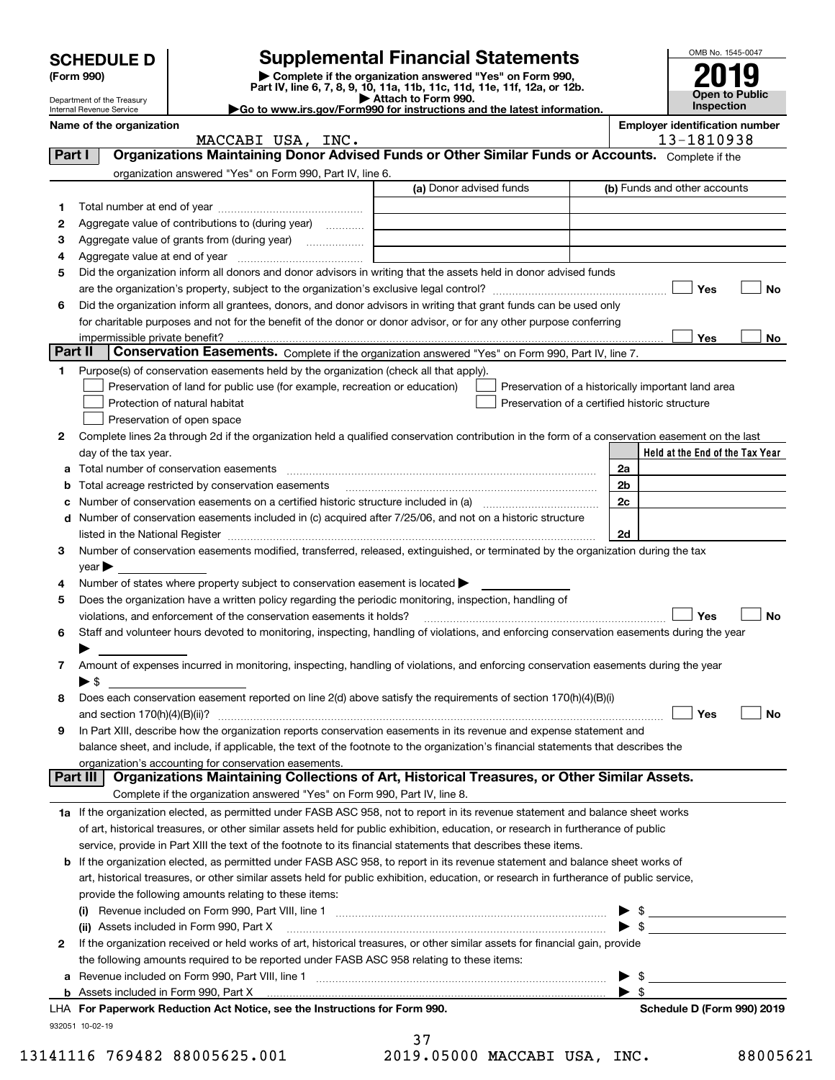|         | <b>Supplemental Financial Statements</b><br><b>SCHEDULE D</b>     |                                                                                                                                                                     |                                                                                                                                                                                                                                |                         | OMB No. 1545-0047               |  |  |
|---------|-------------------------------------------------------------------|---------------------------------------------------------------------------------------------------------------------------------------------------------------------|--------------------------------------------------------------------------------------------------------------------------------------------------------------------------------------------------------------------------------|-------------------------|---------------------------------|--|--|
|         | (Form 990)                                                        |                                                                                                                                                                     | Complete if the organization answered "Yes" on Form 990,                                                                                                                                                                       |                         |                                 |  |  |
|         |                                                                   |                                                                                                                                                                     | <b>Open to Public</b>                                                                                                                                                                                                          |                         |                                 |  |  |
|         | Department of the Treasury<br>Internal Revenue Service            | Go to www.irs.gov/Form990 for instructions and the latest information.                                                                                              | Inspection                                                                                                                                                                                                                     |                         |                                 |  |  |
|         | <b>Employer identification number</b><br>Name of the organization |                                                                                                                                                                     |                                                                                                                                                                                                                                |                         |                                 |  |  |
|         |                                                                   | MACCABI USA, INC.                                                                                                                                                   |                                                                                                                                                                                                                                |                         | 13-1810938                      |  |  |
| Part I  |                                                                   |                                                                                                                                                                     | Organizations Maintaining Donor Advised Funds or Other Similar Funds or Accounts. Complete if the                                                                                                                              |                         |                                 |  |  |
|         |                                                                   | organization answered "Yes" on Form 990, Part IV, line 6.                                                                                                           |                                                                                                                                                                                                                                |                         |                                 |  |  |
|         |                                                                   |                                                                                                                                                                     | (a) Donor advised funds                                                                                                                                                                                                        |                         | (b) Funds and other accounts    |  |  |
| 1       |                                                                   |                                                                                                                                                                     |                                                                                                                                                                                                                                |                         |                                 |  |  |
| 2       |                                                                   | Aggregate value of contributions to (during year)                                                                                                                   |                                                                                                                                                                                                                                |                         |                                 |  |  |
| З       |                                                                   |                                                                                                                                                                     |                                                                                                                                                                                                                                |                         |                                 |  |  |
| 4       |                                                                   |                                                                                                                                                                     |                                                                                                                                                                                                                                |                         |                                 |  |  |
| 5       |                                                                   |                                                                                                                                                                     | Did the organization inform all donors and donor advisors in writing that the assets held in donor advised funds                                                                                                               |                         |                                 |  |  |
|         |                                                                   |                                                                                                                                                                     |                                                                                                                                                                                                                                |                         | Yes<br>No                       |  |  |
| 6       |                                                                   |                                                                                                                                                                     | Did the organization inform all grantees, donors, and donor advisors in writing that grant funds can be used only                                                                                                              |                         |                                 |  |  |
|         |                                                                   |                                                                                                                                                                     | for charitable purposes and not for the benefit of the donor or donor advisor, or for any other purpose conferring                                                                                                             |                         |                                 |  |  |
| Part II | impermissible private benefit?                                    |                                                                                                                                                                     | Conservation Easements. Complete if the organization answered "Yes" on Form 990, Part IV, line 7.                                                                                                                              |                         | Yes<br>No                       |  |  |
|         |                                                                   |                                                                                                                                                                     |                                                                                                                                                                                                                                |                         |                                 |  |  |
| 1       |                                                                   | Purpose(s) of conservation easements held by the organization (check all that apply).<br>Preservation of land for public use (for example, recreation or education) |                                                                                                                                                                                                                                |                         |                                 |  |  |
|         |                                                                   | Protection of natural habitat                                                                                                                                       | Preservation of a historically important land area<br>Preservation of a certified historic structure                                                                                                                           |                         |                                 |  |  |
|         |                                                                   | Preservation of open space                                                                                                                                          |                                                                                                                                                                                                                                |                         |                                 |  |  |
| 2       |                                                                   |                                                                                                                                                                     | Complete lines 2a through 2d if the organization held a qualified conservation contribution in the form of a conservation easement on the last                                                                                 |                         |                                 |  |  |
|         | day of the tax year.                                              |                                                                                                                                                                     |                                                                                                                                                                                                                                |                         | Held at the End of the Tax Year |  |  |
| a       |                                                                   |                                                                                                                                                                     |                                                                                                                                                                                                                                | 2a                      |                                 |  |  |
| b       |                                                                   | Total acreage restricted by conservation easements                                                                                                                  |                                                                                                                                                                                                                                | 2 <sub>b</sub>          |                                 |  |  |
| c       |                                                                   |                                                                                                                                                                     |                                                                                                                                                                                                                                | 2c                      |                                 |  |  |
| d       |                                                                   |                                                                                                                                                                     | Number of conservation easements included in (c) acquired after 7/25/06, and not on a historic structure                                                                                                                       |                         |                                 |  |  |
|         |                                                                   |                                                                                                                                                                     | listed in the National Register [111] Marshall Register [11] Marshall Register [11] Marshall Register [11] Marshall Register [11] Marshall Register [11] Marshall Register [11] Marshall Register [11] Marshall Register [11]  | 2d                      |                                 |  |  |
| 3       |                                                                   |                                                                                                                                                                     | Number of conservation easements modified, transferred, released, extinguished, or terminated by the organization during the tax                                                                                               |                         |                                 |  |  |
|         | $year \triangleright$                                             |                                                                                                                                                                     |                                                                                                                                                                                                                                |                         |                                 |  |  |
| 4       |                                                                   | Number of states where property subject to conservation easement is located                                                                                         |                                                                                                                                                                                                                                |                         |                                 |  |  |
| 5       |                                                                   | Does the organization have a written policy regarding the periodic monitoring, inspection, handling of                                                              |                                                                                                                                                                                                                                |                         |                                 |  |  |
|         |                                                                   | violations, and enforcement of the conservation easements it holds?                                                                                                 |                                                                                                                                                                                                                                |                         | Yes<br>No                       |  |  |
| 6       |                                                                   |                                                                                                                                                                     | Staff and volunteer hours devoted to monitoring, inspecting, handling of violations, and enforcing conservation easements during the year                                                                                      |                         |                                 |  |  |
|         |                                                                   |                                                                                                                                                                     |                                                                                                                                                                                                                                |                         |                                 |  |  |
| 7       |                                                                   |                                                                                                                                                                     | Amount of expenses incurred in monitoring, inspecting, handling of violations, and enforcing conservation easements during the year                                                                                            |                         |                                 |  |  |
|         | $\blacktriangleright$ \$                                          |                                                                                                                                                                     |                                                                                                                                                                                                                                |                         |                                 |  |  |
| 8       |                                                                   |                                                                                                                                                                     | Does each conservation easement reported on line 2(d) above satisfy the requirements of section 170(h)(4)(B)(i)                                                                                                                |                         |                                 |  |  |
|         |                                                                   |                                                                                                                                                                     |                                                                                                                                                                                                                                |                         | Yes<br>No                       |  |  |
| 9       |                                                                   |                                                                                                                                                                     | In Part XIII, describe how the organization reports conservation easements in its revenue and expense statement and                                                                                                            |                         |                                 |  |  |
|         |                                                                   |                                                                                                                                                                     | balance sheet, and include, if applicable, the text of the footnote to the organization's financial statements that describes the                                                                                              |                         |                                 |  |  |
|         | Part III                                                          | organization's accounting for conservation easements.                                                                                                               | Organizations Maintaining Collections of Art, Historical Treasures, or Other Similar Assets.                                                                                                                                   |                         |                                 |  |  |
|         |                                                                   | Complete if the organization answered "Yes" on Form 990, Part IV, line 8.                                                                                           |                                                                                                                                                                                                                                |                         |                                 |  |  |
|         |                                                                   |                                                                                                                                                                     | 1a If the organization elected, as permitted under FASB ASC 958, not to report in its revenue statement and balance sheet works                                                                                                |                         |                                 |  |  |
|         |                                                                   |                                                                                                                                                                     | of art, historical treasures, or other similar assets held for public exhibition, education, or research in furtherance of public                                                                                              |                         |                                 |  |  |
|         |                                                                   |                                                                                                                                                                     | service, provide in Part XIII the text of the footnote to its financial statements that describes these items.                                                                                                                 |                         |                                 |  |  |
| b       |                                                                   |                                                                                                                                                                     | If the organization elected, as permitted under FASB ASC 958, to report in its revenue statement and balance sheet works of                                                                                                    |                         |                                 |  |  |
|         |                                                                   |                                                                                                                                                                     | art, historical treasures, or other similar assets held for public exhibition, education, or research in furtherance of public service,                                                                                        |                         |                                 |  |  |
|         |                                                                   | provide the following amounts relating to these items:                                                                                                              |                                                                                                                                                                                                                                |                         |                                 |  |  |
|         |                                                                   |                                                                                                                                                                     |                                                                                                                                                                                                                                |                         |                                 |  |  |
|         |                                                                   |                                                                                                                                                                     | (ii) Assets included in Form 990, Part X [11] manufactured in the set of the set of the set of the set of the set of the set of the set of the set of the set of the set of the set of the set of the set of the set of the se |                         |                                 |  |  |
| 2       |                                                                   |                                                                                                                                                                     | If the organization received or held works of art, historical treasures, or other similar assets for financial gain, provide                                                                                                   |                         |                                 |  |  |
|         |                                                                   | the following amounts required to be reported under FASB ASC 958 relating to these items:                                                                           |                                                                                                                                                                                                                                |                         |                                 |  |  |
|         |                                                                   |                                                                                                                                                                     |                                                                                                                                                                                                                                |                         | $\blacktriangleright$ \$        |  |  |
|         |                                                                   |                                                                                                                                                                     |                                                                                                                                                                                                                                | $\blacktriangleright$ s |                                 |  |  |
|         |                                                                   | LHA For Paperwork Reduction Act Notice, see the Instructions for Form 990.                                                                                          |                                                                                                                                                                                                                                |                         | Schedule D (Form 990) 2019      |  |  |
|         | 932051 10-02-19                                                   |                                                                                                                                                                     | 37                                                                                                                                                                                                                             |                         |                                 |  |  |
|         |                                                                   |                                                                                                                                                                     |                                                                                                                                                                                                                                |                         |                                 |  |  |

| ، ر |                |  |
|-----|----------------|--|
|     | 19.05000 MACCA |  |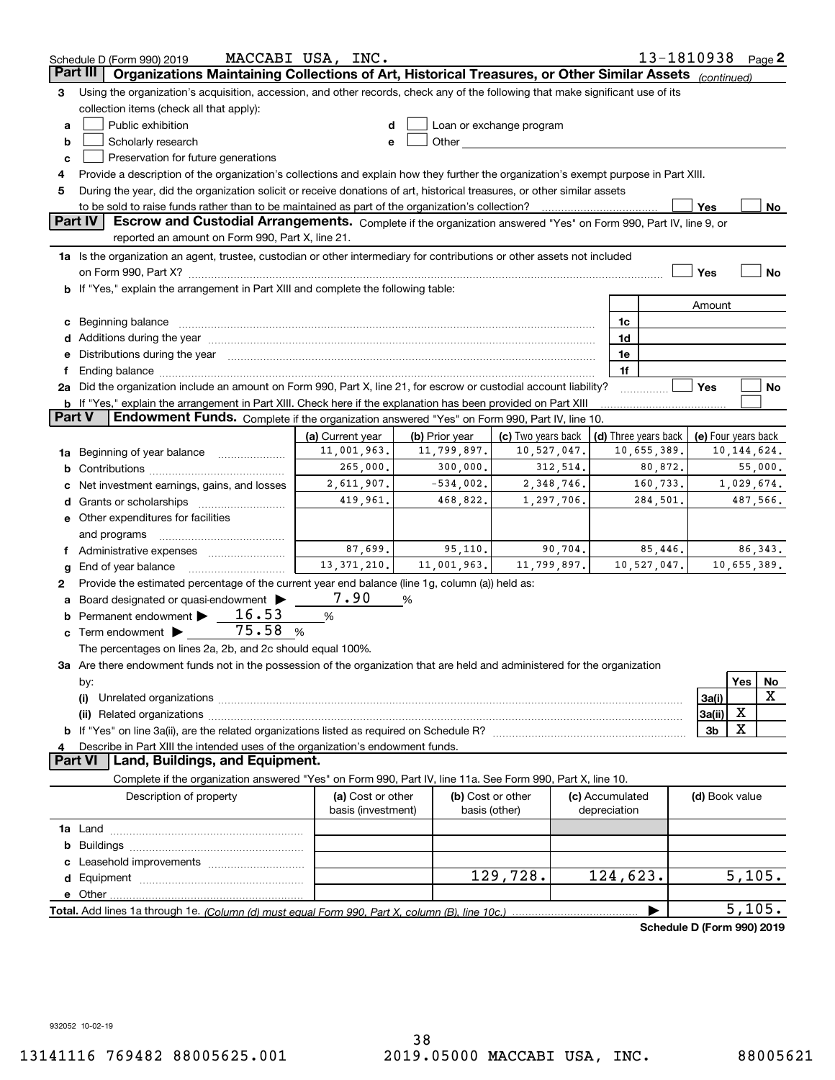| Organizations Maintaining Collections of Art, Historical Treasures, or Other Similar Assets<br>Part III<br>(continued)<br>Using the organization's acquisition, accession, and other records, check any of the following that make significant use of its<br>з<br>collection items (check all that apply):<br>Public exhibition<br>Loan or exchange program<br>a<br>Other and the contract of the contract of the contract of the contract of the contract of the contract of the contract of the contract of the contract of the contract of the contract of the contract of the contract of the<br>Scholarly research<br>b<br>е<br>Preservation for future generations<br>c<br>Provide a description of the organization's collections and explain how they further the organization's exempt purpose in Part XIII.<br>4<br>During the year, did the organization solicit or receive donations of art, historical treasures, or other similar assets<br>5<br>to be sold to raise funds rather than to be maintained as part of the organization's collection?<br>Yes<br>No<br><b>Part IV</b><br>Escrow and Custodial Arrangements. Complete if the organization answered "Yes" on Form 990, Part IV, line 9, or<br>reported an amount on Form 990, Part X, line 21.<br>1a Is the organization an agent, trustee, custodian or other intermediary for contributions or other assets not included<br>Yes<br>No<br>b If "Yes," explain the arrangement in Part XIII and complete the following table:<br>Amount<br>Beginning balance measurements and contain a series of the series of the series of the series of the series of<br>1c<br>c<br>1d<br>e Distributions during the year manufactured and continuum and contained and the year manufactured and contained and the year manufactured and contained and contained and contained and contained and contained and contained<br>1e<br>1f<br>Ending balance manufactured and contact the contract of the contract of the contract of the contract of the contract of the contract of the contract of the contract of the contract of the contract of the contract of the co<br>Ť.<br>2a Did the organization include an amount on Form 990, Part X, line 21, for escrow or custodial account liability?<br>Yes<br>No<br><b>b</b> If "Yes," explain the arrangement in Part XIII. Check here if the explanation has been provided on Part XIII<br>Part V<br>Endowment Funds. Complete if the organization answered "Yes" on Form 990, Part IV, line 10.<br>(a) Current year<br>(b) Prior year<br>(c) Two years back<br>(d) Three years back<br>(e) Four years back<br>11,001,963.<br>11,799,897.<br>10,527,047.<br>10,655,389.<br>10, 144, 624.<br>Beginning of year balance<br>1a<br>265,000.<br>300,000.<br>312,514.<br>80,872.<br>55,000.<br>b<br>2,611,907.<br>$-534,002$ .<br>2,348,746.<br>160,733.<br>1,029,674.<br>Net investment earnings, gains, and losses<br>419,961.<br>468,822.<br>1,297,706.<br>284,501.<br>487,566.<br>Grants or scholarships<br>d<br><b>e</b> Other expenditures for facilities<br>and programs<br>87,699.<br>85,446.<br>86, 343.<br>95,110.<br>90,704.<br>f Administrative expenses<br>13, 371, 210.<br>11,001,963.<br>11,799,897.<br>10,655,389.<br>10,527,047.<br>End of year balance<br>g<br>Provide the estimated percentage of the current year end balance (line 1g, column (a)) held as:<br>2<br>7.90<br>Board designated or quasi-endowment<br>%<br>а<br>16.53<br>Permanent endowment<br>$\%$<br>75.58<br>Term endowment<br>%<br>The percentages on lines 2a, 2b, and 2c should equal 100%.<br>3a Are there endowment funds not in the possession of the organization that are held and administered for the organization<br>Yes<br>No<br>by:<br>X<br>3a(i)<br>(i)<br>х<br>3a(ii)<br>х<br>3b<br>Describe in Part XIII the intended uses of the organization's endowment funds.<br>4<br>Land, Buildings, and Equipment.<br>Part VI<br>Complete if the organization answered "Yes" on Form 990, Part IV, line 11a. See Form 990, Part X, line 10.<br>Description of property<br>(a) Cost or other<br>(b) Cost or other<br>(c) Accumulated<br>(d) Book value<br>basis (investment)<br>basis (other)<br>depreciation<br>b<br>129,728.<br>124,623.<br>5,105.<br>5,105.<br>Schedule D (Form 990) 2019 | 13-1810938 Page 2<br>MACCABI USA, INC.<br>Schedule D (Form 990) 2019 |  |  |  |  |  |  |  |
|------------------------------------------------------------------------------------------------------------------------------------------------------------------------------------------------------------------------------------------------------------------------------------------------------------------------------------------------------------------------------------------------------------------------------------------------------------------------------------------------------------------------------------------------------------------------------------------------------------------------------------------------------------------------------------------------------------------------------------------------------------------------------------------------------------------------------------------------------------------------------------------------------------------------------------------------------------------------------------------------------------------------------------------------------------------------------------------------------------------------------------------------------------------------------------------------------------------------------------------------------------------------------------------------------------------------------------------------------------------------------------------------------------------------------------------------------------------------------------------------------------------------------------------------------------------------------------------------------------------------------------------------------------------------------------------------------------------------------------------------------------------------------------------------------------------------------------------------------------------------------------------------------------------------------------------------------------------------------------------------------------------------------------------------------------------------------------------------------------------------------------------------------------------------------------------------------------------------------------------------------------------------------------------------------------------------------------------------------------------------------------------------------------------------------------------------------------------------------------------------------------------------------------------------------------------------------------------------------------------------------------------------------------------------------------------------------------------------------------------------------------------------------------------------------------------------------------------------------------------------------------------------------------------------------------------------------------------------------------------------------------------------------------------------------------------------------------------------------------------------------------------------------------------------------------------------------------------------------------------------------------------------------------------------------------------------------------------------------------------------------------------------------------------------------------------------------------------------------------------------------------------------------------------------------------------------------------------------------------------------------------------------------------------------------------------------------------------------------------------------------------------------------------------------------------------------------------------------------------------------------------------------------------------------------------------------------------------------------------------------------------------------------------------------------------------------------------------------------------------------------------------------------------------------------------------------------------------------------------------------------------------------------------------------|----------------------------------------------------------------------|--|--|--|--|--|--|--|
|                                                                                                                                                                                                                                                                                                                                                                                                                                                                                                                                                                                                                                                                                                                                                                                                                                                                                                                                                                                                                                                                                                                                                                                                                                                                                                                                                                                                                                                                                                                                                                                                                                                                                                                                                                                                                                                                                                                                                                                                                                                                                                                                                                                                                                                                                                                                                                                                                                                                                                                                                                                                                                                                                                                                                                                                                                                                                                                                                                                                                                                                                                                                                                                                                                                                                                                                                                                                                                                                                                                                                                                                                                                                                                                                                                                                                                                                                                                                                                                                                                                                                                                                                                                                                                                                                                |                                                                      |  |  |  |  |  |  |  |
|                                                                                                                                                                                                                                                                                                                                                                                                                                                                                                                                                                                                                                                                                                                                                                                                                                                                                                                                                                                                                                                                                                                                                                                                                                                                                                                                                                                                                                                                                                                                                                                                                                                                                                                                                                                                                                                                                                                                                                                                                                                                                                                                                                                                                                                                                                                                                                                                                                                                                                                                                                                                                                                                                                                                                                                                                                                                                                                                                                                                                                                                                                                                                                                                                                                                                                                                                                                                                                                                                                                                                                                                                                                                                                                                                                                                                                                                                                                                                                                                                                                                                                                                                                                                                                                                                                |                                                                      |  |  |  |  |  |  |  |
|                                                                                                                                                                                                                                                                                                                                                                                                                                                                                                                                                                                                                                                                                                                                                                                                                                                                                                                                                                                                                                                                                                                                                                                                                                                                                                                                                                                                                                                                                                                                                                                                                                                                                                                                                                                                                                                                                                                                                                                                                                                                                                                                                                                                                                                                                                                                                                                                                                                                                                                                                                                                                                                                                                                                                                                                                                                                                                                                                                                                                                                                                                                                                                                                                                                                                                                                                                                                                                                                                                                                                                                                                                                                                                                                                                                                                                                                                                                                                                                                                                                                                                                                                                                                                                                                                                |                                                                      |  |  |  |  |  |  |  |
|                                                                                                                                                                                                                                                                                                                                                                                                                                                                                                                                                                                                                                                                                                                                                                                                                                                                                                                                                                                                                                                                                                                                                                                                                                                                                                                                                                                                                                                                                                                                                                                                                                                                                                                                                                                                                                                                                                                                                                                                                                                                                                                                                                                                                                                                                                                                                                                                                                                                                                                                                                                                                                                                                                                                                                                                                                                                                                                                                                                                                                                                                                                                                                                                                                                                                                                                                                                                                                                                                                                                                                                                                                                                                                                                                                                                                                                                                                                                                                                                                                                                                                                                                                                                                                                                                                |                                                                      |  |  |  |  |  |  |  |
|                                                                                                                                                                                                                                                                                                                                                                                                                                                                                                                                                                                                                                                                                                                                                                                                                                                                                                                                                                                                                                                                                                                                                                                                                                                                                                                                                                                                                                                                                                                                                                                                                                                                                                                                                                                                                                                                                                                                                                                                                                                                                                                                                                                                                                                                                                                                                                                                                                                                                                                                                                                                                                                                                                                                                                                                                                                                                                                                                                                                                                                                                                                                                                                                                                                                                                                                                                                                                                                                                                                                                                                                                                                                                                                                                                                                                                                                                                                                                                                                                                                                                                                                                                                                                                                                                                |                                                                      |  |  |  |  |  |  |  |
|                                                                                                                                                                                                                                                                                                                                                                                                                                                                                                                                                                                                                                                                                                                                                                                                                                                                                                                                                                                                                                                                                                                                                                                                                                                                                                                                                                                                                                                                                                                                                                                                                                                                                                                                                                                                                                                                                                                                                                                                                                                                                                                                                                                                                                                                                                                                                                                                                                                                                                                                                                                                                                                                                                                                                                                                                                                                                                                                                                                                                                                                                                                                                                                                                                                                                                                                                                                                                                                                                                                                                                                                                                                                                                                                                                                                                                                                                                                                                                                                                                                                                                                                                                                                                                                                                                |                                                                      |  |  |  |  |  |  |  |
|                                                                                                                                                                                                                                                                                                                                                                                                                                                                                                                                                                                                                                                                                                                                                                                                                                                                                                                                                                                                                                                                                                                                                                                                                                                                                                                                                                                                                                                                                                                                                                                                                                                                                                                                                                                                                                                                                                                                                                                                                                                                                                                                                                                                                                                                                                                                                                                                                                                                                                                                                                                                                                                                                                                                                                                                                                                                                                                                                                                                                                                                                                                                                                                                                                                                                                                                                                                                                                                                                                                                                                                                                                                                                                                                                                                                                                                                                                                                                                                                                                                                                                                                                                                                                                                                                                |                                                                      |  |  |  |  |  |  |  |
|                                                                                                                                                                                                                                                                                                                                                                                                                                                                                                                                                                                                                                                                                                                                                                                                                                                                                                                                                                                                                                                                                                                                                                                                                                                                                                                                                                                                                                                                                                                                                                                                                                                                                                                                                                                                                                                                                                                                                                                                                                                                                                                                                                                                                                                                                                                                                                                                                                                                                                                                                                                                                                                                                                                                                                                                                                                                                                                                                                                                                                                                                                                                                                                                                                                                                                                                                                                                                                                                                                                                                                                                                                                                                                                                                                                                                                                                                                                                                                                                                                                                                                                                                                                                                                                                                                |                                                                      |  |  |  |  |  |  |  |
|                                                                                                                                                                                                                                                                                                                                                                                                                                                                                                                                                                                                                                                                                                                                                                                                                                                                                                                                                                                                                                                                                                                                                                                                                                                                                                                                                                                                                                                                                                                                                                                                                                                                                                                                                                                                                                                                                                                                                                                                                                                                                                                                                                                                                                                                                                                                                                                                                                                                                                                                                                                                                                                                                                                                                                                                                                                                                                                                                                                                                                                                                                                                                                                                                                                                                                                                                                                                                                                                                                                                                                                                                                                                                                                                                                                                                                                                                                                                                                                                                                                                                                                                                                                                                                                                                                |                                                                      |  |  |  |  |  |  |  |
|                                                                                                                                                                                                                                                                                                                                                                                                                                                                                                                                                                                                                                                                                                                                                                                                                                                                                                                                                                                                                                                                                                                                                                                                                                                                                                                                                                                                                                                                                                                                                                                                                                                                                                                                                                                                                                                                                                                                                                                                                                                                                                                                                                                                                                                                                                                                                                                                                                                                                                                                                                                                                                                                                                                                                                                                                                                                                                                                                                                                                                                                                                                                                                                                                                                                                                                                                                                                                                                                                                                                                                                                                                                                                                                                                                                                                                                                                                                                                                                                                                                                                                                                                                                                                                                                                                |                                                                      |  |  |  |  |  |  |  |
|                                                                                                                                                                                                                                                                                                                                                                                                                                                                                                                                                                                                                                                                                                                                                                                                                                                                                                                                                                                                                                                                                                                                                                                                                                                                                                                                                                                                                                                                                                                                                                                                                                                                                                                                                                                                                                                                                                                                                                                                                                                                                                                                                                                                                                                                                                                                                                                                                                                                                                                                                                                                                                                                                                                                                                                                                                                                                                                                                                                                                                                                                                                                                                                                                                                                                                                                                                                                                                                                                                                                                                                                                                                                                                                                                                                                                                                                                                                                                                                                                                                                                                                                                                                                                                                                                                |                                                                      |  |  |  |  |  |  |  |
|                                                                                                                                                                                                                                                                                                                                                                                                                                                                                                                                                                                                                                                                                                                                                                                                                                                                                                                                                                                                                                                                                                                                                                                                                                                                                                                                                                                                                                                                                                                                                                                                                                                                                                                                                                                                                                                                                                                                                                                                                                                                                                                                                                                                                                                                                                                                                                                                                                                                                                                                                                                                                                                                                                                                                                                                                                                                                                                                                                                                                                                                                                                                                                                                                                                                                                                                                                                                                                                                                                                                                                                                                                                                                                                                                                                                                                                                                                                                                                                                                                                                                                                                                                                                                                                                                                |                                                                      |  |  |  |  |  |  |  |
|                                                                                                                                                                                                                                                                                                                                                                                                                                                                                                                                                                                                                                                                                                                                                                                                                                                                                                                                                                                                                                                                                                                                                                                                                                                                                                                                                                                                                                                                                                                                                                                                                                                                                                                                                                                                                                                                                                                                                                                                                                                                                                                                                                                                                                                                                                                                                                                                                                                                                                                                                                                                                                                                                                                                                                                                                                                                                                                                                                                                                                                                                                                                                                                                                                                                                                                                                                                                                                                                                                                                                                                                                                                                                                                                                                                                                                                                                                                                                                                                                                                                                                                                                                                                                                                                                                |                                                                      |  |  |  |  |  |  |  |
|                                                                                                                                                                                                                                                                                                                                                                                                                                                                                                                                                                                                                                                                                                                                                                                                                                                                                                                                                                                                                                                                                                                                                                                                                                                                                                                                                                                                                                                                                                                                                                                                                                                                                                                                                                                                                                                                                                                                                                                                                                                                                                                                                                                                                                                                                                                                                                                                                                                                                                                                                                                                                                                                                                                                                                                                                                                                                                                                                                                                                                                                                                                                                                                                                                                                                                                                                                                                                                                                                                                                                                                                                                                                                                                                                                                                                                                                                                                                                                                                                                                                                                                                                                                                                                                                                                |                                                                      |  |  |  |  |  |  |  |
|                                                                                                                                                                                                                                                                                                                                                                                                                                                                                                                                                                                                                                                                                                                                                                                                                                                                                                                                                                                                                                                                                                                                                                                                                                                                                                                                                                                                                                                                                                                                                                                                                                                                                                                                                                                                                                                                                                                                                                                                                                                                                                                                                                                                                                                                                                                                                                                                                                                                                                                                                                                                                                                                                                                                                                                                                                                                                                                                                                                                                                                                                                                                                                                                                                                                                                                                                                                                                                                                                                                                                                                                                                                                                                                                                                                                                                                                                                                                                                                                                                                                                                                                                                                                                                                                                                |                                                                      |  |  |  |  |  |  |  |
|                                                                                                                                                                                                                                                                                                                                                                                                                                                                                                                                                                                                                                                                                                                                                                                                                                                                                                                                                                                                                                                                                                                                                                                                                                                                                                                                                                                                                                                                                                                                                                                                                                                                                                                                                                                                                                                                                                                                                                                                                                                                                                                                                                                                                                                                                                                                                                                                                                                                                                                                                                                                                                                                                                                                                                                                                                                                                                                                                                                                                                                                                                                                                                                                                                                                                                                                                                                                                                                                                                                                                                                                                                                                                                                                                                                                                                                                                                                                                                                                                                                                                                                                                                                                                                                                                                |                                                                      |  |  |  |  |  |  |  |
|                                                                                                                                                                                                                                                                                                                                                                                                                                                                                                                                                                                                                                                                                                                                                                                                                                                                                                                                                                                                                                                                                                                                                                                                                                                                                                                                                                                                                                                                                                                                                                                                                                                                                                                                                                                                                                                                                                                                                                                                                                                                                                                                                                                                                                                                                                                                                                                                                                                                                                                                                                                                                                                                                                                                                                                                                                                                                                                                                                                                                                                                                                                                                                                                                                                                                                                                                                                                                                                                                                                                                                                                                                                                                                                                                                                                                                                                                                                                                                                                                                                                                                                                                                                                                                                                                                |                                                                      |  |  |  |  |  |  |  |
|                                                                                                                                                                                                                                                                                                                                                                                                                                                                                                                                                                                                                                                                                                                                                                                                                                                                                                                                                                                                                                                                                                                                                                                                                                                                                                                                                                                                                                                                                                                                                                                                                                                                                                                                                                                                                                                                                                                                                                                                                                                                                                                                                                                                                                                                                                                                                                                                                                                                                                                                                                                                                                                                                                                                                                                                                                                                                                                                                                                                                                                                                                                                                                                                                                                                                                                                                                                                                                                                                                                                                                                                                                                                                                                                                                                                                                                                                                                                                                                                                                                                                                                                                                                                                                                                                                |                                                                      |  |  |  |  |  |  |  |
|                                                                                                                                                                                                                                                                                                                                                                                                                                                                                                                                                                                                                                                                                                                                                                                                                                                                                                                                                                                                                                                                                                                                                                                                                                                                                                                                                                                                                                                                                                                                                                                                                                                                                                                                                                                                                                                                                                                                                                                                                                                                                                                                                                                                                                                                                                                                                                                                                                                                                                                                                                                                                                                                                                                                                                                                                                                                                                                                                                                                                                                                                                                                                                                                                                                                                                                                                                                                                                                                                                                                                                                                                                                                                                                                                                                                                                                                                                                                                                                                                                                                                                                                                                                                                                                                                                |                                                                      |  |  |  |  |  |  |  |
|                                                                                                                                                                                                                                                                                                                                                                                                                                                                                                                                                                                                                                                                                                                                                                                                                                                                                                                                                                                                                                                                                                                                                                                                                                                                                                                                                                                                                                                                                                                                                                                                                                                                                                                                                                                                                                                                                                                                                                                                                                                                                                                                                                                                                                                                                                                                                                                                                                                                                                                                                                                                                                                                                                                                                                                                                                                                                                                                                                                                                                                                                                                                                                                                                                                                                                                                                                                                                                                                                                                                                                                                                                                                                                                                                                                                                                                                                                                                                                                                                                                                                                                                                                                                                                                                                                |                                                                      |  |  |  |  |  |  |  |
|                                                                                                                                                                                                                                                                                                                                                                                                                                                                                                                                                                                                                                                                                                                                                                                                                                                                                                                                                                                                                                                                                                                                                                                                                                                                                                                                                                                                                                                                                                                                                                                                                                                                                                                                                                                                                                                                                                                                                                                                                                                                                                                                                                                                                                                                                                                                                                                                                                                                                                                                                                                                                                                                                                                                                                                                                                                                                                                                                                                                                                                                                                                                                                                                                                                                                                                                                                                                                                                                                                                                                                                                                                                                                                                                                                                                                                                                                                                                                                                                                                                                                                                                                                                                                                                                                                |                                                                      |  |  |  |  |  |  |  |
|                                                                                                                                                                                                                                                                                                                                                                                                                                                                                                                                                                                                                                                                                                                                                                                                                                                                                                                                                                                                                                                                                                                                                                                                                                                                                                                                                                                                                                                                                                                                                                                                                                                                                                                                                                                                                                                                                                                                                                                                                                                                                                                                                                                                                                                                                                                                                                                                                                                                                                                                                                                                                                                                                                                                                                                                                                                                                                                                                                                                                                                                                                                                                                                                                                                                                                                                                                                                                                                                                                                                                                                                                                                                                                                                                                                                                                                                                                                                                                                                                                                                                                                                                                                                                                                                                                |                                                                      |  |  |  |  |  |  |  |
|                                                                                                                                                                                                                                                                                                                                                                                                                                                                                                                                                                                                                                                                                                                                                                                                                                                                                                                                                                                                                                                                                                                                                                                                                                                                                                                                                                                                                                                                                                                                                                                                                                                                                                                                                                                                                                                                                                                                                                                                                                                                                                                                                                                                                                                                                                                                                                                                                                                                                                                                                                                                                                                                                                                                                                                                                                                                                                                                                                                                                                                                                                                                                                                                                                                                                                                                                                                                                                                                                                                                                                                                                                                                                                                                                                                                                                                                                                                                                                                                                                                                                                                                                                                                                                                                                                |                                                                      |  |  |  |  |  |  |  |
|                                                                                                                                                                                                                                                                                                                                                                                                                                                                                                                                                                                                                                                                                                                                                                                                                                                                                                                                                                                                                                                                                                                                                                                                                                                                                                                                                                                                                                                                                                                                                                                                                                                                                                                                                                                                                                                                                                                                                                                                                                                                                                                                                                                                                                                                                                                                                                                                                                                                                                                                                                                                                                                                                                                                                                                                                                                                                                                                                                                                                                                                                                                                                                                                                                                                                                                                                                                                                                                                                                                                                                                                                                                                                                                                                                                                                                                                                                                                                                                                                                                                                                                                                                                                                                                                                                |                                                                      |  |  |  |  |  |  |  |
|                                                                                                                                                                                                                                                                                                                                                                                                                                                                                                                                                                                                                                                                                                                                                                                                                                                                                                                                                                                                                                                                                                                                                                                                                                                                                                                                                                                                                                                                                                                                                                                                                                                                                                                                                                                                                                                                                                                                                                                                                                                                                                                                                                                                                                                                                                                                                                                                                                                                                                                                                                                                                                                                                                                                                                                                                                                                                                                                                                                                                                                                                                                                                                                                                                                                                                                                                                                                                                                                                                                                                                                                                                                                                                                                                                                                                                                                                                                                                                                                                                                                                                                                                                                                                                                                                                |                                                                      |  |  |  |  |  |  |  |
|                                                                                                                                                                                                                                                                                                                                                                                                                                                                                                                                                                                                                                                                                                                                                                                                                                                                                                                                                                                                                                                                                                                                                                                                                                                                                                                                                                                                                                                                                                                                                                                                                                                                                                                                                                                                                                                                                                                                                                                                                                                                                                                                                                                                                                                                                                                                                                                                                                                                                                                                                                                                                                                                                                                                                                                                                                                                                                                                                                                                                                                                                                                                                                                                                                                                                                                                                                                                                                                                                                                                                                                                                                                                                                                                                                                                                                                                                                                                                                                                                                                                                                                                                                                                                                                                                                |                                                                      |  |  |  |  |  |  |  |
|                                                                                                                                                                                                                                                                                                                                                                                                                                                                                                                                                                                                                                                                                                                                                                                                                                                                                                                                                                                                                                                                                                                                                                                                                                                                                                                                                                                                                                                                                                                                                                                                                                                                                                                                                                                                                                                                                                                                                                                                                                                                                                                                                                                                                                                                                                                                                                                                                                                                                                                                                                                                                                                                                                                                                                                                                                                                                                                                                                                                                                                                                                                                                                                                                                                                                                                                                                                                                                                                                                                                                                                                                                                                                                                                                                                                                                                                                                                                                                                                                                                                                                                                                                                                                                                                                                |                                                                      |  |  |  |  |  |  |  |
|                                                                                                                                                                                                                                                                                                                                                                                                                                                                                                                                                                                                                                                                                                                                                                                                                                                                                                                                                                                                                                                                                                                                                                                                                                                                                                                                                                                                                                                                                                                                                                                                                                                                                                                                                                                                                                                                                                                                                                                                                                                                                                                                                                                                                                                                                                                                                                                                                                                                                                                                                                                                                                                                                                                                                                                                                                                                                                                                                                                                                                                                                                                                                                                                                                                                                                                                                                                                                                                                                                                                                                                                                                                                                                                                                                                                                                                                                                                                                                                                                                                                                                                                                                                                                                                                                                |                                                                      |  |  |  |  |  |  |  |
|                                                                                                                                                                                                                                                                                                                                                                                                                                                                                                                                                                                                                                                                                                                                                                                                                                                                                                                                                                                                                                                                                                                                                                                                                                                                                                                                                                                                                                                                                                                                                                                                                                                                                                                                                                                                                                                                                                                                                                                                                                                                                                                                                                                                                                                                                                                                                                                                                                                                                                                                                                                                                                                                                                                                                                                                                                                                                                                                                                                                                                                                                                                                                                                                                                                                                                                                                                                                                                                                                                                                                                                                                                                                                                                                                                                                                                                                                                                                                                                                                                                                                                                                                                                                                                                                                                |                                                                      |  |  |  |  |  |  |  |
|                                                                                                                                                                                                                                                                                                                                                                                                                                                                                                                                                                                                                                                                                                                                                                                                                                                                                                                                                                                                                                                                                                                                                                                                                                                                                                                                                                                                                                                                                                                                                                                                                                                                                                                                                                                                                                                                                                                                                                                                                                                                                                                                                                                                                                                                                                                                                                                                                                                                                                                                                                                                                                                                                                                                                                                                                                                                                                                                                                                                                                                                                                                                                                                                                                                                                                                                                                                                                                                                                                                                                                                                                                                                                                                                                                                                                                                                                                                                                                                                                                                                                                                                                                                                                                                                                                |                                                                      |  |  |  |  |  |  |  |
|                                                                                                                                                                                                                                                                                                                                                                                                                                                                                                                                                                                                                                                                                                                                                                                                                                                                                                                                                                                                                                                                                                                                                                                                                                                                                                                                                                                                                                                                                                                                                                                                                                                                                                                                                                                                                                                                                                                                                                                                                                                                                                                                                                                                                                                                                                                                                                                                                                                                                                                                                                                                                                                                                                                                                                                                                                                                                                                                                                                                                                                                                                                                                                                                                                                                                                                                                                                                                                                                                                                                                                                                                                                                                                                                                                                                                                                                                                                                                                                                                                                                                                                                                                                                                                                                                                |                                                                      |  |  |  |  |  |  |  |
|                                                                                                                                                                                                                                                                                                                                                                                                                                                                                                                                                                                                                                                                                                                                                                                                                                                                                                                                                                                                                                                                                                                                                                                                                                                                                                                                                                                                                                                                                                                                                                                                                                                                                                                                                                                                                                                                                                                                                                                                                                                                                                                                                                                                                                                                                                                                                                                                                                                                                                                                                                                                                                                                                                                                                                                                                                                                                                                                                                                                                                                                                                                                                                                                                                                                                                                                                                                                                                                                                                                                                                                                                                                                                                                                                                                                                                                                                                                                                                                                                                                                                                                                                                                                                                                                                                |                                                                      |  |  |  |  |  |  |  |
|                                                                                                                                                                                                                                                                                                                                                                                                                                                                                                                                                                                                                                                                                                                                                                                                                                                                                                                                                                                                                                                                                                                                                                                                                                                                                                                                                                                                                                                                                                                                                                                                                                                                                                                                                                                                                                                                                                                                                                                                                                                                                                                                                                                                                                                                                                                                                                                                                                                                                                                                                                                                                                                                                                                                                                                                                                                                                                                                                                                                                                                                                                                                                                                                                                                                                                                                                                                                                                                                                                                                                                                                                                                                                                                                                                                                                                                                                                                                                                                                                                                                                                                                                                                                                                                                                                |                                                                      |  |  |  |  |  |  |  |
|                                                                                                                                                                                                                                                                                                                                                                                                                                                                                                                                                                                                                                                                                                                                                                                                                                                                                                                                                                                                                                                                                                                                                                                                                                                                                                                                                                                                                                                                                                                                                                                                                                                                                                                                                                                                                                                                                                                                                                                                                                                                                                                                                                                                                                                                                                                                                                                                                                                                                                                                                                                                                                                                                                                                                                                                                                                                                                                                                                                                                                                                                                                                                                                                                                                                                                                                                                                                                                                                                                                                                                                                                                                                                                                                                                                                                                                                                                                                                                                                                                                                                                                                                                                                                                                                                                |                                                                      |  |  |  |  |  |  |  |
|                                                                                                                                                                                                                                                                                                                                                                                                                                                                                                                                                                                                                                                                                                                                                                                                                                                                                                                                                                                                                                                                                                                                                                                                                                                                                                                                                                                                                                                                                                                                                                                                                                                                                                                                                                                                                                                                                                                                                                                                                                                                                                                                                                                                                                                                                                                                                                                                                                                                                                                                                                                                                                                                                                                                                                                                                                                                                                                                                                                                                                                                                                                                                                                                                                                                                                                                                                                                                                                                                                                                                                                                                                                                                                                                                                                                                                                                                                                                                                                                                                                                                                                                                                                                                                                                                                |                                                                      |  |  |  |  |  |  |  |
|                                                                                                                                                                                                                                                                                                                                                                                                                                                                                                                                                                                                                                                                                                                                                                                                                                                                                                                                                                                                                                                                                                                                                                                                                                                                                                                                                                                                                                                                                                                                                                                                                                                                                                                                                                                                                                                                                                                                                                                                                                                                                                                                                                                                                                                                                                                                                                                                                                                                                                                                                                                                                                                                                                                                                                                                                                                                                                                                                                                                                                                                                                                                                                                                                                                                                                                                                                                                                                                                                                                                                                                                                                                                                                                                                                                                                                                                                                                                                                                                                                                                                                                                                                                                                                                                                                |                                                                      |  |  |  |  |  |  |  |
|                                                                                                                                                                                                                                                                                                                                                                                                                                                                                                                                                                                                                                                                                                                                                                                                                                                                                                                                                                                                                                                                                                                                                                                                                                                                                                                                                                                                                                                                                                                                                                                                                                                                                                                                                                                                                                                                                                                                                                                                                                                                                                                                                                                                                                                                                                                                                                                                                                                                                                                                                                                                                                                                                                                                                                                                                                                                                                                                                                                                                                                                                                                                                                                                                                                                                                                                                                                                                                                                                                                                                                                                                                                                                                                                                                                                                                                                                                                                                                                                                                                                                                                                                                                                                                                                                                |                                                                      |  |  |  |  |  |  |  |
|                                                                                                                                                                                                                                                                                                                                                                                                                                                                                                                                                                                                                                                                                                                                                                                                                                                                                                                                                                                                                                                                                                                                                                                                                                                                                                                                                                                                                                                                                                                                                                                                                                                                                                                                                                                                                                                                                                                                                                                                                                                                                                                                                                                                                                                                                                                                                                                                                                                                                                                                                                                                                                                                                                                                                                                                                                                                                                                                                                                                                                                                                                                                                                                                                                                                                                                                                                                                                                                                                                                                                                                                                                                                                                                                                                                                                                                                                                                                                                                                                                                                                                                                                                                                                                                                                                |                                                                      |  |  |  |  |  |  |  |
|                                                                                                                                                                                                                                                                                                                                                                                                                                                                                                                                                                                                                                                                                                                                                                                                                                                                                                                                                                                                                                                                                                                                                                                                                                                                                                                                                                                                                                                                                                                                                                                                                                                                                                                                                                                                                                                                                                                                                                                                                                                                                                                                                                                                                                                                                                                                                                                                                                                                                                                                                                                                                                                                                                                                                                                                                                                                                                                                                                                                                                                                                                                                                                                                                                                                                                                                                                                                                                                                                                                                                                                                                                                                                                                                                                                                                                                                                                                                                                                                                                                                                                                                                                                                                                                                                                |                                                                      |  |  |  |  |  |  |  |
|                                                                                                                                                                                                                                                                                                                                                                                                                                                                                                                                                                                                                                                                                                                                                                                                                                                                                                                                                                                                                                                                                                                                                                                                                                                                                                                                                                                                                                                                                                                                                                                                                                                                                                                                                                                                                                                                                                                                                                                                                                                                                                                                                                                                                                                                                                                                                                                                                                                                                                                                                                                                                                                                                                                                                                                                                                                                                                                                                                                                                                                                                                                                                                                                                                                                                                                                                                                                                                                                                                                                                                                                                                                                                                                                                                                                                                                                                                                                                                                                                                                                                                                                                                                                                                                                                                |                                                                      |  |  |  |  |  |  |  |
|                                                                                                                                                                                                                                                                                                                                                                                                                                                                                                                                                                                                                                                                                                                                                                                                                                                                                                                                                                                                                                                                                                                                                                                                                                                                                                                                                                                                                                                                                                                                                                                                                                                                                                                                                                                                                                                                                                                                                                                                                                                                                                                                                                                                                                                                                                                                                                                                                                                                                                                                                                                                                                                                                                                                                                                                                                                                                                                                                                                                                                                                                                                                                                                                                                                                                                                                                                                                                                                                                                                                                                                                                                                                                                                                                                                                                                                                                                                                                                                                                                                                                                                                                                                                                                                                                                |                                                                      |  |  |  |  |  |  |  |
|                                                                                                                                                                                                                                                                                                                                                                                                                                                                                                                                                                                                                                                                                                                                                                                                                                                                                                                                                                                                                                                                                                                                                                                                                                                                                                                                                                                                                                                                                                                                                                                                                                                                                                                                                                                                                                                                                                                                                                                                                                                                                                                                                                                                                                                                                                                                                                                                                                                                                                                                                                                                                                                                                                                                                                                                                                                                                                                                                                                                                                                                                                                                                                                                                                                                                                                                                                                                                                                                                                                                                                                                                                                                                                                                                                                                                                                                                                                                                                                                                                                                                                                                                                                                                                                                                                |                                                                      |  |  |  |  |  |  |  |
|                                                                                                                                                                                                                                                                                                                                                                                                                                                                                                                                                                                                                                                                                                                                                                                                                                                                                                                                                                                                                                                                                                                                                                                                                                                                                                                                                                                                                                                                                                                                                                                                                                                                                                                                                                                                                                                                                                                                                                                                                                                                                                                                                                                                                                                                                                                                                                                                                                                                                                                                                                                                                                                                                                                                                                                                                                                                                                                                                                                                                                                                                                                                                                                                                                                                                                                                                                                                                                                                                                                                                                                                                                                                                                                                                                                                                                                                                                                                                                                                                                                                                                                                                                                                                                                                                                |                                                                      |  |  |  |  |  |  |  |
|                                                                                                                                                                                                                                                                                                                                                                                                                                                                                                                                                                                                                                                                                                                                                                                                                                                                                                                                                                                                                                                                                                                                                                                                                                                                                                                                                                                                                                                                                                                                                                                                                                                                                                                                                                                                                                                                                                                                                                                                                                                                                                                                                                                                                                                                                                                                                                                                                                                                                                                                                                                                                                                                                                                                                                                                                                                                                                                                                                                                                                                                                                                                                                                                                                                                                                                                                                                                                                                                                                                                                                                                                                                                                                                                                                                                                                                                                                                                                                                                                                                                                                                                                                                                                                                                                                |                                                                      |  |  |  |  |  |  |  |
|                                                                                                                                                                                                                                                                                                                                                                                                                                                                                                                                                                                                                                                                                                                                                                                                                                                                                                                                                                                                                                                                                                                                                                                                                                                                                                                                                                                                                                                                                                                                                                                                                                                                                                                                                                                                                                                                                                                                                                                                                                                                                                                                                                                                                                                                                                                                                                                                                                                                                                                                                                                                                                                                                                                                                                                                                                                                                                                                                                                                                                                                                                                                                                                                                                                                                                                                                                                                                                                                                                                                                                                                                                                                                                                                                                                                                                                                                                                                                                                                                                                                                                                                                                                                                                                                                                |                                                                      |  |  |  |  |  |  |  |
|                                                                                                                                                                                                                                                                                                                                                                                                                                                                                                                                                                                                                                                                                                                                                                                                                                                                                                                                                                                                                                                                                                                                                                                                                                                                                                                                                                                                                                                                                                                                                                                                                                                                                                                                                                                                                                                                                                                                                                                                                                                                                                                                                                                                                                                                                                                                                                                                                                                                                                                                                                                                                                                                                                                                                                                                                                                                                                                                                                                                                                                                                                                                                                                                                                                                                                                                                                                                                                                                                                                                                                                                                                                                                                                                                                                                                                                                                                                                                                                                                                                                                                                                                                                                                                                                                                |                                                                      |  |  |  |  |  |  |  |
|                                                                                                                                                                                                                                                                                                                                                                                                                                                                                                                                                                                                                                                                                                                                                                                                                                                                                                                                                                                                                                                                                                                                                                                                                                                                                                                                                                                                                                                                                                                                                                                                                                                                                                                                                                                                                                                                                                                                                                                                                                                                                                                                                                                                                                                                                                                                                                                                                                                                                                                                                                                                                                                                                                                                                                                                                                                                                                                                                                                                                                                                                                                                                                                                                                                                                                                                                                                                                                                                                                                                                                                                                                                                                                                                                                                                                                                                                                                                                                                                                                                                                                                                                                                                                                                                                                |                                                                      |  |  |  |  |  |  |  |
|                                                                                                                                                                                                                                                                                                                                                                                                                                                                                                                                                                                                                                                                                                                                                                                                                                                                                                                                                                                                                                                                                                                                                                                                                                                                                                                                                                                                                                                                                                                                                                                                                                                                                                                                                                                                                                                                                                                                                                                                                                                                                                                                                                                                                                                                                                                                                                                                                                                                                                                                                                                                                                                                                                                                                                                                                                                                                                                                                                                                                                                                                                                                                                                                                                                                                                                                                                                                                                                                                                                                                                                                                                                                                                                                                                                                                                                                                                                                                                                                                                                                                                                                                                                                                                                                                                |                                                                      |  |  |  |  |  |  |  |
|                                                                                                                                                                                                                                                                                                                                                                                                                                                                                                                                                                                                                                                                                                                                                                                                                                                                                                                                                                                                                                                                                                                                                                                                                                                                                                                                                                                                                                                                                                                                                                                                                                                                                                                                                                                                                                                                                                                                                                                                                                                                                                                                                                                                                                                                                                                                                                                                                                                                                                                                                                                                                                                                                                                                                                                                                                                                                                                                                                                                                                                                                                                                                                                                                                                                                                                                                                                                                                                                                                                                                                                                                                                                                                                                                                                                                                                                                                                                                                                                                                                                                                                                                                                                                                                                                                |                                                                      |  |  |  |  |  |  |  |
|                                                                                                                                                                                                                                                                                                                                                                                                                                                                                                                                                                                                                                                                                                                                                                                                                                                                                                                                                                                                                                                                                                                                                                                                                                                                                                                                                                                                                                                                                                                                                                                                                                                                                                                                                                                                                                                                                                                                                                                                                                                                                                                                                                                                                                                                                                                                                                                                                                                                                                                                                                                                                                                                                                                                                                                                                                                                                                                                                                                                                                                                                                                                                                                                                                                                                                                                                                                                                                                                                                                                                                                                                                                                                                                                                                                                                                                                                                                                                                                                                                                                                                                                                                                                                                                                                                |                                                                      |  |  |  |  |  |  |  |
|                                                                                                                                                                                                                                                                                                                                                                                                                                                                                                                                                                                                                                                                                                                                                                                                                                                                                                                                                                                                                                                                                                                                                                                                                                                                                                                                                                                                                                                                                                                                                                                                                                                                                                                                                                                                                                                                                                                                                                                                                                                                                                                                                                                                                                                                                                                                                                                                                                                                                                                                                                                                                                                                                                                                                                                                                                                                                                                                                                                                                                                                                                                                                                                                                                                                                                                                                                                                                                                                                                                                                                                                                                                                                                                                                                                                                                                                                                                                                                                                                                                                                                                                                                                                                                                                                                |                                                                      |  |  |  |  |  |  |  |
|                                                                                                                                                                                                                                                                                                                                                                                                                                                                                                                                                                                                                                                                                                                                                                                                                                                                                                                                                                                                                                                                                                                                                                                                                                                                                                                                                                                                                                                                                                                                                                                                                                                                                                                                                                                                                                                                                                                                                                                                                                                                                                                                                                                                                                                                                                                                                                                                                                                                                                                                                                                                                                                                                                                                                                                                                                                                                                                                                                                                                                                                                                                                                                                                                                                                                                                                                                                                                                                                                                                                                                                                                                                                                                                                                                                                                                                                                                                                                                                                                                                                                                                                                                                                                                                                                                |                                                                      |  |  |  |  |  |  |  |
|                                                                                                                                                                                                                                                                                                                                                                                                                                                                                                                                                                                                                                                                                                                                                                                                                                                                                                                                                                                                                                                                                                                                                                                                                                                                                                                                                                                                                                                                                                                                                                                                                                                                                                                                                                                                                                                                                                                                                                                                                                                                                                                                                                                                                                                                                                                                                                                                                                                                                                                                                                                                                                                                                                                                                                                                                                                                                                                                                                                                                                                                                                                                                                                                                                                                                                                                                                                                                                                                                                                                                                                                                                                                                                                                                                                                                                                                                                                                                                                                                                                                                                                                                                                                                                                                                                |                                                                      |  |  |  |  |  |  |  |

932052 10-02-19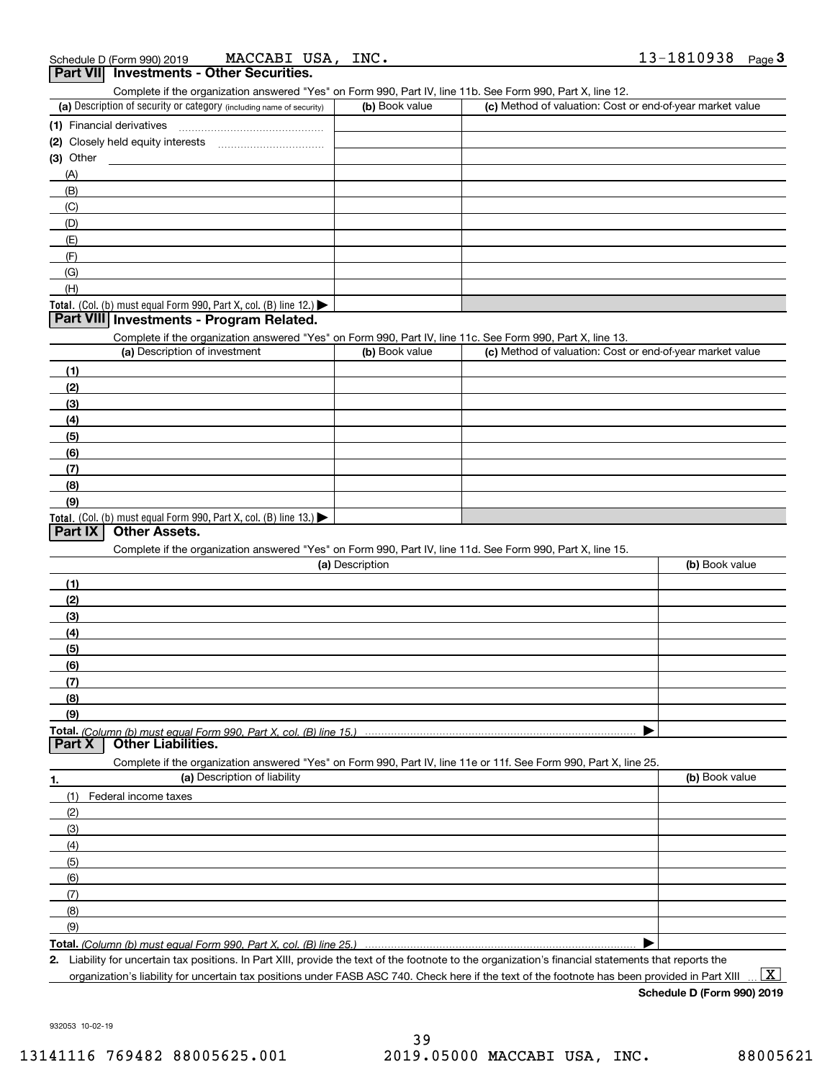| Schedule D (Form 990) 2019                      | MACCABI USA, | INC. | 13-1810938 | Page |
|-------------------------------------------------|--------------|------|------------|------|
| <b>Part VII</b> Investments - Other Securities. |              |      |            |      |

| Complete if the organization answered "Yes" on Form 990, Part IV, line 11b. See Form 990, Part X, line 12. |                |                                                           |  |  |  |
|------------------------------------------------------------------------------------------------------------|----------------|-----------------------------------------------------------|--|--|--|
| (a) Description of security or category (including name of security)                                       | (b) Book value | (c) Method of valuation: Cost or end-of-year market value |  |  |  |
| (1) Financial derivatives                                                                                  |                |                                                           |  |  |  |
| (2) Closely held equity interests                                                                          |                |                                                           |  |  |  |
| $(3)$ Other                                                                                                |                |                                                           |  |  |  |

| $(3)$ Other                                                                            |  |
|----------------------------------------------------------------------------------------|--|
| (A)                                                                                    |  |
| (B)                                                                                    |  |
| (C)                                                                                    |  |
| (D)                                                                                    |  |
| (E)                                                                                    |  |
| (F)                                                                                    |  |
| (G)                                                                                    |  |
| (H)                                                                                    |  |
| Total. (Col. (b) must equal Form 990, Part X, col. (B) line 12.) $\blacktriangleright$ |  |

## **Part VIII Investments - Program Related.**

Complete if the organization answered "Yes" on Form 990, Part IV, line 11c. See Form 990, Part X, line 13.

| (a) Description of investment                                                                 | (b) Book value | (c) Method of valuation: Cost or end-of-year market value |
|-----------------------------------------------------------------------------------------------|----------------|-----------------------------------------------------------|
| (1)                                                                                           |                |                                                           |
| (2)                                                                                           |                |                                                           |
| $\frac{1}{2}$                                                                                 |                |                                                           |
| (4)                                                                                           |                |                                                           |
| (5)                                                                                           |                |                                                           |
| (6)                                                                                           |                |                                                           |
| (7)                                                                                           |                |                                                           |
| (8)                                                                                           |                |                                                           |
| (9)                                                                                           |                |                                                           |
| <b>Total.</b> (Col. (b) must equal Form 990, Part X, col. (B) line 13.) $\blacktriangleright$ |                |                                                           |

### **Part IX Other Assets.**

Complete if the organization answered "Yes" on Form 990, Part IV, line 11d. See Form 990, Part X, line 15.

| (b) Book value |
|----------------|
|                |
|                |
|                |
|                |
|                |
|                |
|                |
|                |
|                |
|                |
|                |
|                |
|                |

| 1.                | (a) Description of liability | (b) Book value |
|-------------------|------------------------------|----------------|
| (1)               | Federal income taxes         |                |
| (2)               |                              |                |
| (3)               |                              |                |
| (4)               |                              |                |
| (5)               |                              |                |
| (6)               |                              |                |
| $\left( 7\right)$ |                              |                |
| (8)               |                              |                |
| (9)               |                              |                |
|                   |                              |                |

**Total.**  *(Column (b) must equal Form 990, Part X, col. (B) line 25.)* 

**2.**Liability for uncertain tax positions. In Part XIII, provide the text of the footnote to the organization's financial statements that reports the organization's liability for uncertain tax positions under FASB ASC 740. Check here if the text of the footnote has been provided in Part XIII  $\boxed{\text{X}}$ 

**Schedule D (Form 990) 2019**

932053 10-02-19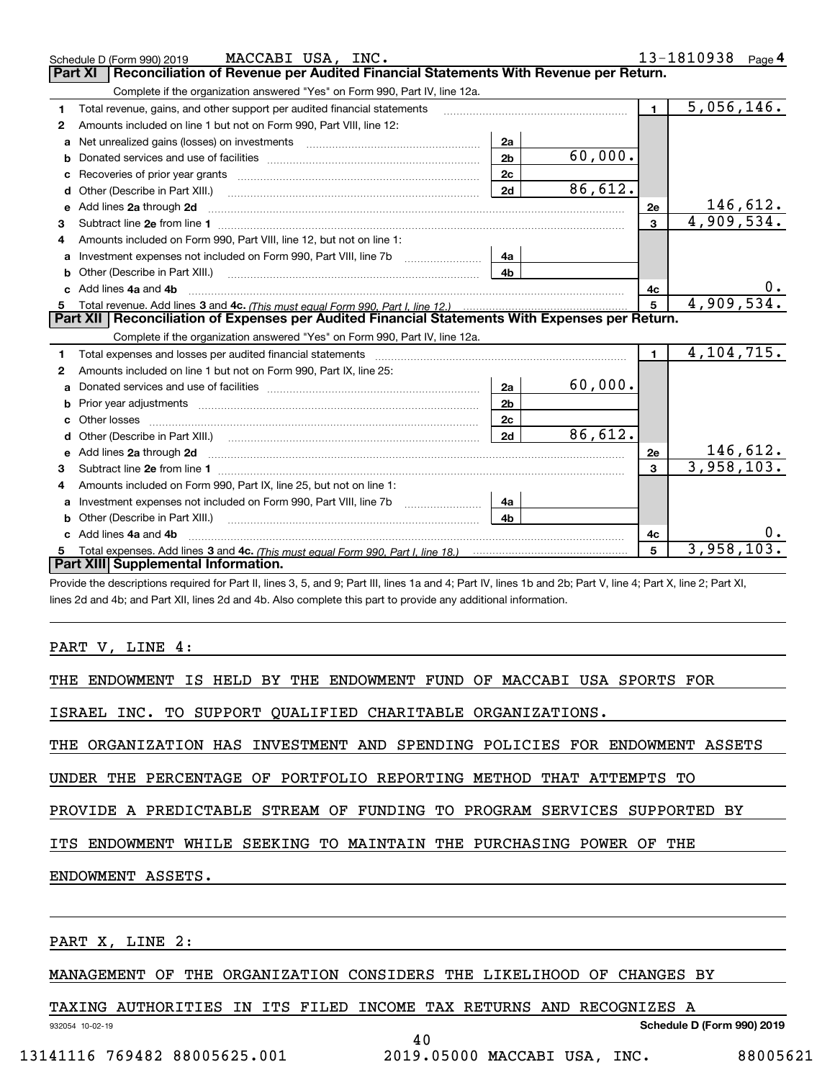|    | MACCABI USA, INC.<br>Schedule D (Form 990) 2019                                                                                                                                                                               |                |            |                | 13-1810938<br>Page 4          |  |  |  |  |  |
|----|-------------------------------------------------------------------------------------------------------------------------------------------------------------------------------------------------------------------------------|----------------|------------|----------------|-------------------------------|--|--|--|--|--|
|    | Reconciliation of Revenue per Audited Financial Statements With Revenue per Return.<br>Part XI                                                                                                                                |                |            |                |                               |  |  |  |  |  |
|    | Complete if the organization answered "Yes" on Form 990, Part IV, line 12a.                                                                                                                                                   |                |            |                |                               |  |  |  |  |  |
| 1  | Total revenue, gains, and other support per audited financial statements                                                                                                                                                      |                |            | $\blacksquare$ | $\overline{5,056,146}$ .      |  |  |  |  |  |
| 2  | Amounts included on line 1 but not on Form 990, Part VIII, line 12:                                                                                                                                                           |                |            |                |                               |  |  |  |  |  |
| a  |                                                                                                                                                                                                                               | 2a             |            |                |                               |  |  |  |  |  |
|    |                                                                                                                                                                                                                               | 2 <sub>b</sub> | 60,000.    |                |                               |  |  |  |  |  |
|    |                                                                                                                                                                                                                               | 2 <sub>c</sub> |            |                |                               |  |  |  |  |  |
| d  | Other (Describe in Part XIII.) <b>Construction Construction</b> and Table 10 and Table 2014                                                                                                                                   | 2d             | 86,612.    |                |                               |  |  |  |  |  |
| е  | Add lines 2a through 2d                                                                                                                                                                                                       |                |            | 2e             | $\frac{146,612.}{4,909,534.}$ |  |  |  |  |  |
| 3  |                                                                                                                                                                                                                               |                |            | $\mathbf{3}$   |                               |  |  |  |  |  |
| 4  | Amounts included on Form 990, Part VIII, line 12, but not on line 1:                                                                                                                                                          |                |            |                |                               |  |  |  |  |  |
|    |                                                                                                                                                                                                                               | 4a             |            |                |                               |  |  |  |  |  |
| b  |                                                                                                                                                                                                                               | 4 <sub>b</sub> |            |                |                               |  |  |  |  |  |
| c. | Add lines 4a and 4b                                                                                                                                                                                                           |                |            | 4c             |                               |  |  |  |  |  |
|    |                                                                                                                                                                                                                               | $\overline{5}$ | 4,909,534. |                |                               |  |  |  |  |  |
|    |                                                                                                                                                                                                                               |                |            |                |                               |  |  |  |  |  |
|    | Part XII   Reconciliation of Expenses per Audited Financial Statements With Expenses per Return.                                                                                                                              |                |            |                |                               |  |  |  |  |  |
|    | Complete if the organization answered "Yes" on Form 990, Part IV, line 12a.                                                                                                                                                   |                |            |                |                               |  |  |  |  |  |
| 1  | Total expenses and losses per audited financial statements [11, 11] manuscription control expenses and losses per audited financial statements [11] manuscription of the statements [11] manuscription of the statements [11] |                |            | $\mathbf{1}$   | 4, 104, 715.                  |  |  |  |  |  |
| 2  | Amounts included on line 1 but not on Form 990, Part IX, line 25:                                                                                                                                                             |                |            |                |                               |  |  |  |  |  |
| a  |                                                                                                                                                                                                                               | 2a             | 60,000.    |                |                               |  |  |  |  |  |
|    |                                                                                                                                                                                                                               | 2 <sub>b</sub> |            |                |                               |  |  |  |  |  |
| c  |                                                                                                                                                                                                                               | 2 <sub>c</sub> |            |                |                               |  |  |  |  |  |
| d  | Other (Describe in Part XIII.) (2000) (2000) (2000) (2010) (2010) (2010) (2010) (2010) (2010) (2010) (2010) (20                                                                                                               | 2d             | 86,612.    |                |                               |  |  |  |  |  |
|    |                                                                                                                                                                                                                               |                |            | 2e             | 146,612.                      |  |  |  |  |  |
| 3  |                                                                                                                                                                                                                               |                |            | 3              | 3,958,103.                    |  |  |  |  |  |
| 4  | Amounts included on Form 990, Part IX, line 25, but not on line 1:                                                                                                                                                            |                |            |                |                               |  |  |  |  |  |
| a  |                                                                                                                                                                                                                               | 4a             |            |                |                               |  |  |  |  |  |
| b  |                                                                                                                                                                                                                               | 4b             |            |                |                               |  |  |  |  |  |
|    | Add lines 4a and 4b                                                                                                                                                                                                           |                |            | 4с             | 0.                            |  |  |  |  |  |
|    | Part XIII Supplemental Information.                                                                                                                                                                                           |                |            | 5              | 3,958,103.                    |  |  |  |  |  |

Provide the descriptions required for Part II, lines 3, 5, and 9; Part III, lines 1a and 4; Part IV, lines 1b and 2b; Part V, line 4; Part X, line 2; Part XI, lines 2d and 4b; and Part XII, lines 2d and 4b. Also complete this part to provide any additional information.

PART V, LINE 4:

THE ENDOWMENT IS HELD BY THE ENDOWMENT FUND OF MACCABI USA SPORTS FOR

ISRAEL INC. TO SUPPORT QUALIFIED CHARITABLE ORGANIZATIONS.

THE ORGANIZATION HAS INVESTMENT AND SPENDING POLICIES FOR ENDOWMENT ASSETS

UNDER THE PERCENTAGE OF PORTFOLIO REPORTING METHOD THAT ATTEMPTS TO

PROVIDE A PREDICTABLE STREAM OF FUNDING TO PROGRAM SERVICES SUPPORTED BY

ITS ENDOWMENT WHILE SEEKING TO MAINTAIN THE PURCHASING POWER OF THE

ENDOWMENT ASSETS.

PART X, LINE 2:

932054 10-02-19

MANAGEMENT OF THE ORGANIZATION CONSIDERS THE LIKELIHOOD OF CHANGES BY

40

TAXING AUTHORITIES IN ITS FILED INCOME TAX RETURNS AND RECOGNIZES A

**Schedule D (Form 990) 2019**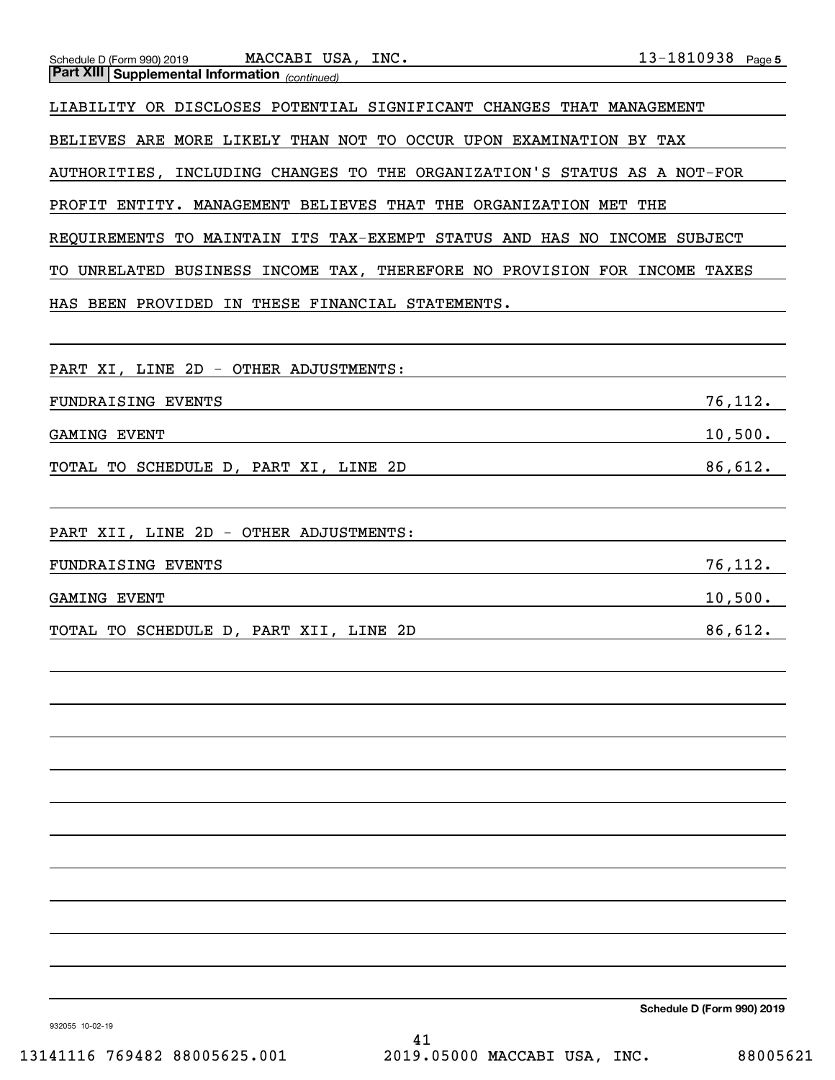| MACCABI USA, INC.<br>Schedule D (Form 990) 2019                                                                                                                                                                                                     | $13 - 1810938$ Page 5 |
|-----------------------------------------------------------------------------------------------------------------------------------------------------------------------------------------------------------------------------------------------------|-----------------------|
| <b>Part XIII Supplemental Information</b> (continued)                                                                                                                                                                                               |                       |
| LIABILITY OR DISCLOSES POTENTIAL SIGNIFICANT CHANGES THAT MANAGEMENT                                                                                                                                                                                |                       |
| BELIEVES ARE MORE LIKELY THAN NOT TO OCCUR UPON EXAMINATION BY TAX                                                                                                                                                                                  |                       |
| AUTHORITIES, INCLUDING CHANGES TO THE ORGANIZATION'S STATUS AS A NOT-FOR                                                                                                                                                                            |                       |
| PROFIT ENTITY. MANAGEMENT BELIEVES THAT THE ORGANIZATION MET THE                                                                                                                                                                                    |                       |
| REQUIREMENTS TO MAINTAIN ITS TAX-EXEMPT STATUS AND HAS NO INCOME SUBJECT                                                                                                                                                                            |                       |
| TO UNRELATED BUSINESS INCOME TAX, THEREFORE NO PROVISION FOR INCOME TAXES                                                                                                                                                                           |                       |
| HAS BEEN PROVIDED IN THESE FINANCIAL STATEMENTS.                                                                                                                                                                                                    |                       |
|                                                                                                                                                                                                                                                     |                       |
| PART XI, LINE 2D - OTHER ADJUSTMENTS:                                                                                                                                                                                                               |                       |
| FUNDRAISING EVENTS<br>the control of the control of the control of the control of the control of the control of the control of the control of the control of the control of the control of the control of the control of the control of the control | 76,112.               |
| <b>GAMING EVENT</b><br><u> 1980 - Johann Barn, amerikansk politiker (d. 1980)</u>                                                                                                                                                                   | 10,500.               |
| TOTAL TO SCHEDULE D, PART XI, LINE 2D<br><u> 1989 - Johann Barn, mars ann an t-Amhain an t-Amhain an t-Amhain an t-Amhain an t-Amhain an t-Amhain an t-Amh</u>                                                                                      | 86,612.               |
|                                                                                                                                                                                                                                                     |                       |
| PART XII, LINE 2D - OTHER ADJUSTMENTS:                                                                                                                                                                                                              |                       |
| FUNDRAISING EVENTS<br><u> 1989 - Johann Stoff, amerikansk politiker (d. 1989)</u>                                                                                                                                                                   | 76,112.               |
| <b>GAMING EVENT</b><br><u> 1989 - Johann Barn, mars et al. (b. 1989)</u>                                                                                                                                                                            | 10,500.               |
| TOTAL TO SCHEDULE D, PART XII, LINE 2D<br><u> 1989 - Johann Barn, mars eta bainar eta bainar eta baina eta baina eta baina eta baina eta baina eta baina e</u>                                                                                      | 86,612.               |
|                                                                                                                                                                                                                                                     |                       |
|                                                                                                                                                                                                                                                     |                       |
|                                                                                                                                                                                                                                                     |                       |
|                                                                                                                                                                                                                                                     |                       |
|                                                                                                                                                                                                                                                     |                       |
|                                                                                                                                                                                                                                                     |                       |
|                                                                                                                                                                                                                                                     |                       |
|                                                                                                                                                                                                                                                     |                       |
|                                                                                                                                                                                                                                                     |                       |
|                                                                                                                                                                                                                                                     |                       |
|                                                                                                                                                                                                                                                     |                       |

**Schedule D (Form 990) 2019**

932055 10-02-19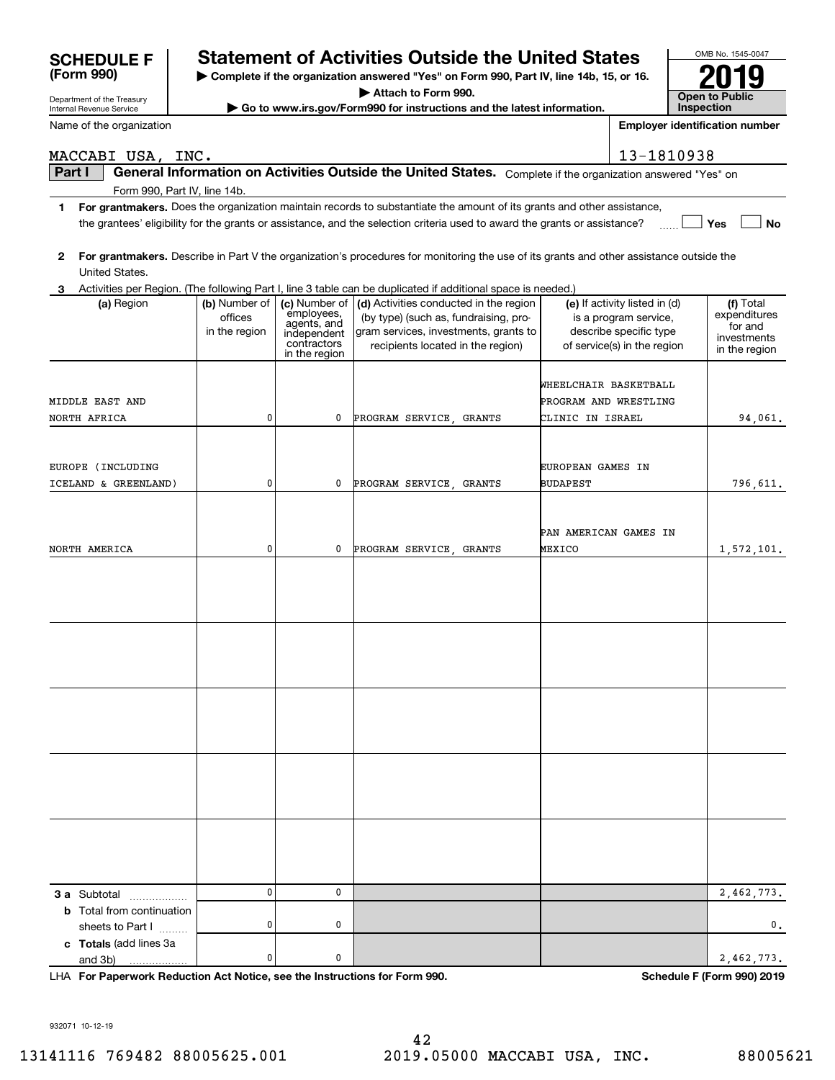| MACCABI USA, INC.                |                          |                              |                                                                                                                                         | 13-1810938                                             |                              |
|----------------------------------|--------------------------|------------------------------|-----------------------------------------------------------------------------------------------------------------------------------------|--------------------------------------------------------|------------------------------|
| Part I                           |                          |                              | General Information on Activities Outside the United States. Complete if the organization answered "Yes" on                             |                                                        |                              |
| Form 990, Part IV, line 14b.     |                          |                              |                                                                                                                                         |                                                        |                              |
|                                  |                          |                              | 1 For grantmakers. Does the organization maintain records to substantiate the amount of its grants and other assistance,                |                                                        |                              |
|                                  |                          |                              | the grantees' eligibility for the grants or assistance, and the selection criteria used to award the grants or assistance?              |                                                        | Yes<br><b>No</b>             |
| $\mathbf{2}$                     |                          |                              | For grantmakers. Describe in Part V the organization's procedures for monitoring the use of its grants and other assistance outside the |                                                        |                              |
| United States.                   |                          |                              |                                                                                                                                         |                                                        |                              |
| 3                                |                          |                              | Activities per Region. (The following Part I, line 3 table can be duplicated if additional space is needed.)                            |                                                        |                              |
| (a) Region                       | (b) Number of<br>offices | employees,                   | (c) Number of $\vert$ (d) Activities conducted in the region<br>(by type) (such as, fundraising, pro-                                   | (e) If activity listed in (d)<br>is a program service, | (f) Total<br>expenditures    |
|                                  | in the region            | agents, and<br>independent   | gram services, investments, grants to                                                                                                   | describe specific type                                 | for and                      |
|                                  |                          | contractors<br>in the region | recipients located in the region)                                                                                                       | of service(s) in the region                            | investments<br>in the region |
|                                  |                          |                              |                                                                                                                                         |                                                        |                              |
|                                  |                          |                              |                                                                                                                                         | WHEELCHAIR BASKETBALL                                  |                              |
| <b>MIDDLE EAST AND</b>           |                          |                              |                                                                                                                                         | PROGRAM AND WRESTLING                                  |                              |
| NORTH AFRICA                     | 0                        | 0                            | PROGRAM SERVICE GRANTS                                                                                                                  | CLINIC IN ISRAEL                                       | 94,061.                      |
|                                  |                          |                              |                                                                                                                                         |                                                        |                              |
| EUROPE (INCLUDING                |                          |                              |                                                                                                                                         | EUROPEAN GAMES IN                                      |                              |
| ICELAND & GREENLAND)             | 0                        | 0                            | PROGRAM SERVICE GRANTS                                                                                                                  | <b>BUDAPEST</b>                                        | 796,611.                     |
|                                  |                          |                              |                                                                                                                                         |                                                        |                              |
|                                  |                          |                              |                                                                                                                                         | PAN AMERICAN GAMES IN                                  |                              |
| NORTH AMERICA                    | 0                        | 0                            | PROGRAM SERVICE, GRANTS                                                                                                                 | MEXICO                                                 | 1,572,101.                   |
|                                  |                          |                              |                                                                                                                                         |                                                        |                              |
|                                  |                          |                              |                                                                                                                                         |                                                        |                              |
|                                  |                          |                              |                                                                                                                                         |                                                        |                              |
|                                  |                          |                              |                                                                                                                                         |                                                        |                              |
|                                  |                          |                              |                                                                                                                                         |                                                        |                              |
|                                  |                          |                              |                                                                                                                                         |                                                        |                              |
|                                  |                          |                              |                                                                                                                                         |                                                        |                              |
|                                  |                          |                              |                                                                                                                                         |                                                        |                              |
|                                  |                          |                              |                                                                                                                                         |                                                        |                              |
|                                  |                          |                              |                                                                                                                                         |                                                        |                              |
|                                  |                          |                              |                                                                                                                                         |                                                        |                              |
|                                  |                          |                              |                                                                                                                                         |                                                        |                              |
|                                  |                          |                              |                                                                                                                                         |                                                        |                              |
|                                  |                          |                              |                                                                                                                                         |                                                        |                              |
|                                  |                          |                              |                                                                                                                                         |                                                        |                              |
|                                  |                          |                              |                                                                                                                                         |                                                        |                              |
|                                  |                          |                              |                                                                                                                                         |                                                        |                              |
| 3 a Subtotal<br>.                | 0                        | 0                            |                                                                                                                                         |                                                        | 2,462,773.                   |
| <b>b</b> Total from continuation |                          |                              |                                                                                                                                         |                                                        |                              |
| sheets to Part I                 | 0                        | 0                            |                                                                                                                                         |                                                        | 0.                           |
| c Totals (add lines 3a           |                          |                              |                                                                                                                                         |                                                        |                              |
| and 3b)                          | 0                        | 0                            |                                                                                                                                         |                                                        | 2,462,773.                   |

**For Paperwork Reduction Act Notice, see the Instructions for Form 990. Schedule F (Form 990) 2019** LHA

932071 10-12-19

Department of the Treasury Internal Revenue Service

**(Form 990)**

Name of the organization

## 13141116 769482 88005625.001 2019.05000 MACCABI USA, INC. 88005621

| $\sf SCHEDULEF \;   \;$ | <b>Statement of Activities Outside the United States</b> |
|-------------------------|----------------------------------------------------------|
|                         |                                                          |

**| Complete if the organization answered "Yes" on Form 990, Part IV, line 14b, 15, or 16.**

**| Attach to Form 990.**

**| Go to www.irs.gov/Form990 for instructions and the latest information.**

OMB No. 1545-0047 **Open to Public Inspection2019**

**Employer identification number**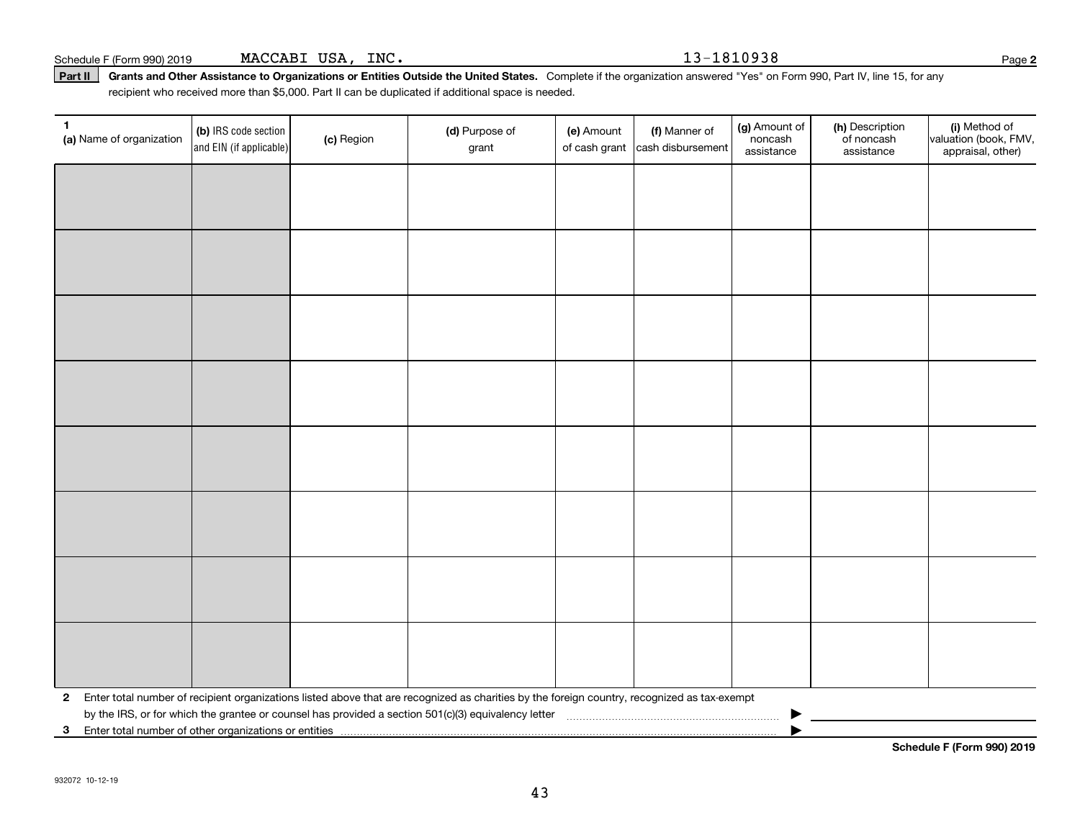43

**3**Enter total number of other organizations or entities |

| 1 | (a) Name of organization                                                                                 | (b) IRS code section<br>$ $ and EIN (if applicable) $ $ | (c) Region | (d) Purpose of<br>grant                                                                                                                        | (e) Amount | (f) Manner of<br>of cash grant cash disbursement | (g) Amount of<br>noncash<br>assistance | (h) Description<br>of noncash<br>assistance | (i) Method of<br>valuation (book, FMV,<br>appraisal, other) |  |  |
|---|----------------------------------------------------------------------------------------------------------|---------------------------------------------------------|------------|------------------------------------------------------------------------------------------------------------------------------------------------|------------|--------------------------------------------------|----------------------------------------|---------------------------------------------|-------------------------------------------------------------|--|--|
|   |                                                                                                          |                                                         |            |                                                                                                                                                |            |                                                  |                                        |                                             |                                                             |  |  |
|   |                                                                                                          |                                                         |            |                                                                                                                                                |            |                                                  |                                        |                                             |                                                             |  |  |
|   |                                                                                                          |                                                         |            |                                                                                                                                                |            |                                                  |                                        |                                             |                                                             |  |  |
|   |                                                                                                          |                                                         |            |                                                                                                                                                |            |                                                  |                                        |                                             |                                                             |  |  |
|   |                                                                                                          |                                                         |            |                                                                                                                                                |            |                                                  |                                        |                                             |                                                             |  |  |
|   |                                                                                                          |                                                         |            |                                                                                                                                                |            |                                                  |                                        |                                             |                                                             |  |  |
|   |                                                                                                          |                                                         |            |                                                                                                                                                |            |                                                  |                                        |                                             |                                                             |  |  |
|   |                                                                                                          |                                                         |            |                                                                                                                                                |            |                                                  |                                        |                                             |                                                             |  |  |
|   |                                                                                                          |                                                         |            |                                                                                                                                                |            |                                                  |                                        |                                             |                                                             |  |  |
|   |                                                                                                          |                                                         |            |                                                                                                                                                |            |                                                  |                                        |                                             |                                                             |  |  |
|   |                                                                                                          |                                                         |            |                                                                                                                                                |            |                                                  |                                        |                                             |                                                             |  |  |
|   |                                                                                                          |                                                         |            |                                                                                                                                                |            |                                                  |                                        |                                             |                                                             |  |  |
|   |                                                                                                          |                                                         |            |                                                                                                                                                |            |                                                  |                                        |                                             |                                                             |  |  |
|   |                                                                                                          |                                                         |            |                                                                                                                                                |            |                                                  |                                        |                                             |                                                             |  |  |
|   |                                                                                                          |                                                         |            |                                                                                                                                                |            |                                                  |                                        |                                             |                                                             |  |  |
|   |                                                                                                          |                                                         |            |                                                                                                                                                |            |                                                  |                                        |                                             |                                                             |  |  |
|   |                                                                                                          |                                                         |            | 2 Enter total number of recipient organizations listed above that are recognized as charities by the foreign country, recognized as tax-exempt |            |                                                  |                                        |                                             |                                                             |  |  |
|   | by the IRS, or for which the grantee or counsel has provided a section 501(c)(3) equivalency letter<br>▶ |                                                         |            |                                                                                                                                                |            |                                                  |                                        |                                             |                                                             |  |  |

Part II | Grants and Other Assistance to Organizations or Entities Outside the United States. Complete if the organization answered "Yes" on Form 990, Part IV, line 15, for any Schedule F (Form 990) 2019 Page MACCABI USA, INC. 13-1810938 recipient who received more than \$5,000. Part II can be duplicated if additional space is needed.

**2**

**Schedule F (Form 990) 2019**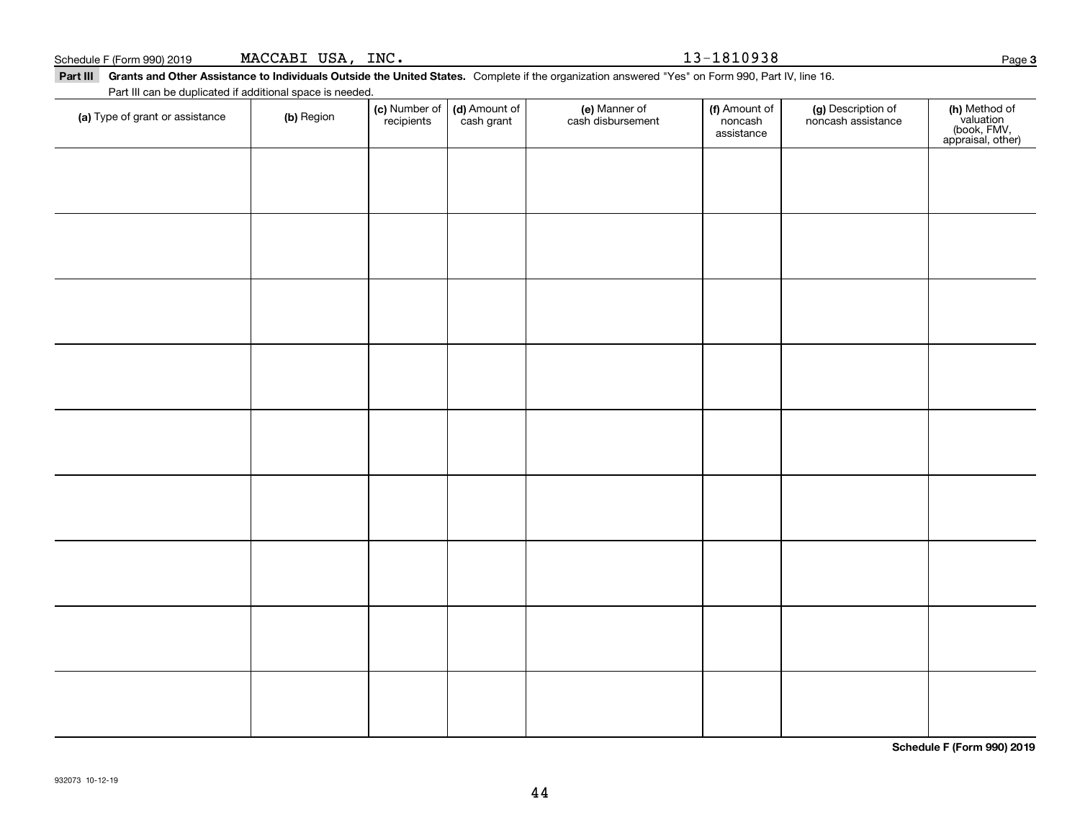| (a) Type of grant or assistance | (b) Region | (c) Number of<br>recipients | (d) Amount of<br>cash grant | (e) Manner of<br>cash disbursement | (f) Amount of<br>noncash<br>assistance | (g) Description of<br>noncash assistance | (h) Method of<br>valuation<br>(book, FMV,<br>appraisal, other) |
|---------------------------------|------------|-----------------------------|-----------------------------|------------------------------------|----------------------------------------|------------------------------------------|----------------------------------------------------------------|
|                                 |            |                             |                             |                                    |                                        |                                          |                                                                |
|                                 |            |                             |                             |                                    |                                        |                                          |                                                                |
|                                 |            |                             |                             |                                    |                                        |                                          |                                                                |
|                                 |            |                             |                             |                                    |                                        |                                          |                                                                |
|                                 |            |                             |                             |                                    |                                        |                                          |                                                                |
|                                 |            |                             |                             |                                    |                                        |                                          |                                                                |
|                                 |            |                             |                             |                                    |                                        |                                          |                                                                |
|                                 |            |                             |                             |                                    |                                        |                                          |                                                                |
|                                 |            |                             |                             |                                    |                                        |                                          |                                                                |
|                                 |            |                             |                             |                                    |                                        |                                          |                                                                |
|                                 |            |                             |                             |                                    |                                        |                                          |                                                                |
|                                 |            |                             |                             |                                    |                                        |                                          |                                                                |
|                                 |            |                             |                             |                                    |                                        |                                          |                                                                |
|                                 |            |                             |                             |                                    |                                        |                                          |                                                                |
|                                 |            |                             |                             |                                    |                                        |                                          |                                                                |
|                                 |            |                             |                             |                                    |                                        |                                          |                                                                |
|                                 |            |                             |                             |                                    |                                        |                                          |                                                                |

44

Part III Grants and Other Assistance to Individuals Outside the United States. Complete if the organization answered "Yes" on Form 990, Part IV, line 16.

Schedule F (Form 990) 2019  ${\tt MACCABI}$   ${\tt USA}$  ,  ${\tt INC}$  . And the contract of the contract of the contract of the contract of the contract of the contract of the contract of the contract of the contract of the contract of

Part III can be duplicated if additional space is needed.

**3**

**Schedule F (Form 990) 2019**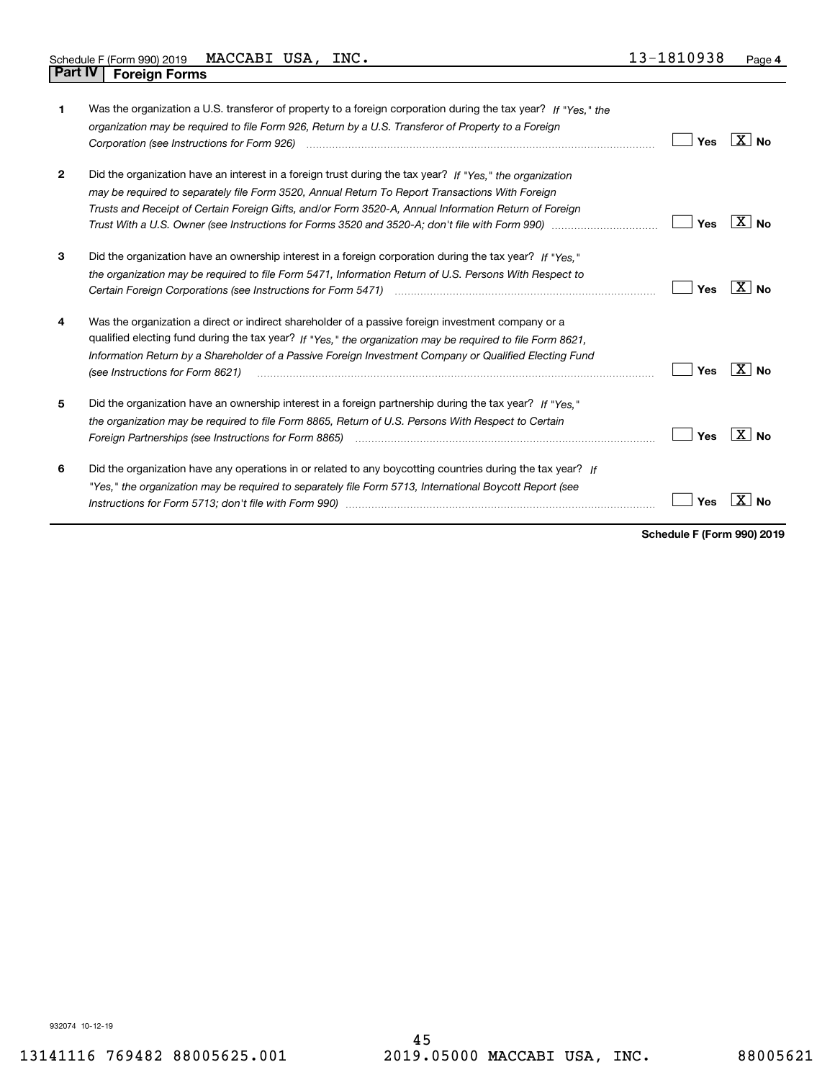| 1            | Was the organization a U.S. transferor of property to a foreign corporation during the tax year? If "Yes," the<br>organization may be required to file Form 926, Return by a U.S. Transferor of Property to a Foreign<br>Corporation (see Instructions for Form 926)                                                                                           | Yes | X∣No                |
|--------------|----------------------------------------------------------------------------------------------------------------------------------------------------------------------------------------------------------------------------------------------------------------------------------------------------------------------------------------------------------------|-----|---------------------|
| $\mathbf{2}$ | Did the organization have an interest in a foreign trust during the tax year? If "Yes." the organization<br>may be required to separately file Form 3520, Annual Return To Report Transactions With Foreign<br>Trusts and Receipt of Certain Foreign Gifts, and/or Form 3520-A, Annual Information Return of Foreign                                           | Yes | $X $ No             |
| 3            | Did the organization have an ownership interest in a foreign corporation during the tax year? If "Yes."<br>the organization may be required to file Form 5471, Information Return of U.S. Persons With Respect to                                                                                                                                              | Yes | $X \mid N_0$        |
| 4            | Was the organization a direct or indirect shareholder of a passive foreign investment company or a<br>qualified electing fund during the tax year? If "Yes," the organization may be required to file Form 8621,<br>Information Return by a Shareholder of a Passive Foreign Investment Company or Qualified Electing Fund<br>(see Instructions for Form 8621) | Yes | $X $ No             |
| 5            | Did the organization have an ownership interest in a foreign partnership during the tax year? If "Yes."<br>the organization may be required to file Form 8865, Return of U.S. Persons With Respect to Certain<br>Foreign Partnerships (see Instructions for Form 8865)                                                                                         | Yes | $X \mid N_{\Omega}$ |
| 6            | Did the organization have any operations in or related to any boycotting countries during the tax year? If<br>"Yes," the organization may be required to separately file Form 5713, International Boycott Report (see                                                                                                                                          | Yes |                     |

**Schedule F (Form 990) 2019**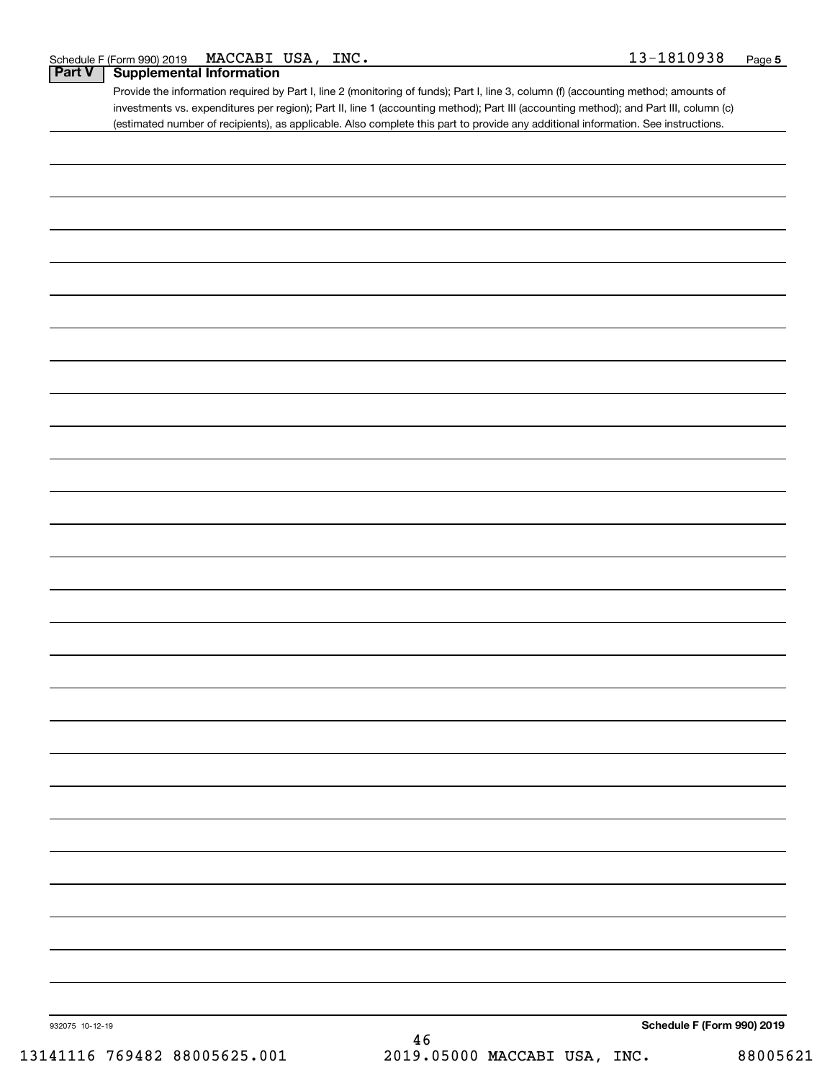| 1810938<br>MACCABI<br>USA,<br>INC.<br>F (Form 990) 2019<br>Schedule F | Page |
|-----------------------------------------------------------------------|------|
|-----------------------------------------------------------------------|------|

### **Part V Supplemental Information**

Provide the information required by Part I, line 2 (monitoring of funds); Part I, line 3, column (f) (accounting method; amounts of investments vs. expenditures per region); Part II, line 1 (accounting method); Part III (accounting method); and Part III, column (c) (estimated number of recipients), as applicable. Also complete this part to provide any additional information. See instructions.

| 932075 10-12-19 | Schedule F (Form 990) 2019 |  |
|-----------------|----------------------------|--|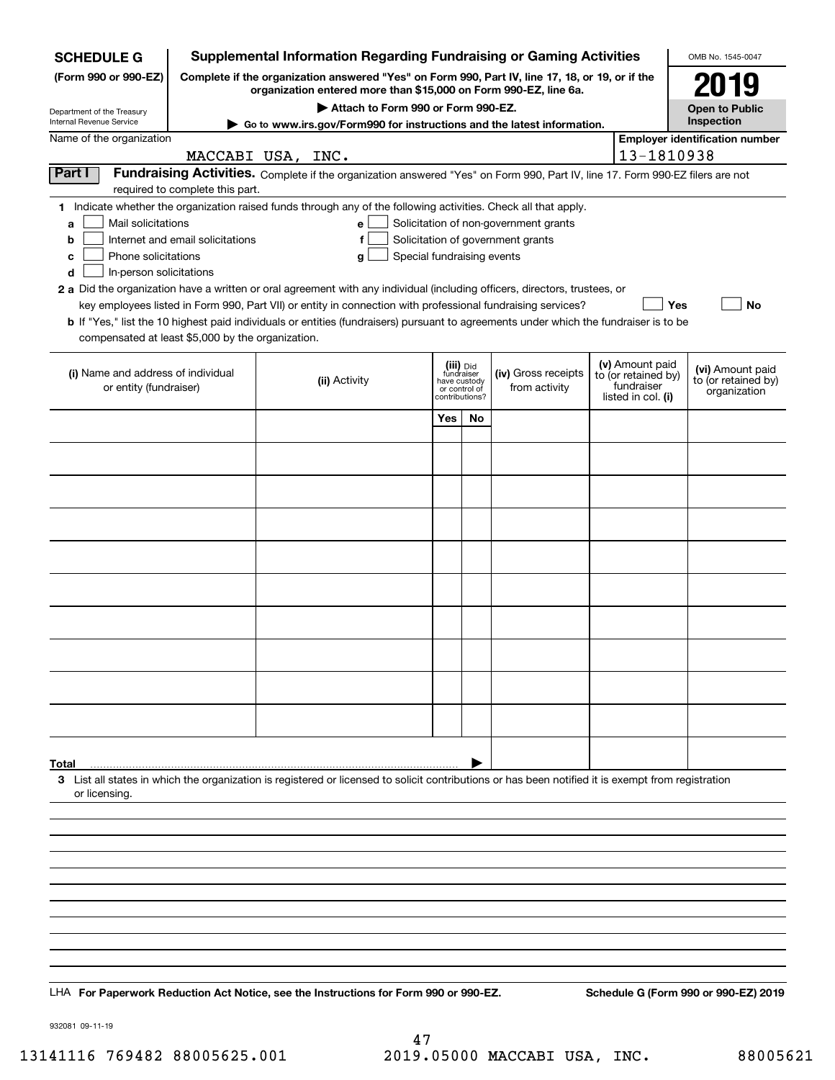| <b>SCHEDULE G</b>                                                                                                                                                   |                                                                                                                                                                     |  |                                    |                            |                               |    | <b>Supplemental Information Regarding Fundraising or Gaming Activities</b>                                                    |  |                                   | OMB No. 1545-0047                                       |
|---------------------------------------------------------------------------------------------------------------------------------------------------------------------|---------------------------------------------------------------------------------------------------------------------------------------------------------------------|--|------------------------------------|----------------------------|-------------------------------|----|-------------------------------------------------------------------------------------------------------------------------------|--|-----------------------------------|---------------------------------------------------------|
| (Form 990 or 990-EZ)                                                                                                                                                | Complete if the organization answered "Yes" on Form 990, Part IV, line 17, 18, or 19, or if the<br>organization entered more than \$15,000 on Form 990-EZ, line 6a. |  |                                    |                            |                               |    |                                                                                                                               |  |                                   | 2019                                                    |
| Department of the Treasury                                                                                                                                          |                                                                                                                                                                     |  | Attach to Form 990 or Form 990-EZ. |                            |                               |    |                                                                                                                               |  |                                   | <b>Open to Public</b>                                   |
| Internal Revenue Service                                                                                                                                            |                                                                                                                                                                     |  |                                    |                            |                               |    | ► Go to www.irs.gov/Form990 for instructions and the latest information.                                                      |  |                                   | Inspection                                              |
| Name of the organization                                                                                                                                            | MACCABI USA, INC.                                                                                                                                                   |  |                                    |                            |                               |    |                                                                                                                               |  | 13-1810938                        | <b>Employer identification number</b>                   |
| Part I                                                                                                                                                              |                                                                                                                                                                     |  |                                    |                            |                               |    | Fundraising Activities. Complete if the organization answered "Yes" on Form 990, Part IV, line 17. Form 990-EZ filers are not |  |                                   |                                                         |
| 1 Indicate whether the organization raised funds through any of the following activities. Check all that apply.                                                     | required to complete this part.                                                                                                                                     |  |                                    |                            |                               |    |                                                                                                                               |  |                                   |                                                         |
| Mail solicitations<br>a                                                                                                                                             |                                                                                                                                                                     |  | е                                  |                            |                               |    | Solicitation of non-government grants                                                                                         |  |                                   |                                                         |
| b                                                                                                                                                                   | Internet and email solicitations                                                                                                                                    |  | f                                  |                            |                               |    | Solicitation of government grants                                                                                             |  |                                   |                                                         |
| Phone solicitations<br>с<br>In-person solicitations<br>d                                                                                                            |                                                                                                                                                                     |  | g                                  | Special fundraising events |                               |    |                                                                                                                               |  |                                   |                                                         |
| 2 a Did the organization have a written or oral agreement with any individual (including officers, directors, trustees, or                                          |                                                                                                                                                                     |  |                                    |                            |                               |    |                                                                                                                               |  |                                   |                                                         |
| b If "Yes," list the 10 highest paid individuals or entities (fundraisers) pursuant to agreements under which the fundraiser is to be                               |                                                                                                                                                                     |  |                                    |                            |                               |    | key employees listed in Form 990, Part VII) or entity in connection with professional fundraising services?                   |  | Yes                               | No                                                      |
| compensated at least \$5,000 by the organization.                                                                                                                   |                                                                                                                                                                     |  |                                    |                            |                               |    |                                                                                                                               |  |                                   |                                                         |
|                                                                                                                                                                     |                                                                                                                                                                     |  |                                    |                            | (iii) Did<br>fundraiser       |    |                                                                                                                               |  | (v) Amount paid                   |                                                         |
| (i) Name and address of individual<br>or entity (fundraiser)                                                                                                        |                                                                                                                                                                     |  | (ii) Activity                      |                            | have custody<br>or control of |    | (iv) Gross receipts<br>from activity                                                                                          |  | to (or retained by)<br>fundraiser | (vi) Amount paid<br>to (or retained by)<br>organization |
|                                                                                                                                                                     |                                                                                                                                                                     |  |                                    |                            | contributions?                |    |                                                                                                                               |  | listed in col. (i)                |                                                         |
|                                                                                                                                                                     |                                                                                                                                                                     |  |                                    |                            | Yes                           | No |                                                                                                                               |  |                                   |                                                         |
|                                                                                                                                                                     |                                                                                                                                                                     |  |                                    |                            |                               |    |                                                                                                                               |  |                                   |                                                         |
|                                                                                                                                                                     |                                                                                                                                                                     |  |                                    |                            |                               |    |                                                                                                                               |  |                                   |                                                         |
|                                                                                                                                                                     |                                                                                                                                                                     |  |                                    |                            |                               |    |                                                                                                                               |  |                                   |                                                         |
|                                                                                                                                                                     |                                                                                                                                                                     |  |                                    |                            |                               |    |                                                                                                                               |  |                                   |                                                         |
|                                                                                                                                                                     |                                                                                                                                                                     |  |                                    |                            |                               |    |                                                                                                                               |  |                                   |                                                         |
|                                                                                                                                                                     |                                                                                                                                                                     |  |                                    |                            |                               |    |                                                                                                                               |  |                                   |                                                         |
|                                                                                                                                                                     |                                                                                                                                                                     |  |                                    |                            |                               |    |                                                                                                                               |  |                                   |                                                         |
|                                                                                                                                                                     |                                                                                                                                                                     |  |                                    |                            |                               |    |                                                                                                                               |  |                                   |                                                         |
|                                                                                                                                                                     |                                                                                                                                                                     |  |                                    |                            |                               |    |                                                                                                                               |  |                                   |                                                         |
|                                                                                                                                                                     |                                                                                                                                                                     |  |                                    |                            |                               |    |                                                                                                                               |  |                                   |                                                         |
|                                                                                                                                                                     |                                                                                                                                                                     |  |                                    |                            |                               |    |                                                                                                                               |  |                                   |                                                         |
|                                                                                                                                                                     |                                                                                                                                                                     |  |                                    |                            |                               |    |                                                                                                                               |  |                                   |                                                         |
|                                                                                                                                                                     |                                                                                                                                                                     |  |                                    |                            |                               |    |                                                                                                                               |  |                                   |                                                         |
| Total                                                                                                                                                               |                                                                                                                                                                     |  |                                    |                            |                               |    |                                                                                                                               |  |                                   |                                                         |
| 3 List all states in which the organization is registered or licensed to solicit contributions or has been notified it is exempt from registration<br>or licensing. |                                                                                                                                                                     |  |                                    |                            |                               |    |                                                                                                                               |  |                                   |                                                         |
|                                                                                                                                                                     |                                                                                                                                                                     |  |                                    |                            |                               |    |                                                                                                                               |  |                                   |                                                         |
|                                                                                                                                                                     |                                                                                                                                                                     |  |                                    |                            |                               |    |                                                                                                                               |  |                                   |                                                         |
|                                                                                                                                                                     |                                                                                                                                                                     |  |                                    |                            |                               |    |                                                                                                                               |  |                                   |                                                         |
|                                                                                                                                                                     |                                                                                                                                                                     |  |                                    |                            |                               |    |                                                                                                                               |  |                                   |                                                         |
|                                                                                                                                                                     |                                                                                                                                                                     |  |                                    |                            |                               |    |                                                                                                                               |  |                                   |                                                         |
|                                                                                                                                                                     |                                                                                                                                                                     |  |                                    |                            |                               |    |                                                                                                                               |  |                                   |                                                         |
|                                                                                                                                                                     |                                                                                                                                                                     |  |                                    |                            |                               |    |                                                                                                                               |  |                                   |                                                         |
|                                                                                                                                                                     |                                                                                                                                                                     |  |                                    |                            |                               |    |                                                                                                                               |  |                                   |                                                         |
| LHA For Paperwork Reduction Act Notice, see the Instructions for Form 990 or 990-EZ.                                                                                |                                                                                                                                                                     |  |                                    |                            |                               |    |                                                                                                                               |  |                                   | Schedule G (Form 990 or 990-EZ) 2019                    |

932081 09-11-19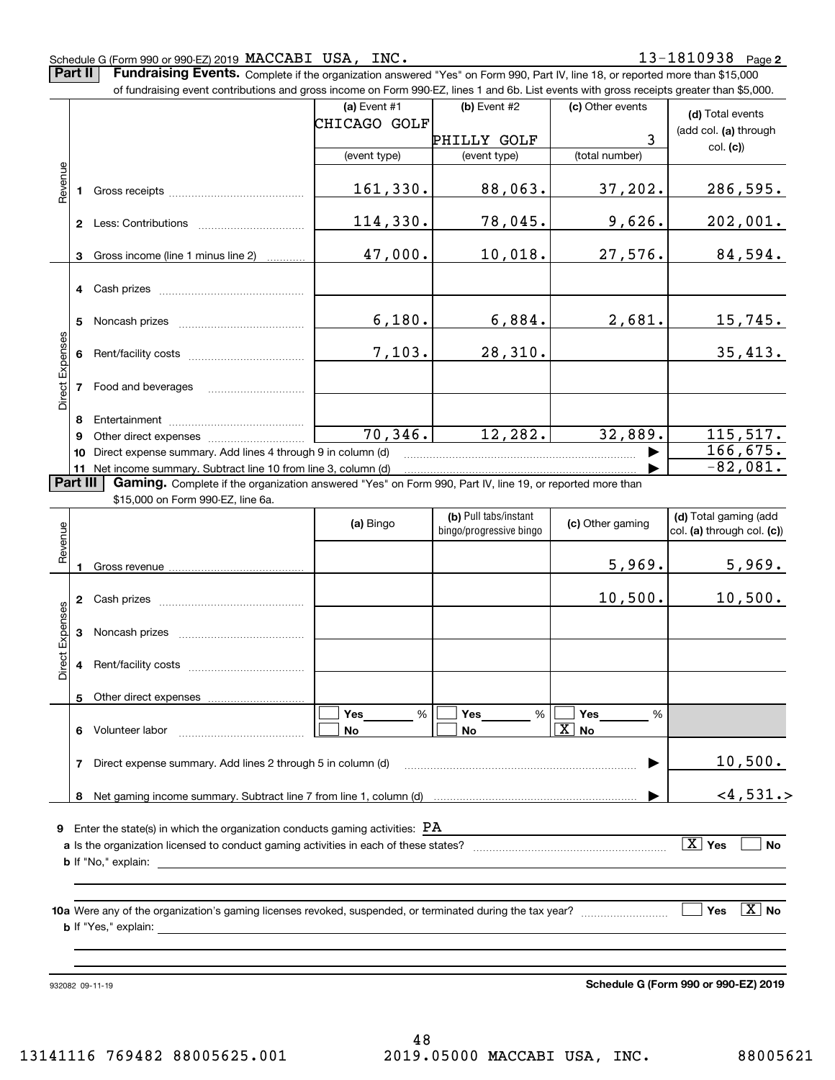### Schedule G (Form 990 or 990-EZ) 2019  $\verb+MACCABI+USA+, \verb+INC+)$

**Part II** | Fundraising Events. Complete if the organization answered "Yes" on Form 990, Part IV, line 18, or reported more than \$15,000

|                 |          | of fundraising event contributions and gross income on Form 990-EZ, lines 1 and 6b. List events with gross receipts greater than \$5,000.     |                |          |     |                             |                         |                            |                       |
|-----------------|----------|-----------------------------------------------------------------------------------------------------------------------------------------------|----------------|----------|-----|-----------------------------|-------------------------|----------------------------|-----------------------|
|                 |          |                                                                                                                                               | (a) Event $#1$ |          |     | (b) Event #2                | (c) Other events        | (d) Total events           |                       |
|                 |          |                                                                                                                                               | CHICAGO GOLF   |          |     |                             |                         | (add col. (a) through      |                       |
|                 |          |                                                                                                                                               | (event type)   |          |     | PHILLY GOLF<br>(event type) | 3<br>(total number)     | col. (c)                   |                       |
|                 |          |                                                                                                                                               |                |          |     |                             |                         |                            |                       |
| Revenue         |          |                                                                                                                                               | 161,330.       |          |     | 88,063.                     | 37,202.                 | 286,595.                   |                       |
|                 |          |                                                                                                                                               | 114,330.       |          |     | 78,045.                     | 9,626.                  | 202,001.                   |                       |
|                 | 3        | Gross income (line 1 minus line 2)                                                                                                            |                | 47,000.  |     | 10,018.                     | 27,576.                 | 84,594.                    |                       |
|                 |          | 4 Cash prizes                                                                                                                                 |                |          |     |                             |                         |                            |                       |
|                 | 5.       |                                                                                                                                               |                | 6,180.   |     | 6,884.                      | 2,681.                  | 15,745.                    |                       |
|                 |          |                                                                                                                                               |                | 7,103.   |     | 28,310.                     |                         | 35,413.                    |                       |
| Direct Expenses |          | 7 Food and beverages                                                                                                                          |                |          |     |                             |                         |                            |                       |
|                 | 8        |                                                                                                                                               |                |          |     |                             |                         |                            |                       |
|                 | 9        |                                                                                                                                               |                | 70, 346. |     | 12,282.                     | 32,889.                 | 115,517.                   |                       |
|                 | 10       | Direct expense summary. Add lines 4 through 9 in column (d)                                                                                   |                |          |     |                             |                         | $\overline{166}$ , 675.    |                       |
|                 | Part III | 11 Net income summary. Subtract line 10 from line 3, column (d)                                                                               |                |          |     |                             |                         | $-82,081.$                 |                       |
|                 |          | Gaming. Complete if the organization answered "Yes" on Form 990, Part IV, line 19, or reported more than<br>\$15,000 on Form 990-EZ, line 6a. |                |          |     |                             |                         |                            |                       |
|                 |          |                                                                                                                                               |                |          |     | (b) Pull tabs/instant       |                         | (d) Total gaming (add      |                       |
| evenue          |          |                                                                                                                                               | (a) Bingo      |          |     | bingo/progressive bingo     | (c) Other gaming        | col. (a) through col. (c)) |                       |
| œ               |          |                                                                                                                                               |                |          |     |                             |                         |                            |                       |
|                 | -1       |                                                                                                                                               |                |          |     |                             | 5,969.                  | 5,969.                     |                       |
|                 |          |                                                                                                                                               |                |          |     |                             | 10,500.                 | 10,500.                    |                       |
| Expenses        |          |                                                                                                                                               |                |          |     |                             |                         |                            |                       |
| Direct          | 4        |                                                                                                                                               |                |          |     |                             |                         |                            |                       |
|                 | 5        | Other direct expenses                                                                                                                         |                |          |     |                             |                         |                            |                       |
|                 |          |                                                                                                                                               | Yes            | %        | Yes | %                           | Yes<br>%                |                            |                       |
|                 |          | 6 Volunteer labor                                                                                                                             | No             |          | No  |                             | $\vert$ X $\vert$<br>No |                            |                       |
|                 | 7        | Direct expense summary. Add lines 2 through 5 in column (d)                                                                                   |                |          |     |                             |                         | 10,500.                    |                       |
|                 |          |                                                                                                                                               |                |          |     |                             |                         | $<$ 4,531.>                |                       |
|                 |          | <b>9</b> Enter the state(s) in which the organization conducts gaming activities: $PA$                                                        |                |          |     |                             |                         |                            |                       |
|                 |          |                                                                                                                                               |                |          |     |                             |                         | $\boxed{\text{X}}$ Yes     | No                    |
|                 |          |                                                                                                                                               |                |          |     |                             |                         |                            |                       |
|                 |          |                                                                                                                                               |                |          |     |                             |                         |                            |                       |
|                 |          |                                                                                                                                               |                |          |     |                             |                         |                            |                       |
|                 |          |                                                                                                                                               |                |          |     |                             |                         | Yes                        | $\boxed{\text{X}}$ No |

932082 09-11-19

**Schedule G (Form 990 or 990-EZ) 2019**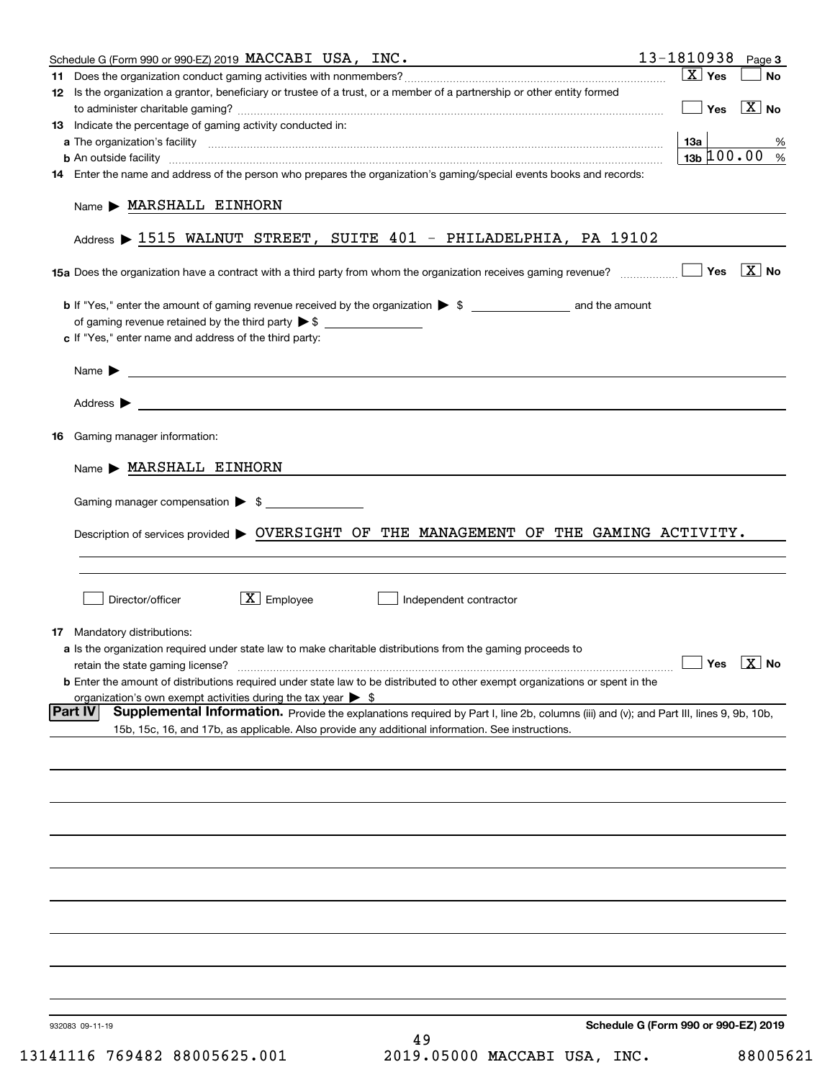| Schedule G (Form 990 or 990-EZ) 2019 MACCABI USA, $INC$ .<br>12 Is the organization a grantor, beneficiary or trustee of a trust, or a member of a partnership or other entity formed<br>13 Indicate the percentage of gaming activity conducted in: | $\boxed{\text{X}}$ Yes<br><b>No</b>             |
|------------------------------------------------------------------------------------------------------------------------------------------------------------------------------------------------------------------------------------------------------|-------------------------------------------------|
|                                                                                                                                                                                                                                                      |                                                 |
|                                                                                                                                                                                                                                                      |                                                 |
|                                                                                                                                                                                                                                                      | $\boxed{\phantom{1}}$ Yes $\boxed{\text{X}}$ No |
|                                                                                                                                                                                                                                                      |                                                 |
|                                                                                                                                                                                                                                                      | 13a  <br>%                                      |
| <b>b</b> An outside facility <b>contained a contained a contained a contained a contained a contained a contained a contained a contact a contact a contact a contact a contact a contact a contact a contact a contact a contact a c</b>            | $13b \, 100.00$ %                               |
| 14 Enter the name and address of the person who prepares the organization's gaming/special events books and records:                                                                                                                                 |                                                 |
|                                                                                                                                                                                                                                                      |                                                 |
| Name MARSHALL EINHORN                                                                                                                                                                                                                                |                                                 |
| Address > 1515 WALNUT STREET, SUITE 401 - PHILADELPHIA, PA 19102                                                                                                                                                                                     |                                                 |
|                                                                                                                                                                                                                                                      |                                                 |
| <b>b</b> If "Yes," enter the amount of gaming revenue received by the organization $\triangleright$ \$                                                                                                                                               |                                                 |
|                                                                                                                                                                                                                                                      |                                                 |
| c If "Yes," enter name and address of the third party:                                                                                                                                                                                               |                                                 |
|                                                                                                                                                                                                                                                      |                                                 |
| Name $\blacktriangleright$ $\frac{1}{\sqrt{1-\frac{1}{2}}\left(1-\frac{1}{2}\right)}$                                                                                                                                                                |                                                 |
| Address <b>Department of the Contract Contract Contract Contract Contract Contract Contract Contract Contract Contract Contract Contract Contract Contract Contract Contract Contract Contract Contract Contract Contract Contra</b>                 |                                                 |
| Gaming manager information:<br>16                                                                                                                                                                                                                    |                                                 |
| $Name$ $MARSHALL$ EINHORN                                                                                                                                                                                                                            |                                                 |
|                                                                                                                                                                                                                                                      |                                                 |
| Gaming manager compensation > \$                                                                                                                                                                                                                     |                                                 |
| Description of services provided > OVERSIGHT OF THE MANAGEMENT OF THE GAMING ACTIVITY.                                                                                                                                                               |                                                 |
| $\boxed{\text{X}}$ Employee<br>Director/officer<br>Independent contractor                                                                                                                                                                            |                                                 |
| Mandatory distributions:<br>17                                                                                                                                                                                                                       |                                                 |
| a Is the organization required under state law to make charitable distributions from the gaming proceeds to                                                                                                                                          |                                                 |
| $\Box$ Yes $\Box$ No<br>retain the state gaming license?                                                                                                                                                                                             |                                                 |
| <b>b</b> Enter the amount of distributions required under state law to be distributed to other exempt organizations or spent in the                                                                                                                  |                                                 |
| organization's own exempt activities during the tax year $\triangleright$ \$                                                                                                                                                                         |                                                 |
| Supplemental Information. Provide the explanations required by Part I, line 2b, columns (iii) and (v); and Part III, lines 9, 9b, 10b,<br><b>Part IV</b>                                                                                             |                                                 |
| 15b, 15c, 16, and 17b, as applicable. Also provide any additional information. See instructions.                                                                                                                                                     |                                                 |
|                                                                                                                                                                                                                                                      |                                                 |
|                                                                                                                                                                                                                                                      |                                                 |
|                                                                                                                                                                                                                                                      |                                                 |
|                                                                                                                                                                                                                                                      |                                                 |
|                                                                                                                                                                                                                                                      |                                                 |
|                                                                                                                                                                                                                                                      |                                                 |
|                                                                                                                                                                                                                                                      |                                                 |
|                                                                                                                                                                                                                                                      |                                                 |
|                                                                                                                                                                                                                                                      |                                                 |
|                                                                                                                                                                                                                                                      |                                                 |
|                                                                                                                                                                                                                                                      |                                                 |
|                                                                                                                                                                                                                                                      |                                                 |
|                                                                                                                                                                                                                                                      |                                                 |
|                                                                                                                                                                                                                                                      |                                                 |
|                                                                                                                                                                                                                                                      |                                                 |
|                                                                                                                                                                                                                                                      |                                                 |
|                                                                                                                                                                                                                                                      |                                                 |
| 932083 09-11-19                                                                                                                                                                                                                                      | Schedule G (Form 990 or 990-EZ) 2019            |
| 49                                                                                                                                                                                                                                                   |                                                 |
| 13141116 769482 88005625.001<br>2019.05000 MACCABI USA, INC.                                                                                                                                                                                         | 88005621                                        |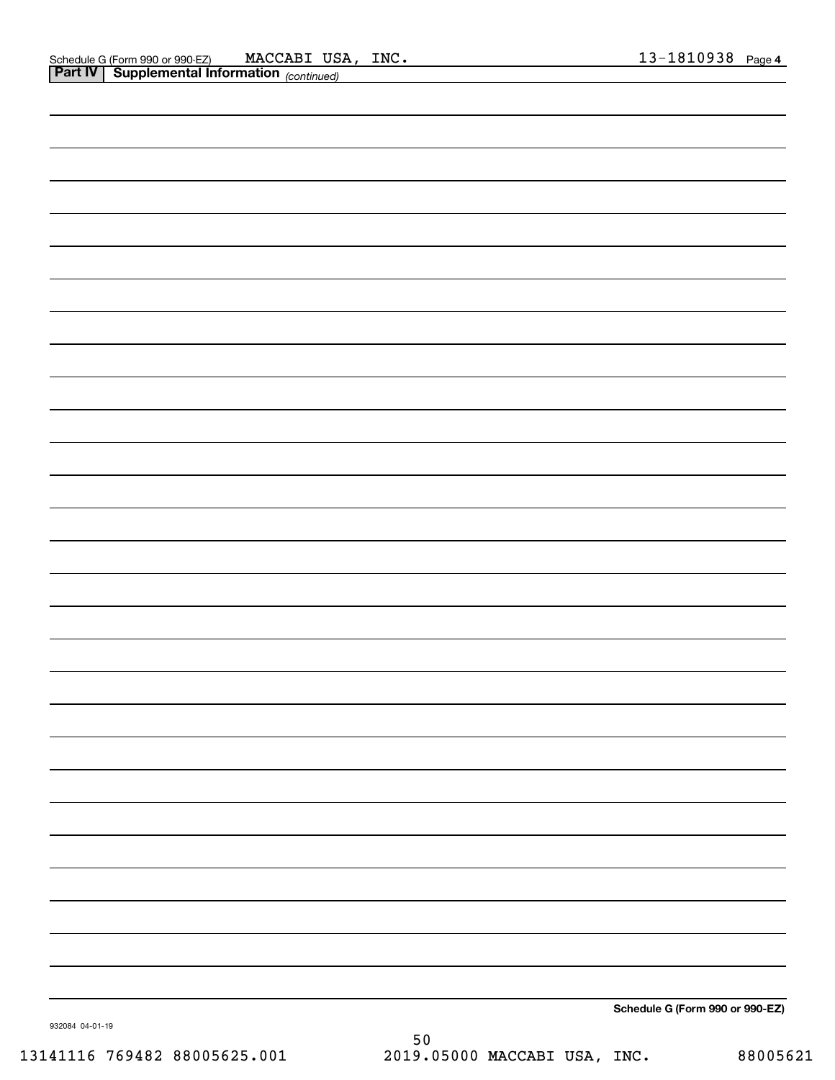| 032094 04:01:10 |  | Schedule G (Form 990 or 990-EZ) |
|-----------------|--|---------------------------------|

932084 04-01-19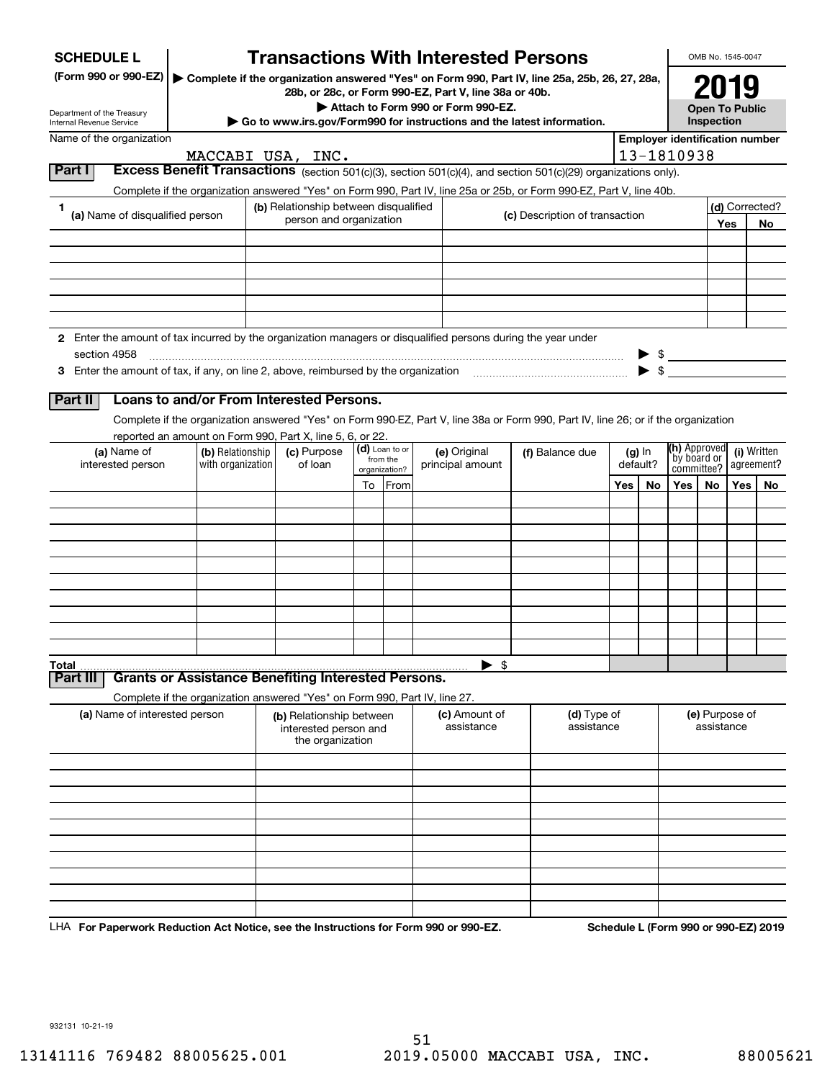| <b>SCHEDULE L</b>                                                                                             |                                                                                                                                          |                                           |                           | <b>Transactions With Interested Persons</b>                                                                                                            |                                |         |          |                                       | OMB No. 1545-0047     |         |                |
|---------------------------------------------------------------------------------------------------------------|------------------------------------------------------------------------------------------------------------------------------------------|-------------------------------------------|---------------------------|--------------------------------------------------------------------------------------------------------------------------------------------------------|--------------------------------|---------|----------|---------------------------------------|-----------------------|---------|----------------|
| (Form 990 or 990-EZ)                                                                                          |                                                                                                                                          |                                           |                           | Complete if the organization answered "Yes" on Form 990, Part IV, line 25a, 25b, 26, 27, 28a,<br>28b, or 28c, or Form 990-EZ, Part V, line 38a or 40b. |                                |         |          |                                       |                       |         |                |
| Department of the Treasury                                                                                    |                                                                                                                                          |                                           |                           | Attach to Form 990 or Form 990-EZ.                                                                                                                     |                                |         |          |                                       | <b>Open To Public</b> |         |                |
| Internal Revenue Service<br>Name of the organization                                                          |                                                                                                                                          |                                           |                           | $\triangleright$ Go to www.irs.gov/Form990 for instructions and the latest information.                                                                |                                |         |          | <b>Employer identification number</b> | Inspection            |         |                |
|                                                                                                               |                                                                                                                                          | MACCABI USA, INC.                         |                           |                                                                                                                                                        |                                |         |          | 13-1810938                            |                       |         |                |
| Part I                                                                                                        |                                                                                                                                          |                                           |                           | <b>Excess Benefit Transactions</b> (section 501(c)(3), section 501(c)(4), and section 501(c)(29) organizations only).                                  |                                |         |          |                                       |                       |         |                |
| 1.                                                                                                            |                                                                                                                                          | (b) Relationship between disqualified     |                           | Complete if the organization answered "Yes" on Form 990, Part IV, line 25a or 25b, or Form 990-EZ, Part V, line 40b.                                   |                                |         |          |                                       |                       |         | (d) Corrected? |
| (a) Name of disqualified person                                                                               |                                                                                                                                          | person and organization                   |                           |                                                                                                                                                        | (c) Description of transaction |         |          |                                       |                       | Yes     | No             |
|                                                                                                               |                                                                                                                                          |                                           |                           |                                                                                                                                                        |                                |         |          |                                       |                       |         |                |
|                                                                                                               |                                                                                                                                          |                                           |                           |                                                                                                                                                        |                                |         |          |                                       |                       |         |                |
|                                                                                                               |                                                                                                                                          |                                           |                           |                                                                                                                                                        |                                |         |          |                                       |                       |         |                |
|                                                                                                               |                                                                                                                                          |                                           |                           |                                                                                                                                                        |                                |         |          |                                       |                       |         |                |
| 2 Enter the amount of tax incurred by the organization managers or disqualified persons during the year under |                                                                                                                                          |                                           |                           |                                                                                                                                                        |                                |         |          |                                       |                       |         |                |
| section 4958                                                                                                  |                                                                                                                                          |                                           |                           |                                                                                                                                                        |                                |         |          |                                       |                       |         |                |
|                                                                                                               |                                                                                                                                          |                                           |                           |                                                                                                                                                        |                                |         |          |                                       |                       |         |                |
| Part II                                                                                                       | Loans to and/or From Interested Persons.                                                                                                 |                                           |                           |                                                                                                                                                        |                                |         |          |                                       |                       |         |                |
|                                                                                                               |                                                                                                                                          |                                           |                           | Complete if the organization answered "Yes" on Form 990-EZ, Part V, line 38a or Form 990, Part IV, line 26; or if the organization                     |                                |         |          |                                       |                       |         |                |
| (a) Name of                                                                                                   | reported an amount on Form 990, Part X, line 5, 6, or 22.<br>(b) Relationship                                                            | (c) Purpose                               | (d) Loan to or            | (e) Original                                                                                                                                           | (f) Balance due                |         | $(g)$ In | <b>(h)</b> Approved                   |                       |         | (i) Written    |
| interested person                                                                                             | with organization                                                                                                                        | of loan                                   | from the<br>organization? | principal amount                                                                                                                                       |                                |         | default? | by board or                           | committee?            |         | agreement?     |
|                                                                                                               |                                                                                                                                          |                                           | To From                   |                                                                                                                                                        |                                | Yes $ $ | No       | Yes $ $                               | No                    | Yes $ $ | No             |
|                                                                                                               |                                                                                                                                          |                                           |                           |                                                                                                                                                        |                                |         |          |                                       |                       |         |                |
|                                                                                                               |                                                                                                                                          |                                           |                           |                                                                                                                                                        |                                |         |          |                                       |                       |         |                |
|                                                                                                               |                                                                                                                                          |                                           |                           |                                                                                                                                                        |                                |         |          |                                       |                       |         |                |
|                                                                                                               |                                                                                                                                          |                                           |                           |                                                                                                                                                        |                                |         |          |                                       |                       |         |                |
|                                                                                                               |                                                                                                                                          |                                           |                           |                                                                                                                                                        |                                |         |          |                                       |                       |         |                |
|                                                                                                               |                                                                                                                                          |                                           |                           |                                                                                                                                                        |                                |         |          |                                       |                       |         |                |
|                                                                                                               |                                                                                                                                          |                                           |                           |                                                                                                                                                        |                                |         |          |                                       |                       |         |                |
| Total                                                                                                         |                                                                                                                                          |                                           |                           | $\blacktriangleright$ s                                                                                                                                |                                |         |          |                                       |                       |         |                |
| Part III                                                                                                      | <b>Grants or Assistance Benefiting Interested Persons.</b><br>Complete if the organization answered "Yes" on Form 990, Part IV, line 27. |                                           |                           |                                                                                                                                                        |                                |         |          |                                       |                       |         |                |
| (a) Name of interested person                                                                                 |                                                                                                                                          | (b) Relationship between                  |                           | (c) Amount of                                                                                                                                          | (d) Type of                    |         |          |                                       | (e) Purpose of        |         |                |
|                                                                                                               |                                                                                                                                          | interested person and<br>the organization |                           | assistance                                                                                                                                             | assistance                     |         |          |                                       | assistance            |         |                |
|                                                                                                               |                                                                                                                                          |                                           |                           |                                                                                                                                                        |                                |         |          |                                       |                       |         |                |
|                                                                                                               |                                                                                                                                          |                                           |                           |                                                                                                                                                        |                                |         |          |                                       |                       |         |                |
|                                                                                                               |                                                                                                                                          |                                           |                           |                                                                                                                                                        |                                |         |          |                                       |                       |         |                |
|                                                                                                               |                                                                                                                                          |                                           |                           |                                                                                                                                                        |                                |         |          |                                       |                       |         |                |
|                                                                                                               |                                                                                                                                          |                                           |                           |                                                                                                                                                        |                                |         |          |                                       |                       |         |                |
|                                                                                                               |                                                                                                                                          |                                           |                           |                                                                                                                                                        |                                |         |          |                                       |                       |         |                |
|                                                                                                               |                                                                                                                                          |                                           |                           |                                                                                                                                                        |                                |         |          |                                       |                       |         |                |
|                                                                                                               |                                                                                                                                          |                                           |                           |                                                                                                                                                        |                                |         |          |                                       |                       |         |                |

LHA For Paperwork Reduction Act Notice, see the Instructions for Form 990 or 990-EZ. Schedule L (Form 990 or 990-EZ) 2019

932131 10-21-19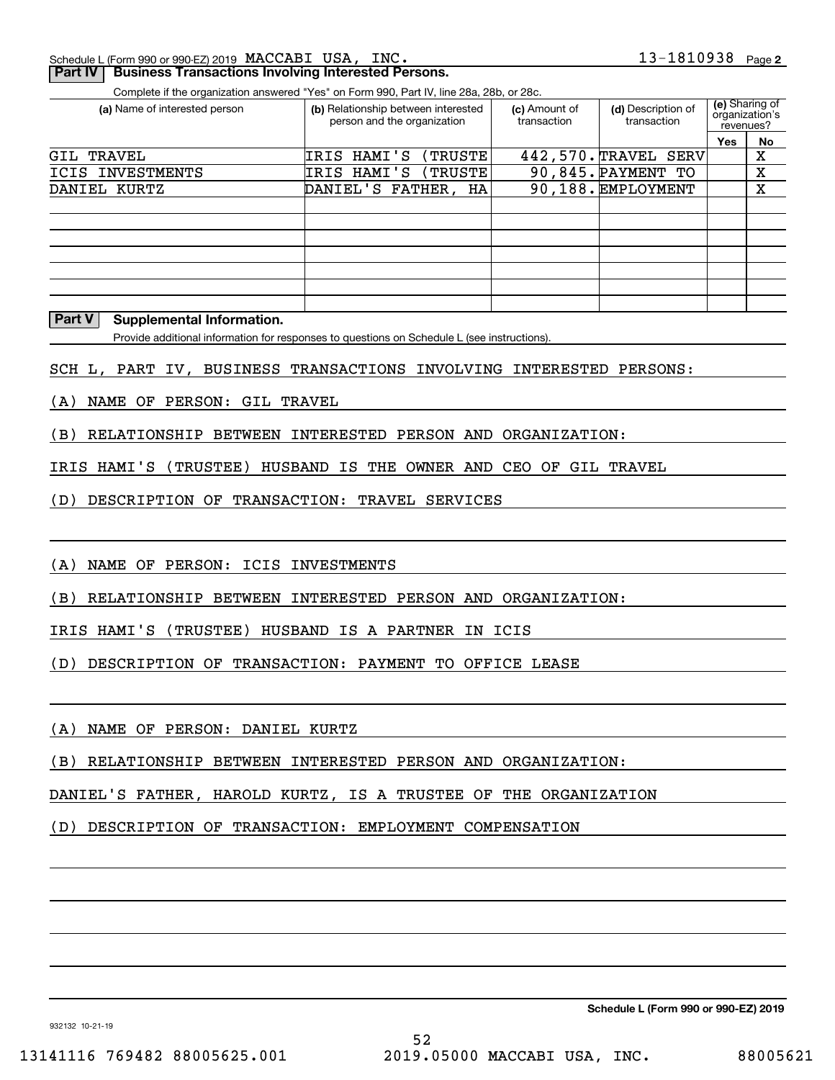Schedule L (Form 990 or 990-EZ) 2019 Page MACCABI USA, INC.

### **Part IV** Business Transactions Involving Interested Persons.

Complete if the organization answered "Yes" on Form 990, Part IV, line 28a, 28b, or 28c.

| (a) Name of interested person | (b) Relationship between interested<br>person and the organization | (c) Amount of<br>transaction | (d) Description of<br>transaction | organization's<br>revenues? | (e) Sharing of |
|-------------------------------|--------------------------------------------------------------------|------------------------------|-----------------------------------|-----------------------------|----------------|
|                               |                                                                    |                              |                                   | Yes                         | No             |
| TRAVEL<br>GIL                 | IRIS HAMI'S<br>(TRUSTE)                                            | 442,570. TRAVEL              | <b>SERV</b>                       |                             | х              |
| ICIS INVESTMENTS              | IRIS HAMI'S<br>(TRUSTE)                                            |                              | 90,845. PAYMENT TO                |                             | X              |
| DANIEL KURTZ                  | DANIEL'S FATHER, HA                                                |                              | 90,188. EMPLOYMENT                |                             | X              |
|                               |                                                                    |                              |                                   |                             |                |
|                               |                                                                    |                              |                                   |                             |                |
|                               |                                                                    |                              |                                   |                             |                |
|                               |                                                                    |                              |                                   |                             |                |
|                               |                                                                    |                              |                                   |                             |                |
|                               |                                                                    |                              |                                   |                             |                |
|                               |                                                                    |                              |                                   |                             |                |

### **Part V Supplemental Information.**

Provide additional information for responses to questions on Schedule L (see instructions).

SCH L, PART IV, BUSINESS TRANSACTIONS INVOLVING INTERESTED PERSONS:

(A) NAME OF PERSON: GIL TRAVEL

(B) RELATIONSHIP BETWEEN INTERESTED PERSON AND ORGANIZATION:

IRIS HAMI'S (TRUSTEE) HUSBAND IS THE OWNER AND CEO OF GIL TRAVEL

(D) DESCRIPTION OF TRANSACTION: TRAVEL SERVICES

(A) NAME OF PERSON: ICIS INVESTMENTS

(B) RELATIONSHIP BETWEEN INTERESTED PERSON AND ORGANIZATION:

IRIS HAMI'S (TRUSTEE) HUSBAND IS A PARTNER IN ICIS

(D) DESCRIPTION OF TRANSACTION: PAYMENT TO OFFICE LEASE

### (A) NAME OF PERSON: DANIEL KURTZ

(B) RELATIONSHIP BETWEEN INTERESTED PERSON AND ORGANIZATION:

DANIEL'S FATHER, HAROLD KURTZ, IS A TRUSTEE OF THE ORGANIZATION

(D) DESCRIPTION OF TRANSACTION: EMPLOYMENT COMPENSATION

**Schedule L (Form 990 or 990-EZ) 2019**

932132 10-21-19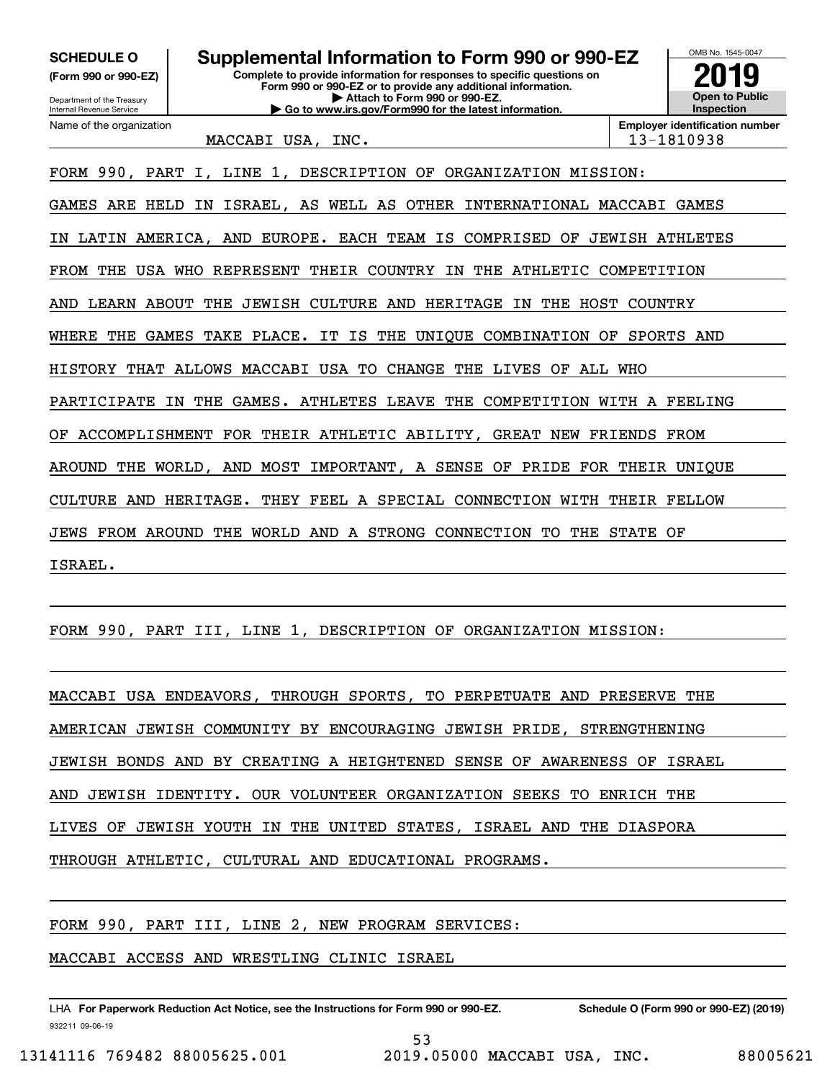**(Form 990 or 990-EZ)**

Department of the Treasury Internal Revenue Service Name of the organization

**Complete to provide information for responses to specific questions on Form 990 or 990-EZ or to provide any additional information. | Attach to Form 990 or 990-EZ. | Go to www.irs.gov/Form990 for the latest information. SCHEDULE O Supplemental Information to Form 990 or 990-EZ**



MACCABI USA, INC. 13-1810938

FORM 990, PART I, LINE 1, DESCRIPTION OF ORGANIZATION MISSION:

GAMES ARE HELD IN ISRAEL, AS WELL AS OTHER INTERNATIONAL MACCABI GAMES

IN LATIN AMERICA, AND EUROPE. EACH TEAM IS COMPRISED OF JEWISH ATHLETES

FROM THE USA WHO REPRESENT THEIR COUNTRY IN THE ATHLETIC COMPETITION

AND LEARN ABOUT THE JEWISH CULTURE AND HERITAGE IN THE HOST COUNTRY

WHERE THE GAMES TAKE PLACE. IT IS THE UNIQUE COMBINATION OF SPORTS AND

HISTORY THAT ALLOWS MACCABI USA TO CHANGE THE LIVES OF ALL WHO

PARTICIPATE IN THE GAMES. ATHLETES LEAVE THE COMPETITION WITH A FEELING

OF ACCOMPLISHMENT FOR THEIR ATHLETIC ABILITY, GREAT NEW FRIENDS FROM

AROUND THE WORLD, AND MOST IMPORTANT, A SENSE OF PRIDE FOR THEIR UNIQUE

CULTURE AND HERITAGE. THEY FEEL A SPECIAL CONNECTION WITH THEIR FELLOW

JEWS FROM AROUND THE WORLD AND A STRONG CONNECTION TO THE STATE OF

ISRAEL.

FORM 990, PART III, LINE 1, DESCRIPTION OF ORGANIZATION MISSION:

MACCABI USA ENDEAVORS, THROUGH SPORTS, TO PERPETUATE AND PRESERVE THE AMERICAN JEWISH COMMUNITY BY ENCOURAGING JEWISH PRIDE, STRENGTHENING JEWISH BONDS AND BY CREATING A HEIGHTENED SENSE OF AWARENESS OF ISRAEL AND JEWISH IDENTITY. OUR VOLUNTEER ORGANIZATION SEEKS TO ENRICH THE LIVES OF JEWISH YOUTH IN THE UNITED STATES, ISRAEL AND THE DIASPORA

THROUGH ATHLETIC, CULTURAL AND EDUCATIONAL PROGRAMS.

FORM 990, PART III, LINE 2, NEW PROGRAM SERVICES:

MACCABI ACCESS AND WRESTLING CLINIC ISRAEL

932211 09-06-19 LHA For Paperwork Reduction Act Notice, see the Instructions for Form 990 or 990-EZ. Schedule O (Form 990 or 990-EZ) (2019)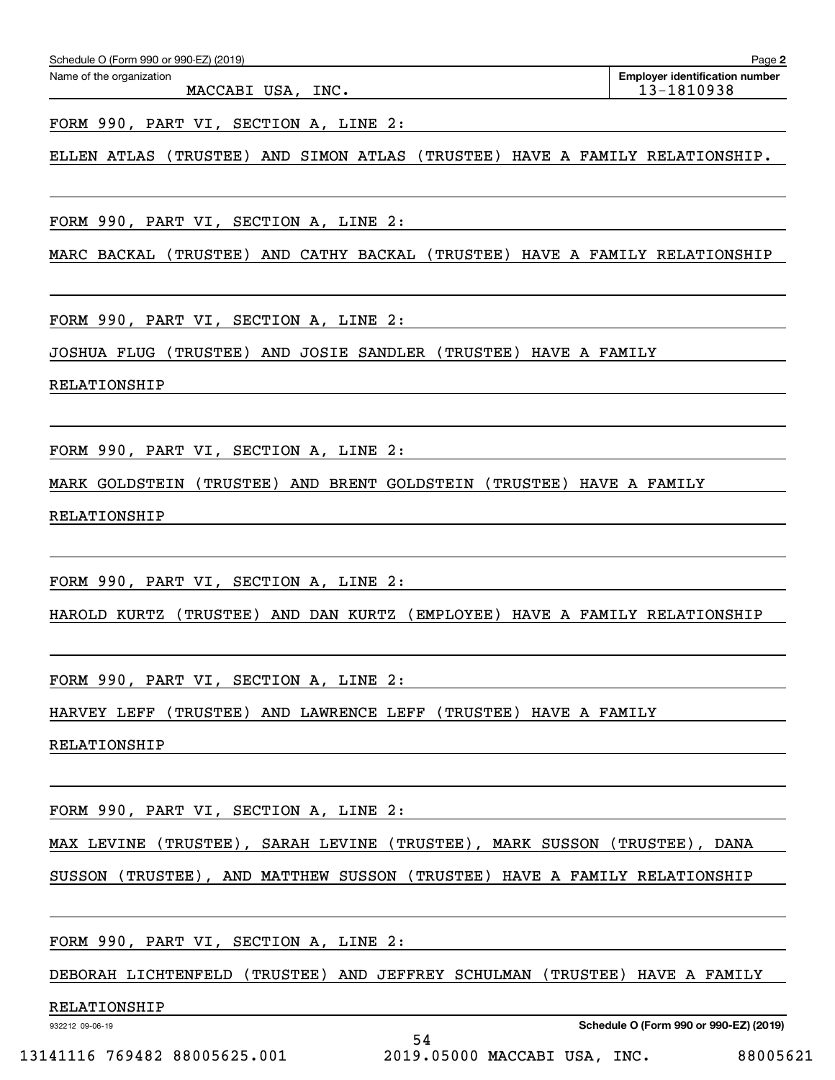FORM 990, PART VI, SECTION A, LINE 2:

ELLEN ATLAS (TRUSTEE) AND SIMON ATLAS (TRUSTEE) HAVE A FAMILY RELATIONSHIP.

FORM 990, PART VI, SECTION A, LINE 2:

MARC BACKAL (TRUSTEE) AND CATHY BACKAL (TRUSTEE) HAVE A FAMILY RELATIONSHIP

FORM 990, PART VI, SECTION A, LINE 2:

JOSHUA FLUG (TRUSTEE) AND JOSIE SANDLER (TRUSTEE) HAVE A FAMILY

RELATIONSHIP

FORM 990, PART VI, SECTION A, LINE 2:

MARK GOLDSTEIN (TRUSTEE) AND BRENT GOLDSTEIN (TRUSTEE) HAVE A FAMILY

RELATIONSHIP

FORM 990, PART VI, SECTION A, LINE 2:

HAROLD KURTZ (TRUSTEE) AND DAN KURTZ (EMPLOYEE) HAVE A FAMILY RELATIONSHIP

FORM 990, PART VI, SECTION A, LINE 2:

HARVEY LEFF (TRUSTEE) AND LAWRENCE LEFF (TRUSTEE) HAVE A FAMILY

RELATIONSHIP

FORM 990, PART VI, SECTION A, LINE 2:

MAX LEVINE (TRUSTEE), SARAH LEVINE (TRUSTEE), MARK SUSSON (TRUSTEE), DANA

SUSSON (TRUSTEE), AND MATTHEW SUSSON (TRUSTEE) HAVE A FAMILY RELATIONSHIP

FORM 990, PART VI, SECTION A, LINE 2:

DEBORAH LICHTENFELD (TRUSTEE) AND JEFFREY SCHULMAN (TRUSTEE) HAVE A FAMILY

54

RELATIONSHIP

932212 09-06-19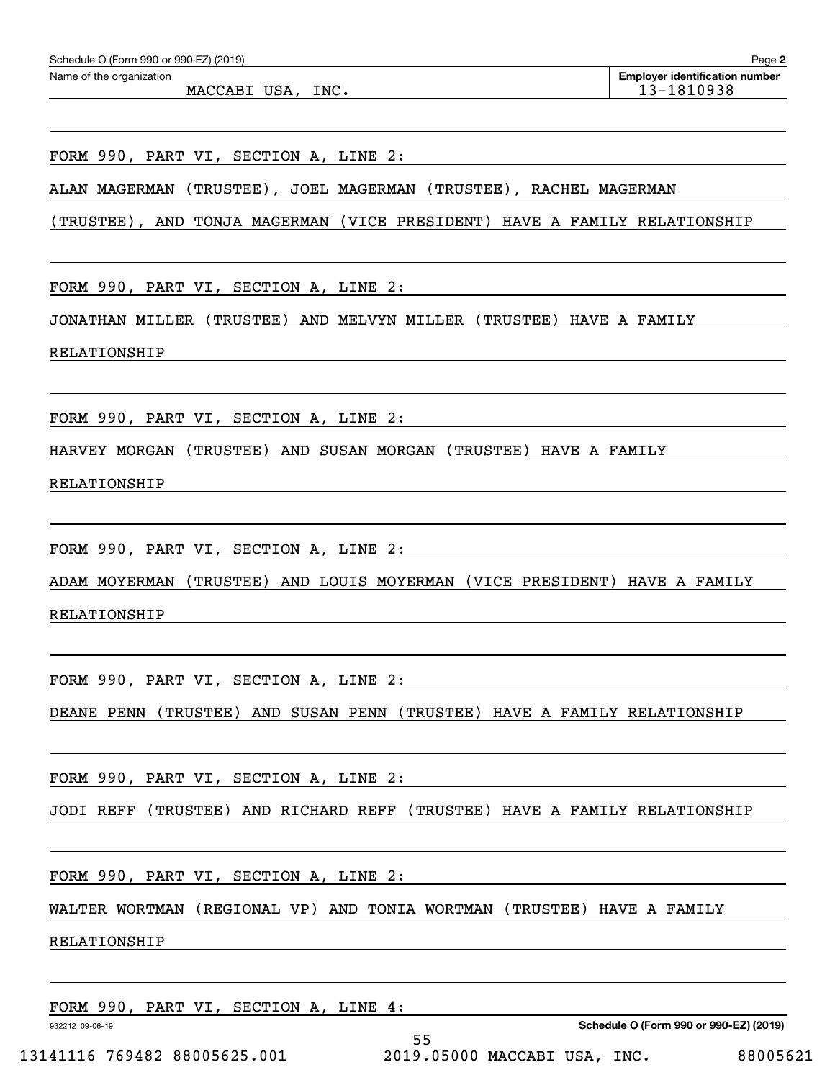| Schedule O (Form 990 or 990-EZ) (2019) |  |  |  |  |  |  |
|----------------------------------------|--|--|--|--|--|--|
|----------------------------------------|--|--|--|--|--|--|

FORM 990, PART VI, SECTION A, LINE 2:

ALAN MAGERMAN (TRUSTEE), JOEL MAGERMAN (TRUSTEE), RACHEL MAGERMAN

(TRUSTEE), AND TONJA MAGERMAN (VICE PRESIDENT) HAVE A FAMILY RELATIONSHIP

FORM 990, PART VI, SECTION A, LINE 2:

JONATHAN MILLER (TRUSTEE) AND MELVYN MILLER (TRUSTEE) HAVE A FAMILY

RELATIONSHIP

FORM 990, PART VI, SECTION A, LINE 2:

HARVEY MORGAN (TRUSTEE) AND SUSAN MORGAN (TRUSTEE) HAVE A FAMILY

RELATIONSHIP

FORM 990, PART VI, SECTION A, LINE 2:

ADAM MOYERMAN (TRUSTEE) AND LOUIS MOYERMAN (VICE PRESIDENT) HAVE A FAMILY

RELATIONSHIP

FORM 990, PART VI, SECTION A, LINE 2:

DEANE PENN (TRUSTEE) AND SUSAN PENN (TRUSTEE) HAVE A FAMILY RELATIONSHIP

FORM 990, PART VI, SECTION A, LINE 2:

JODI REFF (TRUSTEE) AND RICHARD REFF (TRUSTEE) HAVE A FAMILY RELATIONSHIP

FORM 990, PART VI, SECTION A, LINE 2:

WALTER WORTMAN (REGIONAL VP) AND TONIA WORTMAN (TRUSTEE) HAVE A FAMILY

RELATIONSHIP

FORM 990, PART VI, SECTION A, LINE 4:

932212 09-06-19

**Schedule O (Form 990 or 990-EZ) (2019)**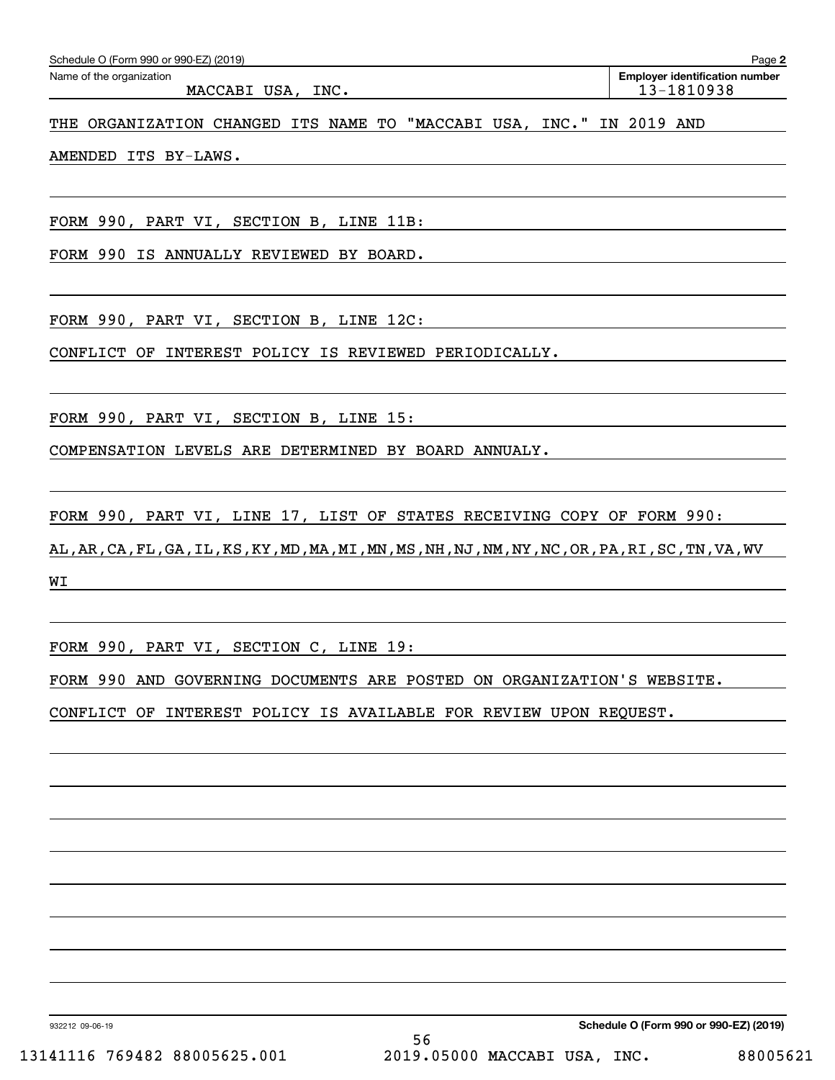| Schedule O (Form 990 or 990-EZ) (2019)                               | Page 2                                              |
|----------------------------------------------------------------------|-----------------------------------------------------|
| Name of the organization<br>MACCABI USA, INC.                        | <b>Employer identification number</b><br>13-1810938 |
| THE ORGANIZATION CHANGED ITS NAME TO "MACCABI USA, INC." IN 2019 AND |                                                     |

AMENDED ITS BY-LAWS.

FORM 990, PART VI, SECTION B, LINE 11B:

FORM 990 IS ANNUALLY REVIEWED BY BOARD.

FORM 990, PART VI, SECTION B, LINE 12C:

CONFLICT OF INTEREST POLICY IS REVIEWED PERIODICALLY.

FORM 990, PART VI, SECTION B, LINE 15:

COMPENSATION LEVELS ARE DETERMINED BY BOARD ANNUALY.

FORM 990, PART VI, LINE 17, LIST OF STATES RECEIVING COPY OF FORM 990:

AL,AR,CA,FL,GA,IL,KS,KY,MD,MA,MI,MN,MS,NH,NJ,NM,NY,NC,OR,PA,RI,SC,TN,VA,WV

WI

FORM 990, PART VI, SECTION C, LINE 19:

FORM 990 AND GOVERNING DOCUMENTS ARE POSTED ON ORGANIZATION'S WEBSITE.

CONFLICT OF INTEREST POLICY IS AVAILABLE FOR REVIEW UPON REQUEST.

932212 09-06-19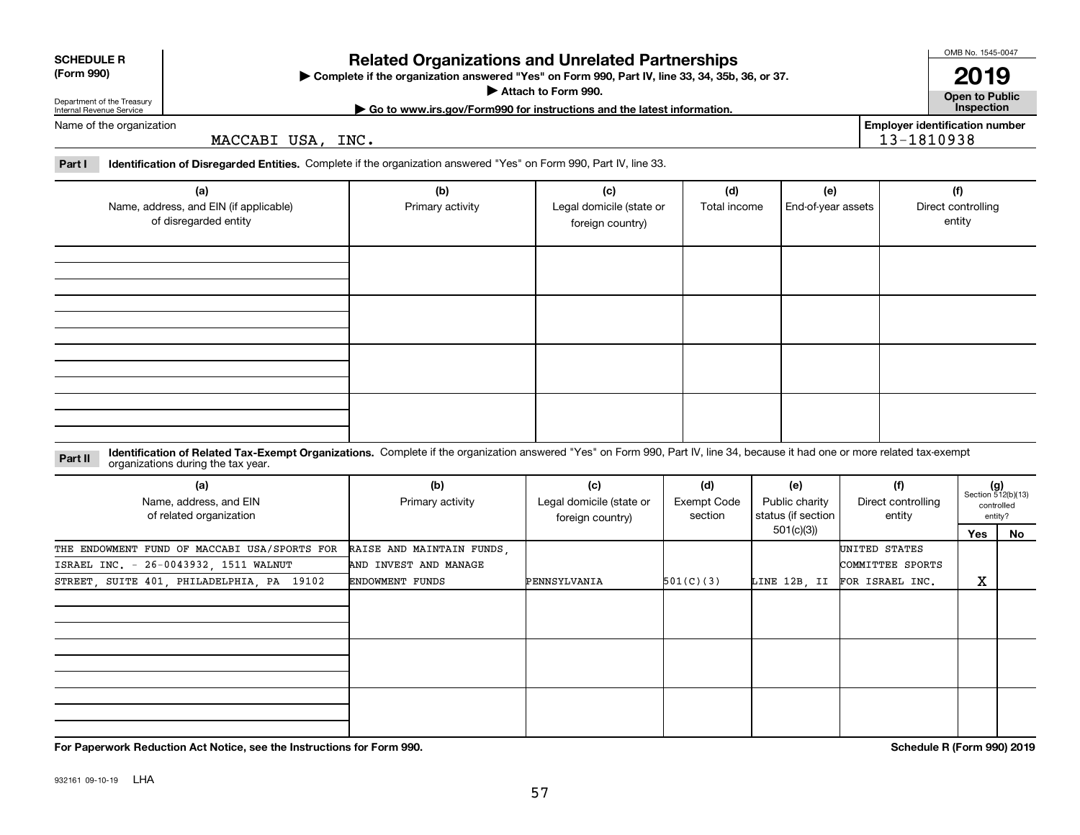|  | For Papery |
|--|------------|
|--|------------|

932161 09-10-19 LHA

# **For Paperwork Reduction Act Notice, see the Instructions for Form 990. Schedule R (Form 990) 2019**

 $(g)$ <br>Section 512(b)(13) controlledentity?

**No**

## 57

| Identification of Related Tax-Exempt Organizations. Complete if the organization answered "Yes" on Form 990, Part IV, line 34, because it had one or more related tax-exempt<br>Part II<br>organizations during the tax year. |                                                                              |                                                     |                               |                                             |                                                      |                                         |  |
|-------------------------------------------------------------------------------------------------------------------------------------------------------------------------------------------------------------------------------|------------------------------------------------------------------------------|-----------------------------------------------------|-------------------------------|---------------------------------------------|------------------------------------------------------|-----------------------------------------|--|
| (a)<br>Name, address, and EIN<br>of related organization                                                                                                                                                                      | (b)<br>Primary activity                                                      | (c)<br>Legal domicile (state or<br>foreign country) | (d)<br>Exempt Code<br>section | (e)<br>Public charity<br>status (if section | (f)<br>Direct controlling<br>entity                  | $(g)$<br>Section 51<br>contro<br>entity |  |
|                                                                                                                                                                                                                               |                                                                              |                                                     |                               | 501(c)(3)                                   |                                                      | Yes                                     |  |
| THE ENDOWMENT FUND OF MACCABI USA/SPORTS FOR<br>ISRAEL INC. - 26-0043932, 1511 WALNUT<br>STREET, SUITE 401, PHILADELPHIA, PA 19102                                                                                            | RAISE AND MAINTAIN FUNDS,<br>AND INVEST AND MANAGE<br><b>ENDOWMENT FUNDS</b> | PENNSYLVANIA                                        | 501(C)(3)                     | LINE 12B, II                                | UNITED STATES<br>COMMITTEE SPORTS<br>FOR ISRAEL INC. | x                                       |  |
|                                                                                                                                                                                                                               |                                                                              |                                                     |                               |                                             |                                                      |                                         |  |
|                                                                                                                                                                                                                               |                                                                              |                                                     |                               |                                             |                                                      |                                         |  |
|                                                                                                                                                                                                                               |                                                                              |                                                     |                               |                                             |                                                      |                                         |  |

Name of the organization MACCABI USA, INC.

**Part I Identification of Disregarded Entities.**  Complete if the organization answered "Yes" on Form 990, Part IV, line 33.

| <b>Related Organizations and Unrelated Partnerships</b> |  |
|---------------------------------------------------------|--|

**Complete if the organization answered "Yes" on Form 990, Part IV, line 33, 34, 35b, 36, or 37.** |

**Attach to Form 990.**  | **| Go to www.irs.gov/Form990 for instructions and the latest information. Inspection**

Primary activity **Legal domicile (state or** 

**(b) (c) (d) (e) (f)**

foreign country)

**Open to Public**

**2019**

entity

**Employer identification number** 13-1810938

Total income | End-of-year assets | Direct controlling

| (Form 990) |  |
|------------|--|
|            |  |

**SCHEDULE R**

Department of the Treasury Internal Revenue Service

**(a)**

Name, address, and EIN (if applicable) of disregarded entity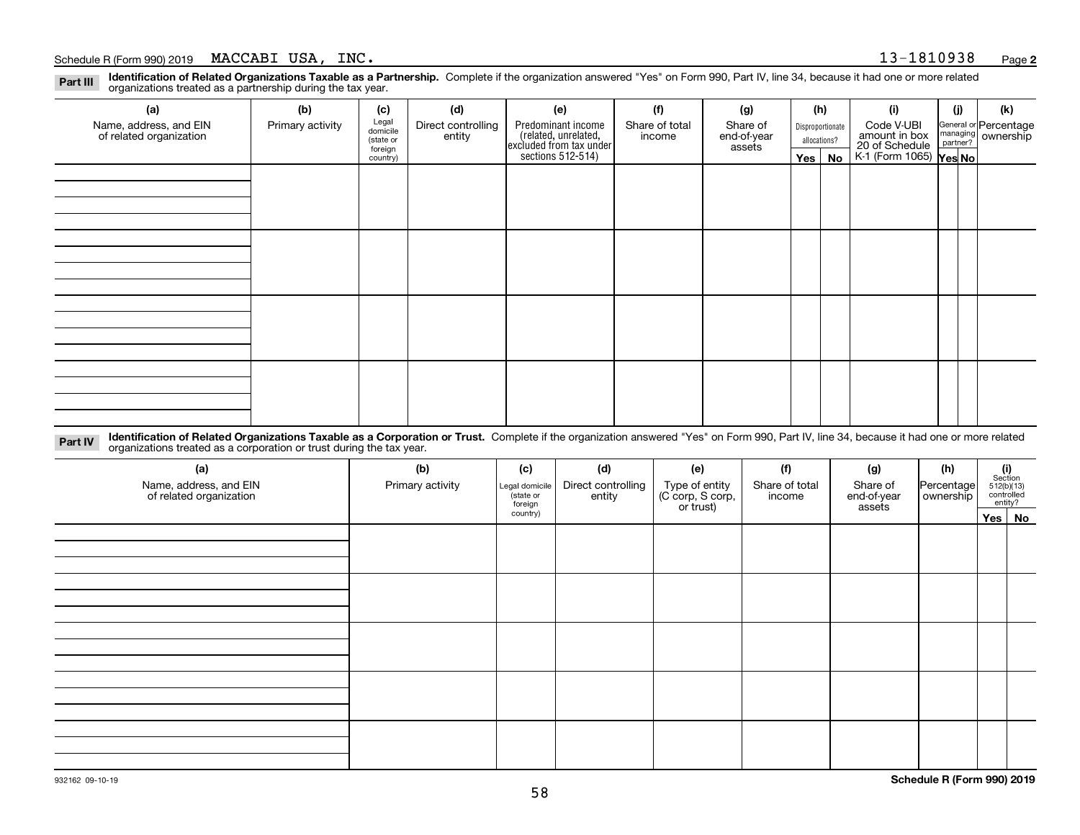**Identification of Related Organizations Taxable as a Partnership.** Complete if the organization answered "Yes" on Form 990, Part IV, line 34, because it had one or more related **Part III** organizations treated as a partnership during the tax year.

| (a)                                               | (b)              | (c)                  | (d)                          | (e)                                                                                        | (f)                      | (g)                     | (h) |                  | (i)                                                       | (j) | (k)                                                     |
|---------------------------------------------------|------------------|----------------------|------------------------------|--------------------------------------------------------------------------------------------|--------------------------|-------------------------|-----|------------------|-----------------------------------------------------------|-----|---------------------------------------------------------|
| Name, address, and EIN<br>of related organization | Primary activity | Legal<br>domicile    | Direct controlling<br>entity | Predominant income<br>(related, unrelated,<br>excluded from tax under<br>sections 512-514) | Share of total<br>income | Share of<br>end-of-year |     | Disproportionate | Code V-UBI                                                |     | General or Percentage<br>managing ownership<br>partner? |
|                                                   |                  | (state or<br>foreign |                              |                                                                                            |                          | assets                  |     | allocations?     |                                                           |     |                                                         |
|                                                   |                  | country)             |                              |                                                                                            |                          |                         |     | Yes   No         | amount in box<br>20 of Schedule<br>K-1 (Form 1065) Yes No |     |                                                         |
|                                                   |                  |                      |                              |                                                                                            |                          |                         |     |                  |                                                           |     |                                                         |
|                                                   |                  |                      |                              |                                                                                            |                          |                         |     |                  |                                                           |     |                                                         |
|                                                   |                  |                      |                              |                                                                                            |                          |                         |     |                  |                                                           |     |                                                         |
|                                                   |                  |                      |                              |                                                                                            |                          |                         |     |                  |                                                           |     |                                                         |
|                                                   |                  |                      |                              |                                                                                            |                          |                         |     |                  |                                                           |     |                                                         |
|                                                   |                  |                      |                              |                                                                                            |                          |                         |     |                  |                                                           |     |                                                         |
|                                                   |                  |                      |                              |                                                                                            |                          |                         |     |                  |                                                           |     |                                                         |
|                                                   |                  |                      |                              |                                                                                            |                          |                         |     |                  |                                                           |     |                                                         |
|                                                   |                  |                      |                              |                                                                                            |                          |                         |     |                  |                                                           |     |                                                         |
|                                                   |                  |                      |                              |                                                                                            |                          |                         |     |                  |                                                           |     |                                                         |
|                                                   |                  |                      |                              |                                                                                            |                          |                         |     |                  |                                                           |     |                                                         |
|                                                   |                  |                      |                              |                                                                                            |                          |                         |     |                  |                                                           |     |                                                         |
|                                                   |                  |                      |                              |                                                                                            |                          |                         |     |                  |                                                           |     |                                                         |
|                                                   |                  |                      |                              |                                                                                            |                          |                         |     |                  |                                                           |     |                                                         |
|                                                   |                  |                      |                              |                                                                                            |                          |                         |     |                  |                                                           |     |                                                         |
|                                                   |                  |                      |                              |                                                                                            |                          |                         |     |                  |                                                           |     |                                                         |
|                                                   |                  |                      |                              |                                                                                            |                          |                         |     |                  |                                                           |     |                                                         |

**Identification of Related Organizations Taxable as a Corporation or Trust.** Complete if the organization answered "Yes" on Form 990, Part IV, line 34, because it had one or more related **Part IV** organizations treated as a corporation or trust during the tax year.

| (a)<br>Name, address, and EIN<br>of related organization | (b)<br>Primary activity | (c)<br>Legal domicile<br>(state or<br>foreign | (d)<br>Direct controlling<br>entity | (e)<br>Type of entity<br>(C corp, S corp,<br>or trust) | (f)<br>Share of total<br>income | (g)<br>Share of<br>end-of-year<br>assets | (h)<br>Percentage<br>ownership | $(i)$ Section<br>512(b)(13)<br>controlled<br>entity? |  |
|----------------------------------------------------------|-------------------------|-----------------------------------------------|-------------------------------------|--------------------------------------------------------|---------------------------------|------------------------------------------|--------------------------------|------------------------------------------------------|--|
|                                                          |                         | country)                                      |                                     |                                                        |                                 |                                          |                                | Yes No                                               |  |
|                                                          |                         |                                               |                                     |                                                        |                                 |                                          |                                |                                                      |  |
|                                                          |                         |                                               |                                     |                                                        |                                 |                                          |                                |                                                      |  |
|                                                          |                         |                                               |                                     |                                                        |                                 |                                          |                                |                                                      |  |
|                                                          |                         |                                               |                                     |                                                        |                                 |                                          |                                |                                                      |  |
|                                                          |                         |                                               |                                     |                                                        |                                 |                                          |                                |                                                      |  |
|                                                          |                         |                                               |                                     |                                                        |                                 |                                          |                                |                                                      |  |
|                                                          |                         |                                               |                                     |                                                        |                                 |                                          |                                |                                                      |  |
|                                                          |                         |                                               |                                     |                                                        |                                 |                                          |                                |                                                      |  |
|                                                          |                         |                                               |                                     |                                                        |                                 |                                          |                                |                                                      |  |
|                                                          |                         |                                               |                                     |                                                        |                                 |                                          |                                |                                                      |  |
|                                                          |                         |                                               |                                     |                                                        |                                 |                                          |                                |                                                      |  |
|                                                          |                         |                                               |                                     |                                                        |                                 |                                          |                                |                                                      |  |
|                                                          |                         |                                               |                                     |                                                        |                                 |                                          |                                |                                                      |  |
|                                                          |                         |                                               |                                     |                                                        |                                 |                                          |                                |                                                      |  |
|                                                          |                         |                                               |                                     |                                                        |                                 |                                          |                                |                                                      |  |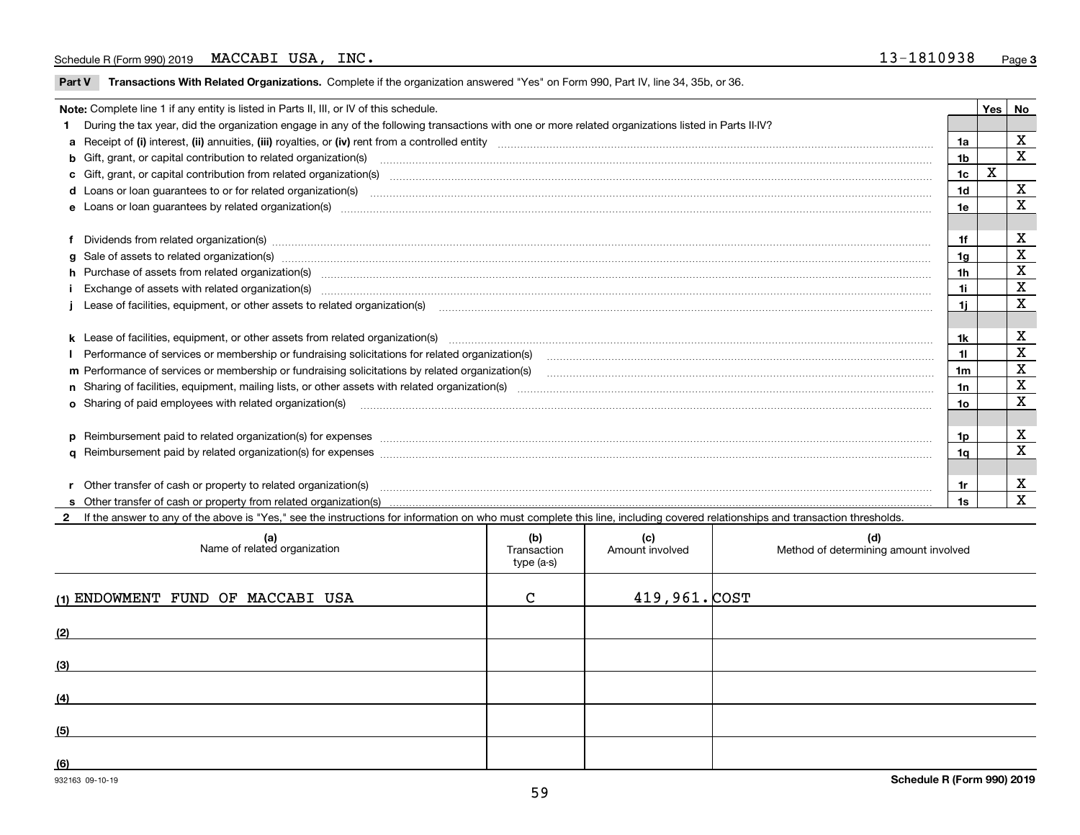$\overline{\phantom{a}}$ 

**Part V** T**ransactions With Related Organizations.** Complete if the organization answered "Yes" on Form 990, Part IV, line 34, 35b, or 36.

| Note: Complete line 1 if any entity is listed in Parts II, III, or IV of this schedule.         |                                                                                                                                                                                                                                                  |     |  |             |  |
|-------------------------------------------------------------------------------------------------|--------------------------------------------------------------------------------------------------------------------------------------------------------------------------------------------------------------------------------------------------|-----|--|-------------|--|
|                                                                                                 | 1 During the tax year, did the organization engage in any of the following transactions with one or more related organizations listed in Parts II-IV?                                                                                            |     |  |             |  |
|                                                                                                 |                                                                                                                                                                                                                                                  |     |  | X           |  |
|                                                                                                 | b Gift, grant, or capital contribution to related organization(s) material contracts and contribution to related organization(s)                                                                                                                 |     |  | $\mathbf X$ |  |
|                                                                                                 | c Gift, grant, or capital contribution from related organization(s) manufaction contribution from related organization(s) manufaction contribution from related organization(s) manufaction contribution from related organiza                   |     |  |             |  |
|                                                                                                 | <b>d</b> Loans or loan quarantees to or for related organization(s)                                                                                                                                                                              |     |  |             |  |
|                                                                                                 |                                                                                                                                                                                                                                                  | 1e  |  | $\mathbf X$ |  |
|                                                                                                 |                                                                                                                                                                                                                                                  |     |  |             |  |
|                                                                                                 |                                                                                                                                                                                                                                                  | 1f  |  | х           |  |
|                                                                                                 | g Sale of assets to related organization(s) www.assettion.com/www.assettion.com/www.assettion.com/www.assettion.com/www.assettion.com/www.assettion.com/www.assettion.com/www.assettion.com/www.assettion.com/www.assettion.co                   | 1a  |  | х           |  |
|                                                                                                 | h Purchase of assets from related organization(s) www.assettion.com/www.assettion.com/www.assettion.com/www.assettion.com/www.assettion.com/www.assettion.com/www.assettion.com/www.assettion.com/www.assettion.com/www.assett<br>1 <sub>h</sub> |     |  |             |  |
|                                                                                                 | Exchange of assets with related organization(s) www.assettion.com/www.assettion.com/www.assettion.com/www.assettion.com/www.assettion.com/www.assettion.com/www.assettion.com/www.assettion.com/www.assettion.com/www.assettio                   |     |  |             |  |
|                                                                                                 | j Lease of facilities, equipment, or other assets to related organization(s) material content and content and content and content and content and content and content and content and content and content and content and cont                   |     |  |             |  |
|                                                                                                 |                                                                                                                                                                                                                                                  |     |  |             |  |
|                                                                                                 |                                                                                                                                                                                                                                                  | 1k  |  | X           |  |
|                                                                                                 |                                                                                                                                                                                                                                                  |     |  | X           |  |
| m Performance of services or membership or fundraising solicitations by related organization(s) |                                                                                                                                                                                                                                                  |     |  | $\mathbf x$ |  |
|                                                                                                 |                                                                                                                                                                                                                                                  |     |  | X           |  |
|                                                                                                 | <b>o</b> Sharing of paid employees with related organization(s)                                                                                                                                                                                  | 10  |  | X           |  |
|                                                                                                 |                                                                                                                                                                                                                                                  |     |  |             |  |
|                                                                                                 | p Reimbursement paid to related organization(s) for expenses [1111] and manufacture manufacture manufacture manufacture manufacture manufacture manufacture manufacture manufacture manufacture manufacture manufacture manufa                   | 1p. |  | X           |  |
|                                                                                                 |                                                                                                                                                                                                                                                  | 1a  |  | X           |  |
|                                                                                                 |                                                                                                                                                                                                                                                  |     |  |             |  |
|                                                                                                 | r Other transfer of cash or property to related organization(s)                                                                                                                                                                                  | 1r  |  | X           |  |
|                                                                                                 |                                                                                                                                                                                                                                                  | 1s  |  | X           |  |
|                                                                                                 | 2 If the answer to any of the above is "Yes," see the instructions for information on who must complete this line, including covered relationships and transaction thresholds.                                                                   |     |  |             |  |

| (a)<br>Name of related organization | (b)<br>Transaction<br>type (a-s) | (c)<br>Amount involved | (d)<br>Method of determining amount involved |
|-------------------------------------|----------------------------------|------------------------|----------------------------------------------|
| (1) ENDOWMENT FUND OF MACCABI USA   | C                                | $419,961.$ $COST$      |                                              |
| (2)                                 |                                  |                        |                                              |
| (3)                                 |                                  |                        |                                              |
| (4)                                 |                                  |                        |                                              |
| (5)                                 |                                  |                        |                                              |
| (6)                                 |                                  |                        |                                              |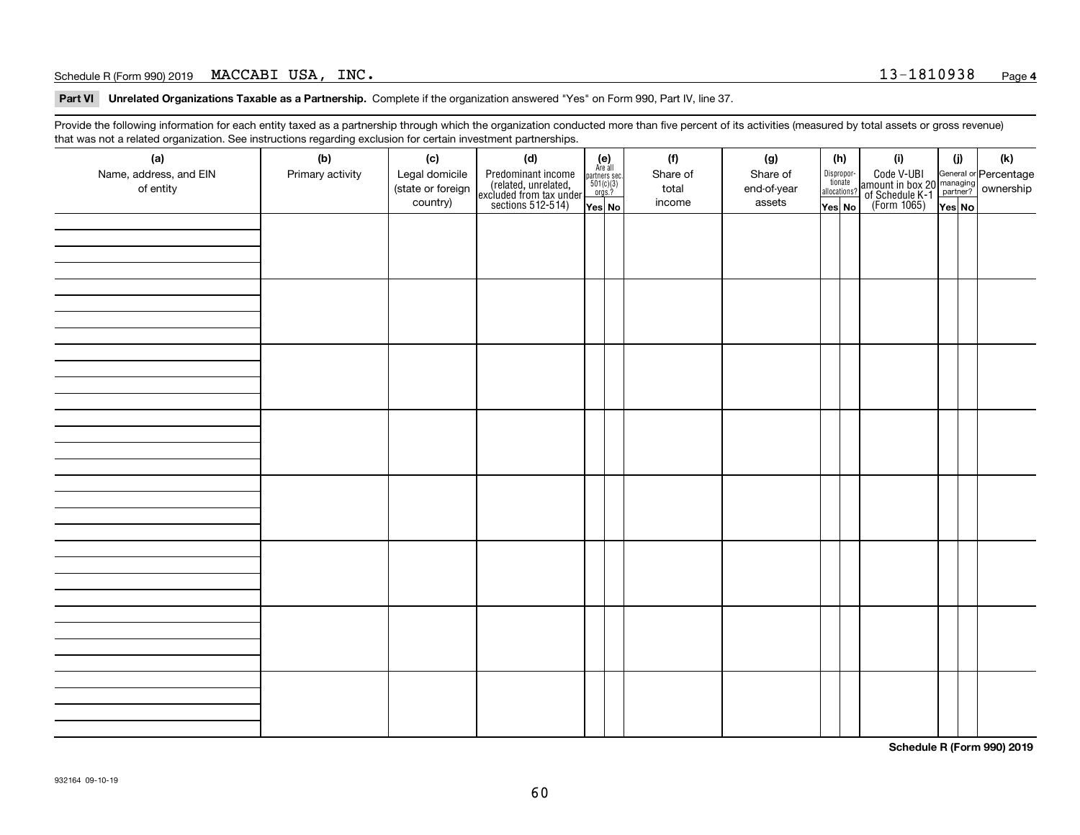**Part VI Unrelated Organizations Taxable as a Partnership. Complete if the organization answered "Yes" on Form 990, Part IV, line 37.** 

Provide the following information for each entity taxed as a partnership through which the organization conducted more than five percent of its activities (measured by total assets or gross revenue) that was not a related organization. See instructions regarding exclusion for certain investment partnerships.

| ັ                      | ັ<br>ັ           |                   |                                                                                            |                                                                                              |  |          |             |                                  |  |                                                                                                  |        |  |     |
|------------------------|------------------|-------------------|--------------------------------------------------------------------------------------------|----------------------------------------------------------------------------------------------|--|----------|-------------|----------------------------------|--|--------------------------------------------------------------------------------------------------|--------|--|-----|
| (a)                    | (b)              | (c)               | (d)                                                                                        | $(e)$<br>Are all                                                                             |  | (f)      | (g)         | (h)                              |  | (i)                                                                                              | (i)    |  | (k) |
| Name, address, and EIN | Primary activity | Legal domicile    | Predominant income<br>(related, unrelated,<br>excluded from tax under<br>sections 512-514) |                                                                                              |  | Share of | Share of    | Disproportionate<br>allocations? |  | Code V-UBI<br>amount in box 20 managing<br>of Schedule K-1<br>(Form 1065)<br>$\overline{Yes}$ No |        |  |     |
| of entity              |                  | (state or foreign |                                                                                            | $\begin{array}{c}\n\text{partners} & \text{sec.} \\ 501(c)(3) & \text{orgs.?} \n\end{array}$ |  | total    | end-of-year |                                  |  |                                                                                                  |        |  |     |
|                        |                  | country)          |                                                                                            |                                                                                              |  | income   |             |                                  |  |                                                                                                  |        |  |     |
|                        |                  |                   |                                                                                            | Yes No                                                                                       |  |          | assets      | Yes No                           |  |                                                                                                  | Yes No |  |     |
|                        |                  |                   |                                                                                            |                                                                                              |  |          |             |                                  |  |                                                                                                  |        |  |     |
|                        |                  |                   |                                                                                            |                                                                                              |  |          |             |                                  |  |                                                                                                  |        |  |     |
|                        |                  |                   |                                                                                            |                                                                                              |  |          |             |                                  |  |                                                                                                  |        |  |     |
|                        |                  |                   |                                                                                            |                                                                                              |  |          |             |                                  |  |                                                                                                  |        |  |     |
|                        |                  |                   |                                                                                            |                                                                                              |  |          |             |                                  |  |                                                                                                  |        |  |     |
|                        |                  |                   |                                                                                            |                                                                                              |  |          |             |                                  |  |                                                                                                  |        |  |     |
|                        |                  |                   |                                                                                            |                                                                                              |  |          |             |                                  |  |                                                                                                  |        |  |     |
|                        |                  |                   |                                                                                            |                                                                                              |  |          |             |                                  |  |                                                                                                  |        |  |     |
|                        |                  |                   |                                                                                            |                                                                                              |  |          |             |                                  |  |                                                                                                  |        |  |     |
|                        |                  |                   |                                                                                            |                                                                                              |  |          |             |                                  |  |                                                                                                  |        |  |     |
|                        |                  |                   |                                                                                            |                                                                                              |  |          |             |                                  |  |                                                                                                  |        |  |     |
|                        |                  |                   |                                                                                            |                                                                                              |  |          |             |                                  |  |                                                                                                  |        |  |     |
|                        |                  |                   |                                                                                            |                                                                                              |  |          |             |                                  |  |                                                                                                  |        |  |     |
|                        |                  |                   |                                                                                            |                                                                                              |  |          |             |                                  |  |                                                                                                  |        |  |     |
|                        |                  |                   |                                                                                            |                                                                                              |  |          |             |                                  |  |                                                                                                  |        |  |     |
|                        |                  |                   |                                                                                            |                                                                                              |  |          |             |                                  |  |                                                                                                  |        |  |     |
|                        |                  |                   |                                                                                            |                                                                                              |  |          |             |                                  |  |                                                                                                  |        |  |     |
|                        |                  |                   |                                                                                            |                                                                                              |  |          |             |                                  |  |                                                                                                  |        |  |     |
|                        |                  |                   |                                                                                            |                                                                                              |  |          |             |                                  |  |                                                                                                  |        |  |     |
|                        |                  |                   |                                                                                            |                                                                                              |  |          |             |                                  |  |                                                                                                  |        |  |     |
|                        |                  |                   |                                                                                            |                                                                                              |  |          |             |                                  |  |                                                                                                  |        |  |     |
|                        |                  |                   |                                                                                            |                                                                                              |  |          |             |                                  |  |                                                                                                  |        |  |     |
|                        |                  |                   |                                                                                            |                                                                                              |  |          |             |                                  |  |                                                                                                  |        |  |     |
|                        |                  |                   |                                                                                            |                                                                                              |  |          |             |                                  |  |                                                                                                  |        |  |     |
|                        |                  |                   |                                                                                            |                                                                                              |  |          |             |                                  |  |                                                                                                  |        |  |     |
|                        |                  |                   |                                                                                            |                                                                                              |  |          |             |                                  |  |                                                                                                  |        |  |     |
|                        |                  |                   |                                                                                            |                                                                                              |  |          |             |                                  |  |                                                                                                  |        |  |     |
|                        |                  |                   |                                                                                            |                                                                                              |  |          |             |                                  |  |                                                                                                  |        |  |     |
|                        |                  |                   |                                                                                            |                                                                                              |  |          |             |                                  |  |                                                                                                  |        |  |     |
|                        |                  |                   |                                                                                            |                                                                                              |  |          |             |                                  |  |                                                                                                  |        |  |     |
|                        |                  |                   |                                                                                            |                                                                                              |  |          |             |                                  |  |                                                                                                  |        |  |     |
|                        |                  |                   |                                                                                            |                                                                                              |  |          |             |                                  |  |                                                                                                  |        |  |     |
|                        |                  |                   |                                                                                            |                                                                                              |  |          |             |                                  |  |                                                                                                  |        |  |     |
|                        |                  |                   |                                                                                            |                                                                                              |  |          |             |                                  |  |                                                                                                  |        |  |     |
|                        |                  |                   |                                                                                            |                                                                                              |  |          |             |                                  |  |                                                                                                  |        |  |     |
|                        |                  |                   |                                                                                            |                                                                                              |  |          |             |                                  |  |                                                                                                  |        |  |     |
|                        |                  |                   |                                                                                            |                                                                                              |  |          |             |                                  |  |                                                                                                  |        |  |     |
|                        |                  |                   |                                                                                            |                                                                                              |  |          |             |                                  |  |                                                                                                  |        |  |     |
|                        |                  |                   |                                                                                            |                                                                                              |  |          |             |                                  |  |                                                                                                  |        |  |     |
|                        |                  |                   |                                                                                            |                                                                                              |  |          |             |                                  |  |                                                                                                  |        |  |     |
|                        |                  |                   |                                                                                            |                                                                                              |  |          |             |                                  |  |                                                                                                  |        |  |     |
|                        |                  |                   |                                                                                            |                                                                                              |  |          |             |                                  |  |                                                                                                  |        |  |     |
|                        |                  |                   |                                                                                            |                                                                                              |  |          |             |                                  |  |                                                                                                  |        |  |     |
|                        |                  |                   |                                                                                            |                                                                                              |  |          |             |                                  |  |                                                                                                  |        |  |     |

**Schedule R (Form 990) 2019**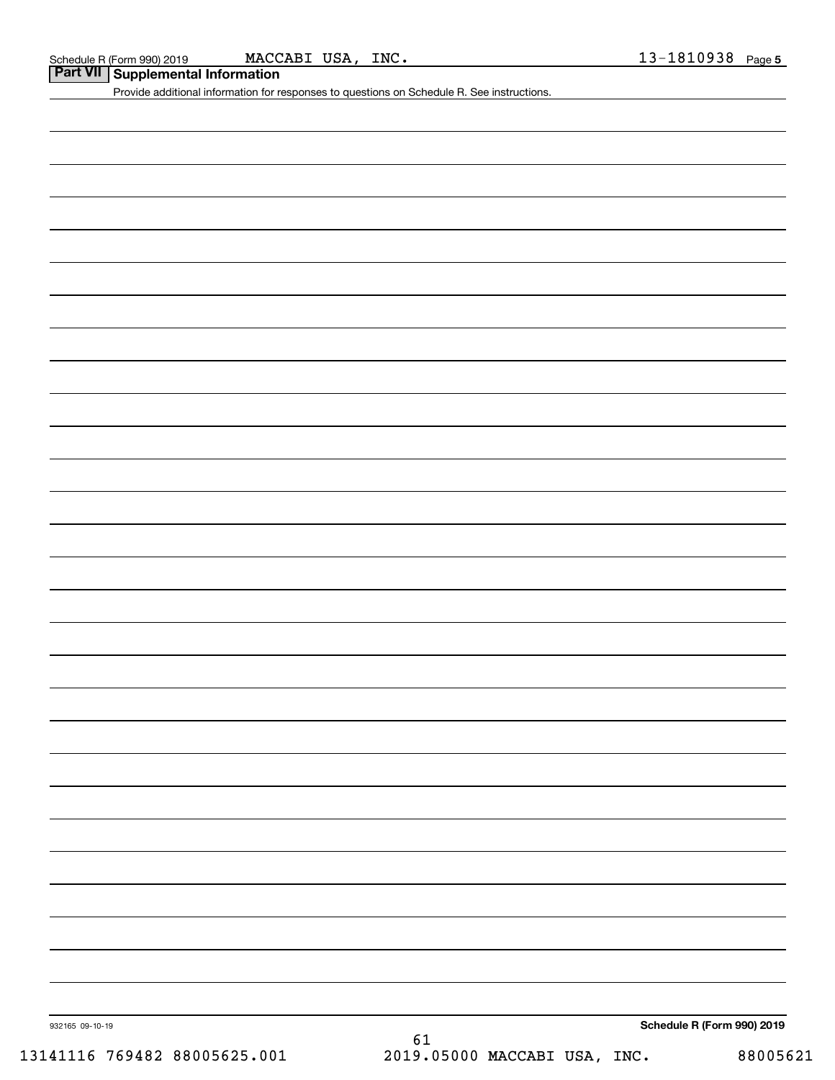**Part VII Supplemental Information**

Provide additional information for responses to questions on Schedule R. See instructions.

932165 09-10-19